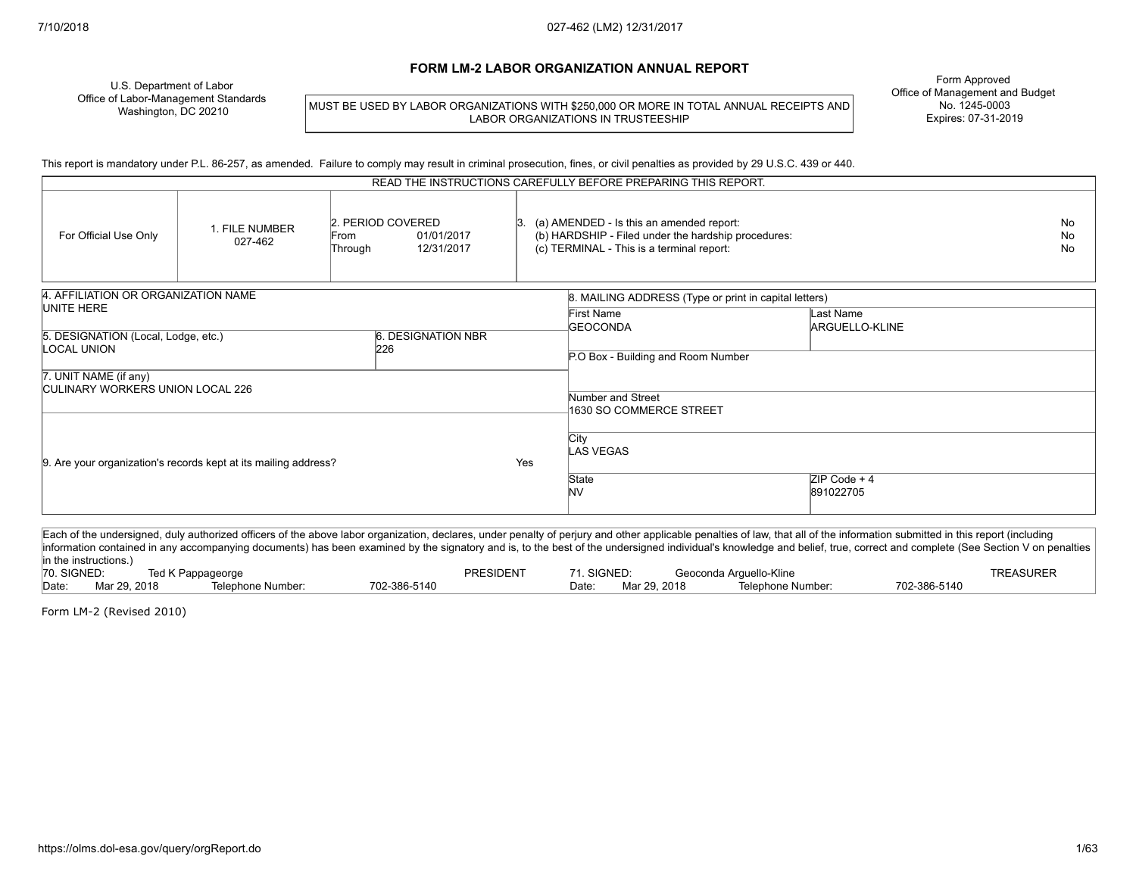#### **FORM LM-2 LABOR ORGANIZATION ANNUAL REPORT**

U.S. Department of Labor Office of Labor-Management Standards Washington, DC 20210

MUST BE USED BY LABOR ORGANIZATIONS WITH \$250,000 OR MORE IN TOTAL ANNUAL RECEIPTS AND LABOR ORGANIZATIONS IN TRUSTEESHIP

Form Approved Office of Management and Budget No. 1245-0003 Expires: 07-31-2019

This report is mandatory under P.L. 86-257, as amended. Failure to comply may result in criminal prosecution, fines, or civil penalties as provided by 29 U.S.C. 439 or 440.

| READ THE INSTRUCTIONS CAREFULLY BEFORE PREPARING THIS REPORT.    |                                                                 |                 |                                               |     |                                                                                                                                              |                             |  |
|------------------------------------------------------------------|-----------------------------------------------------------------|-----------------|-----------------------------------------------|-----|----------------------------------------------------------------------------------------------------------------------------------------------|-----------------------------|--|
| For Official Use Only                                            | 1. FILE NUMBER<br>027-462                                       | From<br>Through | 2. PERIOD COVERED<br>01/01/2017<br>12/31/2017 |     | (a) AMENDED - Is this an amended report:<br>(b) HARDSHIP - Filed under the hardship procedures:<br>(c) TERMINAL - This is a terminal report: |                             |  |
| 4. AFFILIATION OR ORGANIZATION NAME                              |                                                                 |                 |                                               |     | 8. MAILING ADDRESS (Type or print in capital letters)                                                                                        |                             |  |
| UNITE HERE<br>5. DESIGNATION (Local, Lodge, etc.)                |                                                                 |                 | 6. DESIGNATION NBR                            |     | First Name<br><b>GEOCONDA</b>                                                                                                                | Last Name<br>ARGUELLO-KLINE |  |
| <b>LOCAL UNION</b>                                               |                                                                 |                 | 226                                           |     |                                                                                                                                              |                             |  |
|                                                                  |                                                                 |                 |                                               |     | P.O Box - Building and Room Number                                                                                                           |                             |  |
| 7. UNIT NAME (if any)<br><b>CULINARY WORKERS UNION LOCAL 226</b> |                                                                 |                 |                                               |     |                                                                                                                                              |                             |  |
|                                                                  |                                                                 |                 |                                               |     | Number and Street                                                                                                                            |                             |  |
|                                                                  |                                                                 |                 |                                               |     | 1630 SO COMMERCE STREET                                                                                                                      |                             |  |
|                                                                  | 9. Are your organization's records kept at its mailing address? |                 |                                               | Yes | City<br>LAS VEGAS                                                                                                                            |                             |  |
|                                                                  |                                                                 |                 |                                               |     | State<br><b>NV</b>                                                                                                                           | $ZIP Code + 4$<br>891022705 |  |

Each of the undersigned, duly authorized officers of the above labor organization, declares, under penalty of perjury and other applicable penalties of law, that all of the information submitted in this report (including information contained in any accompanying documents) has been examined by the signatory and is, to the best of the undersigned individual's knowledge and belief, true, correct and complete (See Section V on penalties in the instructions.)<br>70. SIGNED: Ted K Pappageorge Technology of the SIGNED: Ted K Pappageorge PRESIDENT 71. SIGNED: Geoconda Arguello-Kline TREASURER Date: Mar 29, 2018 Telephone Number: 702-386-5140 Date: Mar 29, 2018 Telephone Number: 702-386-5140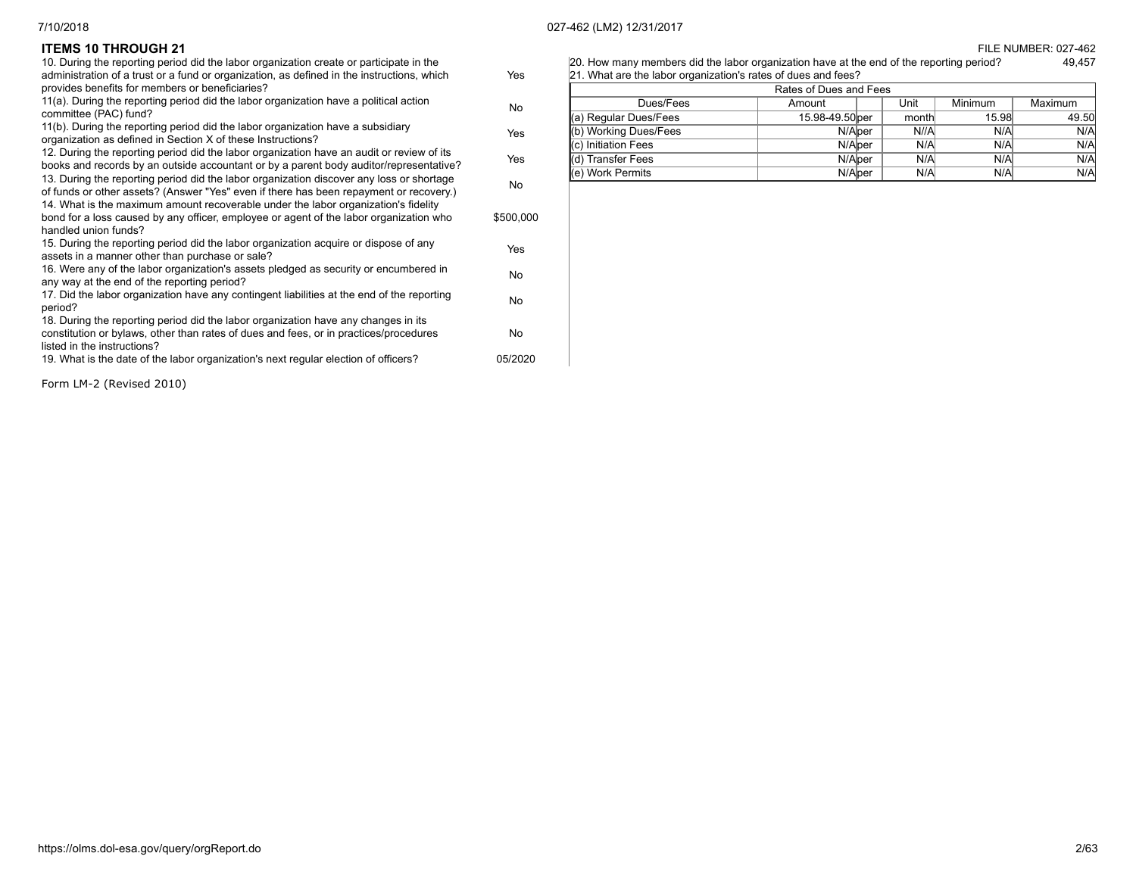#### **FILE NUMBER: 027-462**

20. How many members did the labor organization have at the end of the reporting period? 49,457 21. What are the labor organization's rates of dues and fees?

| Rates of Dues and Fees |                 |  |       |         |         |  |
|------------------------|-----------------|--|-------|---------|---------|--|
| Dues/Fees              | Amount          |  | Unit  | Minimum | Maximum |  |
| (a) Regular Dues/Fees  | 15.98-49.50 per |  | month | 15.98   | 49.50   |  |
| (b) Working Dues/Fees  | N/Alper         |  | N//A  | N/A     | N/A     |  |
| (c) Initiation Fees    | N/Alper         |  | N/A   | N/A     | N/A     |  |
| l(d) Transfer Fees     | N/Alper         |  | N/A   | N/A     | N/A     |  |
| I(e) Work Permits      | N/Alper         |  | N/A   | N/A     | N/A     |  |

| <b>ITEMS 10 THROUGH 21</b> |  |  |  |  |
|----------------------------|--|--|--|--|
|----------------------------|--|--|--|--|

| 10. During the reporting period did the labor organization create or participate in the    |           |
|--------------------------------------------------------------------------------------------|-----------|
| administration of a trust or a fund or organization, as defined in the instructions, which | Yes       |
| provides benefits for members or beneficiaries?                                            |           |
| 11(a). During the reporting period did the labor organization have a political action      |           |
| committee (PAC) fund?                                                                      | No.       |
| 11(b). During the reporting period did the labor organization have a subsidiary            |           |
| organization as defined in Section X of these Instructions?                                | Yes       |
| 12. During the reporting period did the labor organization have an audit or review of its  |           |
| books and records by an outside accountant or by a parent body auditor/representative?     | Yes       |
| 13. During the reporting period did the labor organization discover any loss or shortage   |           |
| of funds or other assets? (Answer "Yes" even if there has been repayment or recovery.)     | <b>No</b> |
| 14. What is the maximum amount recoverable under the labor organization's fidelity         |           |
| bond for a loss caused by any officer, employee or agent of the labor organization who     | \$500,000 |
| handled union funds?                                                                       |           |
| 15. During the reporting period did the labor organization acquire or dispose of any       |           |
| assets in a manner other than purchase or sale?                                            | Yes       |
| 16. Were any of the labor organization's assets pledged as security or encumbered in       |           |
| any way at the end of the reporting period?                                                | <b>No</b> |
| 17. Did the labor organization have any contingent liabilities at the end of the reporting |           |
| period?                                                                                    | <b>No</b> |
| 18. During the reporting period did the labor organization have any changes in its         |           |
| constitution or bylaws, other than rates of dues and fees, or in practices/procedures      | No.       |
| listed in the instructions?                                                                |           |
|                                                                                            | 05/2020   |
| 19. What is the date of the labor organization's next regular election of officers?        |           |
|                                                                                            |           |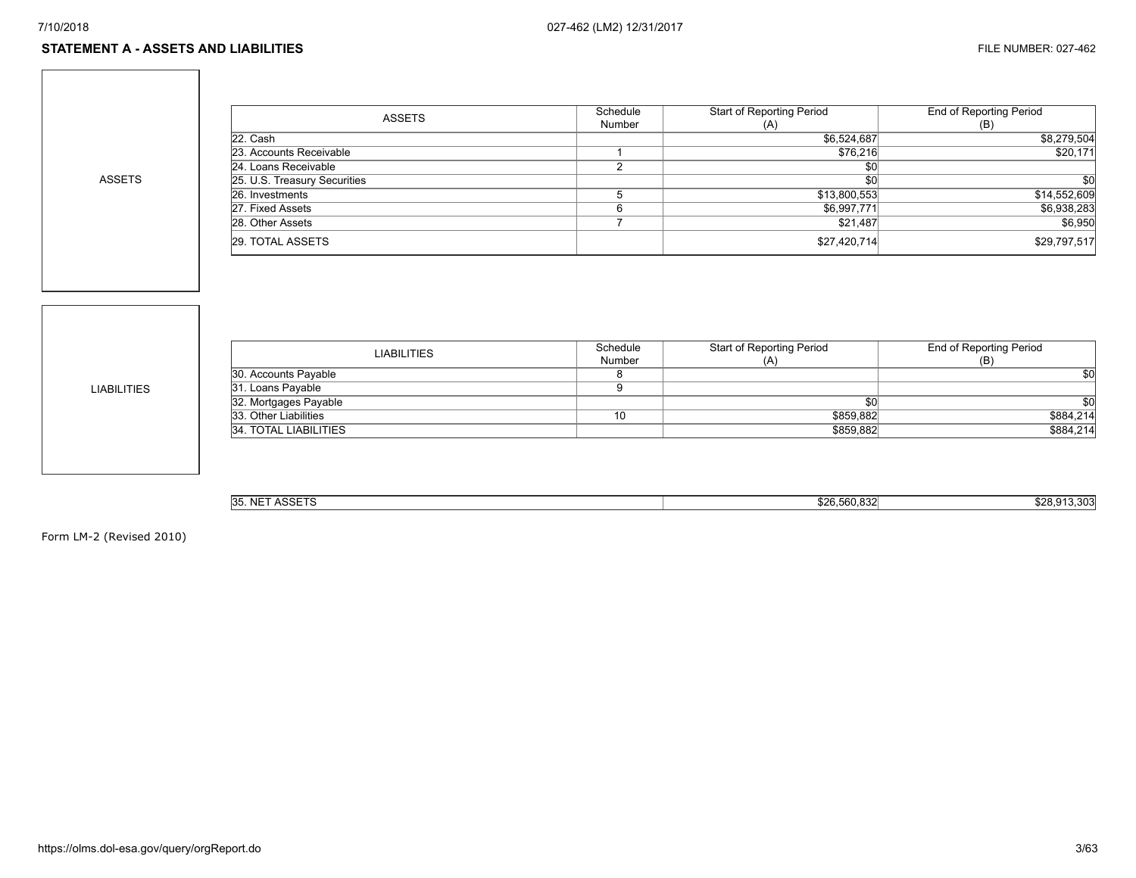ASSETS

| <b>ASSETS</b>                | Schedule | <b>Start of Reporting Period</b> | End of Reporting Period |
|------------------------------|----------|----------------------------------|-------------------------|
|                              | Number   | (A)                              | (B)                     |
| 22. Cash                     |          | \$6,524,687                      | \$8,279,504             |
| 23. Accounts Receivable      |          | \$76,216                         | \$20,171                |
| 24. Loans Receivable         |          | <b>\$0</b>                       |                         |
| 25. U.S. Treasury Securities |          | \$0                              | \$0                     |
| 26. Investments              |          | \$13,800,553                     | \$14,552,609            |
| 27. Fixed Assets             |          | \$6,997,771                      | \$6,938,283             |
| 28. Other Assets             |          | \$21,487                         | \$6,950                 |
| 29. TOTAL ASSETS             |          | \$27,420,714                     | \$29,797,517            |

LIABILITIES

| <b>LIABILITIES</b>    | Schedule | Start of Reporting Period | End of Reporting Period |
|-----------------------|----------|---------------------------|-------------------------|
|                       | Number   | (A)                       | (B)                     |
| 30. Accounts Payable  |          |                           | \$0                     |
| 31. Loans Payable     |          |                           |                         |
| 32. Mortgages Payable |          |                           | \$0                     |
| 33. Other Liabilities | 10       | \$859.882                 | \$884,214               |
| 34. TOTAL LIABILITIES |          | \$859.882                 | \$884,214               |
|                       |          |                           |                         |

| 0.00770<br>$\ddotsc$<br><b>35. NL</b><br>. .<br>nuu. | con roo agol<br>ა∠ი<br>2.500.832 | 13.303<br>\$28.01 |
|------------------------------------------------------|----------------------------------|-------------------|
|                                                      |                                  |                   |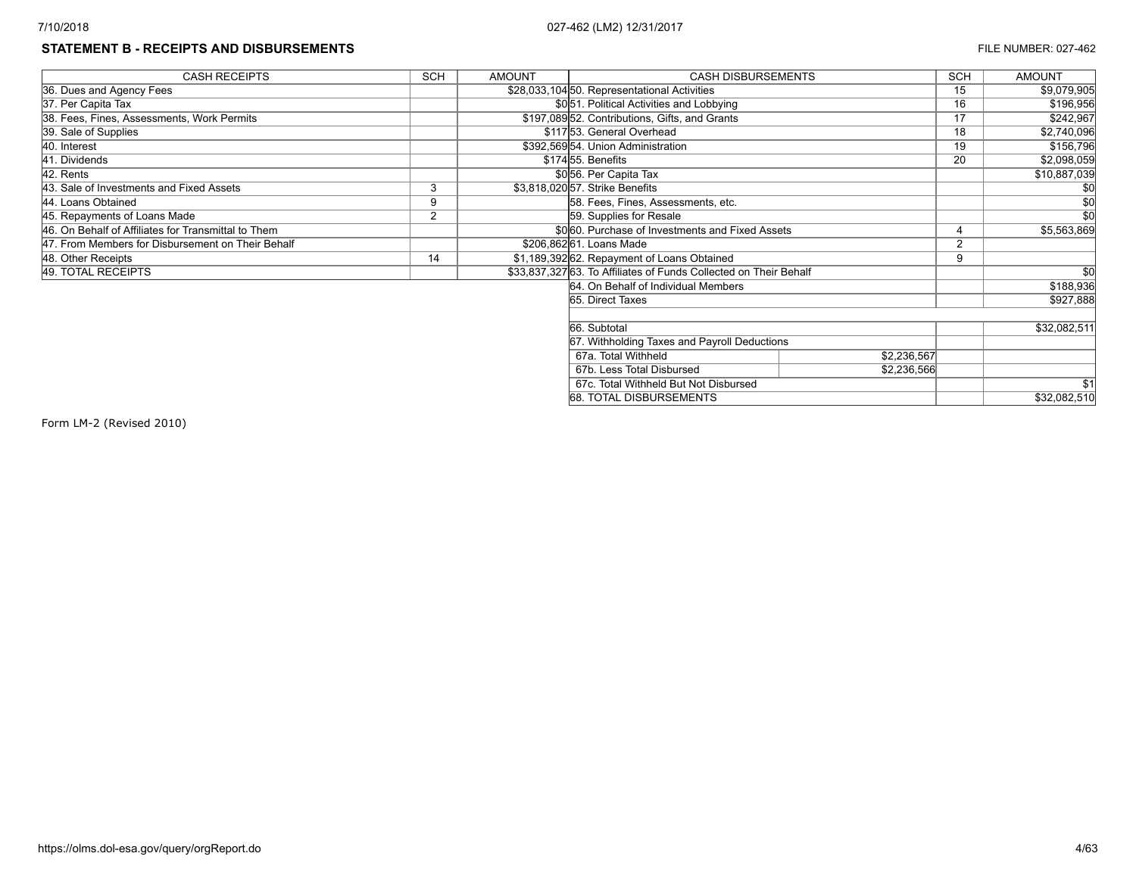# **STATEMENT B - RECEIPTS AND DISBURSEMENTS EXECUTE 27-462**

| <b>CASH RECEIPTS</b>                                | <b>SCH</b>     | <b>AMOUNT</b> | <b>CASH DISBURSEMENTS</b>                                         |             |    | <b>AMOUNT</b>   |
|-----------------------------------------------------|----------------|---------------|-------------------------------------------------------------------|-------------|----|-----------------|
| 36. Dues and Agency Fees                            |                |               | \$28,033,104 50. Representational Activities                      |             | 15 | \$9,079,905     |
| 37. Per Capita Tax                                  |                |               | \$051. Political Activities and Lobbying                          |             | 16 | \$196,956       |
| 38. Fees, Fines, Assessments, Work Permits          |                |               | \$197,08952. Contributions, Gifts, and Grants                     |             | 17 | \$242,967       |
| 39. Sale of Supplies                                |                |               | \$11753. General Overhead                                         |             | 18 | \$2,740,096     |
| 40. Interest                                        |                |               | \$392,56954. Union Administration                                 |             | 19 | \$156,796       |
| 41. Dividends                                       |                |               | \$17455. Benefits                                                 |             | 20 | \$2,098,059     |
| 42. Rents                                           |                |               | \$056. Per Capita Tax                                             |             |    | \$10,887,039    |
| 43. Sale of Investments and Fixed Assets            | 3              |               | \$3,818,020 57. Strike Benefits                                   |             |    | \$0             |
| 44. Loans Obtained                                  | 9              |               | 58. Fees, Fines, Assessments, etc.                                |             |    |                 |
| 45. Repayments of Loans Made                        | $\overline{2}$ |               | 59. Supplies for Resale                                           |             |    | $\overline{50}$ |
| 46. On Behalf of Affiliates for Transmittal to Them |                |               | \$060. Purchase of Investments and Fixed Assets                   |             |    | \$5,563,869     |
| 47. From Members for Disbursement on Their Behalf   |                |               | \$206,862 61. Loans Made                                          |             | ົ  |                 |
| 48. Other Receipts                                  | 14             |               | \$1,189,392 62. Repayment of Loans Obtained                       |             | 9  |                 |
| 49. TOTAL RECEIPTS                                  |                |               | \$33,837,327 63. To Affiliates of Funds Collected on Their Behalf |             |    | \$0             |
|                                                     |                |               | 64. On Behalf of Individual Members                               |             |    | \$188,936       |
|                                                     |                |               | 65. Direct Taxes                                                  |             |    | \$927,888       |
|                                                     |                |               |                                                                   |             |    |                 |
|                                                     |                |               | 66. Subtotal                                                      |             |    | \$32,082,511    |
|                                                     |                |               | 67. Withholding Taxes and Payroll Deductions                      |             |    |                 |
|                                                     |                |               | 67a. Total Withheld                                               | \$2,236,567 |    |                 |
|                                                     |                |               | 67b. Less Total Disbursed                                         | \$2,236,566 |    |                 |
|                                                     |                |               | 67c. Total Withheld But Not Disbursed                             |             |    | \$1             |
|                                                     |                |               | 68. TOTAL DISBURSEMENTS                                           |             |    | \$32,082,510    |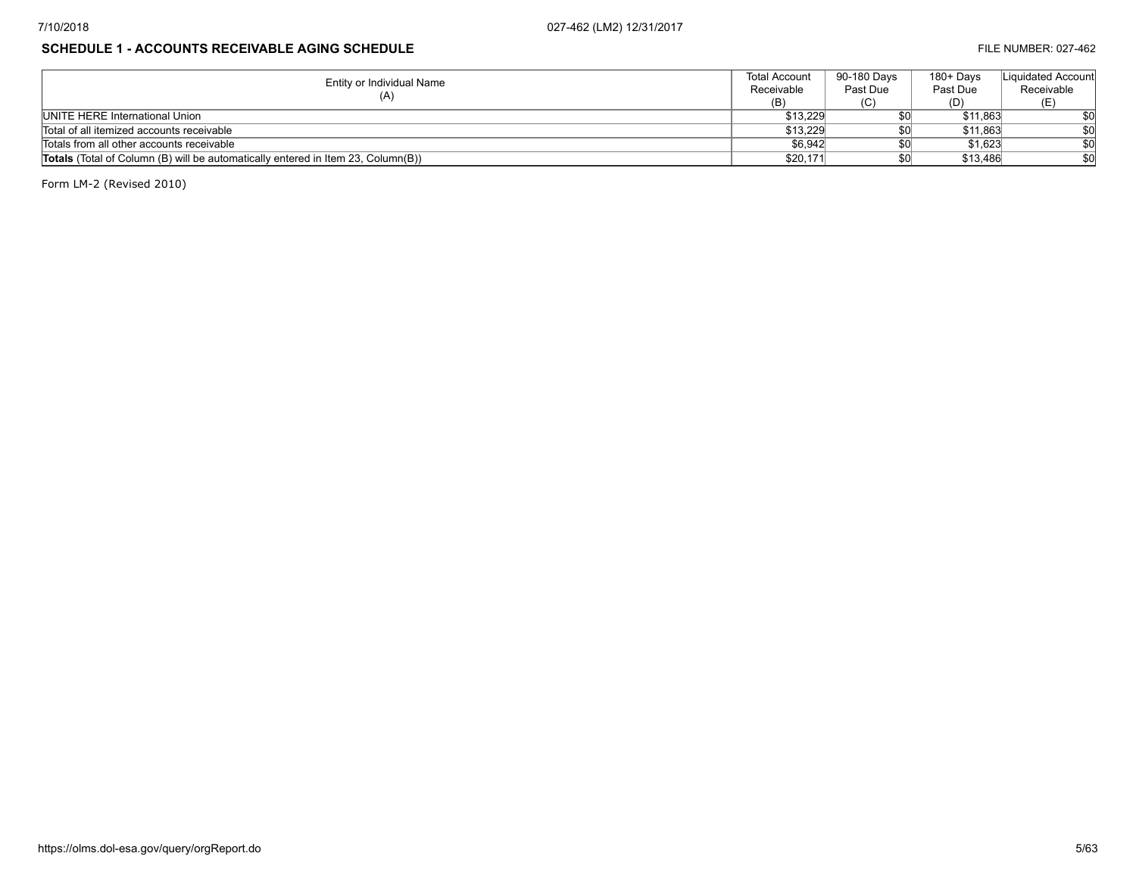#### **SCHEDULE 1 - ACCOUNTS RECEIVABLE AGING SCHEDULE Example 2001 120 and 2003 120 and 2003 120 and 2003 120 and 2003 120 and 2003 120 and 2003 120 and 2003 120 and 2003 120 and 2003 120 and 2003 120 and 2003 120 and 2003 12**

| Entity or Individual Name                                                               | <b>Total Account</b> | 90-180 Davs | 180+ Days | Liquidated Account |
|-----------------------------------------------------------------------------------------|----------------------|-------------|-----------|--------------------|
|                                                                                         | Receivable           | Past Due    | Past Due  | Receivable         |
| (A)                                                                                     | (B)                  | (C)         |           |                    |
| <b>IUNITE HERE International Union</b>                                                  | \$13.229             |             | \$11.863  | \$0                |
| Total of all itemized accounts receivable                                               | \$13.229             |             | \$11,863  | \$0                |
| Totals from all other accounts receivable                                               | \$6,942              |             | \$1,623   | \$0                |
| <b>Totals</b> (Total of Column (B) will be automatically entered in Item 23, Column(B)) | \$20,171             |             | \$13,486  | \$0                |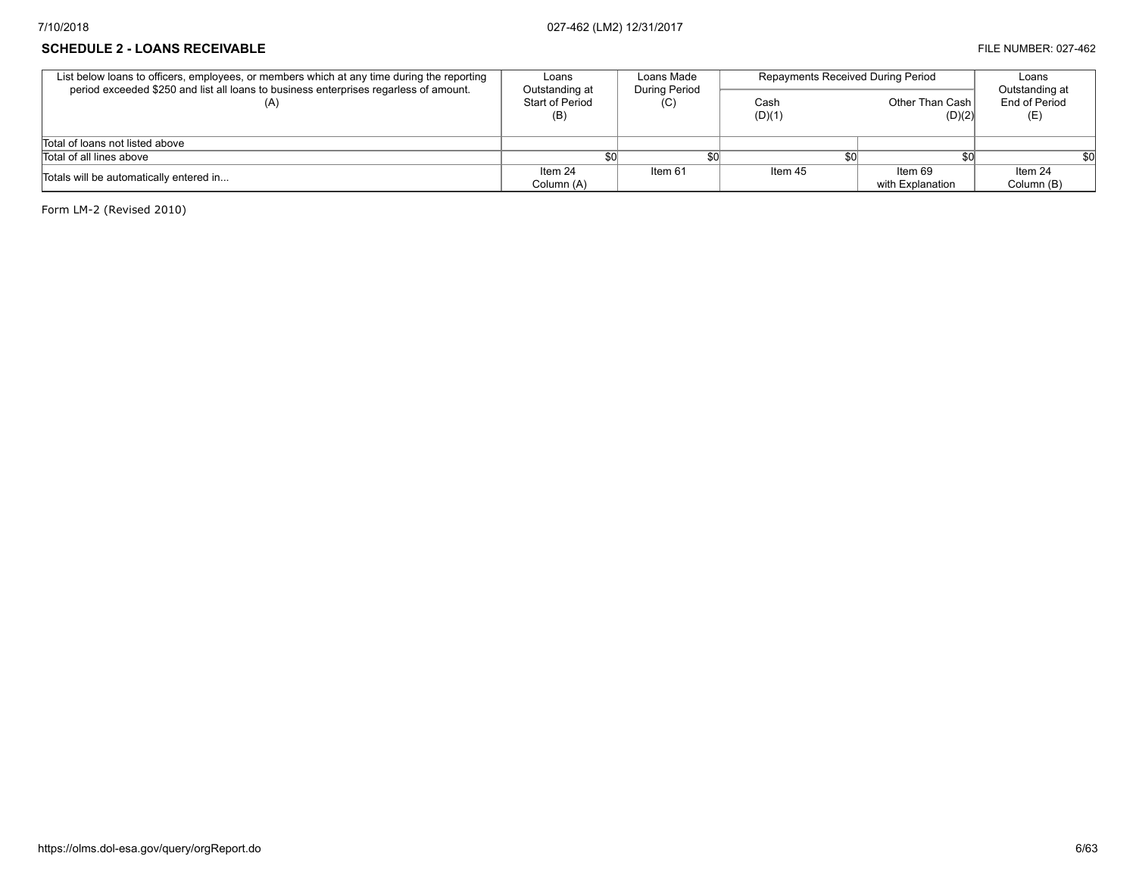#### **SCHEDULE 2 - LOANS RECEIVABLE EXECUVABLE FILE NUMBER: 027-462**

| List below loans to officers, employees, or members which at any time during the reporting<br>period exceeded \$250 and list all loans to business enterprises regarless of amount. | Loans<br>Outstanding at | Loans Made<br><b>During Period</b> | <b>Repayments Received During Period</b> | Loans<br>Outstanding at     |                       |
|-------------------------------------------------------------------------------------------------------------------------------------------------------------------------------------|-------------------------|------------------------------------|------------------------------------------|-----------------------------|-----------------------|
|                                                                                                                                                                                     | Start of Period<br>(B)  | (C)                                | Cash<br>(D)(1)                           | Other Than Cash<br>(D)(2)   | End of Period<br>(E)  |
| Total of loans not listed above                                                                                                                                                     |                         |                                    |                                          |                             |                       |
| Total of all lines above                                                                                                                                                            |                         |                                    |                                          |                             |                       |
| Totals will be automatically entered in                                                                                                                                             | Item 24<br>Column (A)   | Item 61                            | Item 45                                  | Item 69<br>with Explanation | Item 24<br>Column (B) |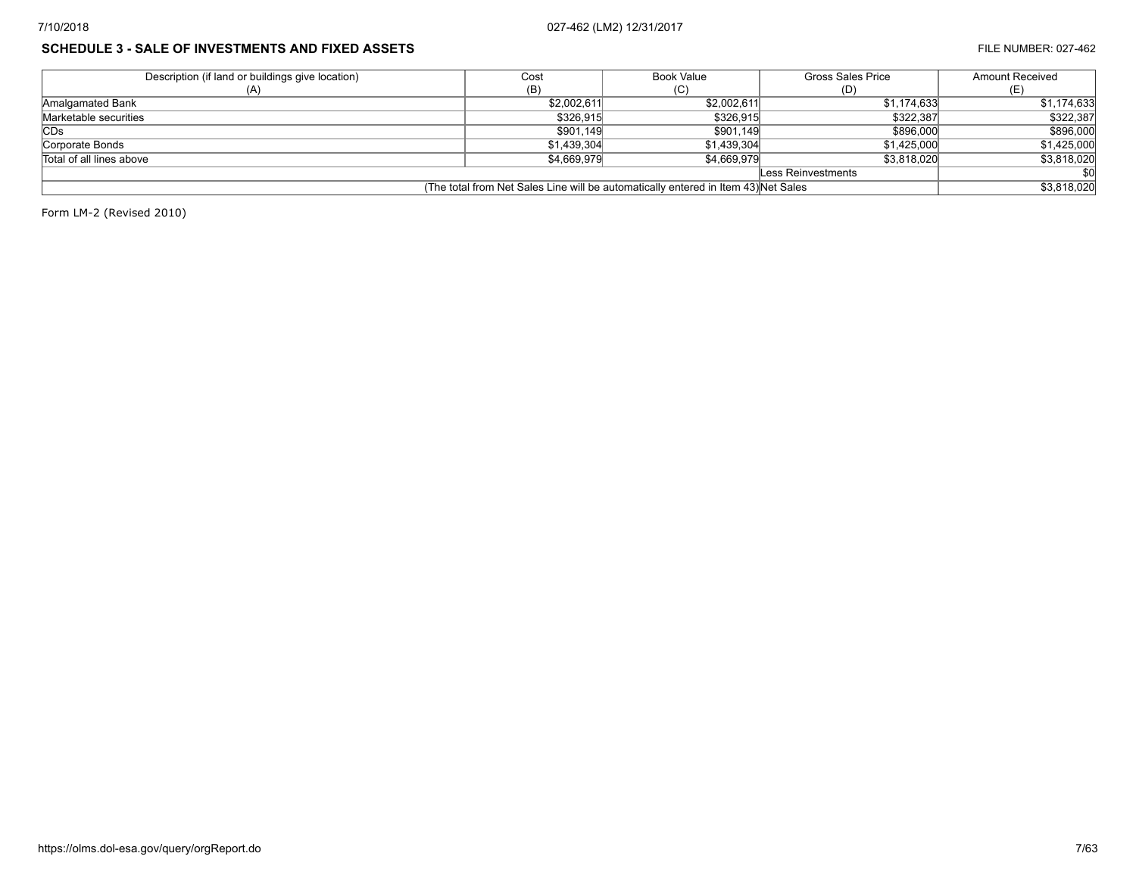## **SCHEDULE 3 - SALE OF INVESTMENTS AND FIXED ASSETS FILE NUMBER: 027-462**

| Description (if land or buildings give location)                                   | Cost        | Book Value  | <b>Gross Sales Price</b> | <b>Amount Received</b> |  |
|------------------------------------------------------------------------------------|-------------|-------------|--------------------------|------------------------|--|
|                                                                                    | (B)         | (C)         | (D)                      |                        |  |
| Amalgamated Bank                                                                   | \$2,002,611 | \$2,002,611 | \$1.174.633              | \$1,174,633            |  |
| Marketable securities                                                              | \$326.915   | \$326.915   | \$322,387                | \$322,387              |  |
| <b>CDs</b>                                                                         | \$901,149   | \$901,149   | \$896,000                | \$896,000              |  |
| Corporate Bonds                                                                    | \$1.439.304 | \$1.439.304 | \$1,425,000              | \$1,425,000            |  |
| Total of all lines above                                                           | \$4,669,979 | \$4,669,979 | \$3,818,020              | \$3,818,020            |  |
| Less Reinvestments                                                                 |             |             |                          |                        |  |
| (The total from Net Sales Line will be automatically entered in Item 43) Net Sales | \$3,818,020 |             |                          |                        |  |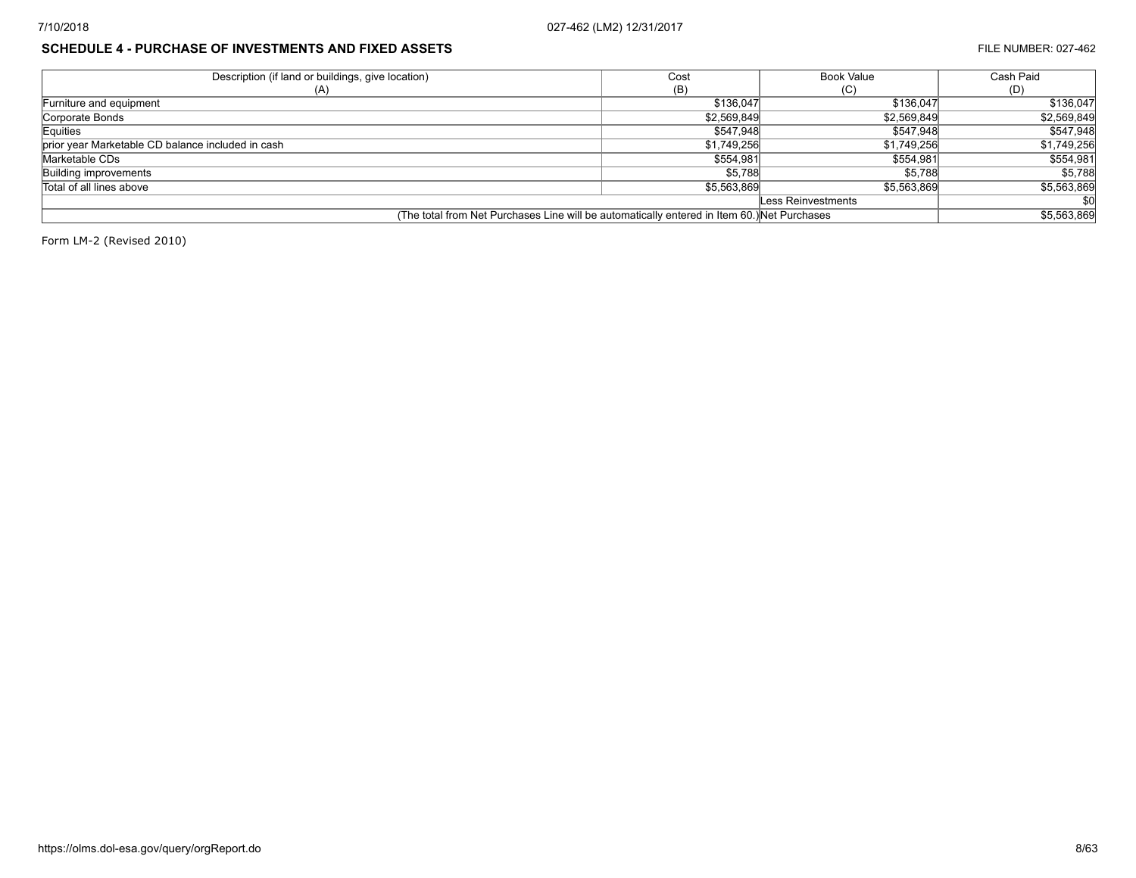## **SCHEDULE 4 - PURCHASE OF INVESTMENTS AND FIXED ASSETS FILE NUMBER: 027-462**

| Description (if land or buildings, give location)<br>Cost                                   |             | <b>Book Value</b>  | Cash Paid   |
|---------------------------------------------------------------------------------------------|-------------|--------------------|-------------|
|                                                                                             | (B)         | (C)                | (D)         |
| Furniture and equipment                                                                     | \$136,047   | \$136,047          | \$136,047   |
| Corporate Bonds                                                                             | \$2,569,849 | \$2,569,849        | \$2,569,849 |
| Equities                                                                                    | \$547,948   | \$547,948          | \$547,948   |
| prior year Marketable CD balance included in cash                                           | \$1,749,256 | \$1.749.256        | \$1,749,256 |
| Marketable CDs                                                                              | \$554,981   | \$554.981          | \$554,981   |
| Building improvements                                                                       | \$5,788     | \$5,788            | \$5,788     |
| Total of all lines above                                                                    | \$5.563.869 | \$5,563,869        | \$5,563,869 |
|                                                                                             |             | Less Reinvestments |             |
| (The total from Net Purchases Line will be automatically entered in Item 60.) Net Purchases |             |                    | \$5,563,869 |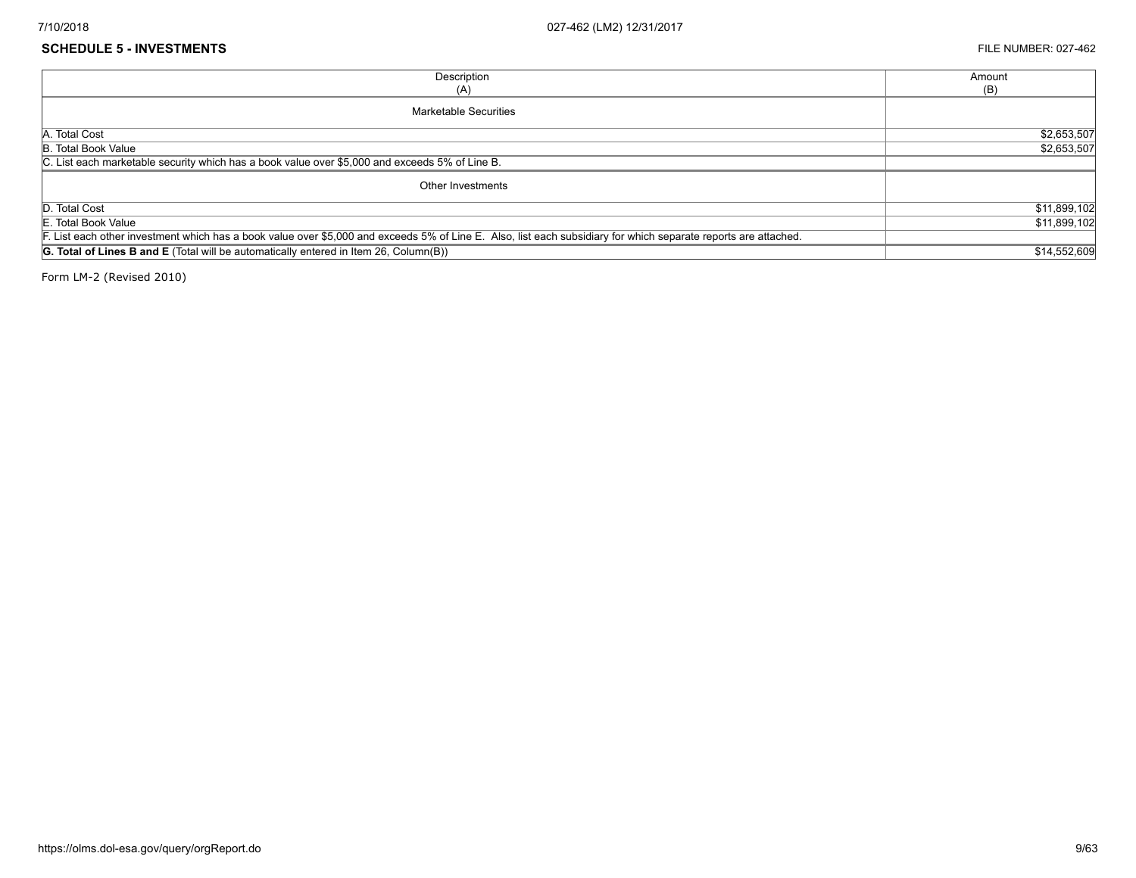#### **SCHEDULE 5 - INVESTMENTS** FILE NUMBER: 027-462

| Description                                                                                                                                                     | Amount       |
|-----------------------------------------------------------------------------------------------------------------------------------------------------------------|--------------|
| (A)                                                                                                                                                             | (B)          |
| Marketable Securities                                                                                                                                           |              |
| A. Total Cost                                                                                                                                                   | \$2,653,507  |
| B. Total Book Value                                                                                                                                             | \$2,653,507  |
| C. List each marketable security which has a book value over \$5,000 and exceeds 5% of Line B.                                                                  |              |
| Other Investments                                                                                                                                               |              |
| D. Total Cost                                                                                                                                                   | \$11,899,102 |
| E. Total Book Value                                                                                                                                             | \$11,899,102 |
| F. List each other investment which has a book value over \$5,000 and exceeds 5% of Line E. Also, list each subsidiary for which separate reports are attached. |              |
| <b>G. Total of Lines B and E</b> (Total will be automatically entered in Item 26, Column(B))                                                                    | \$14,552,609 |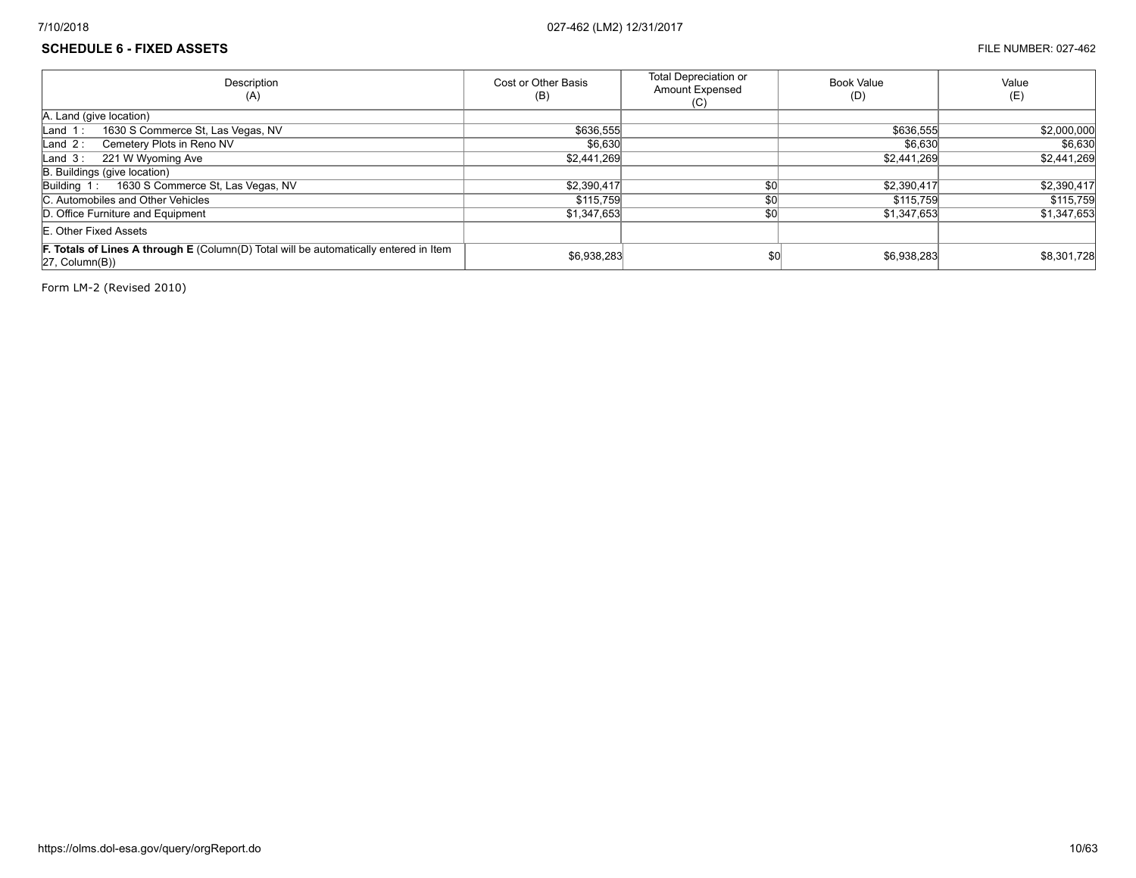## **SCHEDULE 6 - FIXED ASSETS** FILE NUMBER: 027-462

| Description<br>(A)                                                                                                             | Cost or Other Basis<br>(B) | <b>Total Depreciation or</b><br><b>Amount Expensed</b><br>(C) | <b>Book Value</b><br>(D) | Value<br>(E) |
|--------------------------------------------------------------------------------------------------------------------------------|----------------------------|---------------------------------------------------------------|--------------------------|--------------|
| A. Land (give location)                                                                                                        |                            |                                                               |                          |              |
| 1630 S Commerce St, Las Vegas, NV<br>$\mathsf{Land}$ 1:                                                                        | \$636,555                  |                                                               | \$636,555                | \$2,000,000  |
| Cemetery Plots in Reno NV<br>Land $2:$                                                                                         | \$6,630                    |                                                               | \$6,630                  | \$6,630      |
| 221 W Wyoming Ave<br>Land $3:$                                                                                                 | \$2,441,269                |                                                               | \$2,441,269              | \$2,441,269  |
| B. Buildings (give location)                                                                                                   |                            |                                                               |                          |              |
| 1630 S Commerce St, Las Vegas, NV<br>Building 1:                                                                               | \$2,390,417                | \$0 <sub>0</sub>                                              | \$2,390,417              | \$2,390,417  |
| C. Automobiles and Other Vehicles                                                                                              | \$115,759                  | \$0                                                           | \$115,759                | \$115,759    |
| D. Office Furniture and Equipment                                                                                              | \$1,347,653                | \$0                                                           | \$1,347,653              | \$1,347,653  |
| E. Other Fixed Assets                                                                                                          |                            |                                                               |                          |              |
| <b>F. Totals of Lines A through E</b> (Column(D) Total will be automatically entered in Item<br>$ 27, \text{Column}(B)\rangle$ | \$6,938,283                | \$0                                                           | \$6,938,283              | \$8,301,728  |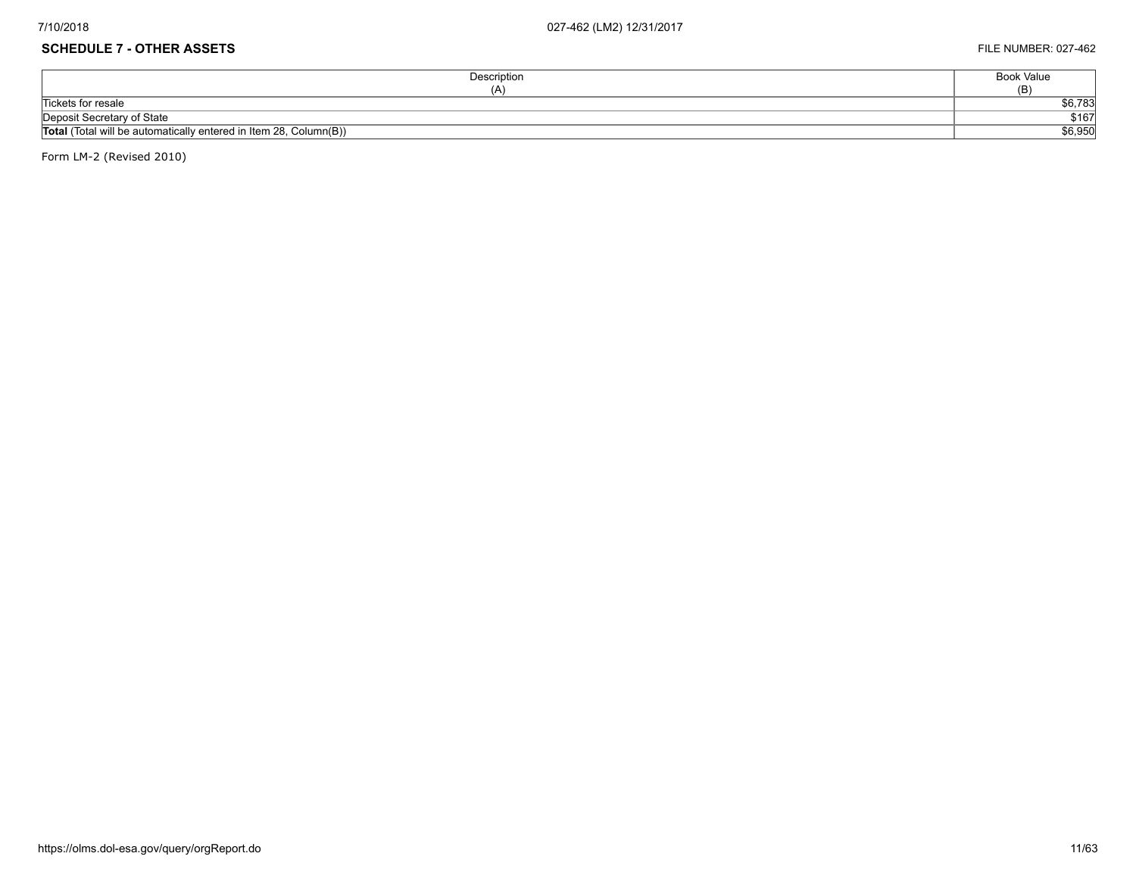## **SCHEDULE 7 - OTHER ASSETS** FILE NUMBER: 027-462

| Description                                                       | Book Value |
|-------------------------------------------------------------------|------------|
| (A)                                                               | (B)        |
| Tickets for resale                                                | \$6,783    |
| Deposit Secretary of State                                        | \$167      |
| Total (Total will be automatically entered in Item 28, Column(B)) | \$6,950    |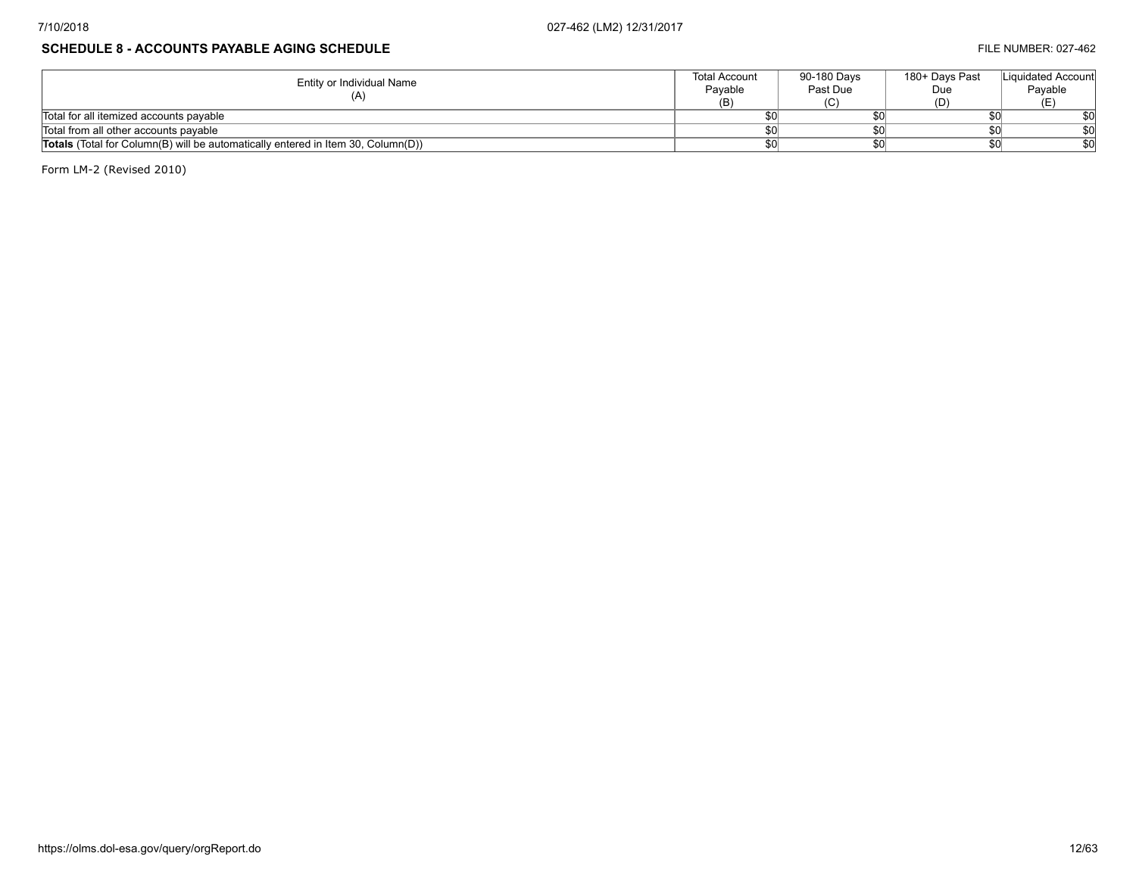## **SCHEDULE 8 - ACCOUNTS PAYABLE AGING SCHEDULE FILE NUMBER: 027-462**

| Entity or Individual Name                                                               | <b>Total Account</b><br>Pavable | 90-180 Davs<br>Past Due | 180+ Davs Past<br>Due | Liquidated Account<br>Pavable |
|-----------------------------------------------------------------------------------------|---------------------------------|-------------------------|-----------------------|-------------------------------|
|                                                                                         | (B)                             |                         |                       |                               |
| Total for all itemized accounts payable                                                 |                                 |                         |                       |                               |
| Total from all other accounts payable                                                   |                                 |                         |                       |                               |
| <b>Totals</b> (Total for Column(B) will be automatically entered in Item 30, Column(D)) |                                 |                         |                       |                               |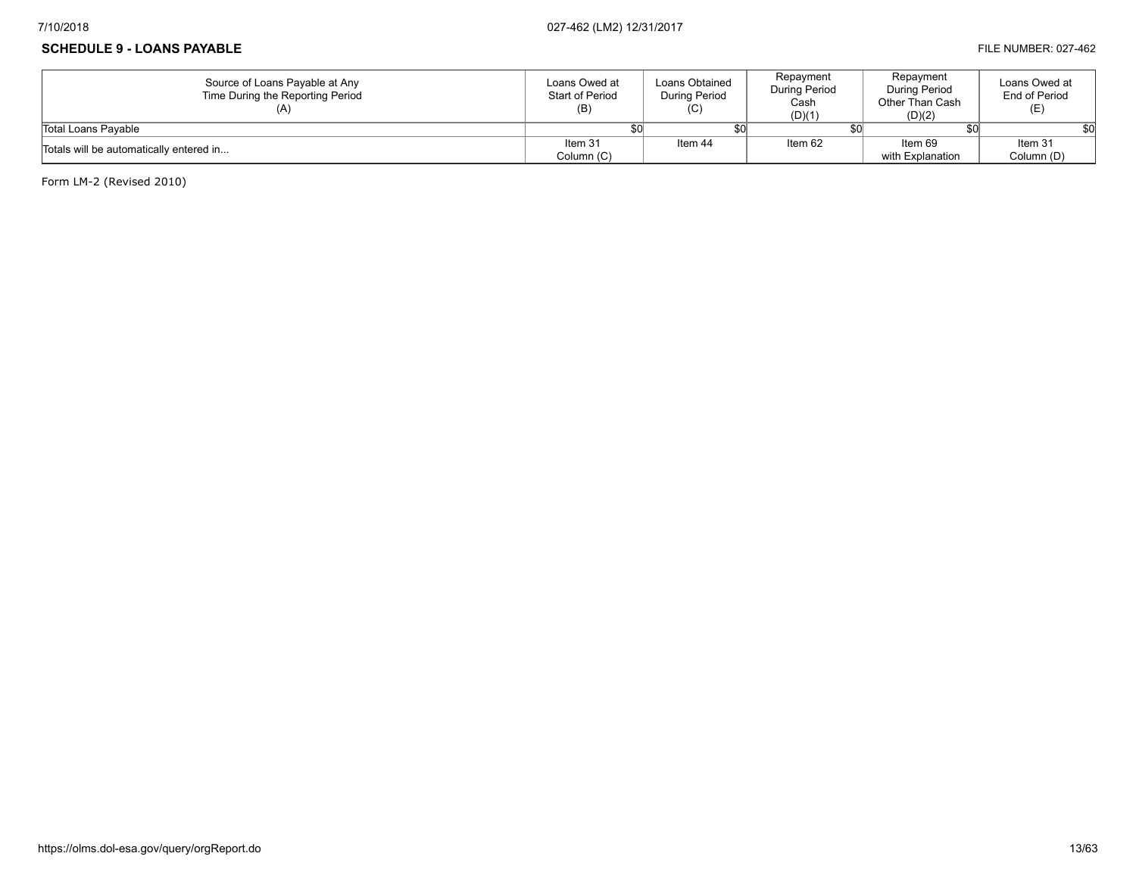### **SCHEDULE 9 - LOANS PAYABLE FILE NUMBER: 027-462**

| Source of Loans Payable at Any<br>Time During the Reporting Period | Loans Owed at<br>Start of Period<br>(B) | Loans Obtained<br>During Period<br>(C) | Repayment<br>During Period<br>Cash<br>(D)(1) | Repayment<br>During Period<br>Other Than Cash<br>(D)(2) | Loans Owed at<br>End of Period<br>(E) |
|--------------------------------------------------------------------|-----------------------------------------|----------------------------------------|----------------------------------------------|---------------------------------------------------------|---------------------------------------|
| Total Loans Pavable                                                |                                         |                                        |                                              |                                                         |                                       |
| Totals will be automatically entered in                            | Item 31                                 | Item 44                                | Item 62                                      | Item 69                                                 | Item 31                               |
|                                                                    | Column (C)                              |                                        |                                              | with Explanation                                        | Column (D)                            |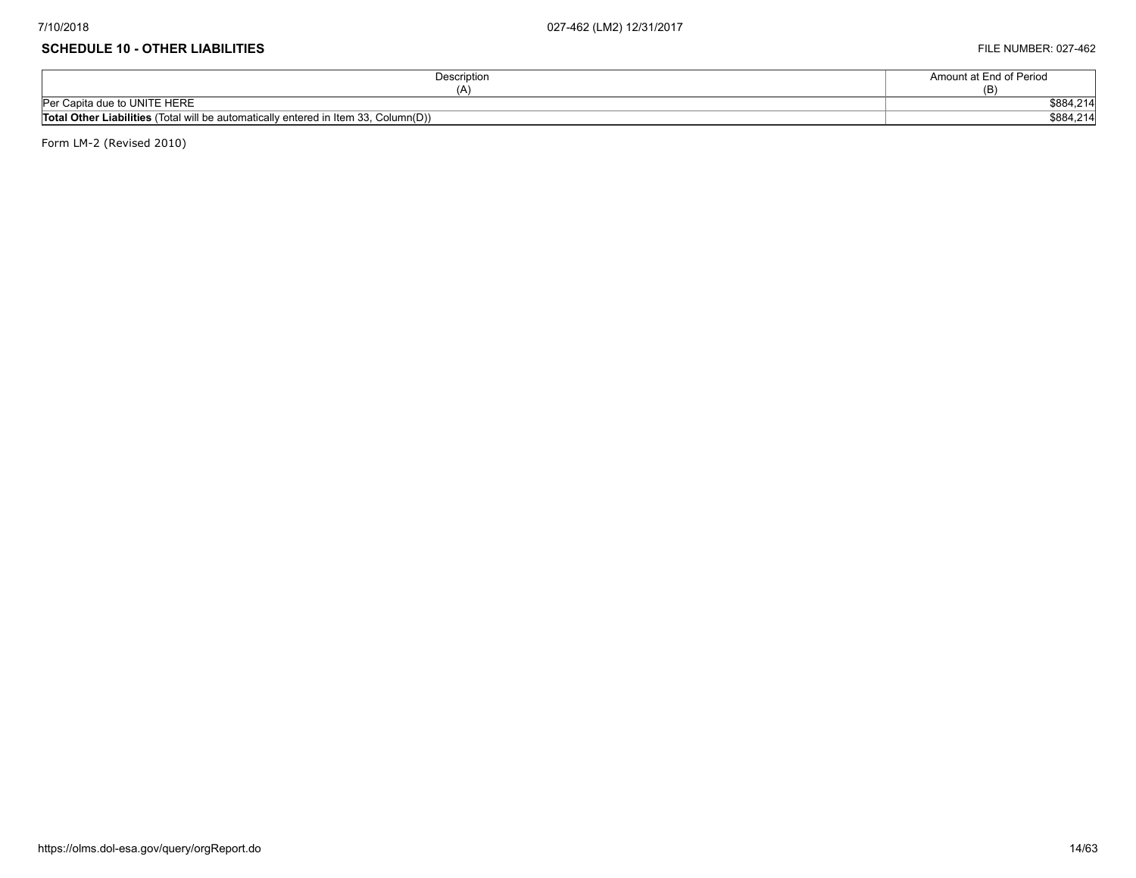#### **SCHEDULE 10 - OTHER LIABILITIES** FILE NUMBER: 027-462

| Description                                                                                | Amount at End of Period      |
|--------------------------------------------------------------------------------------------|------------------------------|
| ∴ د∠،                                                                                      |                              |
| Per Capita due to UNITE HERE                                                               | <b>COOL OLA</b><br>\$884.Z14 |
| <b>Total Other Liabilities</b> (Total will be automatically entered in Item 33, Column(D)) | \$884,214                    |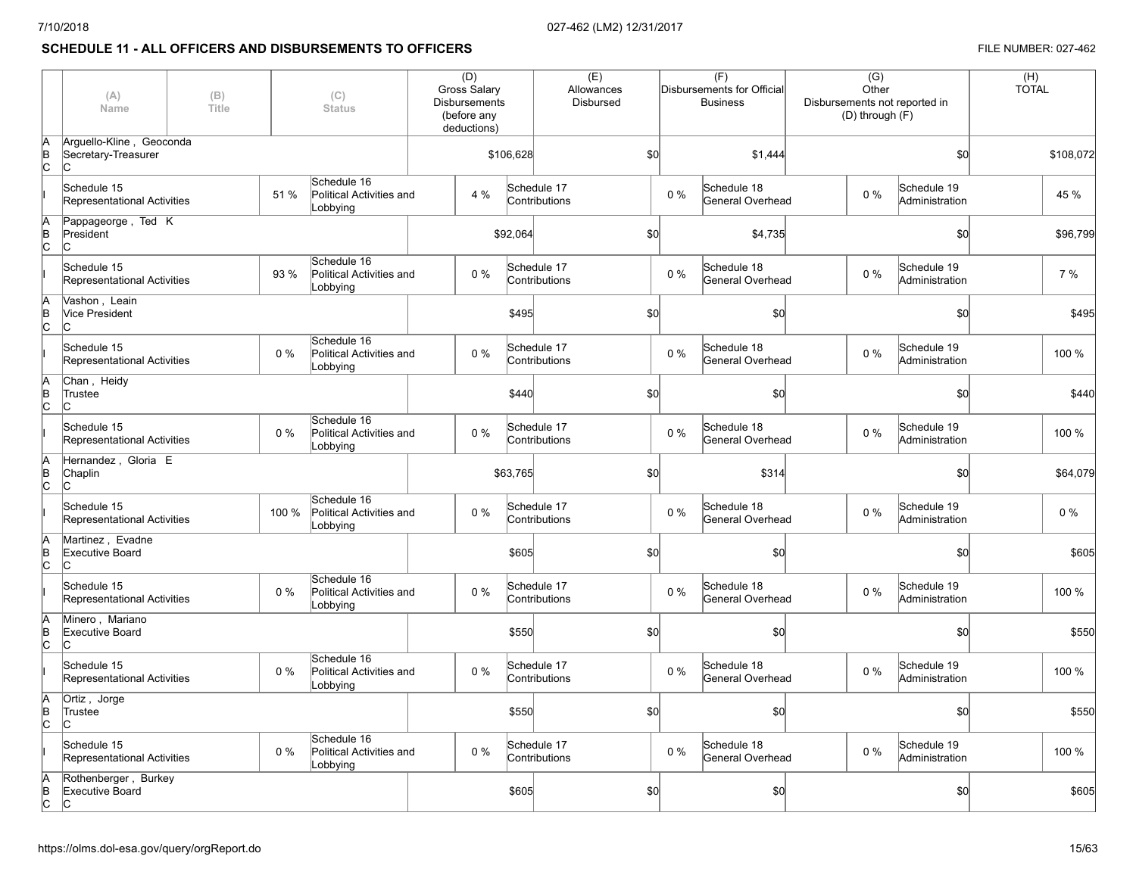## **SCHEDULE 11 - ALL OFFICERS AND DISBURSEMENTS TO OFFICERS FILE NUMBER: 027-462**

|                | (A)<br>Name                                            | (B)<br>Title |       | (C)<br><b>Status</b>                                | (D)<br>Gross Salary<br><b>Disbursements</b><br>(before any<br>deductions) |           | (E)<br>Allowances<br><b>Disbursed</b> |     |         | (F)<br>Disbursements for Official<br><b>Business</b> | $\overline{(G)}$<br>Other<br>Disbursements not reported in<br>(D) through (F) |                               | (H)<br><b>TOTAL</b> |
|----------------|--------------------------------------------------------|--------------|-------|-----------------------------------------------------|---------------------------------------------------------------------------|-----------|---------------------------------------|-----|---------|------------------------------------------------------|-------------------------------------------------------------------------------|-------------------------------|---------------------|
| lΑ<br>þΒ<br>c  | Arquello-Kline, Geoconda<br>Secretary-Treasurer<br>lC. |              |       |                                                     |                                                                           | \$106,628 |                                       | \$0 | \$1,444 |                                                      |                                                                               | \$0                           | \$108,072           |
|                | Schedule 15<br>Representational Activities             |              | 51 %  | Schedule 16<br>Political Activities and<br>Lobbying |                                                                           | 4 %       | Schedule 17<br>Contributions          |     | $0\%$   | Schedule 18<br>General Overhead                      | $0\%$                                                                         | Schedule 19<br>Administration | 45 %                |
| lΑ<br>B<br>C   | Pappageorge, Ted K<br>President<br>lC.                 |              |       |                                                     |                                                                           | \$92,064  |                                       | \$0 |         | \$4,735                                              |                                                                               | \$0                           | \$96,799            |
|                | Schedule 15<br>Representational Activities             |              | 93 %  | Schedule 16<br>Political Activities and<br>Lobbying |                                                                           | 0%        | Schedule 17<br>Contributions          |     | 0%      | Schedule 18<br>General Overhead                      | $0\%$                                                                         | Schedule 19<br>Administration | 7%                  |
| lΑ<br>B<br>Iс  | Vashon, Leain<br><b>Vice President</b><br>lc.          |              |       |                                                     |                                                                           | \$495     |                                       | \$0 |         | \$0                                                  |                                                                               | \$0                           | \$495               |
|                | Schedule 15<br>Representational Activities             |              | $0\%$ | Schedule 16<br>Political Activities and<br>Lobbying |                                                                           | 0%        | Schedule 17<br>Contributions          |     | $0\%$   | Schedule 18<br>General Overhead                      | $0\%$                                                                         | Schedule 19<br>Administration | 100 %               |
| lA<br>B<br>Iс  | Chan, Heidy<br>Trustee<br>IС                           |              |       |                                                     |                                                                           | \$440     |                                       | \$0 |         | \$0                                                  |                                                                               | \$0                           | \$440               |
|                | Schedule 15<br>Representational Activities             |              | $0\%$ | Schedule 16<br>Political Activities and<br>Lobbying |                                                                           | 0%        | Schedule 17<br>Contributions          |     | 0%      | Schedule 18<br>General Overhead                      | $0\%$                                                                         | Schedule 19<br>Administration | 100 %               |
| lA<br>B<br>Iс  | Hernandez, Gloria E<br>Chaplin<br>lC.                  |              |       |                                                     |                                                                           | \$63,765  |                                       | \$0 |         | \$314                                                |                                                                               | \$0                           | \$64,079            |
|                | Schedule 15<br>Representational Activities             |              | 100 % | Schedule 16<br>Political Activities and<br>Lobbying |                                                                           | 0%        | Schedule 17<br>Contributions          |     | 0%      | Schedule 18<br>General Overhead                      | $0\%$                                                                         | Schedule 19<br>Administration | $0\%$               |
| lA<br>B<br>lc. | Martinez, Evadne<br>Executive Board<br>lC.             |              |       |                                                     |                                                                           | \$605     |                                       | \$0 |         | \$0                                                  |                                                                               | \$0                           | \$605               |
|                | Schedule 15<br>Representational Activities             |              | $0\%$ | Schedule 16<br>Political Activities and<br>Lobbying |                                                                           | 0%        | Schedule 17<br>Contributions          |     | 0%      | Schedule 18<br>General Overhead                      | $0\%$                                                                         | Schedule 19<br>Administration | 100 %               |
| lΑ<br>B<br>lc. | Minero, Mariano<br>Executive Board<br>lc.              |              |       |                                                     |                                                                           | \$550     |                                       | \$0 |         | \$0                                                  |                                                                               | \$0                           | \$550               |
|                | Schedule 15<br>Representational Activities             |              | $0\%$ | Schedule 16<br>Political Activities and<br>Lobbying |                                                                           | 0%        | Schedule 17<br>Contributions          |     | 0%      | Schedule 18<br>General Overhead                      | $0\%$                                                                         | Schedule 19<br>Administration | 100 %               |
| lΑ<br>B<br>Iс  | Ortiz, Jorge<br>Trustee<br>lc.                         |              |       |                                                     |                                                                           | \$550     |                                       | \$0 |         | \$0                                                  |                                                                               | \$0                           | \$550               |
|                | Schedule 15<br>Representational Activities             |              | $0\%$ | Schedule 16<br>Political Activities and<br>Lobbying |                                                                           | 0%        | Schedule 17<br>Contributions          |     | 0%      | Schedule 18<br>General Overhead                      | $0\%$                                                                         | Schedule 19<br>Administration | 100 %               |
| B<br>lc.       | Rothenberger, Burkey<br>Executive Board<br>lC.         |              |       |                                                     |                                                                           | \$605     |                                       | \$0 |         | \$0                                                  |                                                                               | \$0]                          | \$605               |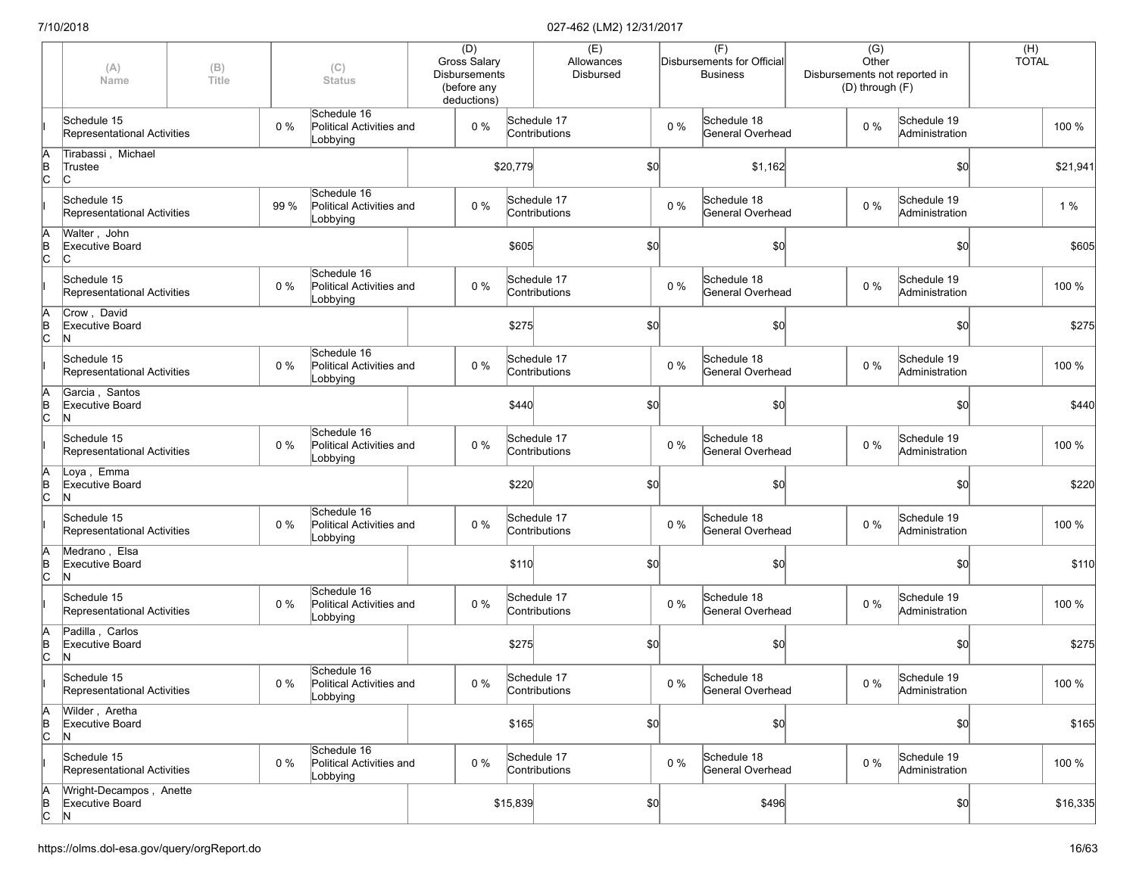|                      | (A)<br>(B)<br>(C)<br>Title<br><b>Status</b><br>Name |  | (D)<br><b>Gross Salary</b><br><b>Disbursements</b><br>(before any<br>deductions) |                                                     |  | (E)<br>Allowances<br>Disbursed |                              |  | (F)<br>Disbursements for Official<br><b>Business</b> | $\overline{(G)}$<br>Other<br>(D) through (F) | Disbursements not reported in   | $(H)$<br>TOTAL |                               |  |          |
|----------------------|-----------------------------------------------------|--|----------------------------------------------------------------------------------|-----------------------------------------------------|--|--------------------------------|------------------------------|--|------------------------------------------------------|----------------------------------------------|---------------------------------|----------------|-------------------------------|--|----------|
|                      | Schedule 15<br>Representational Activities          |  | 0%                                                                               | Schedule 16<br>Political Activities and<br>Lobbying |  | $0\%$                          | Schedule 17<br>Contributions |  |                                                      | $0\%$                                        | Schedule 18<br>General Overhead | $0\%$          | Schedule 19<br>Administration |  | 100 %    |
| A<br>B<br>C          | Tirabassi, Michael<br>Trustee<br>IС                 |  |                                                                                  |                                                     |  |                                | \$20,779                     |  | \$0                                                  |                                              | \$1,162                         |                | \$0                           |  | \$21,941 |
|                      | Schedule 15<br>Representational Activities          |  | 99 %                                                                             | Schedule 16<br>Political Activities and<br>Lobbying |  | $0\%$                          | Schedule 17<br>Contributions |  |                                                      | $0\%$                                        | Schedule 18<br>General Overhead | $0\%$          | Schedule 19<br>Administration |  | 1%       |
| A<br>B<br>C          | Walter, John<br><b>Executive Board</b><br>IС        |  |                                                                                  |                                                     |  |                                | \$605                        |  | \$0                                                  |                                              | \$0                             |                | \$0]                          |  | \$605    |
|                      | Schedule 15<br>Representational Activities          |  | 0%                                                                               | Schedule 16<br>Political Activities and<br>Lobbying |  | 0%                             | Schedule 17<br>Contributions |  |                                                      | $0\%$                                        | Schedule 18<br>General Overhead | 0%             | Schedule 19<br>Administration |  | 100 %    |
| A<br>B<br>C          | Crow, David<br>Executive Board<br>N                 |  |                                                                                  |                                                     |  |                                | \$275                        |  | \$0                                                  |                                              | \$0                             |                | \$0                           |  | \$275    |
|                      | Schedule 15<br>Representational Activities          |  | 0%                                                                               | Schedule 16<br>Political Activities and<br>Lobbying |  | 0%                             | Schedule 17<br>Contributions |  |                                                      | $0\%$                                        | Schedule 18<br>General Overhead | $0\%$          | Schedule 19<br>Administration |  | 100 %    |
| A<br>B<br>C          | Garcia, Santos<br><b>Executive Board</b><br>N       |  |                                                                                  |                                                     |  |                                | \$440                        |  | \$0                                                  |                                              | \$0                             |                | \$0                           |  | \$440    |
|                      | Schedule 15<br>Representational Activities          |  | $0\%$                                                                            | Schedule 16<br>Political Activities and<br>Lobbying |  | $0\%$                          | Schedule 17<br>Contributions |  |                                                      | $0\%$                                        | Schedule 18<br>General Overhead | $0\%$          | Schedule 19<br>Administration |  | 100 %    |
| A<br>B<br>C          | Loya, Emma<br><b>Executive Board</b><br>N           |  |                                                                                  |                                                     |  |                                | \$220                        |  | \$0                                                  |                                              | \$0                             |                | \$0                           |  | \$220    |
|                      | Schedule 15<br>Representational Activities          |  | 0%                                                                               | Schedule 16<br>Political Activities and<br>Lobbying |  | 0%                             | Schedule 17<br>Contributions |  |                                                      | $0\%$                                        | Schedule 18<br>General Overhead | $0\%$          | Schedule 19<br>Administration |  | 100 %    |
| A<br>B<br>C          | Medrano, Elsa<br><b>Executive Board</b><br>N        |  |                                                                                  |                                                     |  |                                | \$110                        |  | \$0                                                  |                                              | \$0                             |                | \$0                           |  | \$110    |
|                      | Schedule 15<br>Representational Activities          |  | 0%                                                                               | Schedule 16<br>Political Activities and<br>Lobbying |  | 0%                             | Schedule 17<br>Contributions |  |                                                      | $0\%$                                        | Schedule 18<br>General Overhead | $0\%$          | Schedule 19<br>Administration |  | 100 %    |
| A<br>B<br>C          | Padilla, Carlos<br><b>Executive Board</b><br>N      |  |                                                                                  |                                                     |  |                                | \$275                        |  | \$0                                                  |                                              | \$0                             |                | \$0                           |  | \$275    |
|                      | Schedule 15<br>Representational Activities          |  | 0 %                                                                              | Schedule 16<br>Political Activities and<br>Lobbying |  | $0\%$                          | Schedule 17<br>Contributions |  |                                                      | $0\%$                                        | Schedule 18<br>General Overhead | $0\%$          | Schedule 19<br>Administration |  | 100 %    |
| A<br>B<br>C          | Wilder, Aretha<br><b>Executive Board</b><br>N       |  |                                                                                  |                                                     |  |                                | \$165                        |  | \$0                                                  |                                              | \$0                             |                | \$0                           |  | \$165    |
|                      | Schedule 15<br>Representational Activities          |  | 0%                                                                               | Schedule 16<br>Political Activities and<br>Lobbying |  | $0\%$                          | Schedule 17<br>Contributions |  |                                                      | $0\%$                                        | Schedule 18<br>General Overhead | $0\%$          | Schedule 19<br>Administration |  | 100 %    |
| $A$ <sub>B</sub> $C$ | Wright-Decampos, Anette<br>Executive Board<br>N     |  |                                                                                  |                                                     |  |                                | \$15,839                     |  | 50                                                   |                                              | \$496                           |                | 50                            |  | \$16,335 |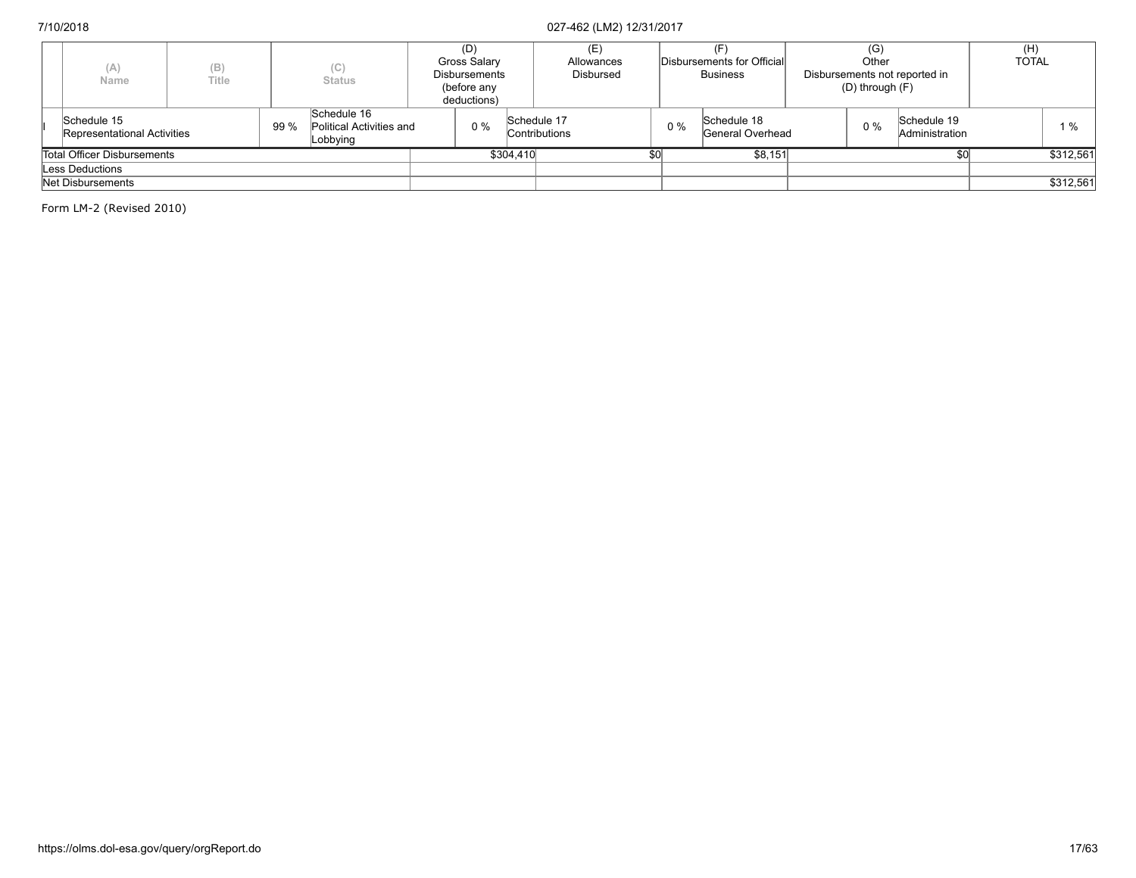| (A)<br>Name                                | (B)<br>Title |           | (C)<br><b>Status</b>                                |  | (D)<br>Gross Salary<br>Disbursements<br>(before any<br>deductions) |  | Allowances<br>Disbursed             |         | Disbursements for Official<br><b>Business</b> |                                 | (G) |       | Other<br>Disbursements not reported in<br>$(D)$ through $(F)$ |  | <b>TOTAL</b> |
|--------------------------------------------|--------------|-----------|-----------------------------------------------------|--|--------------------------------------------------------------------|--|-------------------------------------|---------|-----------------------------------------------|---------------------------------|-----|-------|---------------------------------------------------------------|--|--------------|
| Schedule 15<br>Representational Activities |              | 99 %      | Schedule 16<br>Political Activities and<br>Lobbying |  | 0%                                                                 |  | Schedule 17<br><b>Contributions</b> |         | $0\%$                                         | Schedule 18<br>General Overhead |     | $0\%$ | Schedule 19<br>Administration                                 |  | 1%           |
| Total Officer Disbursements                |              | \$304,410 |                                                     |  |                                                                    |  |                                     | \$8,151 |                                               |                                 |     |       | \$312,561                                                     |  |              |
| Less Deductions                            |              |           |                                                     |  |                                                                    |  |                                     |         |                                               |                                 |     |       |                                                               |  |              |
| Net Disbursements                          |              |           |                                                     |  |                                                                    |  |                                     |         |                                               |                                 |     |       |                                                               |  | \$312,561    |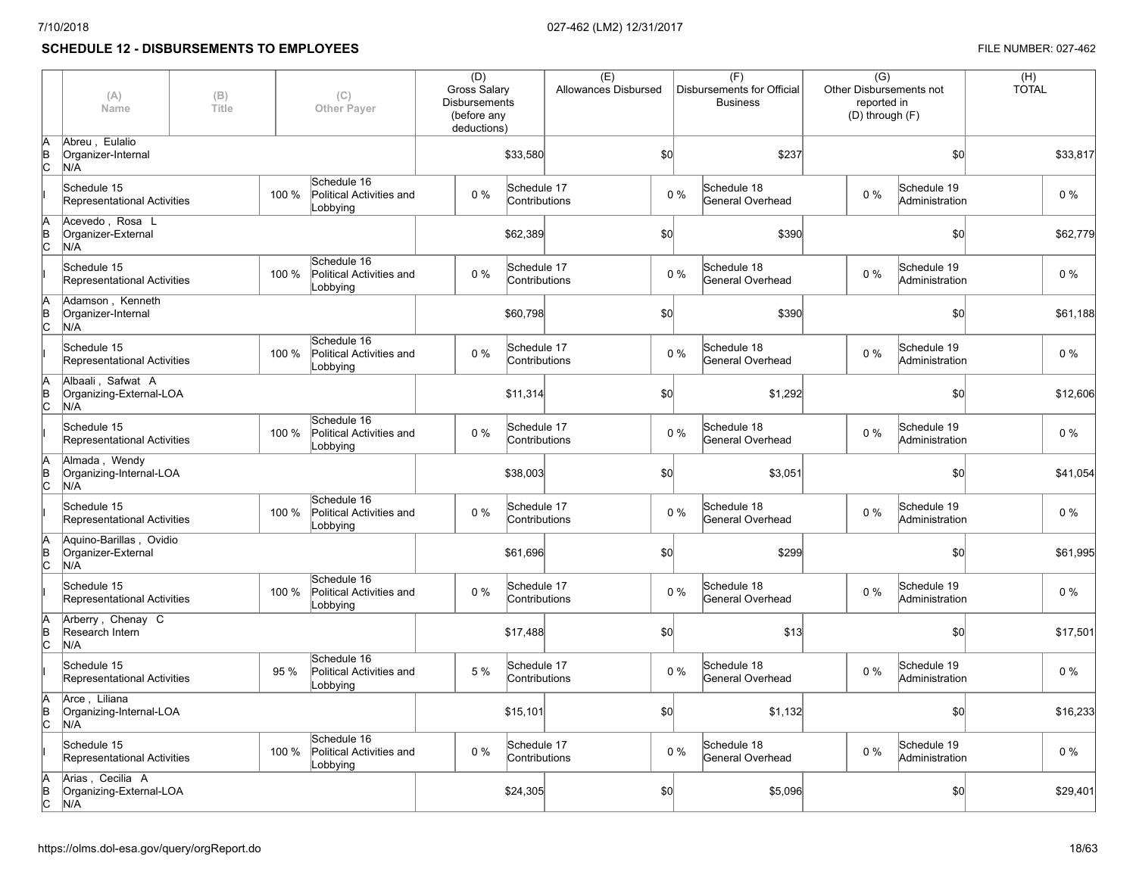## **SCHEDULE 12 - DISBURSEMENTS TO EMPLOYEES FILE NUMBER: 027-462**

|                 | (A)<br>Name                                          | (B)<br>(C)<br>Title<br><b>Other Payer</b> |       | (D)<br><b>Gross Salary</b><br><b>Disbursements</b><br>(before any<br>deductions) |       | (E)<br>Allowances Disbursed |               |     | (F)<br>Disbursements for Official<br><b>Business</b> | $\overline{(G)}$<br>Other Disbursements not<br>reported in<br>(D) through (F) |    | (H)<br><b>TOTAL</b>           |          |
|-----------------|------------------------------------------------------|-------------------------------------------|-------|----------------------------------------------------------------------------------|-------|-----------------------------|---------------|-----|------------------------------------------------------|-------------------------------------------------------------------------------|----|-------------------------------|----------|
| lA<br>B<br>Iс   | Abreu, Eulalio<br>Organizer-Internal<br>N/A          |                                           |       |                                                                                  |       | \$33,580                    |               | \$0 |                                                      | \$237                                                                         |    | SO <sub>o</sub>               | \$33,817 |
|                 | Schedule 15<br>Representational Activities           |                                           | 100 % | Schedule 16<br>Political Activities and<br>Lobbying                              | $0\%$ | Schedule 17                 | Contributions |     | 0%                                                   | Schedule 18<br>General Overhead                                               | 0% | Schedule 19<br>Administration | $0\%$    |
| lA<br>ΙB<br>lc. | Acevedo, Rosa L<br>Organizer-External<br>N/A         |                                           |       |                                                                                  |       | \$62,389                    |               | \$0 |                                                      | \$390                                                                         |    | \$0                           | \$62,779 |
|                 | Schedule 15<br>Representational Activities           |                                           | 100 % | Schedule 16<br>Political Activities and<br>Lobbying                              | 0%    | Schedule 17                 | Contributions |     | 0%                                                   | Schedule 18<br>General Overhead                                               | 0% | Schedule 19<br>Administration | 0 %      |
| B<br>lc.        | Adamson, Kenneth<br>Organizer-Internal<br>N/A        |                                           |       |                                                                                  |       | \$60,798                    |               | \$0 |                                                      | \$390                                                                         |    | SO <sub>o</sub>               | \$61,188 |
|                 | Schedule 15<br>Representational Activities           |                                           | 100 % | Schedule 16<br>Political Activities and<br>Lobbying                              | 0%    | Schedule 17                 | Contributions |     | 0%                                                   | Schedule 18<br>General Overhead                                               | 0% | Schedule 19<br>Administration | $0\%$    |
| B<br>C          | Albaali, Safwat A<br>Organizing-External-LOA<br>N/A  |                                           |       |                                                                                  |       | \$11,314                    |               | \$0 |                                                      | \$1,292                                                                       |    | \$0                           | \$12,606 |
|                 | Schedule 15<br>Representational Activities           |                                           | 100 % | Schedule 16<br>Political Activities and<br>Lobbying                              | $0\%$ | Schedule 17                 | Contributions |     | $0\%$                                                | Schedule 18<br>General Overhead                                               | 0% | Schedule 19<br>Administration | $0\%$    |
| B<br>C          | Almada, Wendy<br>Organizing-Internal-LOA<br>N/A      |                                           |       |                                                                                  |       | \$38,003                    |               | \$0 |                                                      | \$3,051                                                                       |    | \$0                           | \$41,054 |
|                 | Schedule 15<br>Representational Activities           |                                           | 100 % | Schedule 16<br>Political Activities and<br>Lobbying                              | $0\%$ | Schedule 17                 | Contributions |     | $0\%$                                                | Schedule 18<br>General Overhead                                               | 0% | Schedule 19<br>Administration | $0\%$    |
| B<br>lс         | Aguino-Barillas, Ovidio<br>Organizer-External<br>N/A |                                           |       |                                                                                  |       | \$61,696                    |               | \$0 |                                                      | \$299                                                                         |    | \$0                           | \$61,995 |
|                 | Schedule 15<br>Representational Activities           |                                           | 100 % | Schedule 16<br>Political Activities and<br>Lobbying                              | $0\%$ | Schedule 17                 | Contributions |     | 0%                                                   | Schedule 18<br>General Overhead                                               | 0% | Schedule 19<br>Administration | $0\%$    |
| B<br>lс         | Arberry, Chenay C<br>Research Intern<br>N/A          |                                           |       |                                                                                  |       | \$17,488                    |               | \$0 |                                                      | \$13                                                                          |    | \$0                           | \$17,501 |
|                 | Schedule 15<br>Representational Activities           |                                           | 95%   | Schedule 16<br>Political Activities and<br>Lobbying                              | 5%    | Schedule 17                 | Contributions |     | $0\%$                                                | Schedule 18<br>General Overhead                                               | 0% | Schedule 19<br>Administration | $0\%$    |
| B<br>lc.        | Arce, Liliana<br>Organizing-Internal-LOA<br>N/A      |                                           |       |                                                                                  |       | \$15,101                    |               | \$0 |                                                      | \$1,132                                                                       |    | \$0                           | \$16,233 |
|                 | Schedule 15<br>Representational Activities           |                                           | 100 % | Schedule 16<br>Political Activities and<br>Lobbying                              | $0\%$ | Schedule 17                 | Contributions |     | $0\%$                                                | Schedule 18<br>General Overhead                                               | 0% | Schedule 19<br>Administration | $0\%$    |
| B<br>lc         | Arias, Cecilia A<br>Organizing-External-LOA<br>N/A   |                                           |       |                                                                                  |       | \$24,305                    |               | \$0 |                                                      | \$5,096                                                                       |    | \$0                           | \$29,401 |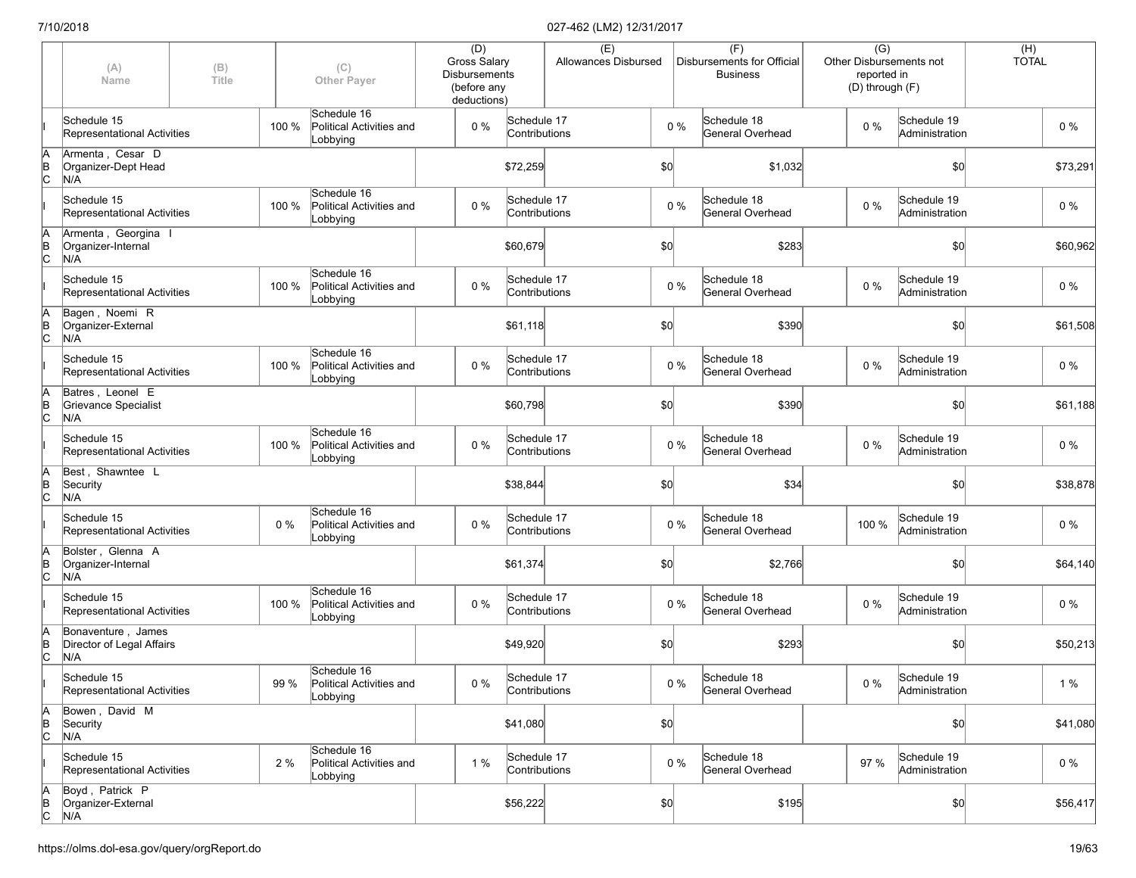|                      | (A)<br>Name                                            | (B)<br>(C)<br>Title<br><b>Other Payer</b> |       | (D)<br><b>Gross Salary</b><br><b>Disbursements</b><br>(before any<br>deductions) |       | (E)<br>Allowances Disbursed  |  |     | (F)<br>Disbursements for Official<br><b>Business</b> |                                        | $\overline{(G)}$<br>Other Disbursements not<br>reported in<br>(D) through (F) | $(H)$<br>TOTAL                |  |          |
|----------------------|--------------------------------------------------------|-------------------------------------------|-------|----------------------------------------------------------------------------------|-------|------------------------------|--|-----|------------------------------------------------------|----------------------------------------|-------------------------------------------------------------------------------|-------------------------------|--|----------|
|                      | Schedule 15<br>Representational Activities             |                                           | 100 % | Schedule 16<br>Political Activities and<br>Lobbying                              | $0\%$ | Schedule 17<br>Contributions |  |     | $0\%$                                                | Schedule 18<br><b>General Overhead</b> | $0\%$                                                                         | Schedule 19<br>Administration |  | $0\%$    |
| A<br>B<br>C          | Armenta, Cesar D<br>Organizer-Dept Head<br>N/A         |                                           |       |                                                                                  |       | \$72,259                     |  | \$0 |                                                      | \$1,032                                |                                                                               | \$0                           |  | \$73,291 |
|                      | Schedule 15<br>Representational Activities             |                                           | 100 % | Schedule 16<br>Political Activities and<br>Lobbying                              | $0\%$ | Schedule 17<br>Contributions |  |     | $0\%$                                                | Schedule 18<br><b>General Overhead</b> | $0\%$                                                                         | Schedule 19<br>Administration |  | $0\%$    |
| ΙA<br>$\overline{C}$ | Armenta, Georgina I<br>Organizer-Internal<br>N/A       |                                           |       |                                                                                  |       | \$60,679                     |  | \$0 |                                                      | \$283                                  |                                                                               | \$0                           |  | \$60,962 |
|                      | Schedule 15<br>Representational Activities             |                                           | 100 % | Schedule 16<br>Political Activities and<br>Lobbying                              | 0%    | Schedule 17<br>Contributions |  |     | $0\%$                                                | Schedule 18<br>General Overhead        | $0\%$                                                                         | Schedule 19<br>Administration |  | $0\%$    |
| ΙA<br>$\overline{C}$ | Bagen, Noemi R<br>Organizer-External<br>N/A            |                                           |       |                                                                                  |       | \$61,118                     |  | \$0 |                                                      | \$390                                  |                                                                               | \$0                           |  | \$61,508 |
|                      | Schedule 15<br>Representational Activities             |                                           | 100 % | Schedule 16<br>Political Activities and<br>Lobbying                              | $0\%$ | Schedule 17<br>Contributions |  |     | 0%                                                   | Schedule 18<br>General Overhead        | $0\%$                                                                         | Schedule 19<br>Administration |  | $0\%$    |
| ΙA<br>ΙB<br>lс       | Batres, Leonel E<br>Grievance Specialist<br>N/A        |                                           |       |                                                                                  |       | \$60,798                     |  | \$0 |                                                      | \$390                                  |                                                                               | \$0                           |  | \$61,188 |
|                      | Schedule 15<br>Representational Activities             |                                           | 100 % | Schedule 16<br>Political Activities and<br>Lobbying                              | $0\%$ | Schedule 17<br>Contributions |  |     | $0\%$                                                | Schedule 18<br>General Overhead        | $0\%$                                                                         | Schedule 19<br>Administration |  | 0%       |
| A<br>B<br>C          | Best, Shawntee L<br>Security<br>N/A                    |                                           |       |                                                                                  |       | \$38,844                     |  | \$0 |                                                      | \$34                                   |                                                                               | \$0                           |  | \$38,878 |
|                      | Schedule 15<br>Representational Activities             |                                           | 0%    | Schedule 16<br>Political Activities and<br>Lobbying                              | $0\%$ | Schedule 17<br>Contributions |  |     | $0\%$                                                | Schedule 18<br>General Overhead        | 100 %                                                                         | Schedule 19<br>Administration |  | $0\%$    |
| ΙA<br>$\overline{C}$ | Bolster, Glenna A<br>Organizer-Internal<br>N/A         |                                           |       |                                                                                  |       | \$61,374                     |  | \$0 |                                                      | \$2,766                                |                                                                               | \$0                           |  | \$64,140 |
|                      | Schedule 15<br>Representational Activities             |                                           | 100 % | Schedule 16<br>Political Activities and<br>Lobbying                              | $0\%$ | Schedule 17<br>Contributions |  |     | $0\%$                                                | Schedule 18<br><b>General Overhead</b> | $0\%$                                                                         | Schedule 19<br>Administration |  | $0\%$    |
| ΙA<br>$\overline{C}$ | Bonaventure, James<br>Director of Legal Affairs<br>N/A |                                           |       |                                                                                  |       | \$49,920                     |  | \$0 |                                                      | \$293                                  |                                                                               | \$0                           |  | \$50,213 |
|                      | Schedule 15<br>Representational Activities             |                                           | 99 %  | Schedule 16<br>Political Activities and<br>Lobbying                              | $0\%$ | Schedule 17<br>Contributions |  |     | $0\%$                                                | Schedule 18<br>General Overhead        | $0\%$                                                                         | Schedule 19<br>Administration |  | $1%$     |
| A<br>$\overline{C}$  | Bowen, David M<br>Security<br>N/A                      |                                           |       |                                                                                  |       | \$41,080                     |  | \$0 |                                                      |                                        |                                                                               | \$0                           |  | \$41,080 |
|                      | Schedule 15<br>Representational Activities             |                                           | 2%    | Schedule 16<br>Political Activities and<br>Lobbying                              | 1%    | Schedule 17<br>Contributions |  |     | $0\%$                                                | Schedule 18<br>General Overhead        | 97 %                                                                          | Schedule 19<br>Administration |  | $0\%$    |
| A<br>B<br>C          | Boyd, Patrick P<br>Organizer-External<br>N/A           |                                           |       |                                                                                  |       | \$56,222                     |  | \$0 |                                                      | \$195                                  |                                                                               | \$0                           |  | \$56,417 |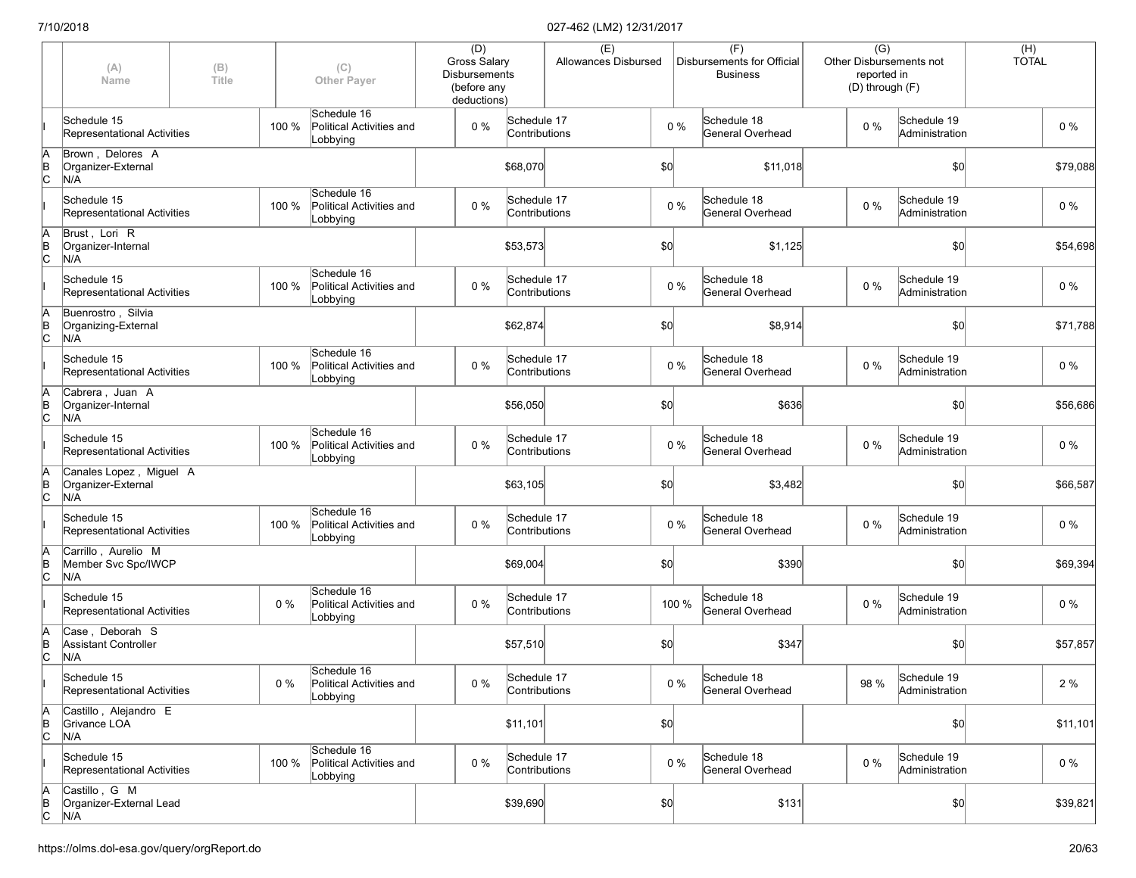|               | (A)<br>Name                                          | (B)<br>Title |       | (C)<br><b>Other Payer</b>                           | (D)<br><b>Gross Salary</b><br>Disbursements<br>(before any<br>deductions) |                              | (E)<br>Allowances Disbursed |       |       | (F)<br>Disbursements for Official<br><b>Business</b> |  | $\overline{(G)}$<br>reported in<br>(D) through (F) | Other Disbursements not       | $(H)$<br>TOTAL |          |
|---------------|------------------------------------------------------|--------------|-------|-----------------------------------------------------|---------------------------------------------------------------------------|------------------------------|-----------------------------|-------|-------|------------------------------------------------------|--|----------------------------------------------------|-------------------------------|----------------|----------|
|               | Schedule 15<br>Representational Activities           |              | 100 % | Schedule 16<br>Political Activities and<br>Lobbying | 0%                                                                        | Schedule 17<br>Contributions |                             |       | $0\%$ | Schedule 18<br>General Overhead                      |  | $0\%$                                              | Schedule 19<br>Administration |                | $0\%$    |
| A<br>B<br>C   | Brown, Delores A<br>Organizer-External<br>N/A        |              |       |                                                     |                                                                           | \$68,070                     |                             | \$0   |       | \$11,018                                             |  |                                                    | \$0                           |                | \$79,088 |
|               | Schedule 15<br>Representational Activities           |              | 100 % | Schedule 16<br>Political Activities and<br>Lobbying | 0%                                                                        | Schedule 17<br>Contributions |                             |       | $0\%$ | Schedule 18<br>General Overhead                      |  | $0\%$                                              | Schedule 19<br>Administration |                | 0%       |
| A<br>B<br>C   | Brust, Lori R<br>Organizer-Internal<br>N/A           |              |       |                                                     |                                                                           | \$53,573                     |                             | \$0   |       | \$1,125                                              |  |                                                    | \$0                           |                | \$54,698 |
|               | Schedule 15<br>Representational Activities           |              | 100 % | Schedule 16<br>Political Activities and<br>Lobbying | 0%                                                                        | Schedule 17<br>Contributions |                             | $0\%$ |       | Schedule 18<br>General Overhead                      |  | 0%                                                 | Schedule 19<br>Administration |                | $0\%$    |
| A<br>B<br>C   | Buenrostro, Silvia<br>Organizing-External<br>N/A     |              |       |                                                     |                                                                           | \$62,874                     |                             | \$0   |       | \$8,914                                              |  |                                                    | \$0                           |                | \$71,788 |
|               | Schedule 15<br>Representational Activities           |              | 100 % | Schedule 16<br>Political Activities and<br>Lobbying | 0%                                                                        | Schedule 17<br>Contributions |                             |       | $0\%$ | Schedule 18<br>General Overhead                      |  | $0\%$                                              | Schedule 19<br>Administration |                | $0\%$    |
| A<br>B<br>C   | Cabrera, Juan A<br>Organizer-Internal<br>N/A         |              |       |                                                     |                                                                           | \$56,050                     |                             | \$0   |       | \$636                                                |  |                                                    | \$0                           |                | \$56,686 |
|               | Schedule 15<br>Representational Activities           |              | 100 % | Schedule 16<br>Political Activities and<br>Lobbying | 0%                                                                        | Schedule 17<br>Contributions |                             |       | $0\%$ | Schedule 18<br>General Overhead                      |  | $0\%$                                              | Schedule 19<br>Administration |                | $0\%$    |
| A<br>B<br>C   | Canales Lopez, Miguel A<br>Organizer-External<br>N/A |              |       |                                                     |                                                                           | \$63,105                     |                             | \$0   |       | \$3,482                                              |  |                                                    | \$0                           |                | \$66,587 |
|               | Schedule 15<br>Representational Activities           |              | 100 % | Schedule 16<br>Political Activities and<br>Lobbying | 0%                                                                        | Schedule 17<br>Contributions |                             | $0\%$ |       | Schedule 18<br>General Overhead                      |  | $0\%$                                              | Schedule 19<br>Administration |                | $0\%$    |
| $\frac{A}{B}$ | Carrillo, Aurelio M<br>Member Svc Spc/IWCP<br>N/A    |              |       |                                                     |                                                                           | \$69,004                     |                             | \$0   |       | \$390                                                |  |                                                    | \$0                           |                | \$69,394 |
|               | Schedule 15<br>Representational Activities           |              | 0%    | Schedule 16<br>Political Activities and<br>Lobbying | 0%                                                                        | Schedule 17<br>Contributions |                             | 100 % |       | Schedule 18<br>General Overhead                      |  | $0\%$                                              | Schedule 19<br>Administration |                | $0\%$    |
| A<br>B<br>C   | Case, Deborah S<br>Assistant Controller<br>N/A       |              |       |                                                     |                                                                           | \$57,510                     |                             | \$0   |       | \$347                                                |  |                                                    | \$0                           |                | \$57,857 |
|               | Schedule 15<br>Representational Activities           |              | 0 %   | Schedule 16<br>Political Activities and<br>Lobbying | $0\%$                                                                     | Schedule 17<br>Contributions |                             |       | $0\%$ | Schedule 18<br>General Overhead                      |  | 98 %                                               | Schedule 19<br>Administration |                | 2%       |
| A<br>B<br>C   | Castillo, Alejandro E<br>Grivance LOA<br>N/A         |              |       |                                                     |                                                                           | \$11,101                     |                             | \$0   |       |                                                      |  |                                                    | \$0                           |                | \$11,101 |
|               | Schedule 15<br>Representational Activities           |              | 100 % | Schedule 16<br>Political Activities and<br>Lobbying | 0%                                                                        | Schedule 17<br>Contributions |                             | $0\%$ |       | Schedule 18<br>General Overhead                      |  | 0%                                                 | Schedule 19<br>Administration |                | $0\%$    |
| A<br>B<br>C   | Castillo, G M<br>Organizer-External Lead<br>N/A      |              |       |                                                     |                                                                           | \$39,690                     |                             | \$0   |       | \$131                                                |  |                                                    | \$0                           |                | \$39,821 |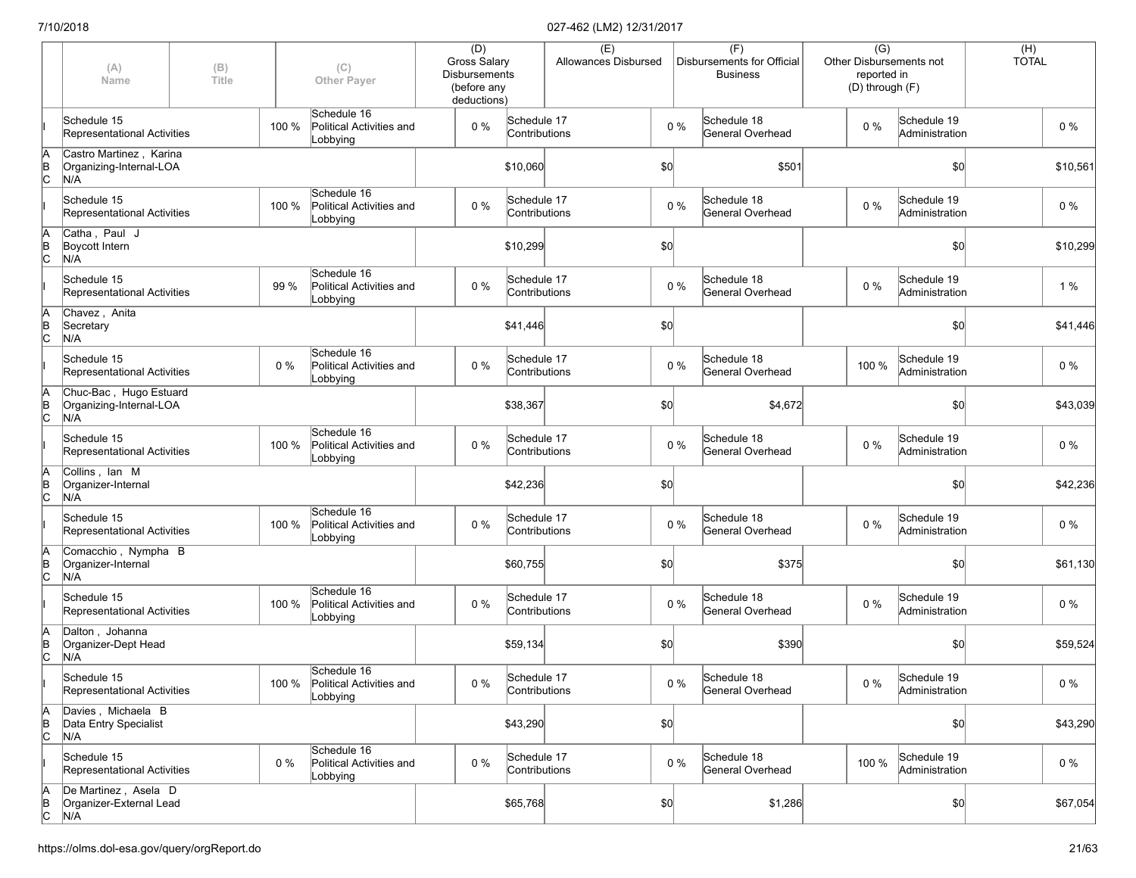|                      | (A)<br>Name                                               | (B)<br>Title |       | (C)<br><b>Other Payer</b>                                 | (D)<br>Gross Salary<br><b>Disbursements</b><br>(before any<br>deductions) |                              | (E)<br>Allowances Disbursed |     |       | (F)<br>Disbursements for Official<br><b>Business</b> | $\overline{(G)}$<br>reported in<br>(D) through (F) | Other Disbursements not       | $(H)$<br>TOTAL |          |
|----------------------|-----------------------------------------------------------|--------------|-------|-----------------------------------------------------------|---------------------------------------------------------------------------|------------------------------|-----------------------------|-----|-------|------------------------------------------------------|----------------------------------------------------|-------------------------------|----------------|----------|
|                      | Schedule 15<br>Representational Activities                |              | 100 % | Schedule 16<br>Political Activities and<br>Lobbying       | $0\%$                                                                     | Schedule 17<br>Contributions |                             |     | $0\%$ | Schedule 18<br>General Overhead                      | $0\%$                                              | Schedule 19<br>Administration |                | $0\%$    |
| A<br>B<br>C          | Castro Martinez, Karina<br>Organizing-Internal-LOA<br>N/A |              |       |                                                           |                                                                           | \$10,060                     |                             | \$0 |       | \$501                                                |                                                    | \$0                           |                | \$10,561 |
|                      | Schedule 15<br>Representational Activities                |              | 100 % | Schedule 16<br>Political Activities and<br>Lobbying       | $0\%$                                                                     | Schedule 17<br>Contributions |                             |     | $0\%$ | Schedule 18<br>General Overhead                      | $0\%$                                              | Schedule 19<br>Administration |                | 0%       |
| ΙA<br>$\overline{C}$ | Catha, Paul J<br>Boycott Intern<br>N/A                    |              |       |                                                           |                                                                           | \$10,299                     |                             | \$0 |       |                                                      |                                                    | \$0                           |                | \$10,299 |
|                      | Schedule 15<br>Representational Activities                |              | 99 %  | Schedule 16<br>Political Activities and<br>Lobbying       | 0%                                                                        | Schedule 17<br>Contributions |                             |     | $0\%$ | Schedule 18<br>General Overhead                      | 0%                                                 | Schedule 19<br>Administration |                | 1%       |
| Ā<br>$\overline{C}$  | Chavez, Anita<br>Secretary<br>N/A                         |              |       |                                                           |                                                                           | \$41,446                     |                             | \$0 |       |                                                      |                                                    | \$0                           |                | \$41,446 |
|                      | Schedule 15<br>Representational Activities                |              | $0\%$ | Schedule 16<br>Political Activities and<br>Lobbying       | $0\%$                                                                     | Schedule 17<br>Contributions |                             |     | $0\%$ | Schedule 18<br>General Overhead                      | 100 %                                              | Schedule 19<br>Administration |                | $0\%$    |
| ΙA<br>$\overline{C}$ | Chuc-Bac, Hugo Estuard<br>Organizing-Internal-LOA<br>N/A  |              |       |                                                           |                                                                           | \$38,367                     |                             | \$0 |       | \$4,672                                              |                                                    | \$0                           |                | \$43,039 |
|                      | Schedule 15<br>Representational Activities                |              | 100 % | Schedule 16<br>Political Activities and<br>Lobbying       | 0%                                                                        | Schedule 17<br>Contributions |                             |     | $0\%$ | Schedule 18<br>General Overhead                      | $0\%$                                              | Schedule 19<br>Administration |                | $0\%$    |
| ΙA<br>$\overline{B}$ | Collins, Ian M<br>Organizer-Internal<br>N/A               |              |       |                                                           |                                                                           | \$42,236                     |                             | \$0 |       |                                                      |                                                    | \$0                           |                | \$42,236 |
|                      | Schedule 15<br>Representational Activities                |              | 100 % | Schedule 16<br>Political Activities and<br>Lobbying       | 0%                                                                        | Schedule 17<br>Contributions |                             |     | $0\%$ | Schedule 18<br>General Overhead                      | $0\%$                                              | Schedule 19<br>Administration |                | $0\%$    |
| ΙA<br>$\overline{C}$ | Comacchio, Nympha B<br>Organizer-Internal<br>N/A          |              |       |                                                           |                                                                           | \$60,755                     |                             | \$0 |       | \$375                                                |                                                    | \$0                           |                | \$61,130 |
|                      | Schedule 15<br>Representational Activities                |              | 100 % | Schedule 16<br>Political Activities and<br>Lobbying       | $0\%$                                                                     | Schedule 17<br>Contributions |                             |     | $0\%$ | Schedule 18<br>General Overhead                      | $0\%$                                              | Schedule 19<br>Administration |                | $0\%$    |
| ΙA<br>$\overline{C}$ | Dalton, Johanna<br>Organizer-Dept Head<br>N/A             |              |       |                                                           |                                                                           | \$59,134                     |                             | \$0 |       | \$390                                                |                                                    | \$0                           |                | \$59,524 |
|                      | Schedule 15<br>Representational Activities                |              |       | Schedule 16<br>100 % Political Activities and<br>Lobbying | $0\%$                                                                     | Schedule 17<br>Contributions |                             |     | $0\%$ | Schedule 18<br>General Overhead                      | $0\%$                                              | Schedule 19<br>Administration |                | $0\%$    |
| A<br>$\overline{C}$  | Davies Michaela B<br>Data Entry Specialist<br>N/A         |              |       |                                                           |                                                                           | \$43,290                     |                             | \$0 |       |                                                      |                                                    | \$0                           |                | \$43,290 |
|                      | Schedule 15<br>Representational Activities                |              | $0\%$ | Schedule 16<br>Political Activities and<br>Lobbying       | $0\%$                                                                     | Schedule 17<br>Contributions |                             |     | $0\%$ | Schedule 18<br>General Overhead                      | 100 %                                              | Schedule 19<br>Administration |                | $0\%$    |
| A<br>B<br>C          | De Martinez, Asela D<br>Organizer-External Lead<br>N/A    |              |       |                                                           |                                                                           | \$65,768                     |                             | 50  |       | \$1,286                                              |                                                    | \$0                           |                | \$67,054 |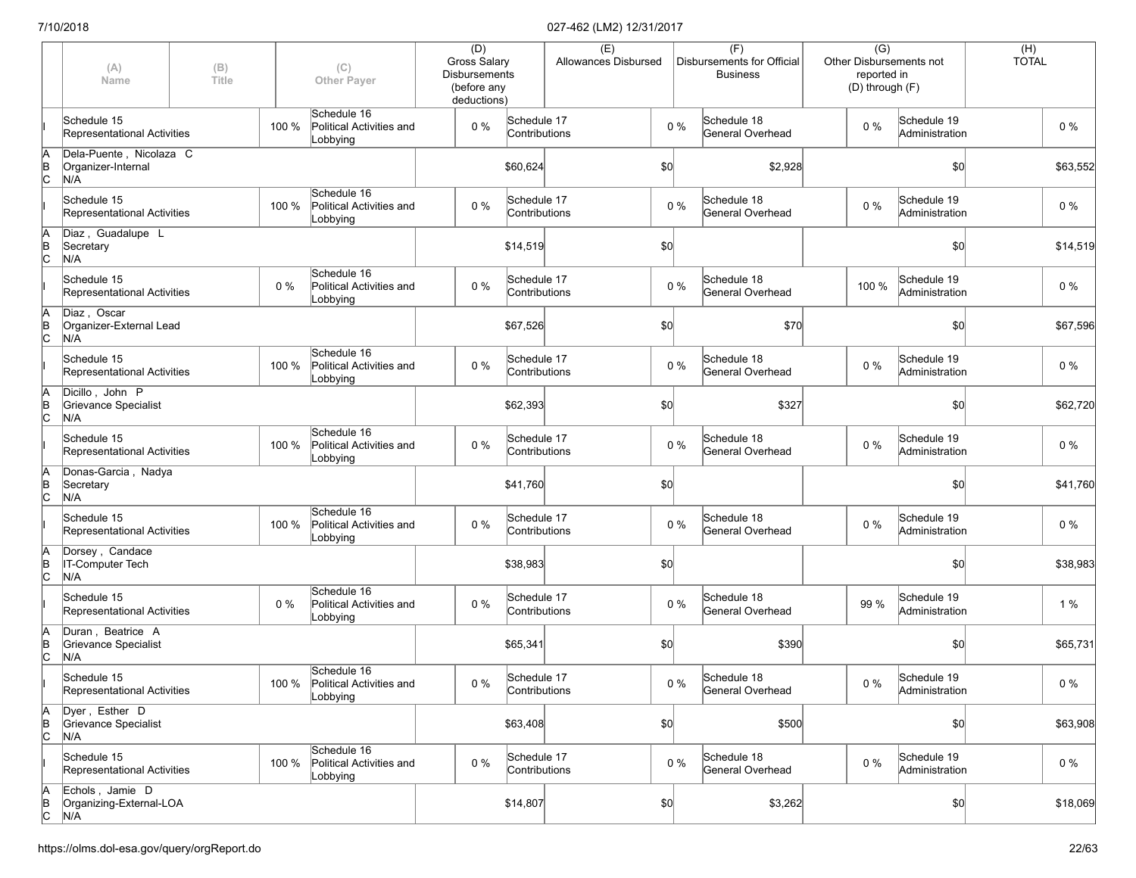|                      | (A)<br>Name                                          | (B)<br>Title |       | (C)<br><b>Other Payer</b>                                 | (D)<br>Gross Salary<br><b>Disbursements</b><br>(before any<br>deductions) |                              | (E)<br>Allowances Disbursed |     |       | (F)<br>Disbursements for Official<br><b>Business</b> | $\overline{(G)}$<br>reported in<br>(D) through (F) | Other Disbursements not       | $(H)$<br>TOTAL |          |
|----------------------|------------------------------------------------------|--------------|-------|-----------------------------------------------------------|---------------------------------------------------------------------------|------------------------------|-----------------------------|-----|-------|------------------------------------------------------|----------------------------------------------------|-------------------------------|----------------|----------|
|                      | Schedule 15<br>Representational Activities           |              | 100 % | Schedule 16<br>Political Activities and<br>Lobbying       | $0\%$                                                                     | Schedule 17<br>Contributions |                             |     | $0\%$ | Schedule 18<br>General Overhead                      | $0\%$                                              | Schedule 19<br>Administration |                | $0\%$    |
| A<br>B<br>C          | Dela-Puente, Nicolaza C<br>Organizer-Internal<br>N/A |              |       |                                                           |                                                                           | \$60,624                     |                             | \$0 |       | \$2,928                                              |                                                    | \$0                           |                | \$63,552 |
|                      | Schedule 15<br>Representational Activities           |              | 100 % | Schedule 16<br>Political Activities and<br>Lobbying       | $0\%$                                                                     | Schedule 17<br>Contributions |                             |     | $0\%$ | Schedule 18<br>General Overhead                      | $0\%$                                              | Schedule 19<br>Administration |                | 0 %      |
| ΙA<br>$\overline{C}$ | Diaz, Guadalupe L<br>Secretary<br>N/A                |              |       |                                                           |                                                                           | \$14,519                     |                             | \$0 |       |                                                      |                                                    | \$0                           |                | \$14,519 |
|                      | Schedule 15<br>Representational Activities           |              | 0%    | Schedule 16<br>Political Activities and<br>Lobbying       | $0\%$                                                                     | Schedule 17<br>Contributions |                             |     | $0\%$ | Schedule 18<br>General Overhead                      | 100 %                                              | Schedule 19<br>Administration |                | $0\%$    |
| İΑ<br>$\overline{C}$ | Diaz, Oscar<br>Organizer-External Lead<br>N/A        |              |       |                                                           |                                                                           | \$67,526                     |                             | \$0 |       | \$70                                                 |                                                    | \$0                           |                | \$67,596 |
|                      | Schedule 15<br>Representational Activities           |              | 100 % | Schedule 16<br>Political Activities and<br>Lobbying       | $0\%$                                                                     | Schedule 17<br>Contributions |                             |     | $0\%$ | Schedule 18<br>General Overhead                      | $0\%$                                              | Schedule 19<br>Administration |                | $0\%$    |
| ΙA<br>ΙB<br>Iс       | Dicillo, John P<br>Grievance Specialist<br>N/A       |              |       |                                                           |                                                                           | \$62,393                     |                             | \$0 |       | \$327                                                |                                                    | \$0                           |                | \$62,720 |
|                      | Schedule 15<br>Representational Activities           |              | 100 % | Schedule 16<br>Political Activities and<br>Lobbying       | 0%                                                                        | Schedule 17<br>Contributions |                             |     | $0\%$ | Schedule 18<br>General Overhead                      | $0\%$                                              | Schedule 19<br>Administration |                | $0\%$    |
| A<br>B<br>C          | Donas-Garcia, Nadya<br>Secretary<br>N/A              |              |       |                                                           |                                                                           | \$41,760                     |                             | \$0 |       |                                                      |                                                    | \$0                           |                | \$41,760 |
|                      | Schedule 15<br>Representational Activities           |              | 100 % | Schedule 16<br>Political Activities and<br>Lobbying       | $0\%$                                                                     | Schedule 17<br>Contributions |                             |     | $0\%$ | Schedule 18<br>General Overhead                      | $0\%$                                              | Schedule 19<br>Administration |                | $0\%$    |
| ΙA<br>$\overline{C}$ | Dorsey, Candace<br>IT-Computer Tech<br>N/A           |              |       |                                                           |                                                                           | \$38,983                     |                             | \$0 |       |                                                      |                                                    | \$0                           |                | \$38,983 |
|                      | Schedule 15<br>Representational Activities           |              | 0%    | Schedule 16<br>Political Activities and<br>Lobbying       | $0\%$                                                                     | Schedule 17<br>Contributions |                             |     | $0\%$ | Schedule 18<br>General Overhead                      | 99 %                                               | Schedule 19<br>Administration |                | 1%       |
| ΙA<br>$\overline{C}$ | Duran, Beatrice A<br>Grievance Specialist<br>N/A     |              |       |                                                           |                                                                           | \$65,341                     |                             | \$0 |       | \$390                                                |                                                    | \$0                           |                | \$65,731 |
|                      | Schedule 15<br>Representational Activities           |              |       | Schedule 16<br>100 % Political Activities and<br>Lobbying | $0\%$                                                                     | Schedule 17<br>Contributions |                             |     | $0\%$ | Schedule 18<br>General Overhead                      | $0\%$                                              | Schedule 19<br>Administration |                | $0\%$    |
| A<br>$\overline{C}$  | Dyer, Esther D<br>Grievance Specialist<br>N/A        |              |       |                                                           |                                                                           | \$63,408                     |                             | \$0 |       | \$500                                                |                                                    | \$0                           |                | \$63,908 |
|                      | Schedule 15<br>Representational Activities           |              | 100 % | Schedule 16<br>Political Activities and<br>Lobbying       | $0\%$                                                                     | Schedule 17<br>Contributions |                             |     | $0\%$ | Schedule 18<br>General Overhead                      | 0%                                                 | Schedule 19<br>Administration |                | $0\%$    |
| $\overline{C}$       | Echols, Jamie D<br>Organizing-External-LOA<br>N/A    |              |       |                                                           |                                                                           | \$14,807                     |                             | 50  |       | \$3,262                                              |                                                    | \$0                           |                | \$18,069 |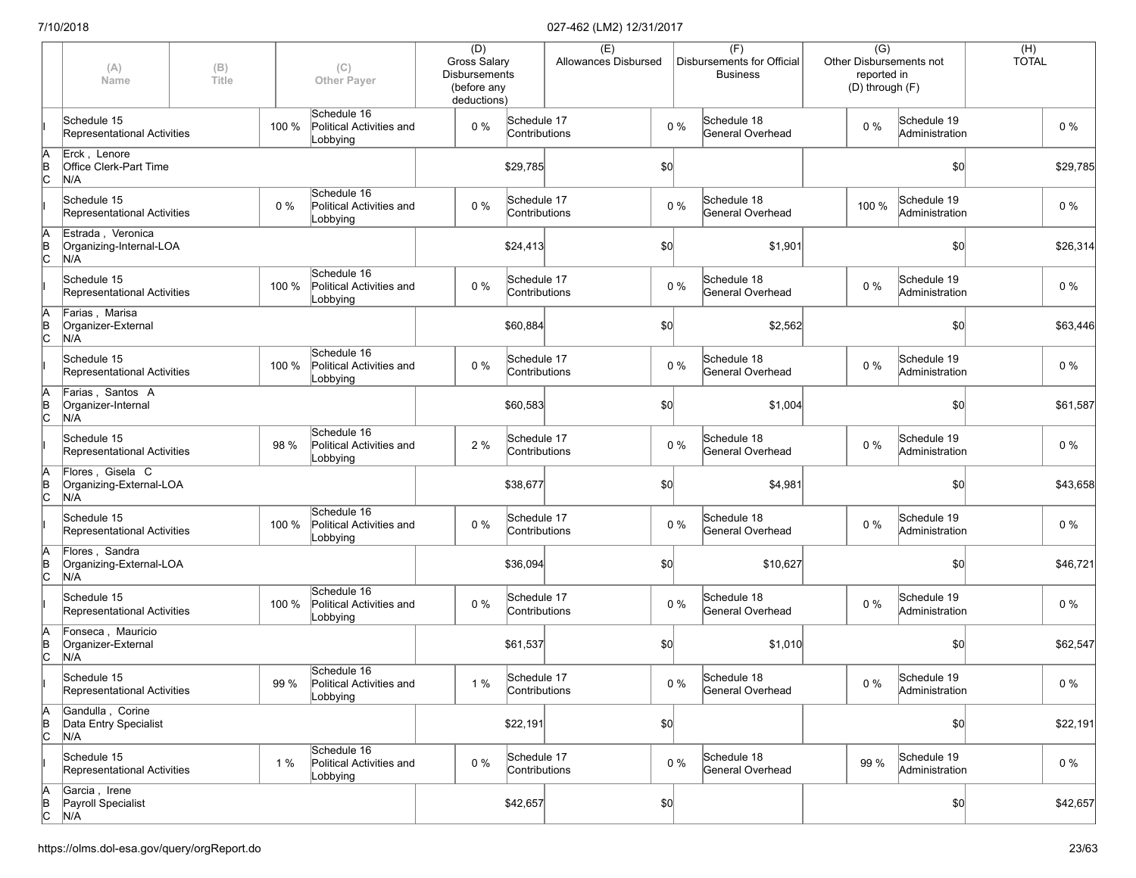|                      | (A)<br>Name                                          | (B)<br>Title |       | (C)<br><b>Other Payer</b>                           | (D)<br>Gross Salary<br><b>Disbursements</b><br>(before any<br>deductions) |                              | (E)<br>Allowances Disbursed |     |       | (F)<br>Disbursements for Official<br><b>Business</b> | $\overline{(G)}$<br>reported in<br>(D) through (F) | Other Disbursements not       | $(H)$<br>TOTAL |          |
|----------------------|------------------------------------------------------|--------------|-------|-----------------------------------------------------|---------------------------------------------------------------------------|------------------------------|-----------------------------|-----|-------|------------------------------------------------------|----------------------------------------------------|-------------------------------|----------------|----------|
|                      | Schedule 15<br>Representational Activities           |              | 100 % | Schedule 16<br>Political Activities and<br>Lobbying | $0\%$                                                                     | Schedule 17<br>Contributions |                             |     | $0\%$ | Schedule 18<br>General Overhead                      | $0\%$                                              | Schedule 19<br>Administration |                | $0\%$    |
| ΙA<br>$\overline{C}$ | Erck, Lenore<br><b>Office Clerk-Part Time</b><br>N/A |              |       |                                                     |                                                                           | \$29,785                     |                             | \$0 |       |                                                      |                                                    | \$0                           |                | \$29,785 |
|                      | Schedule 15<br>Representational Activities           |              | $0\%$ | Schedule 16<br>Political Activities and<br>Lobbying | $0\%$                                                                     | Schedule 17<br>Contributions |                             |     | $0\%$ | Schedule 18<br>General Overhead                      | 100 %                                              | Schedule 19<br>Administration |                | 0 %      |
| ΙA<br>$\overline{C}$ | Estrada, Veronica<br>Organizing-Internal-LOA<br>N/A  |              |       |                                                     |                                                                           | \$24,413                     |                             | \$0 |       | \$1,901                                              |                                                    | \$0                           |                | \$26,314 |
|                      | Schedule 15<br>Representational Activities           |              | 100 % | Schedule 16<br>Political Activities and<br>Lobbying | $0\%$                                                                     | Schedule 17<br>Contributions |                             |     | $0\%$ | Schedule 18<br>General Overhead                      | 0%                                                 | Schedule 19<br>Administration |                | $0\%$    |
| ΙA<br>$\overline{C}$ | Farias, Marisa<br>Organizer-External<br>N/A          |              |       |                                                     |                                                                           | \$60,884                     |                             | \$0 |       | \$2,562                                              |                                                    | \$0                           |                | \$63,446 |
|                      | Schedule 15<br>Representational Activities           |              | 100 % | Schedule 16<br>Political Activities and<br>Lobbying | $0\%$                                                                     | Schedule 17<br>Contributions |                             |     | $0\%$ | Schedule 18<br>General Overhead                      | $0\%$                                              | Schedule 19<br>Administration |                | $0\%$    |
| ΙA<br>ΙB<br>lс       | Farias, Santos A<br>Organizer-Internal<br>N/A        |              |       |                                                     |                                                                           | \$60,583                     |                             | \$0 |       | \$1,004                                              |                                                    | \$0                           |                | \$61,587 |
|                      | Schedule 15<br>Representational Activities           |              | 98 %  | Schedule 16<br>Political Activities and<br>Lobbying | 2 %                                                                       | Schedule 17<br>Contributions |                             |     | $0\%$ | Schedule 18<br>General Overhead                      | $0\%$                                              | Schedule 19<br>Administration |                | $0\%$    |
| A<br>B<br>C          | Flores, Gisela C<br>Organizing-External-LOA<br>N/A   |              |       |                                                     |                                                                           | \$38,677                     |                             | \$0 |       | \$4,981                                              |                                                    | \$0                           |                | \$43,658 |
|                      | Schedule 15<br>Representational Activities           |              | 100 % | Schedule 16<br>Political Activities and<br>Lobbying | $0\%$                                                                     | Schedule 17<br>Contributions |                             |     | $0\%$ | Schedule 18<br>General Overhead                      | $0\%$                                              | Schedule 19<br>Administration |                | $0\%$    |
| ΙA<br>$\overline{C}$ | Flores, Sandra<br>Organizing-External-LOA<br>N/A     |              |       |                                                     |                                                                           | \$36,094                     |                             | \$0 |       | \$10,627                                             |                                                    | \$0                           |                | \$46,721 |
|                      | Schedule 15<br>Representational Activities           |              | 100 % | Schedule 16<br>Political Activities and<br>Lobbying | $0\%$                                                                     | Schedule 17<br>Contributions |                             |     | $0\%$ | Schedule 18<br>General Overhead                      | $0\%$                                              | Schedule 19<br>Administration |                | $0\%$    |
| ΙA<br>$\overline{C}$ | Fonseca, Mauricio<br>Organizer-External<br>N/A       |              |       |                                                     |                                                                           | \$61,537                     |                             | \$0 |       | \$1,010                                              |                                                    | \$0                           |                | \$62,547 |
|                      | Schedule 15<br>Representational Activities           |              | 99 %  | Schedule 16<br>Political Activities and<br>Lobbying | $1%$                                                                      | Schedule 17<br>Contributions |                             |     | $0\%$ | Schedule 18<br>General Overhead                      | $0\%$                                              | Schedule 19<br>Administration |                | $0\%$    |
| A<br>$\overline{C}$  | Gandulla, Corine<br>Data Entry Specialist<br>N/A     |              |       |                                                     |                                                                           | \$22,191                     |                             | \$0 |       |                                                      |                                                    | \$0                           |                | \$22,191 |
|                      | Schedule 15<br>Representational Activities           |              | 1%    | Schedule 16<br>Political Activities and<br>Lobbying | 0%                                                                        | Schedule 17<br>Contributions |                             |     | $0\%$ | Schedule 18<br>General Overhead                      | 99 %                                               | Schedule 19<br>Administration |                | $0\%$    |
| A<br>B<br>C          | Garcia, Irene<br>Payroll Specialist<br>N/A           |              |       |                                                     |                                                                           | \$42,657                     |                             | 50  |       |                                                      |                                                    | \$0                           |                | \$42,657 |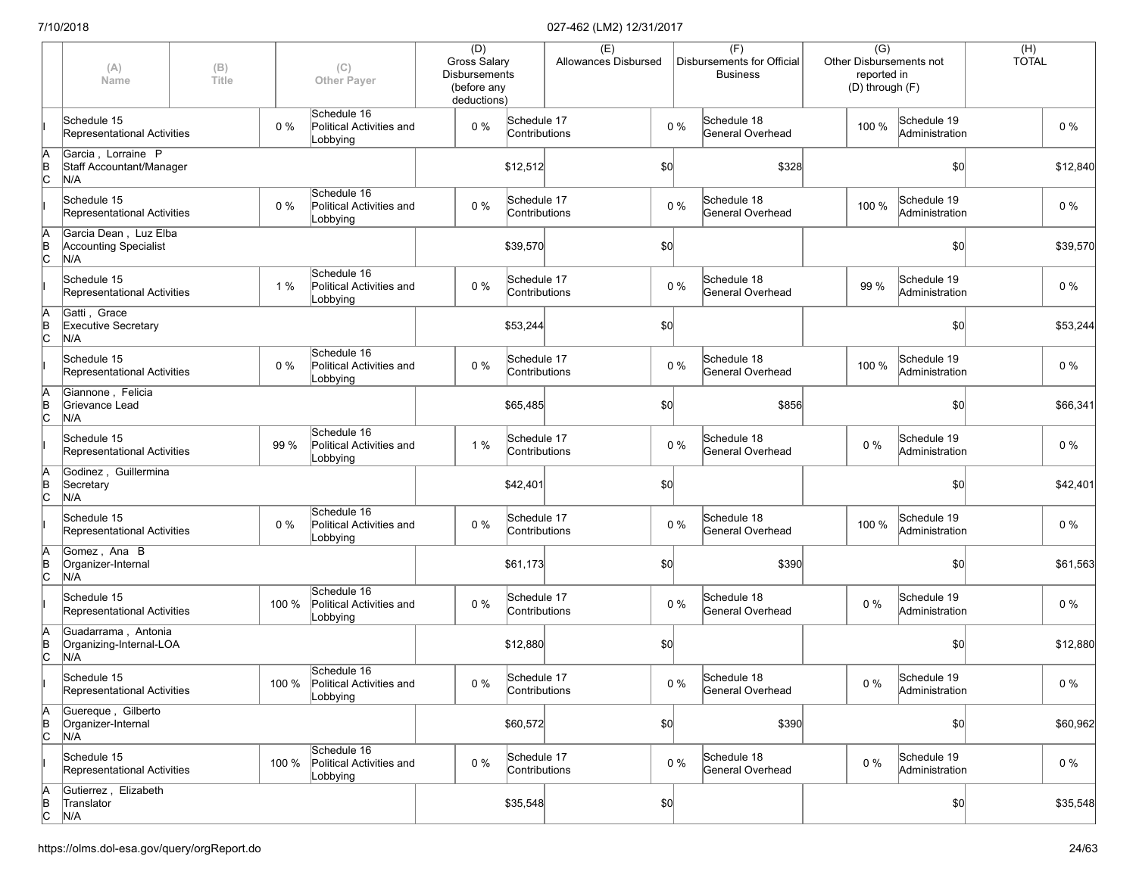|                      | (A)<br>Name                                                  | (B)<br>Title |       | (C)<br><b>Other Payer</b>                                 | (D)<br>Gross Salary<br><b>Disbursements</b><br>(before any<br>deductions) |                              | (E)<br>Allowances Disbursed |     |       | (F)<br>Disbursements for Official<br><b>Business</b> | $\overline{(G)}$<br>Other Disbursements not<br>reported in<br>(D) through (F) |                               | $(H)$<br>TOTAL |          |
|----------------------|--------------------------------------------------------------|--------------|-------|-----------------------------------------------------------|---------------------------------------------------------------------------|------------------------------|-----------------------------|-----|-------|------------------------------------------------------|-------------------------------------------------------------------------------|-------------------------------|----------------|----------|
|                      | Schedule 15<br>Representational Activities                   |              | $0\%$ | Schedule 16<br>Political Activities and<br>Lobbying       | $0\%$                                                                     | Schedule 17<br>Contributions |                             |     | 0%    | Schedule 18<br>General Overhead                      | 100 %                                                                         | Schedule 19<br>Administration |                | $0\%$    |
| A<br>B<br>C          | Garcia, Lorraine P<br>Staff Accountant/Manager<br>N/A        |              |       |                                                           |                                                                           | \$12,512                     |                             | \$0 |       | \$328                                                |                                                                               | \$0                           |                | \$12,840 |
|                      | Schedule 15<br>Representational Activities                   |              | 0 %   | Schedule 16<br>Political Activities and<br>Lobbying       | $0\%$                                                                     | Schedule 17<br>Contributions |                             |     | $0\%$ | Schedule 18<br>General Overhead                      | 100 %                                                                         | Schedule 19<br>Administration |                | 0 %      |
| ΙA<br>$\overline{C}$ | Garcia Dean, Luz Elba<br><b>Accounting Specialist</b><br>N/A |              |       |                                                           |                                                                           | \$39,570                     |                             | \$0 |       |                                                      |                                                                               | \$0                           |                | \$39,570 |
|                      | Schedule 15<br>Representational Activities                   |              | 1%    | Schedule 16<br>Political Activities and<br>Lobbying       | $0\%$                                                                     | Schedule 17<br>Contributions |                             |     | $0\%$ | Schedule 18<br>General Overhead                      | 99 %                                                                          | Schedule 19<br>Administration |                | $0\%$    |
| ΙA<br>$\overline{C}$ | Gatti, Grace<br><b>Executive Secretary</b><br>N/A            |              |       |                                                           |                                                                           | \$53,244                     |                             | \$0 |       |                                                      |                                                                               | \$0                           |                | \$53,244 |
|                      | Schedule 15<br>Representational Activities                   |              | $0\%$ | Schedule 16<br>Political Activities and<br>Lobbying       | $0\%$                                                                     | Schedule 17<br>Contributions |                             |     | $0\%$ | Schedule 18<br>General Overhead                      | 100 %                                                                         | Schedule 19<br>Administration |                | $0\%$    |
| ΙA<br>$\overline{C}$ | Giannone, Felicia<br>Grievance Lead<br>N/A                   |              |       |                                                           |                                                                           | \$65,485                     |                             | \$0 |       | \$856                                                |                                                                               | \$0                           |                | \$66,341 |
|                      | Schedule 15<br>Representational Activities                   |              | 99 %  | Schedule 16<br>Political Activities and<br>Lobbying       | 1%                                                                        | Schedule 17<br>Contributions |                             |     | $0\%$ | Schedule 18<br>General Overhead                      | $0\%$                                                                         | Schedule 19<br>Administration |                | $0\%$    |
| A<br>B<br>C          | Godinez, Guillermina<br>Secretary<br>N/A                     |              |       |                                                           |                                                                           | \$42,401                     |                             | \$0 |       |                                                      |                                                                               | \$0                           |                | \$42,401 |
|                      | Schedule 15<br>Representational Activities                   |              | $0\%$ | Schedule 16<br>Political Activities and<br>Lobbying       | $0\%$                                                                     | Schedule 17<br>Contributions |                             |     | $0\%$ | Schedule 18<br>General Overhead                      | 100 %                                                                         | Schedule 19<br>Administration |                | $0\%$    |
| ΙA<br>$\overline{C}$ | Gomez, Ana B<br>Organizer-Internal<br>N/A                    |              |       |                                                           |                                                                           | \$61,173                     |                             | \$0 |       | \$390                                                |                                                                               | \$0                           |                | \$61,563 |
|                      | Schedule 15<br>Representational Activities                   |              | 100 % | Schedule 16<br>Political Activities and<br>Lobbying       | $0\%$                                                                     | Schedule 17<br>Contributions |                             |     | $0\%$ | Schedule 18<br>General Overhead                      | $0\%$                                                                         | Schedule 19<br>Administration |                | $0\%$    |
| ļΑ<br>$\overline{C}$ | Guadarrama, Antonia<br>Organizing-Internal-LOA<br>N/A        |              |       |                                                           |                                                                           | \$12,880                     |                             | \$0 |       |                                                      |                                                                               | \$0                           |                | \$12,880 |
|                      | Schedule 15<br>Representational Activities                   |              |       | Schedule 16<br>100 % Political Activities and<br>Lobbying | $0\%$                                                                     | Schedule 17<br>Contributions |                             |     | $0\%$ | Schedule 18<br>General Overhead                      | $0\%$                                                                         | Schedule 19<br>Administration |                | $0\%$    |
| A<br>$\overline{C}$  | Guereque, Gilberto<br>Organizer-Internal<br>N/A              |              |       |                                                           |                                                                           | \$60,572                     |                             | \$0 |       | \$390                                                |                                                                               | \$0                           |                | \$60,962 |
|                      | Schedule 15<br>Representational Activities                   |              | 100 % | Schedule 16<br>Political Activities and<br>Lobbying       | 0%                                                                        | Schedule 17<br>Contributions |                             |     | $0\%$ | Schedule 18<br>General Overhead                      | 0%                                                                            | Schedule 19<br>Administration |                | $0\%$    |
| A<br>B<br>C          | Gutierrez, Elizabeth<br>Translator<br>N/A                    |              |       |                                                           |                                                                           | \$35,548                     |                             | 50  |       |                                                      |                                                                               | \$0                           |                | \$35,548 |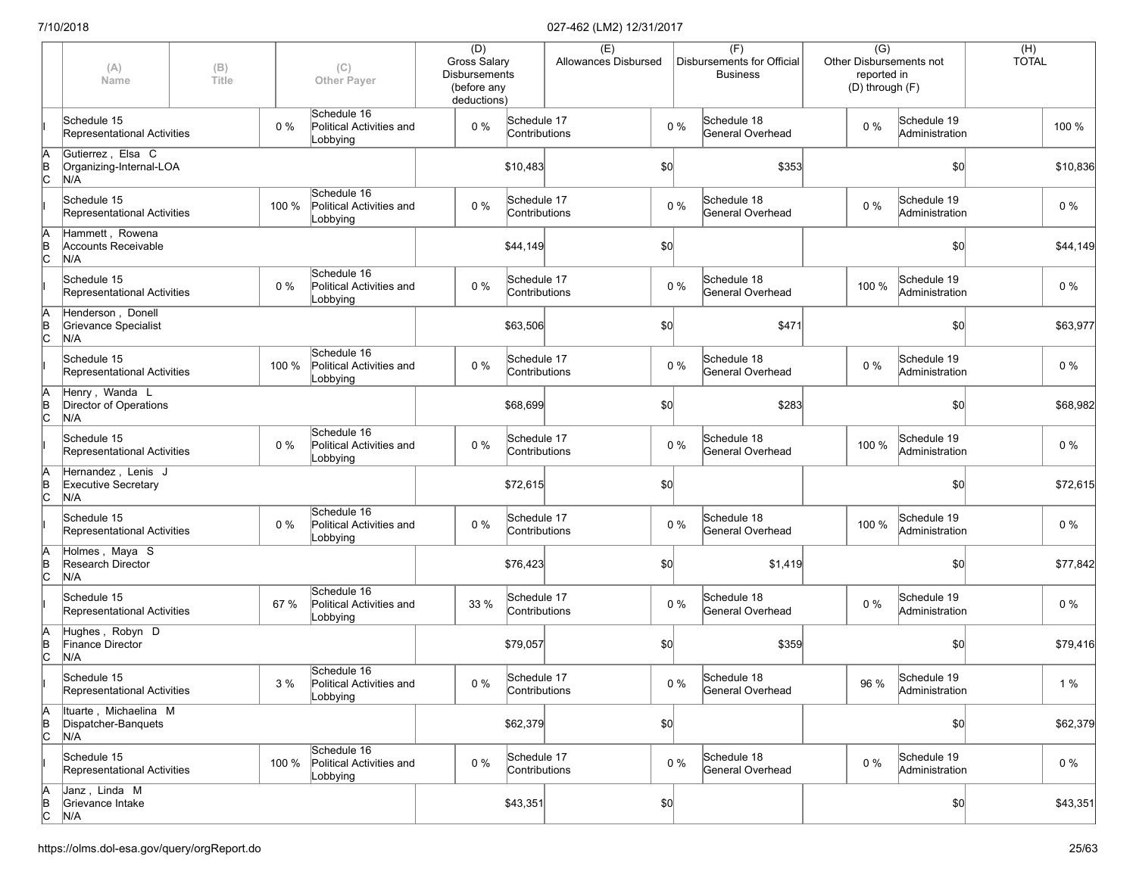|                      | (A)<br>Name                                             | (B)<br>Title |       | (C)<br><b>Other Payer</b>                           | (D)<br>Gross Salary<br><b>Disbursements</b><br>(before any<br>deductions) |                              | (E)<br>Allowances Disbursed |     |       | (F)<br>Disbursements for Official<br><b>Business</b> | $\overline{(G)}$<br>reported in<br>(D) through (F) | Other Disbursements not       | $(H)$<br>TOTAL |          |
|----------------------|---------------------------------------------------------|--------------|-------|-----------------------------------------------------|---------------------------------------------------------------------------|------------------------------|-----------------------------|-----|-------|------------------------------------------------------|----------------------------------------------------|-------------------------------|----------------|----------|
|                      | Schedule 15<br>Representational Activities              |              | $0\%$ | Schedule 16<br>Political Activities and<br>Lobbying | $0\%$                                                                     | Schedule 17<br>Contributions |                             |     | 0%    | Schedule 18<br>General Overhead                      | $0\%$                                              | Schedule 19<br>Administration |                | 100 %    |
| A<br>B<br>C          | Gutierrez, Elsa C<br>Organizing-Internal-LOA<br>N/A     |              |       |                                                     |                                                                           | \$10,483                     |                             | \$0 |       | \$353                                                |                                                    | \$0                           |                | \$10,836 |
|                      | Schedule 15<br>Representational Activities              |              | 100 % | Schedule 16<br>Political Activities and<br>Lobbying | $0\%$                                                                     | Schedule 17<br>Contributions |                             |     | $0\%$ | Schedule 18<br>General Overhead                      | $0\%$                                              | Schedule 19<br>Administration |                | 0 %      |
| ΙA<br>$\overline{C}$ | Hammett, Rowena<br><b>Accounts Receivable</b><br>N/A    |              |       |                                                     |                                                                           | \$44,149                     |                             | \$0 |       |                                                      |                                                    | \$0                           |                | \$44,149 |
|                      | Schedule 15<br>Representational Activities              |              | 0%    | Schedule 16<br>Political Activities and<br>Lobbying | $0\%$                                                                     | Schedule 17<br>Contributions |                             |     | $0\%$ | Schedule 18<br>General Overhead                      | 100 %                                              | Schedule 19<br>Administration |                | $0\%$    |
| ΙA<br>$\overline{C}$ | Henderson, Donell<br>Grievance Specialist<br>N/A        |              |       |                                                     |                                                                           | \$63,506                     |                             | \$0 |       | \$471                                                |                                                    | \$0                           |                | \$63,977 |
|                      | Schedule 15<br>Representational Activities              |              | 100 % | Schedule 16<br>Political Activities and<br>Lobbying | $0\%$                                                                     | Schedule 17<br>Contributions |                             |     | $0\%$ | Schedule 18<br>General Overhead                      | $0\%$                                              | Schedule 19<br>Administration |                | $0\%$    |
| ΙA<br>ΙB<br>lc.      | Henry, Wanda L<br>Director of Operations<br>N/A         |              |       |                                                     |                                                                           | \$68,699                     |                             | \$0 |       | \$283                                                |                                                    | \$0                           |                | \$68,982 |
|                      | Schedule 15<br>Representational Activities              |              | $0\%$ | Schedule 16<br>Political Activities and<br>Lobbying | 0%                                                                        | Schedule 17<br>Contributions |                             |     | $0\%$ | Schedule 18<br>General Overhead                      | 100 %                                              | Schedule 19<br>Administration |                | $0\%$    |
| ΙA<br>$\overline{B}$ | Hernandez, Lenis J<br><b>Executive Secretary</b><br>N/A |              |       |                                                     |                                                                           | \$72,615                     |                             | \$0 |       |                                                      |                                                    | \$0                           |                | \$72,615 |
|                      | Schedule 15<br>Representational Activities              |              | 0 %   | Schedule 16<br>Political Activities and<br>Lobbying | $0\%$                                                                     | Schedule 17<br>Contributions |                             |     | $0\%$ | Schedule 18<br>General Overhead                      | 100 %                                              | Schedule 19<br>Administration |                | $0\%$    |
| ΙA<br>$\overline{C}$ | Holmes, Maya S<br>Research Director<br>N/A              |              |       |                                                     |                                                                           | \$76,423                     |                             | \$0 |       | \$1,419                                              |                                                    | \$0                           |                | \$77,842 |
|                      | Schedule 15<br>Representational Activities              |              | 67 %  | Schedule 16<br>Political Activities and<br>Lobbying | 33 %                                                                      | Schedule 17<br>Contributions |                             |     | $0\%$ | Schedule 18<br>General Overhead                      | $0\%$                                              | Schedule 19<br>Administration |                | $0\%$    |
| ΙA<br>$\overline{C}$ | Hughes, Robyn D<br>Finance Director<br>N/A              |              |       |                                                     |                                                                           | \$79,057                     |                             | \$0 |       | \$359                                                |                                                    | \$0                           |                | \$79,416 |
|                      | Schedule 15<br>Representational Activities              |              | 3%    | Schedule 16<br>Political Activities and<br>Lobbying | $0\%$                                                                     | Schedule 17<br>Contributions |                             |     | $0\%$ | Schedule 18<br>General Overhead                      | 96 %                                               | Schedule 19<br>Administration |                | 1%       |
| A<br>$\overline{C}$  | Ituarte, Michaelina M<br>Dispatcher-Banquets<br>N/A     |              |       |                                                     |                                                                           | \$62,379                     |                             | \$0 |       |                                                      |                                                    | \$0                           |                | \$62,379 |
|                      | Schedule 15<br>Representational Activities              |              | 100 % | Schedule 16<br>Political Activities and<br>Lobbying | $0\%$                                                                     | Schedule 17<br>Contributions |                             |     | $0\%$ | Schedule 18<br>General Overhead                      | 0%                                                 | Schedule 19<br>Administration |                | $0\%$    |
| $\overline{C}$       | Janz, Linda M<br>Grievance Intake<br>N/A                |              |       |                                                     |                                                                           | \$43,351                     |                             | 50  |       |                                                      |                                                    | \$0                           |                | \$43,351 |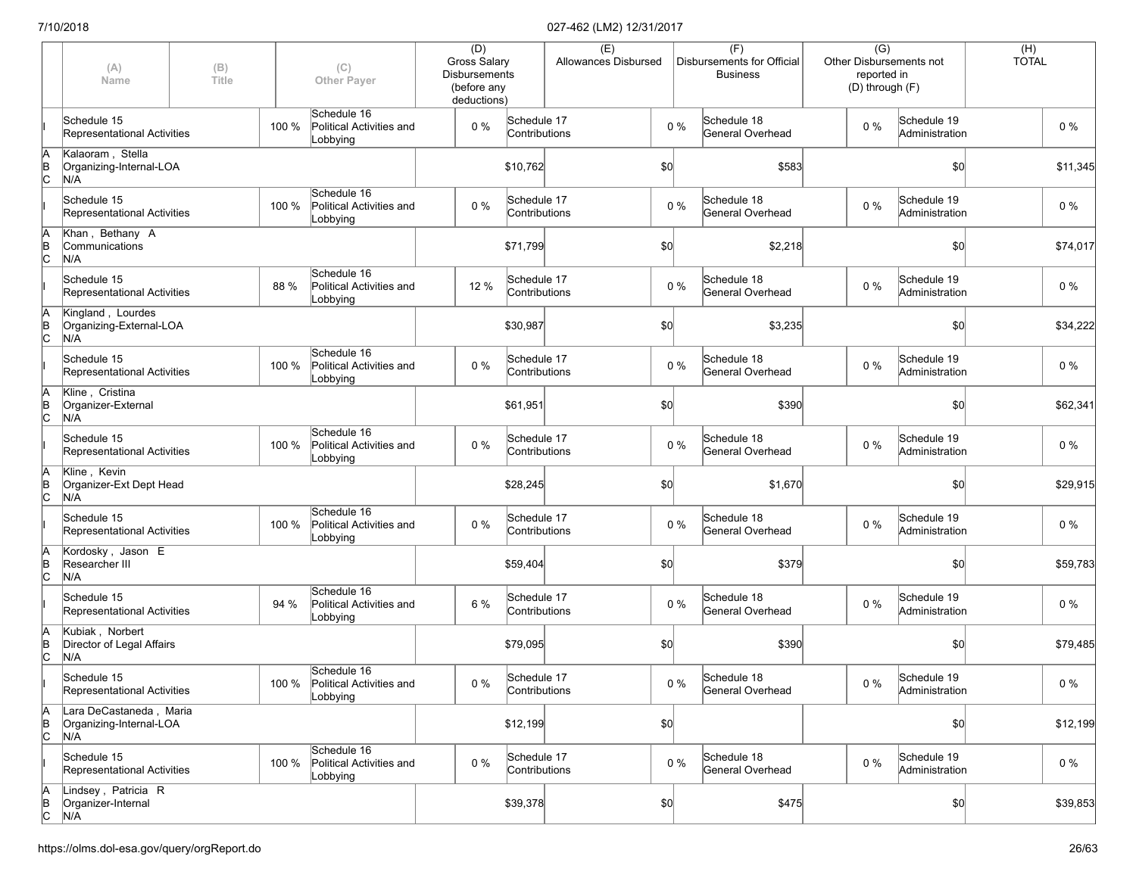|                      | (A)<br>Name                                               | (B)<br>Title |       | (C)<br><b>Other Payer</b>                                 | (D)<br>Gross Salary<br><b>Disbursements</b><br>(before any<br>deductions) |                              | (E)<br>Allowances Disbursed |     |       | (F)<br>Disbursements for Official<br><b>Business</b> | $\overline{(G)}$<br>Other Disbursements not<br>reported in<br>(D) through (F) |                               | $(H)$<br>TOTAL |          |
|----------------------|-----------------------------------------------------------|--------------|-------|-----------------------------------------------------------|---------------------------------------------------------------------------|------------------------------|-----------------------------|-----|-------|------------------------------------------------------|-------------------------------------------------------------------------------|-------------------------------|----------------|----------|
|                      | Schedule 15<br>Representational Activities                |              | 100 % | Schedule 16<br>Political Activities and<br>Lobbying       | $0\%$                                                                     | Schedule 17<br>Contributions |                             |     | $0\%$ | Schedule 18<br>General Overhead                      | $0\%$                                                                         | Schedule 19<br>Administration |                | $0\%$    |
| A<br>B<br>C          | Kalaoram, Stella<br>Organizing-Internal-LOA<br>N/A        |              |       |                                                           |                                                                           | \$10,762                     |                             | \$0 |       | \$583                                                |                                                                               | \$0                           |                | \$11,345 |
|                      | Schedule 15<br>Representational Activities                |              | 100 % | Schedule 16<br>Political Activities and<br>Lobbying       | $0\%$                                                                     | Schedule 17<br>Contributions |                             |     | $0\%$ | Schedule 18<br>General Overhead                      | $0\%$                                                                         | Schedule 19<br>Administration |                | 0 %      |
| ΙA<br>$\overline{C}$ | Khan, Bethany A<br>Communications<br>N/A                  |              |       |                                                           |                                                                           | \$71,799                     |                             | \$0 |       | \$2,218                                              |                                                                               | \$0                           |                | \$74,017 |
|                      | Schedule 15<br>Representational Activities                |              | 88 %  | Schedule 16<br>Political Activities and<br>Lobbying       | 12 %                                                                      | Schedule 17<br>Contributions |                             |     | $0\%$ | Schedule 18<br>General Overhead                      | 0%                                                                            | Schedule 19<br>Administration |                | $0\%$    |
| ΙA<br>$\overline{C}$ | Kingland, Lourdes<br>Organizing-External-LOA<br>N/A       |              |       |                                                           |                                                                           | \$30,987                     |                             | \$0 |       | \$3,235                                              |                                                                               | \$0                           |                | \$34,222 |
|                      | Schedule 15<br>Representational Activities                |              | 100 % | Schedule 16<br>Political Activities and<br>Lobbying       | $0\%$                                                                     | Schedule 17<br>Contributions |                             |     | $0\%$ | Schedule 18<br>General Overhead                      | $0\%$                                                                         | Schedule 19<br>Administration |                | $0\%$    |
| ΙA<br>B<br>Iс        | Kline, Cristina<br>Organizer-External<br>N/A              |              |       |                                                           |                                                                           | \$61,951                     |                             | \$0 |       | \$390                                                |                                                                               | \$0                           |                | \$62,341 |
|                      | Schedule 15<br>Representational Activities                |              | 100 % | Schedule 16<br>Political Activities and<br>Lobbying       | 0%                                                                        | Schedule 17<br>Contributions |                             |     | $0\%$ | Schedule 18<br>General Overhead                      | $0\%$                                                                         | Schedule 19<br>Administration |                | $0\%$    |
| ΙA<br>$\overline{C}$ | Kline, Kevin<br>Organizer-Ext Dept Head<br>N/A            |              |       |                                                           |                                                                           | \$28,245                     |                             | \$0 |       | \$1,670                                              |                                                                               | \$0                           |                | \$29,915 |
|                      | Schedule 15<br>Representational Activities                |              | 100 % | Schedule 16<br>Political Activities and<br>Lobbying       | $0\%$                                                                     | Schedule 17<br>Contributions |                             |     | $0\%$ | Schedule 18<br>General Overhead                      | $0\%$                                                                         | Schedule 19<br>Administration |                | $0\%$    |
| ΙA<br>$\overline{C}$ | Kordosky, Jason E<br>Researcher III<br>N/A                |              |       |                                                           |                                                                           | \$59,404                     |                             | \$0 |       | \$379                                                |                                                                               | \$0                           |                | \$59,783 |
|                      | Schedule 15<br>Representational Activities                |              | 94 %  | Schedule 16<br>Political Activities and<br>Lobbying       | 6 %                                                                       | Schedule 17<br>Contributions |                             |     | $0\%$ | Schedule 18<br>General Overhead                      | $0\%$                                                                         | Schedule 19<br>Administration |                | $0\%$    |
| ΙA<br>$\overline{C}$ | Kubiak, Norbert<br>Director of Legal Affairs<br>N/A       |              |       |                                                           |                                                                           | \$79,095                     |                             | \$0 |       | \$390                                                |                                                                               | \$0                           |                | \$79,485 |
|                      | Schedule 15<br>Representational Activities                |              |       | Schedule 16<br>100 % Political Activities and<br>Lobbying | $0\%$                                                                     | Schedule 17<br>Contributions |                             |     | $0\%$ | Schedule 18<br>General Overhead                      | $0\%$                                                                         | Schedule 19<br>Administration |                | $0\%$    |
| A<br>$\overline{C}$  | Lara DeCastaneda, Maria<br>Organizing-Internal-LOA<br>N/A |              |       |                                                           |                                                                           | \$12,199                     |                             | \$0 |       |                                                      |                                                                               | \$0                           |                | \$12,199 |
|                      | Schedule 15<br>Representational Activities                |              | 100 % | Schedule 16<br>Political Activities and<br>Lobbying       | $0\%$                                                                     | Schedule 17<br>Contributions |                             |     | $0\%$ | Schedule 18<br>General Overhead                      | 0%                                                                            | Schedule 19<br>Administration |                | $0\%$    |
| A<br>B<br>C          | Lindsey, Patricia R<br>Organizer-Internal<br>N/A          |              |       |                                                           |                                                                           | \$39,378                     |                             | 50  |       | \$475                                                |                                                                               | \$0                           |                | \$39,853 |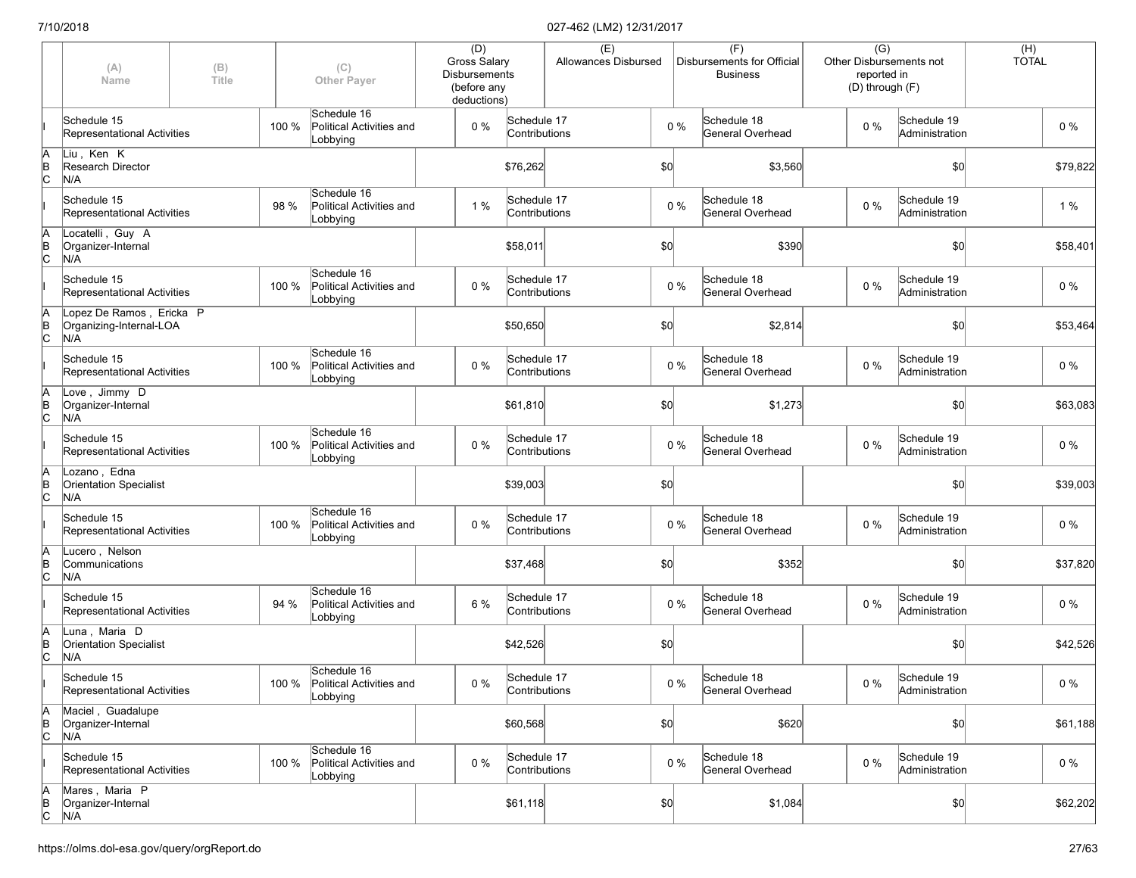|                         | (A)<br>Name                                                | (B)<br>Title |       | (C)<br><b>Other Payer</b>                                 | (D)<br>Gross Salary<br><b>Disbursements</b><br>(before any<br>deductions) |                              | (E)<br>Allowances Disbursed |      |       | (F)<br>Disbursements for Official<br><b>Business</b> | $\overline{(G)}$<br>Other Disbursements not<br>reported in<br>(D) through (F) |                               | (H)<br><b>TOTAL</b> |          |
|-------------------------|------------------------------------------------------------|--------------|-------|-----------------------------------------------------------|---------------------------------------------------------------------------|------------------------------|-----------------------------|------|-------|------------------------------------------------------|-------------------------------------------------------------------------------|-------------------------------|---------------------|----------|
|                         | Schedule 15<br>Representational Activities                 |              | 100 % | Schedule 16<br>Political Activities and<br>Lobbying       | $0\%$                                                                     | Schedule 17<br>Contributions |                             |      | $0\%$ | Schedule 18<br>General Overhead                      | $0\%$                                                                         | Schedule 19<br>Administration |                     | $0\%$    |
| ΙA<br>Þ<br>c            | Liu, Ken K<br>Research Director<br>N/A                     |              |       |                                                           |                                                                           | \$76,262                     |                             | \$0  |       | \$3,560                                              |                                                                               | \$0                           |                     | \$79,822 |
|                         | Schedule 15<br>Representational Activities                 |              | 98 %  | Schedule 16<br>Political Activities and<br>Lobbying       | 1 %                                                                       | Schedule 17<br>Contributions |                             |      | $0\%$ | Schedule 18<br>General Overhead                      | $0\%$                                                                         | Schedule 19<br>Administration |                     | 1 %      |
| ΙA<br> B<br>lc          | Locatelli, Guy A<br>Organizer-Internal<br>N/A              |              |       |                                                           |                                                                           | \$58,011                     |                             | \$0  |       | \$390                                                |                                                                               | \$0                           |                     | \$58,401 |
|                         | Schedule 15<br>Representational Activities                 |              | 100 % | Schedule 16<br>Political Activities and<br>Lobbying       | 0%                                                                        | Schedule 17<br>Contributions |                             |      | $0\%$ | Schedule 18<br>General Overhead                      | $0\%$                                                                         | Schedule 19<br>Administration |                     | $0\%$    |
| ΙA<br>$\overline{C}$    | Lopez De Ramos, Ericka P<br>Organizing-Internal-LOA<br>N/A |              |       |                                                           |                                                                           | \$50,650                     |                             | \$0] |       | \$2,814                                              |                                                                               | \$0                           |                     | \$53,464 |
|                         | Schedule 15<br>Representational Activities                 |              | 100 % | Schedule 16<br>Political Activities and<br>Lobbying       | 0%                                                                        | Schedule 17<br>Contributions |                             |      | $0\%$ | Schedule 18<br>General Overhead                      | $0\%$                                                                         | Schedule 19<br>Administration |                     | $0\%$    |
| ΙA<br>Þ<br>lc           | Love, Jimmy D<br>Organizer-Internal<br>N/A                 |              |       |                                                           |                                                                           | \$61,810                     |                             | \$0  |       | \$1,273                                              |                                                                               | \$0                           |                     | \$63,083 |
|                         | Schedule 15<br>Representational Activities                 |              | 100 % | Schedule 16<br>Political Activities and<br>Lobbying       | $0\%$                                                                     | Schedule 17<br>Contributions |                             |      | $0\%$ | Schedule 18<br>General Overhead                      | $0\%$                                                                         | Schedule 19<br>Administration |                     | $0\%$    |
| A<br>$\overline{C}$     | Lozano, Edna<br><b>Orientation Specialist</b><br>N/A       |              |       |                                                           |                                                                           | \$39,003                     |                             | \$0  |       |                                                      |                                                                               | \$0                           |                     | \$39,003 |
|                         | Schedule 15<br>Representational Activities                 |              | 100 % | Schedule 16<br>Political Activities and<br>Lobbying       | 0%                                                                        | Schedule 17<br>Contributions |                             |      | $0\%$ | Schedule 18<br>General Overhead                      | $0\%$                                                                         | Schedule 19<br>Administration |                     | 0 %      |
| ΙA<br>Þ<br>$\mathsf{c}$ | Lucero, Nelson<br>Communications<br>N/A                    |              |       |                                                           |                                                                           | \$37,468                     |                             | \$0  |       | \$352                                                |                                                                               | \$0                           |                     | \$37,820 |
|                         | Schedule 15<br>Representational Activities                 |              | 94 %  | Schedule 16<br>Political Activities and<br>Lobbying       | 6 %                                                                       | Schedule 17<br>Contributions |                             |      | $0\%$ | Schedule 18<br>General Overhead                      | 0%                                                                            | Schedule 19<br>Administration |                     | $0\%$    |
| ΙA<br>$\overline{C}$    | Luna, Maria D<br>Orientation Specialist<br>N/A             |              |       |                                                           |                                                                           | \$42,526                     |                             | \$0  |       |                                                      |                                                                               | \$0                           |                     | \$42,526 |
|                         | Schedule 15<br>Representational Activities                 |              |       | Schedule 16<br>100 % Political Activities and<br>Lobbying | $0\%$                                                                     | Schedule 17<br>Contributions |                             |      | $0\%$ | Schedule 18<br>General Overhead                      | $0\%$                                                                         | Schedule 19<br>Administration |                     | $0\%$    |
| ΙA<br>$\overline{C}$    | Maciel, Guadalupe<br>Organizer-Internal<br>N/A             |              |       |                                                           |                                                                           | \$60,568                     |                             | \$0  |       | \$620                                                |                                                                               | \$0                           |                     | \$61,188 |
|                         | Schedule 15<br>Representational Activities                 |              | 100 % | Schedule 16<br>Political Activities and<br>Lobbying       | 0%                                                                        | Schedule 17<br>Contributions |                             |      | $0\%$ | Schedule 18<br>General Overhead                      | 0%                                                                            | Schedule 19<br>Administration |                     | $0\%$    |
| ΙA<br>$\overline{C}$    | Mares, Maria P<br>Organizer-Internal<br>N/A                |              |       |                                                           |                                                                           | \$61,118                     |                             | 50   |       | \$1,084                                              |                                                                               | \$0                           |                     | \$62,202 |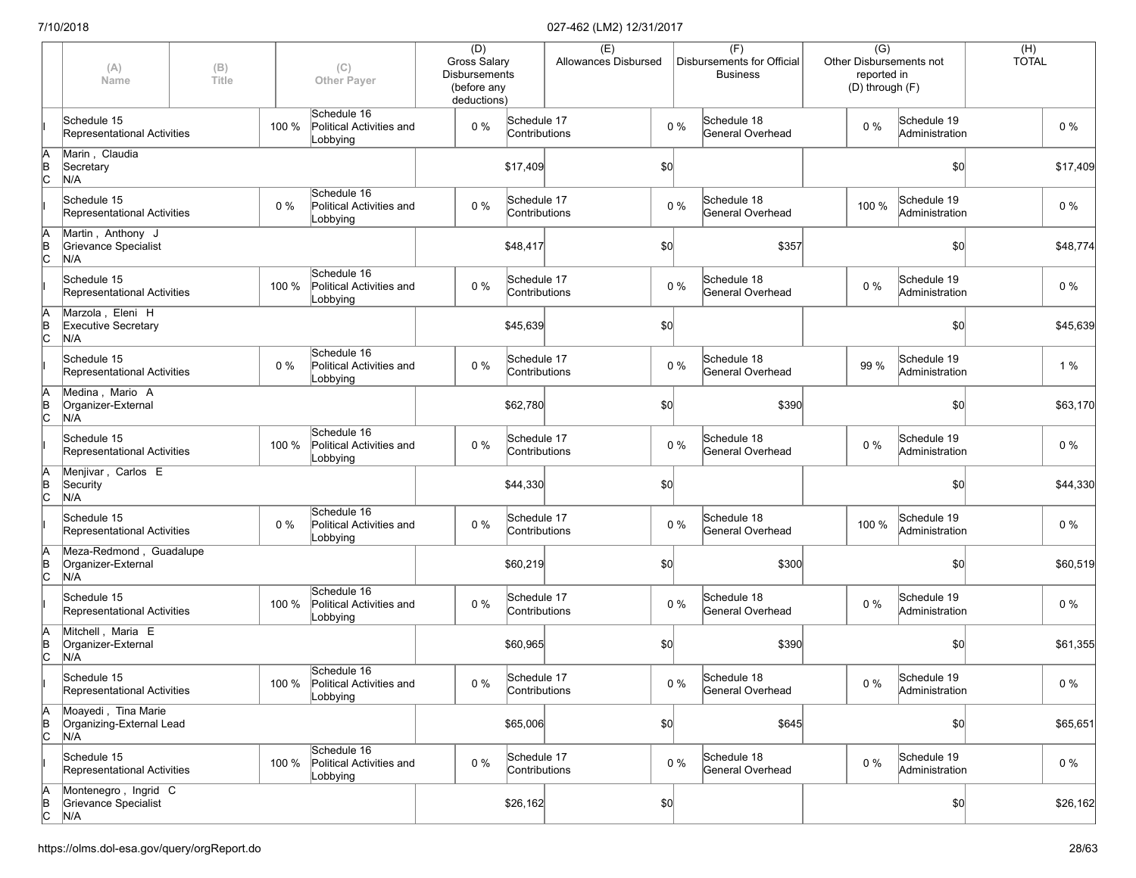|                      | (A)<br>Name                                            | (B)<br>Title |       | (C)<br><b>Other Payer</b>                                 | (D)<br>Gross Salary<br><b>Disbursements</b><br>(before any<br>deductions) |                              | (E)<br>Allowances Disbursed |     |       | (F)<br>Disbursements for Official<br><b>Business</b> |       | $\overline{(G)}$<br>Other Disbursements not<br>reported in<br>(D) through (F) |                | (H)<br><b>TOTAL</b> |          |
|----------------------|--------------------------------------------------------|--------------|-------|-----------------------------------------------------------|---------------------------------------------------------------------------|------------------------------|-----------------------------|-----|-------|------------------------------------------------------|-------|-------------------------------------------------------------------------------|----------------|---------------------|----------|
|                      | Schedule 15<br>Representational Activities             |              | 100 % | Schedule 16<br>Political Activities and<br>Lobbying       | $0\%$                                                                     | Schedule 17<br>Contributions |                             |     | $0\%$ | Schedule 18<br>General Overhead                      | $0\%$ | Schedule 19                                                                   | Administration |                     | $0\%$    |
| A<br>B<br>C          | Marin, Claudia<br>Secretary<br>N/A                     |              |       |                                                           |                                                                           | \$17,409                     |                             | \$0 |       |                                                      |       |                                                                               | \$0            |                     | \$17,409 |
|                      | Schedule 15<br>Representational Activities             |              | $0\%$ | Schedule 16<br>Political Activities and<br>Lobbying       | $0\%$                                                                     | Schedule 17<br>Contributions |                             |     | $0\%$ | Schedule 18<br>General Overhead                      | 100 % | Schedule 19<br>Administration                                                 |                |                     | 0 %      |
| ΙA<br>$\overline{C}$ | Martin, Anthony J<br>Grievance Specialist<br>N/A       |              |       |                                                           |                                                                           | \$48,417                     |                             | \$0 |       | \$357                                                |       |                                                                               | \$0            |                     | \$48,774 |
|                      | Schedule 15<br>Representational Activities             |              | 100 % | Schedule 16<br>Political Activities and<br>Lobbying       | $0\%$                                                                     | Schedule 17<br>Contributions |                             |     | $0\%$ | Schedule 18<br>General Overhead                      | 0%    | Schedule 19                                                                   | Administration |                     | $0\%$    |
| ΙA<br>$\overline{C}$ | Marzola, Eleni H<br><b>Executive Secretary</b><br>N/A  |              |       |                                                           |                                                                           | \$45,639                     |                             | \$0 |       |                                                      |       |                                                                               | \$0            |                     | \$45,639 |
|                      | Schedule 15<br>Representational Activities             |              | $0\%$ | Schedule 16<br>Political Activities and<br>Lobbying       | $0\%$                                                                     | Schedule 17<br>Contributions |                             |     | $0\%$ | Schedule 18<br>General Overhead                      | 99 %  | Schedule 19<br>Administration                                                 |                |                     | 1%       |
| ΙA<br>ΙB<br>lc.      | Medina, Mario A<br>Organizer-External<br>N/A           |              |       |                                                           |                                                                           | \$62,780                     |                             | \$0 |       | \$390                                                |       |                                                                               | \$0            |                     | \$63,170 |
|                      | Schedule 15<br>Representational Activities             |              | 100 % | Schedule 16<br>Political Activities and<br>Lobbying       | 0%                                                                        | Schedule 17<br>Contributions |                             |     | $0\%$ | Schedule 18<br>General Overhead                      | $0\%$ | Schedule 19<br>Administration                                                 |                |                     | $0\%$    |
| A<br>B<br>C          | Menjivar, Carlos E<br>Security<br>N/A                  |              |       |                                                           |                                                                           | \$44,330                     |                             | \$0 |       |                                                      |       |                                                                               | \$0            |                     | \$44,330 |
|                      | Schedule 15<br>Representational Activities             |              | 0 %   | Schedule 16<br>Political Activities and<br>Lobbying       | $0\%$                                                                     | Schedule 17<br>Contributions |                             |     | $0\%$ | Schedule 18<br>General Overhead                      | 100 % | Schedule 19<br>Administration                                                 |                |                     | $0\%$    |
| ΙA<br>$\overline{C}$ | Meza-Redmond, Guadalupe<br>Organizer-External<br>N/A   |              |       |                                                           |                                                                           | \$60,219                     |                             | \$0 |       | \$300                                                |       |                                                                               | \$0            |                     | \$60,519 |
|                      | Schedule 15<br>Representational Activities             |              | 100 % | Schedule 16<br>Political Activities and<br>Lobbying       | $0\%$                                                                     | Schedule 17<br>Contributions |                             |     | $0\%$ | Schedule 18<br>General Overhead                      | 0%    | Schedule 19                                                                   | Administration |                     | $0\%$    |
| ΙA<br>$\overline{C}$ | Mitchell, Maria E<br>Organizer-External<br>N/A         |              |       |                                                           |                                                                           | \$60,965                     |                             | \$0 |       | \$390                                                |       |                                                                               | \$0            |                     | \$61,355 |
|                      | Schedule 15<br>Representational Activities             |              |       | Schedule 16<br>100 % Political Activities and<br>Lobbying | $0\%$                                                                     | Schedule 17<br>Contributions |                             |     | $0\%$ | Schedule 18<br>General Overhead                      | $0\%$ | Schedule 19<br>Administration                                                 |                |                     | $0\%$    |
| A<br>$\overline{C}$  | Moayedi, Tina Marie<br>Organizing-External Lead<br>N/A |              |       |                                                           |                                                                           | \$65,006                     |                             | \$0 |       | \$645                                                |       |                                                                               | \$0            |                     | \$65,651 |
|                      | Schedule 15<br>Representational Activities             |              | 100 % | Schedule 16<br>Political Activities and<br>Lobbying       | $0\%$                                                                     | Schedule 17<br>Contributions |                             |     | $0\%$ | Schedule 18<br>General Overhead                      | 0%    | Schedule 19<br>Administration                                                 |                |                     | $0\%$    |
| A<br>B<br>C          | Montenegro, Ingrid C<br>Grievance Specialist<br>N/A    |              |       |                                                           |                                                                           | \$26,162                     |                             | 50  |       |                                                      |       |                                                                               | \$0            |                     | \$26,162 |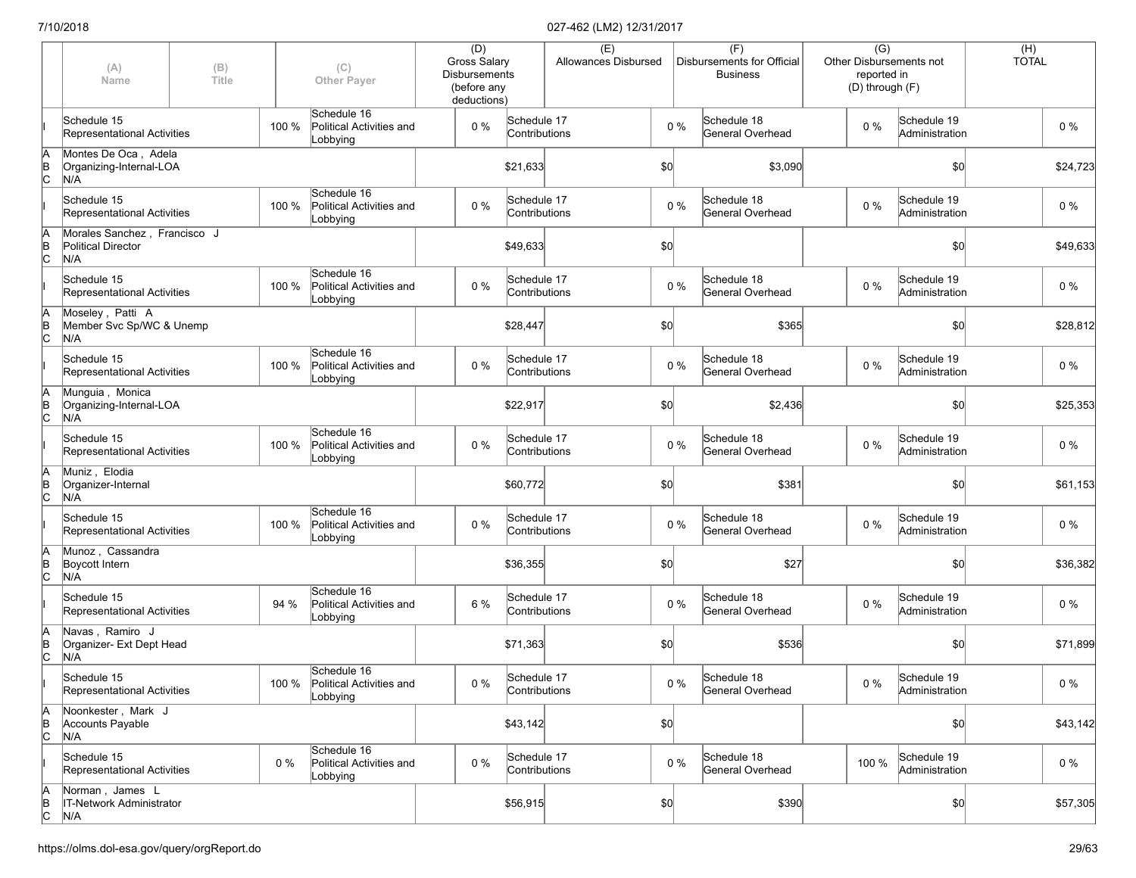|                      | (A)<br>Name                                                      | (B)<br>Title |       | (C)<br><b>Other Payer</b>                                 | (D)<br>Gross Salary<br><b>Disbursements</b><br>(before any<br>deductions) |                              | (E)<br>Allowances Disbursed |     |       | (F)<br>Disbursements for Official<br><b>Business</b> | $\overline{(G)}$<br>Other Disbursements not<br>reported in<br>(D) through (F) |                               | (H)<br><b>TOTAL</b> |          |
|----------------------|------------------------------------------------------------------|--------------|-------|-----------------------------------------------------------|---------------------------------------------------------------------------|------------------------------|-----------------------------|-----|-------|------------------------------------------------------|-------------------------------------------------------------------------------|-------------------------------|---------------------|----------|
|                      | Schedule 15<br>Representational Activities                       |              | 100 % | Schedule 16<br>Political Activities and<br>Lobbying       | $0\%$                                                                     | Schedule 17<br>Contributions |                             |     | $0\%$ | Schedule 18<br>General Overhead                      | $0\%$                                                                         | Schedule 19<br>Administration | $0\%$               |          |
| ΙA<br>$\overline{B}$ | Montes De Oca, Adela<br>Organizing-Internal-LOA<br>N/A           |              |       |                                                           |                                                                           | \$21,633                     |                             | \$0 |       | \$3,090                                              |                                                                               | \$0                           |                     | \$24,723 |
|                      | Schedule 15<br>Representational Activities                       |              | 100 % | Schedule 16<br>Political Activities and<br>Lobbying       | $0\%$                                                                     | Schedule 17<br>Contributions |                             |     | $0\%$ | Schedule 18<br>General Overhead                      | $0\%$                                                                         | Schedule 19<br>Administration | 0 %                 |          |
| ΙA<br>$\overline{C}$ | Morales Sanchez, Francisco J<br><b>Political Director</b><br>N/A |              |       |                                                           |                                                                           | \$49,633                     |                             | \$0 |       |                                                      |                                                                               | \$0                           |                     | \$49,633 |
|                      | Schedule 15<br>Representational Activities                       |              | 100 % | Schedule 16<br>Political Activities and<br>Lobbying       | 0%                                                                        | Schedule 17<br>Contributions |                             |     | $0\%$ | Schedule 18<br>General Overhead                      | 0%                                                                            | Schedule 19<br>Administration | $0\%$               |          |
| ΙA<br>$\overline{C}$ | Moseley, Patti A<br>Member Svc Sp/WC & Unemp<br>N/A              |              |       |                                                           |                                                                           | \$28,447                     |                             | \$0 |       | \$365                                                |                                                                               | \$0                           |                     | \$28,812 |
|                      | Schedule 15<br>Representational Activities                       |              | 100 % | Schedule 16<br>Political Activities and<br>Lobbying       | $0\%$                                                                     | Schedule 17<br>Contributions |                             |     | $0\%$ | Schedule 18<br>General Overhead                      | $0\%$                                                                         | Schedule 19<br>Administration | $0\%$               |          |
| ΙA<br>B<br>lc.       | Munguia, Monica<br>Organizing-Internal-LOA<br>N/A                |              |       |                                                           |                                                                           | \$22,917                     |                             | \$0 |       | \$2,436                                              |                                                                               | \$0                           |                     | \$25,353 |
|                      | Schedule 15<br>Representational Activities                       |              | 100 % | Schedule 16<br>Political Activities and<br>Lobbying       | 0%                                                                        | Schedule 17<br>Contributions |                             |     | $0\%$ | Schedule 18<br>General Overhead                      | $0\%$                                                                         | Schedule 19<br>Administration | $0\%$               |          |
| ΙA<br>$\overline{B}$ | Muniz, Elodia<br>Organizer-Internal<br>N/A                       |              |       |                                                           |                                                                           | \$60,772                     |                             | \$0 |       | \$381                                                |                                                                               | \$0                           |                     | \$61,153 |
|                      | Schedule 15<br>Representational Activities                       |              | 100 % | Schedule 16<br>Political Activities and<br>Lobbying       | 0%                                                                        | Schedule 17<br>Contributions |                             |     | $0\%$ | Schedule 18<br>General Overhead                      | $0\%$                                                                         | Schedule 19<br>Administration | $0\%$               |          |
| ΙA<br>$\overline{C}$ | Munoz, Cassandra<br>Boycott Intern<br>N/A                        |              |       |                                                           |                                                                           | \$36,355                     |                             | \$0 |       | \$27                                                 |                                                                               | \$0                           |                     | \$36,382 |
|                      | Schedule 15<br>Representational Activities                       |              | 94 %  | Schedule 16<br>Political Activities and<br>Lobbying       | 6 %                                                                       | Schedule 17<br>Contributions |                             |     | $0\%$ | Schedule 18<br>General Overhead                      | 0%                                                                            | Schedule 19<br>Administration | $0\%$               |          |
| ΙA<br>$\overline{C}$ | Navas, Ramiro J<br>Organizer- Ext Dept Head<br>N/A               |              |       |                                                           |                                                                           | \$71,363                     |                             | \$0 |       | \$536                                                |                                                                               | \$0                           |                     | \$71,899 |
|                      | Schedule 15<br>Representational Activities                       |              |       | Schedule 16<br>100 % Political Activities and<br>Lobbying | $0\%$                                                                     | Schedule 17<br>Contributions |                             |     | $0\%$ | Schedule 18<br>General Overhead                      | $0\%$                                                                         | Schedule 19<br>Administration |                     | $0\%$    |
| ΙA<br>$\overline{C}$ | Noonkester, Mark J<br>Accounts Payable<br>N/A                    |              |       |                                                           |                                                                           | \$43,142                     |                             | \$0 |       |                                                      |                                                                               | \$0                           |                     | \$43,142 |
|                      | Schedule 15<br>Representational Activities                       |              | $0\%$ | Schedule 16<br>Political Activities and<br>Lobbying       | $0\%$                                                                     | Schedule 17<br>Contributions |                             |     | $0\%$ | Schedule 18<br>General Overhead                      | 100 %                                                                         | Schedule 19<br>Administration | $0\%$               |          |
| $\overline{C}$       | Norman, James L<br>IT-Network Administrator<br>N/A               |              |       |                                                           |                                                                           | \$56,915                     |                             | 50  |       | \$390                                                |                                                                               | \$0                           |                     | \$57,305 |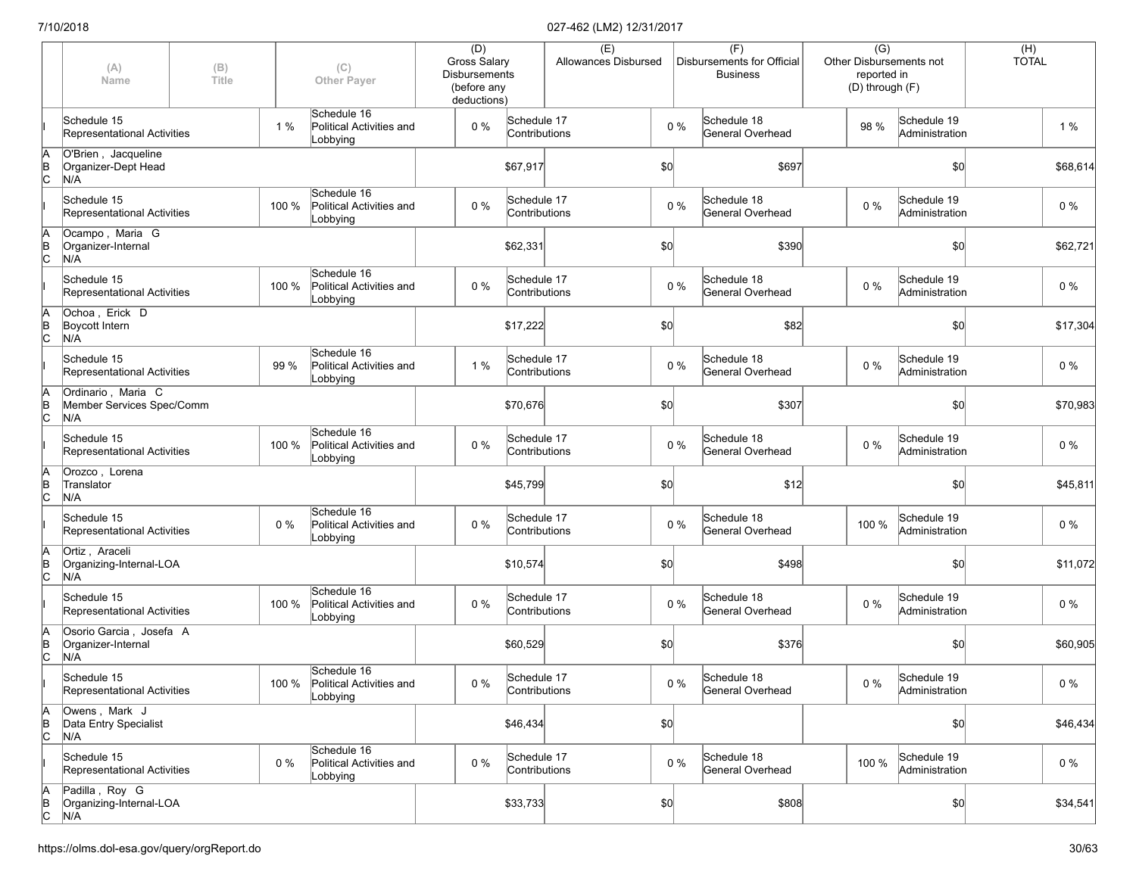|                      | (A)<br>Name                                            | (B)<br>Title |       | (C)<br><b>Other Payer</b>                                 | (D)<br>Gross Salary<br><b>Disbursements</b><br>(before any<br>deductions) |                              | (E)<br>Allowances Disbursed |     |       | (F)<br>Disbursements for Official<br><b>Business</b> | $\overline{(G)}$<br>Other Disbursements not<br>reported in<br>(D) through (F) |                               | $(H)$<br>TOTAL |          |
|----------------------|--------------------------------------------------------|--------------|-------|-----------------------------------------------------------|---------------------------------------------------------------------------|------------------------------|-----------------------------|-----|-------|------------------------------------------------------|-------------------------------------------------------------------------------|-------------------------------|----------------|----------|
|                      | Schedule 15<br>Representational Activities             |              | 1%    | Schedule 16<br>Political Activities and<br>Lobbying       | $0\%$                                                                     | Schedule 17<br>Contributions |                             |     | $0\%$ | Schedule 18<br>General Overhead                      | 98 %                                                                          | Schedule 19<br>Administration |                | 1%       |
| ΙA<br>$\overline{C}$ | O'Brien, Jacqueline<br>Organizer-Dept Head<br>N/A      |              |       |                                                           |                                                                           | \$67,917                     |                             | \$0 |       | \$697                                                |                                                                               | \$0                           |                | \$68,614 |
|                      | Schedule 15<br>Representational Activities             |              | 100 % | Schedule 16<br>Political Activities and<br>Lobbying       | $0\%$                                                                     | Schedule 17<br>Contributions |                             |     | $0\%$ | Schedule 18<br>General Overhead                      | $0\%$                                                                         | Schedule 19<br>Administration |                | 0 %      |
| ΙA<br>$\overline{C}$ | Ocampo, Maria G<br>Organizer-Internal<br>N/A           |              |       |                                                           |                                                                           | \$62,331                     |                             | \$0 |       | \$390                                                |                                                                               | \$0                           |                | \$62,721 |
|                      | Schedule 15<br>Representational Activities             |              | 100 % | Schedule 16<br>Political Activities and<br>Lobbying       | $0\%$                                                                     | Schedule 17<br>Contributions |                             |     | $0\%$ | Schedule 18<br>General Overhead                      | 0%                                                                            | Schedule 19<br>Administration |                | $0\%$    |
| ΙA<br>$\overline{C}$ | Ochoa, Erick D<br>Boycott Intern<br>N/A                |              |       |                                                           |                                                                           | \$17,222                     |                             | \$0 |       | \$82                                                 |                                                                               | \$0                           |                | \$17,304 |
|                      | Schedule 15<br>Representational Activities             |              | 99 %  | Schedule 16<br>Political Activities and<br>Lobbying       | 1 %                                                                       | Schedule 17<br>Contributions |                             |     | $0\%$ | Schedule 18<br>General Overhead                      | $0\%$                                                                         | Schedule 19<br>Administration |                | $0\%$    |
| ΙA<br>ΙB<br>lc.      | Ordinario, Maria C<br>Member Services Spec/Comm<br>N/A |              |       |                                                           |                                                                           | \$70,676                     |                             | \$0 |       | \$307                                                |                                                                               | \$0                           |                | \$70,983 |
|                      | Schedule 15<br>Representational Activities             |              | 100 % | Schedule 16<br>Political Activities and<br>Lobbying       | 0%                                                                        | Schedule 17<br>Contributions |                             |     | $0\%$ | Schedule 18<br>General Overhead                      | $0\%$                                                                         | Schedule 19<br>Administration |                | $0\%$    |
| A<br>B<br>C          | Orozco, Lorena<br>Translator<br>N/A                    |              |       |                                                           |                                                                           | \$45,799                     |                             | \$0 |       | \$12                                                 |                                                                               | \$0                           |                | \$45,811 |
|                      | Schedule 15<br>Representational Activities             |              | 0%    | Schedule 16<br>Political Activities and<br>Lobbying       | $0\%$                                                                     | Schedule 17<br>Contributions |                             |     | $0\%$ | Schedule 18<br>General Overhead                      | 100 %                                                                         | Schedule 19<br>Administration |                | $0\%$    |
| ΙA<br>$\overline{C}$ | Ortiz, Araceli<br>Organizing-Internal-LOA<br>N/A       |              |       |                                                           |                                                                           | \$10,574                     |                             | \$0 |       | \$498                                                |                                                                               | \$0                           |                | \$11,072 |
|                      | Schedule 15<br>Representational Activities             |              | 100 % | Schedule 16<br>Political Activities and<br>Lobbying       | $0\%$                                                                     | Schedule 17<br>Contributions |                             |     | $0\%$ | Schedule 18<br>General Overhead                      | $0\%$                                                                         | Schedule 19<br>Administration |                | $0\%$    |
| ΙA<br>$\overline{C}$ | Osorio Garcia, Josefa A<br>Organizer-Internal<br>N/A   |              |       |                                                           |                                                                           | \$60,529                     |                             | \$0 |       | \$376                                                |                                                                               | \$0                           |                | \$60,905 |
|                      | Schedule 15<br>Representational Activities             |              |       | Schedule 16<br>100 % Political Activities and<br>Lobbying | $0\%$                                                                     | Schedule 17<br>Contributions |                             |     | $0\%$ | Schedule 18<br>General Overhead                      | $0\%$                                                                         | Schedule 19<br>Administration |                | $0\%$    |
| A<br>$\overline{C}$  | Owens, Mark J<br>Data Entry Specialist<br>N/A          |              |       |                                                           |                                                                           | \$46,434                     |                             | \$0 |       |                                                      |                                                                               | \$0                           |                | \$46,434 |
|                      | Schedule 15<br>Representational Activities             |              | $0\%$ | Schedule 16<br>Political Activities and<br>Lobbying       | $0\%$                                                                     | Schedule 17<br>Contributions |                             |     | $0\%$ | Schedule 18<br>General Overhead                      | 100 %                                                                         | Schedule 19<br>Administration |                | $0\%$    |
| A<br>B<br>C          | Padilla, Roy G<br>Organizing-Internal-LOA<br>N/A       |              |       |                                                           |                                                                           | \$33,733                     |                             | 50  |       | \$808                                                |                                                                               | \$0                           |                | \$34,541 |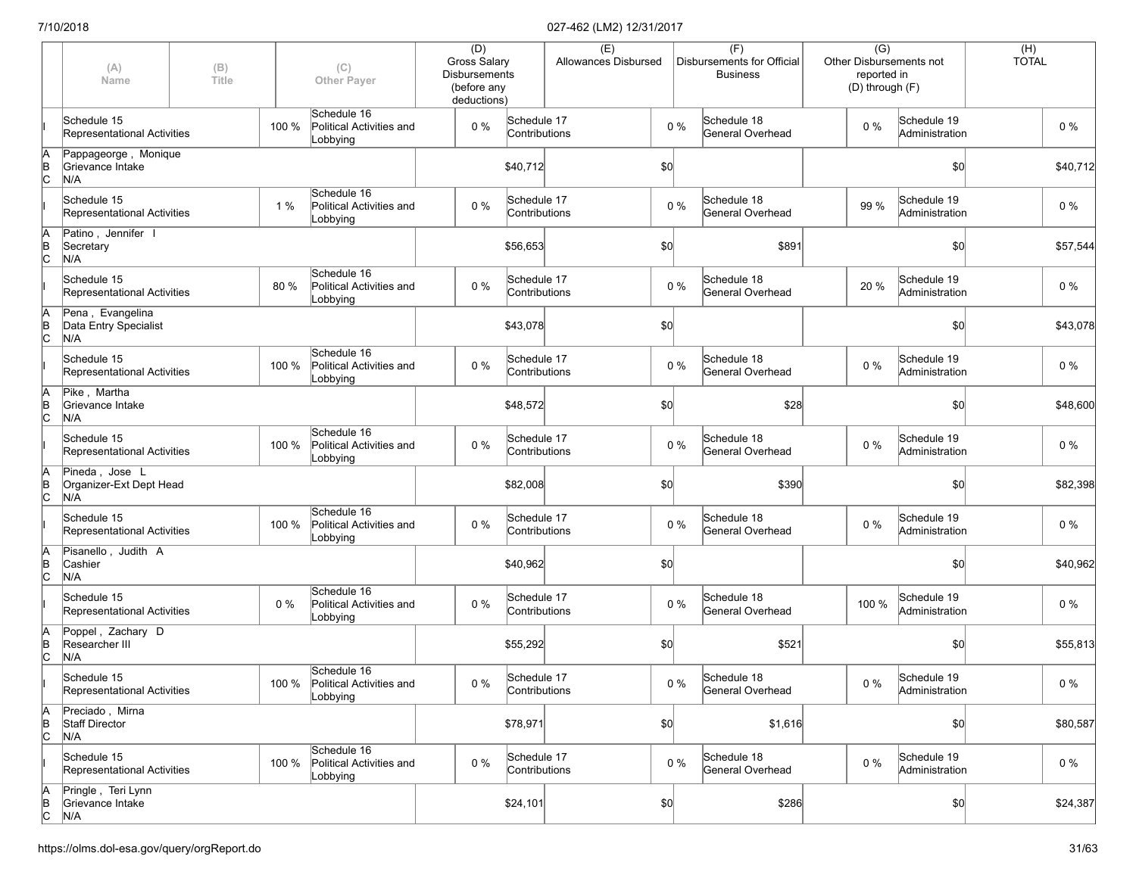|                      | (A)<br>Name                                      | (B)<br>Title |       | (C)<br><b>Other Payer</b>                                 | (D)<br>Gross Salary<br><b>Disbursements</b><br>(before any<br>deductions) |                              | (E)<br>Allowances Disbursed |     |       | (F)<br>Disbursements for Official<br><b>Business</b> |       | $\overline{(G)}$<br>Other Disbursements not<br>reported in<br>(D) through (F) | $(H)$<br>TOTAL |          |
|----------------------|--------------------------------------------------|--------------|-------|-----------------------------------------------------------|---------------------------------------------------------------------------|------------------------------|-----------------------------|-----|-------|------------------------------------------------------|-------|-------------------------------------------------------------------------------|----------------|----------|
|                      | Schedule 15<br>Representational Activities       |              | 100 % | Schedule 16<br>Political Activities and<br>Lobbying       | $0\%$                                                                     | Schedule 17<br>Contributions |                             |     | $0\%$ | Schedule 18<br>General Overhead                      | $0\%$ | Schedule 19<br>Administration                                                 |                | $0\%$    |
| A<br>B<br>C          | Pappageorge, Monique<br>Grievance Intake<br>N/A  |              |       |                                                           |                                                                           | \$40,712                     |                             | \$0 |       |                                                      |       | \$0                                                                           |                | \$40,712 |
|                      | Schedule 15<br>Representational Activities       |              | 1%    | Schedule 16<br>Political Activities and<br>Lobbying       | $0\%$                                                                     | Schedule 17<br>Contributions |                             |     | $0\%$ | Schedule 18<br>General Overhead                      | 99 %  | Schedule 19<br>Administration                                                 |                | 0 %      |
| ΙA<br>$\overline{C}$ | Patino, Jennifer I<br>Secretary<br>N/A           |              |       |                                                           |                                                                           | \$56,653                     |                             | \$0 |       | \$891                                                |       | \$0                                                                           |                | \$57,544 |
|                      | Schedule 15<br>Representational Activities       |              | 80 %  | Schedule 16<br>Political Activities and<br>Lobbying       | 0%                                                                        | Schedule 17<br>Contributions |                             |     | $0\%$ | Schedule 18<br>General Overhead                      | 20 %  | Schedule 19<br>Administration                                                 |                | $0\%$    |
| ΙA<br>$\overline{C}$ | Pena, Evangelina<br>Data Entry Specialist<br>N/A |              |       |                                                           |                                                                           | \$43,078                     |                             | \$0 |       |                                                      |       | \$0                                                                           |                | \$43,078 |
|                      | Schedule 15<br>Representational Activities       |              | 100 % | Schedule 16<br>Political Activities and<br>Lobbying       | $0\%$                                                                     | Schedule 17<br>Contributions |                             |     | $0\%$ | Schedule 18<br>General Overhead                      | $0\%$ | Schedule 19<br>Administration                                                 |                | $0\%$    |
| ΙA<br>B<br>lc.       | Pike, Martha<br>Grievance Intake<br>N/A          |              |       |                                                           |                                                                           | \$48,572                     |                             | \$0 |       | \$28                                                 |       | \$0                                                                           |                | \$48,600 |
|                      | Schedule 15<br>Representational Activities       |              | 100 % | Schedule 16<br>Political Activities and<br>Lobbying       | 0%                                                                        | Schedule 17<br>Contributions |                             |     | $0\%$ | Schedule 18<br>General Overhead                      | $0\%$ | Schedule 19<br>Administration                                                 |                | $0\%$    |
| ΙA<br>$\overline{B}$ | Pineda, Jose L<br>Organizer-Ext Dept Head<br>N/A |              |       |                                                           |                                                                           | \$82,008                     |                             | \$0 |       | \$390                                                |       | \$0                                                                           |                | \$82,398 |
|                      | Schedule 15<br>Representational Activities       |              | 100 % | Schedule 16<br>Political Activities and<br>Lobbying       | 0%                                                                        | Schedule 17<br>Contributions |                             |     | $0\%$ | Schedule 18<br>General Overhead                      | $0\%$ | Schedule 19<br>Administration                                                 |                | $0\%$    |
| ΙA<br>$\overline{C}$ | Pisanello, Judith A<br>Cashier<br>N/A            |              |       |                                                           |                                                                           | \$40,962                     |                             | \$0 |       |                                                      |       | \$0                                                                           |                | \$40,962 |
|                      | Schedule 15<br>Representational Activities       |              | 0%    | Schedule 16<br>Political Activities and<br>Lobbying       | $0\%$                                                                     | Schedule 17<br>Contributions |                             |     | $0\%$ | Schedule 18<br>General Overhead                      | 100 % | Schedule 19<br>Administration                                                 |                | $0\%$    |
| A<br>B<br>C          | Poppel, Zachary D<br>Researcher III<br>N/A       |              |       |                                                           |                                                                           | \$55,292                     |                             | \$0 |       | \$521                                                |       | \$0                                                                           |                | \$55,813 |
|                      | Schedule 15<br>Representational Activities       |              |       | Schedule 16<br>100 % Political Activities and<br>Lobbying | $0\%$                                                                     | Schedule 17<br>Contributions |                             |     | $0\%$ | Schedule 18<br>General Overhead                      | $0\%$ | Schedule 19<br>Administration                                                 |                | $0\%$    |
| A<br>$\overline{C}$  | Preciado, Mirna<br>Staff Director<br>N/A         |              |       |                                                           |                                                                           | \$78,971                     |                             | \$0 |       | \$1,616                                              |       | \$0                                                                           |                | \$80,587 |
|                      | Schedule 15<br>Representational Activities       |              | 100 % | Schedule 16<br>Political Activities and<br>Lobbying       | 0%                                                                        | Schedule 17<br>Contributions |                             |     | $0\%$ | Schedule 18<br>General Overhead                      | $0\%$ | Schedule 19<br>Administration                                                 |                | $0\%$    |
| $\overline{C}$       | Pringle, Teri Lynn<br>Grievance Intake<br>N/A    |              |       |                                                           |                                                                           | \$24,101                     |                             | 50  |       | \$286                                                |       | \$0                                                                           |                | \$24,387 |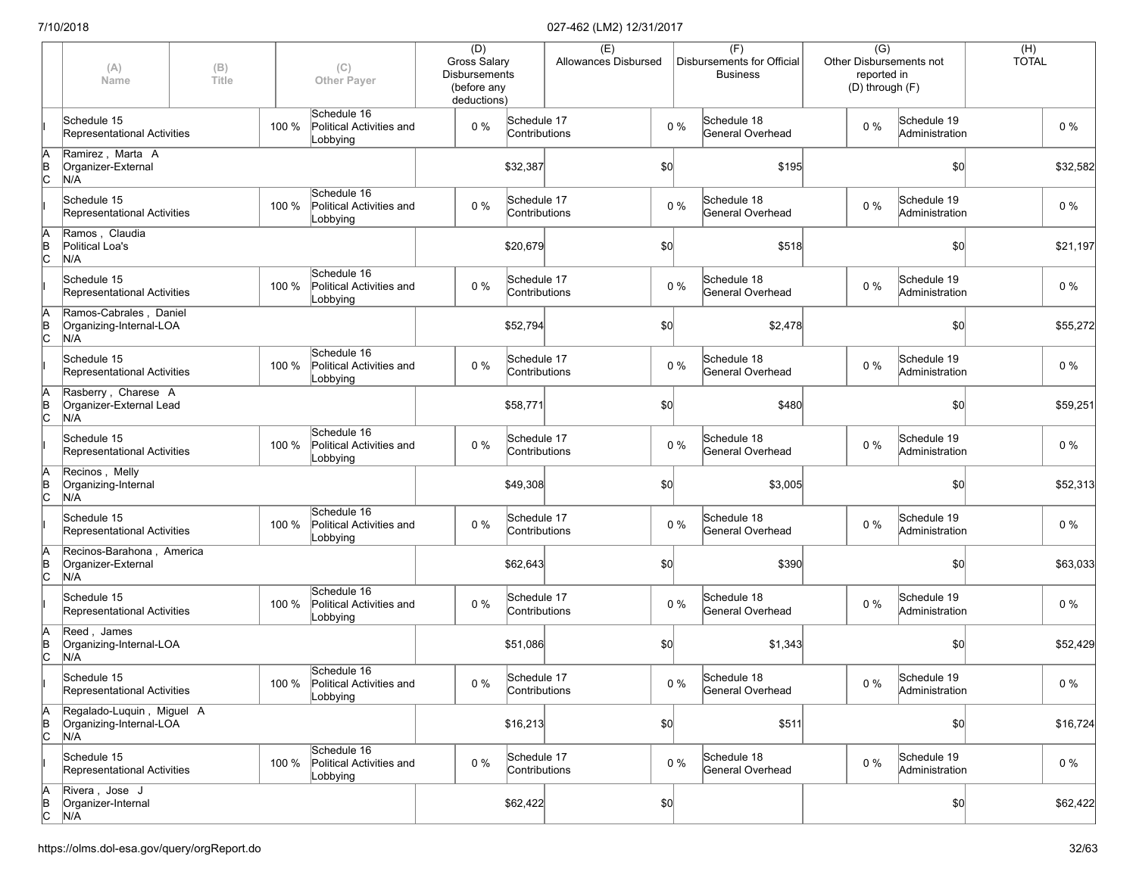|                      | (A)<br>Name                                                 | (B)<br>Title |       | (C)<br><b>Other Payer</b>                                 | (D)<br>Gross Salary<br><b>Disbursements</b><br>(before any<br>deductions) |                              | (E)<br>Allowances Disbursed |     |       | (F)<br>Disbursements for Official<br><b>Business</b> |       | $\overline{(G)}$<br>Other Disbursements not<br>reported in<br>(D) through (F) | $(H)$<br>TOTAL |          |
|----------------------|-------------------------------------------------------------|--------------|-------|-----------------------------------------------------------|---------------------------------------------------------------------------|------------------------------|-----------------------------|-----|-------|------------------------------------------------------|-------|-------------------------------------------------------------------------------|----------------|----------|
|                      | Schedule 15<br>Representational Activities                  |              | 100 % | Schedule 16<br>Political Activities and<br>Lobbying       | $0\%$                                                                     | Schedule 17<br>Contributions |                             |     | 0%    | Schedule 18<br>General Overhead                      | $0\%$ | Schedule 19<br>Administration                                                 |                | $0\%$    |
| A<br>B<br>C          | Ramirez, Marta A<br>Organizer-External<br>N/A               |              |       |                                                           |                                                                           | \$32,387                     |                             | \$0 |       | \$195                                                |       | \$0                                                                           |                | \$32,582 |
|                      | Schedule 15<br>Representational Activities                  |              | 100 % | Schedule 16<br>Political Activities and<br>Lobbying       | $0\%$                                                                     | Schedule 17<br>Contributions |                             |     | $0\%$ | Schedule 18<br>General Overhead                      | $0\%$ | Schedule 19<br>Administration                                                 |                | 0 %      |
| ΙA<br>$\overline{C}$ | Ramos, Claudia<br>Political Loa's<br>N/A                    |              |       |                                                           |                                                                           | \$20,679                     |                             | \$0 |       | \$518                                                |       | \$0                                                                           |                | \$21,197 |
|                      | Schedule 15<br>Representational Activities                  |              | 100 % | Schedule 16<br>Political Activities and<br>Lobbying       | $0\%$                                                                     | Schedule 17<br>Contributions |                             |     | $0\%$ | Schedule 18<br>General Overhead                      | 0%    | Schedule 19<br>Administration                                                 |                | $0\%$    |
| ΙA<br>$\overline{C}$ | Ramos-Cabrales, Daniel<br>Organizing-Internal-LOA<br>N/A    |              |       |                                                           |                                                                           | \$52,794                     |                             | \$0 |       | \$2,478                                              |       | \$0                                                                           |                | \$55,272 |
|                      | Schedule 15<br>Representational Activities                  |              | 100 % | Schedule 16<br>Political Activities and<br>Lobbying       | $0\%$                                                                     | Schedule 17<br>Contributions |                             |     | $0\%$ | Schedule 18<br>General Overhead                      | $0\%$ | Schedule 19<br>Administration                                                 |                | $0\%$    |
| ΙA<br>ΙB<br>lc       | Rasberry, Charese A<br>Organizer-External Lead<br>N/A       |              |       |                                                           |                                                                           | \$58,771                     |                             | \$0 |       | \$480                                                |       | \$0                                                                           |                | \$59,251 |
|                      | Schedule 15<br>Representational Activities                  |              | 100 % | Schedule 16<br>Political Activities and<br>Lobbying       | 0%                                                                        | Schedule 17<br>Contributions |                             |     | $0\%$ | Schedule 18<br>General Overhead                      | $0\%$ | Schedule 19<br>Administration                                                 |                | $0\%$    |
| A<br>B<br>C          | Recinos, Melly<br>Organizing-Internal<br>N/A                |              |       |                                                           |                                                                           | \$49,308                     |                             | \$0 |       | \$3,005                                              |       | \$0                                                                           |                | \$52,313 |
|                      | Schedule 15<br>Representational Activities                  |              | 100 % | Schedule 16<br>Political Activities and<br>Lobbying       | 0%                                                                        | Schedule 17<br>Contributions |                             |     | $0\%$ | Schedule 18<br>General Overhead                      | $0\%$ | Schedule 19<br>Administration                                                 |                | $0\%$    |
| ΙA<br>$\overline{C}$ | Recinos-Barahona, America<br>Organizer-External<br>N/A      |              |       |                                                           |                                                                           | \$62,643                     |                             | \$0 |       | \$390                                                |       | \$0                                                                           |                | \$63,033 |
|                      | Schedule 15<br>Representational Activities                  |              | 100 % | Schedule 16<br>Political Activities and<br>Lobbying       | $0\%$                                                                     | Schedule 17<br>Contributions |                             |     | $0\%$ | Schedule 18<br>General Overhead                      | 0%    | Schedule 19<br>Administration                                                 |                | $0\%$    |
| ļΑ<br>$\overline{C}$ | Reed, James<br>Organizing-Internal-LOA<br>N/A               |              |       |                                                           |                                                                           | \$51,086                     |                             | \$0 |       | \$1,343                                              |       | \$0                                                                           |                | \$52,429 |
|                      | Schedule 15<br>Representational Activities                  |              |       | Schedule 16<br>100 % Political Activities and<br>Lobbying | $0\%$                                                                     | Schedule 17<br>Contributions |                             |     | $0\%$ | Schedule 18<br>General Overhead                      | $0\%$ | Schedule 19<br>Administration                                                 |                | $0\%$    |
| A<br>$\overline{C}$  | Regalado-Luquin, Miguel A<br>Organizing-Internal-LOA<br>N/A |              |       |                                                           |                                                                           | \$16,213                     |                             | \$0 |       | \$511                                                |       | \$0                                                                           |                | \$16,724 |
|                      | Schedule 15<br>Representational Activities                  |              | 100 % | Schedule 16<br>Political Activities and<br>Lobbying       | $0\%$                                                                     | Schedule 17<br>Contributions |                             |     | $0\%$ | Schedule 18<br>General Overhead                      | 0%    | Schedule 19<br>Administration                                                 |                | $0\%$    |
| $\overline{C}$       | Rivera, Jose J<br>Organizer-Internal<br>N/A                 |              |       |                                                           |                                                                           | \$62,422                     |                             | 50  |       |                                                      |       | \$0                                                                           |                | \$62,422 |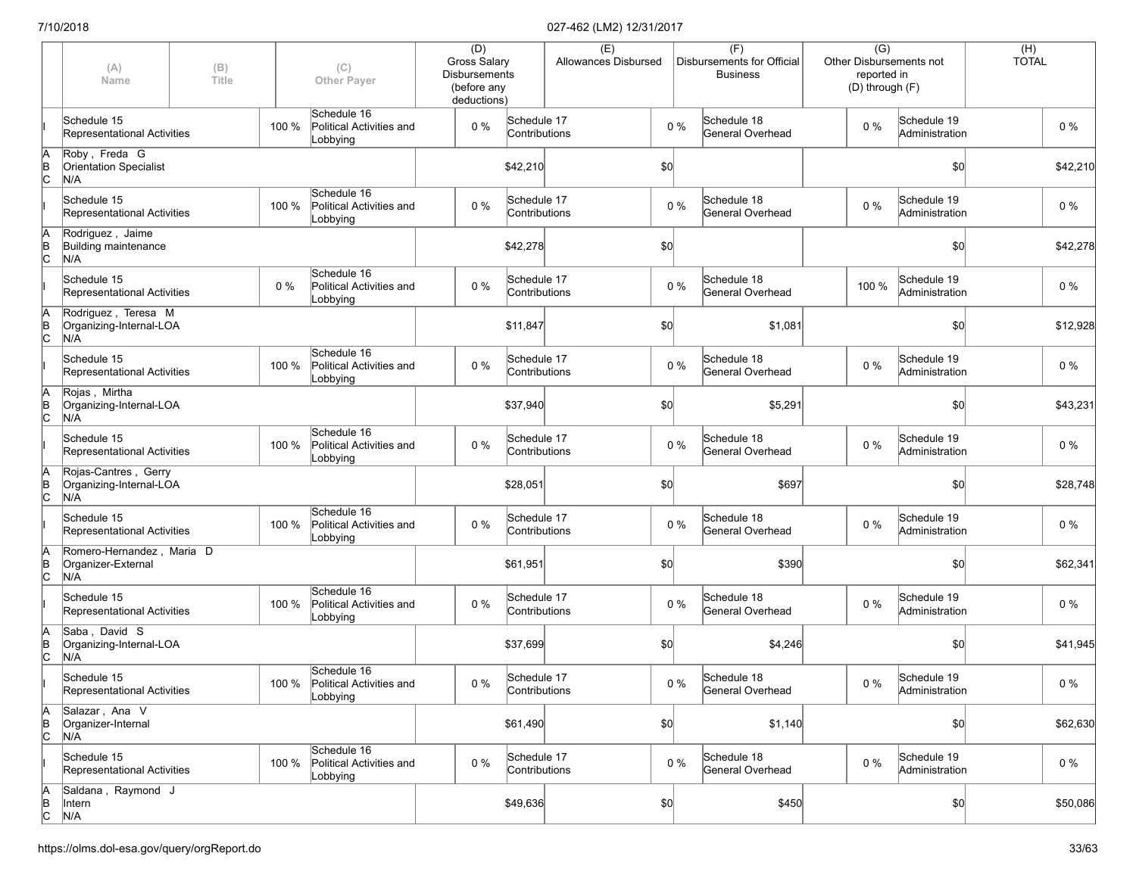|                      | (A)<br>Name                                            | (B)<br>Title |       | (C)<br><b>Other Payer</b>                                 | (D)<br>Gross Salary<br><b>Disbursements</b><br>(before any<br>deductions) |                              | (E)<br>Allowances Disbursed |     |       | (F)<br>Disbursements for Official<br><b>Business</b> |       | $\overline{(G)}$<br>Other Disbursements not<br>reported in<br>(D) through (F) | $(H)$<br>TOTAL |          |
|----------------------|--------------------------------------------------------|--------------|-------|-----------------------------------------------------------|---------------------------------------------------------------------------|------------------------------|-----------------------------|-----|-------|------------------------------------------------------|-------|-------------------------------------------------------------------------------|----------------|----------|
|                      | Schedule 15<br>Representational Activities             |              | 100 % | Schedule 16<br>Political Activities and<br>Lobbying       | $0\%$                                                                     | Schedule 17<br>Contributions |                             |     | 0%    | Schedule 18<br>General Overhead                      | $0\%$ | Schedule 19<br>Administration                                                 |                | $0\%$    |
| A<br>B<br>C          | Roby, Freda G<br><b>Orientation Specialist</b><br>N/A  |              |       |                                                           |                                                                           | \$42,210                     |                             | \$0 |       |                                                      |       | \$0                                                                           |                | \$42,210 |
|                      | Schedule 15<br>Representational Activities             |              | 100 % | Schedule 16<br>Political Activities and<br>Lobbying       | $0\%$                                                                     | Schedule 17<br>Contributions |                             |     | $0\%$ | Schedule 18<br>General Overhead                      | $0\%$ | Schedule 19<br>Administration                                                 |                | 0 %      |
| A<br>$\overline{C}$  | Rodriquez, Jaime<br>Building maintenance<br>N/A        |              |       |                                                           |                                                                           | \$42,278                     |                             | \$0 |       |                                                      |       | \$0                                                                           |                | \$42,278 |
|                      | Schedule 15<br>Representational Activities             |              | 0%    | Schedule 16<br>Political Activities and<br>Lobbying       | 0%                                                                        | Schedule 17<br>Contributions |                             |     | $0\%$ | Schedule 18<br>General Overhead                      | 100 % | Schedule 19<br>Administration                                                 |                | $0\%$    |
| ļΑ<br>$\overline{C}$ | Rodriguez, Teresa M<br>Organizing-Internal-LOA<br>N/A  |              |       |                                                           |                                                                           | \$11,847                     |                             | \$0 |       | \$1,081                                              |       | \$0                                                                           |                | \$12,928 |
|                      | Schedule 15<br>Representational Activities             |              | 100 % | Schedule 16<br>Political Activities and<br>Lobbying       | $0\%$                                                                     | Schedule 17<br>Contributions |                             |     | $0\%$ | Schedule 18<br>General Overhead                      | $0\%$ | Schedule 19<br>Administration                                                 |                | $0\%$    |
| ΙA<br>ΙB<br>Iс       | Rojas, Mirtha<br>Organizing-Internal-LOA<br>N/A        |              |       |                                                           |                                                                           | \$37,940                     |                             | \$0 |       | \$5,291                                              |       | \$0                                                                           |                | \$43,231 |
|                      | Schedule 15<br>Representational Activities             |              | 100 % | Schedule 16<br>Political Activities and<br>Lobbying       | 0%                                                                        | Schedule 17<br>Contributions |                             |     | $0\%$ | Schedule 18<br>General Overhead                      | $0\%$ | Schedule 19<br>Administration                                                 |                | $0\%$    |
| A<br>B<br>C          | Rojas-Cantres, Gerry<br>Organizing-Internal-LOA<br>N/A |              |       |                                                           |                                                                           | \$28,051                     |                             | \$0 |       | \$697                                                |       | \$0                                                                           |                | \$28,748 |
|                      | Schedule 15<br>Representational Activities             |              | 100 % | Schedule 16<br>Political Activities and<br>Lobbying       | 0%                                                                        | Schedule 17<br>Contributions |                             |     | $0\%$ | Schedule 18<br>General Overhead                      | $0\%$ | Schedule 19<br>Administration                                                 |                | $0\%$    |
| ΙA<br>$\overline{C}$ | Romero-Hernandez, Maria D<br>Organizer-External<br>N/A |              |       |                                                           |                                                                           | \$61,951                     |                             | \$0 |       | \$390                                                |       | \$0                                                                           |                | \$62,341 |
|                      | Schedule 15<br>Representational Activities             |              | 100 % | Schedule 16<br>Political Activities and<br>Lobbying       | $0\%$                                                                     | Schedule 17<br>Contributions |                             |     | $0\%$ | Schedule 18<br>General Overhead                      | $0\%$ | Schedule 19<br>Administration                                                 |                | $0\%$    |
| JΑ<br>$\overline{C}$ | Saba, David S<br>Organizing-Internal-LOA<br>N/A        |              |       |                                                           |                                                                           | \$37,699                     |                             | \$0 |       | \$4,246                                              |       | \$0                                                                           |                | \$41,945 |
|                      | Schedule 15<br>Representational Activities             |              |       | Schedule 16<br>100 % Political Activities and<br>Lobbying | $0\%$                                                                     | Schedule 17<br>Contributions |                             |     | $0\%$ | Schedule 18<br>General Overhead                      | $0\%$ | Schedule 19<br>Administration                                                 |                | $0\%$    |
| A<br>$\overline{C}$  | Salazar, Ana V<br>Organizer-Internal<br>N/A            |              |       |                                                           |                                                                           | \$61,490                     |                             | \$0 |       | \$1,140                                              |       | \$0                                                                           |                | \$62,630 |
|                      | Schedule 15<br>Representational Activities             |              | 100 % | Schedule 16<br>Political Activities and<br>Lobbying       | 0%                                                                        | Schedule 17<br>Contributions |                             |     | $0\%$ | Schedule 18<br>General Overhead                      | $0\%$ | Schedule 19<br>Administration                                                 |                | $0\%$    |
| A<br>B<br>C          | Saldana, Raymond J<br>Intern<br>N/A                    |              |       |                                                           |                                                                           | \$49,636                     |                             | 50  |       | \$450                                                |       | \$0                                                                           |                | \$50,086 |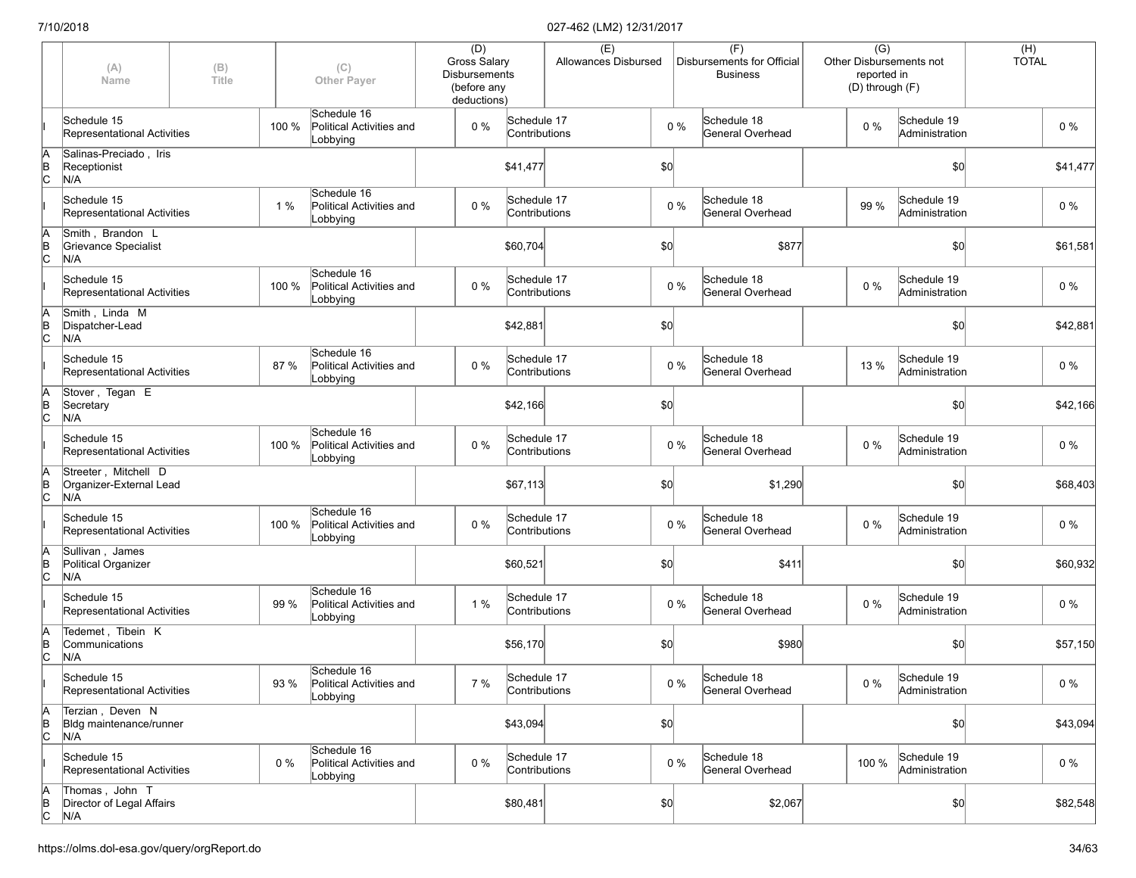|                      | (A)<br>Name                                            | (B)<br>Title |       | (C)<br><b>Other Payer</b>                           | (D)<br>Gross Salary<br><b>Disbursements</b><br>(before any<br>deductions) |                              | (E)<br>Allowances Disbursed |     |       | (F)<br>Disbursements for Official<br><b>Business</b> | $\overline{(G)}$<br>Other Disbursements not<br>reported in<br>(D) through (F) |                               | $(H)$<br>TOTAL |          |
|----------------------|--------------------------------------------------------|--------------|-------|-----------------------------------------------------|---------------------------------------------------------------------------|------------------------------|-----------------------------|-----|-------|------------------------------------------------------|-------------------------------------------------------------------------------|-------------------------------|----------------|----------|
|                      | Schedule 15<br>Representational Activities             |              | 100 % | Schedule 16<br>Political Activities and<br>Lobbying | $0\%$                                                                     | Schedule 17<br>Contributions |                             |     | $0\%$ | Schedule 18<br>General Overhead                      | $0\%$                                                                         | Schedule 19<br>Administration |                | $0\%$    |
| A<br>B<br>C          | Salinas-Preciado, Iris<br>Receptionist<br>N/A          |              |       |                                                     |                                                                           | \$41,477                     |                             | \$0 |       |                                                      |                                                                               | \$0                           |                | \$41,477 |
|                      | Schedule 15<br>Representational Activities             |              | 1%    | Schedule 16<br>Political Activities and<br>Lobbying | $0\%$                                                                     | Schedule 17<br>Contributions |                             |     | $0\%$ | Schedule 18<br>General Overhead                      | 99 %                                                                          | Schedule 19<br>Administration |                | 0 %      |
| ΙA<br>$\overline{C}$ | Smith, Brandon L<br>Grievance Specialist<br>N/A        |              |       |                                                     |                                                                           | \$60,704                     |                             | \$0 |       | \$877                                                |                                                                               | \$0                           |                | \$61,581 |
|                      | Schedule 15<br>Representational Activities             |              | 100 % | Schedule 16<br>Political Activities and<br>Lobbying | $0\%$                                                                     | Schedule 17<br>Contributions |                             |     | $0\%$ | Schedule 18<br>General Overhead                      | 0%                                                                            | Schedule 19<br>Administration |                | $0\%$    |
| ΙA<br>$\overline{C}$ | Smith, Linda M<br>Dispatcher-Lead<br>N/A               |              |       |                                                     |                                                                           | \$42,881                     |                             | \$0 |       |                                                      |                                                                               | \$0                           |                | \$42,881 |
|                      | Schedule 15<br>Representational Activities             |              | 87 %  | Schedule 16<br>Political Activities and<br>Lobbying | $0\%$                                                                     | Schedule 17<br>Contributions |                             |     | $0\%$ | Schedule 18<br>General Overhead                      | 13 %                                                                          | Schedule 19<br>Administration |                | $0\%$    |
| A<br>B<br>C          | Stover, Tegan E<br>Secretary<br>N/A                    |              |       |                                                     |                                                                           | \$42,166                     |                             | \$0 |       |                                                      |                                                                               | \$0                           |                | \$42,166 |
|                      | Schedule 15<br>Representational Activities             |              | 100 % | Schedule 16<br>Political Activities and<br>Lobbying | 0%                                                                        | Schedule 17<br>Contributions |                             |     | $0\%$ | Schedule 18<br>General Overhead                      | $0\%$                                                                         | Schedule 19<br>Administration |                | $0\%$    |
| A<br>B<br>C          | Streeter, Mitchell D<br>Organizer-External Lead<br>N/A |              |       |                                                     |                                                                           | \$67,113                     |                             | \$0 |       | \$1,290                                              |                                                                               | \$0                           |                | \$68,403 |
|                      | Schedule 15<br>Representational Activities             |              | 100 % | Schedule 16<br>Political Activities and<br>Lobbying | $0\%$                                                                     | Schedule 17<br>Contributions |                             |     | $0\%$ | Schedule 18<br>General Overhead                      | $0\%$                                                                         | Schedule 19<br>Administration |                | $0\%$    |
| ΙA<br>$\overline{C}$ | Sullivan, James<br>Political Organizer<br>N/A          |              |       |                                                     |                                                                           | \$60,521                     |                             | \$0 |       | \$411                                                |                                                                               | \$0                           |                | \$60,932 |
|                      | Schedule 15<br>Representational Activities             |              | 99 %  | Schedule 16<br>Political Activities and<br>Lobbying | 1%                                                                        | Schedule 17<br>Contributions |                             |     | $0\%$ | Schedule 18<br>General Overhead                      | $0\%$                                                                         | Schedule 19<br>Administration |                | $0\%$    |
| JΑ<br>$\overline{C}$ | Tedemet, Tibein K<br>Communications<br>N/A             |              |       |                                                     |                                                                           | \$56,170                     |                             | \$0 |       | \$980                                                |                                                                               | \$0                           |                | \$57,150 |
|                      | Schedule 15<br>Representational Activities             |              | 93 %  | Schedule 16<br>Political Activities and<br>Lobbying | 7 %                                                                       | Schedule 17<br>Contributions |                             |     | $0\%$ | Schedule 18<br>General Overhead                      | $0\%$                                                                         | Schedule 19<br>Administration |                | $0\%$    |
| A<br>$\overline{C}$  | Terzian, Deven N<br>Bldg maintenance/runner<br>N/A     |              |       |                                                     |                                                                           | \$43,094                     |                             | \$0 |       |                                                      |                                                                               | \$0                           |                | \$43,094 |
|                      | Schedule 15<br>Representational Activities             |              | $0\%$ | Schedule 16<br>Political Activities and<br>Lobbying | $0\%$                                                                     | Schedule 17<br>Contributions |                             |     | $0\%$ | Schedule 18<br>General Overhead                      | 100 %                                                                         | Schedule 19<br>Administration |                | $0\%$    |
| A<br>B<br>C          | Thomas, John T<br>Director of Legal Affairs<br>N/A     |              |       |                                                     |                                                                           | \$80,481                     |                             | 50  |       | \$2,067                                              |                                                                               | \$0                           |                | \$82,548 |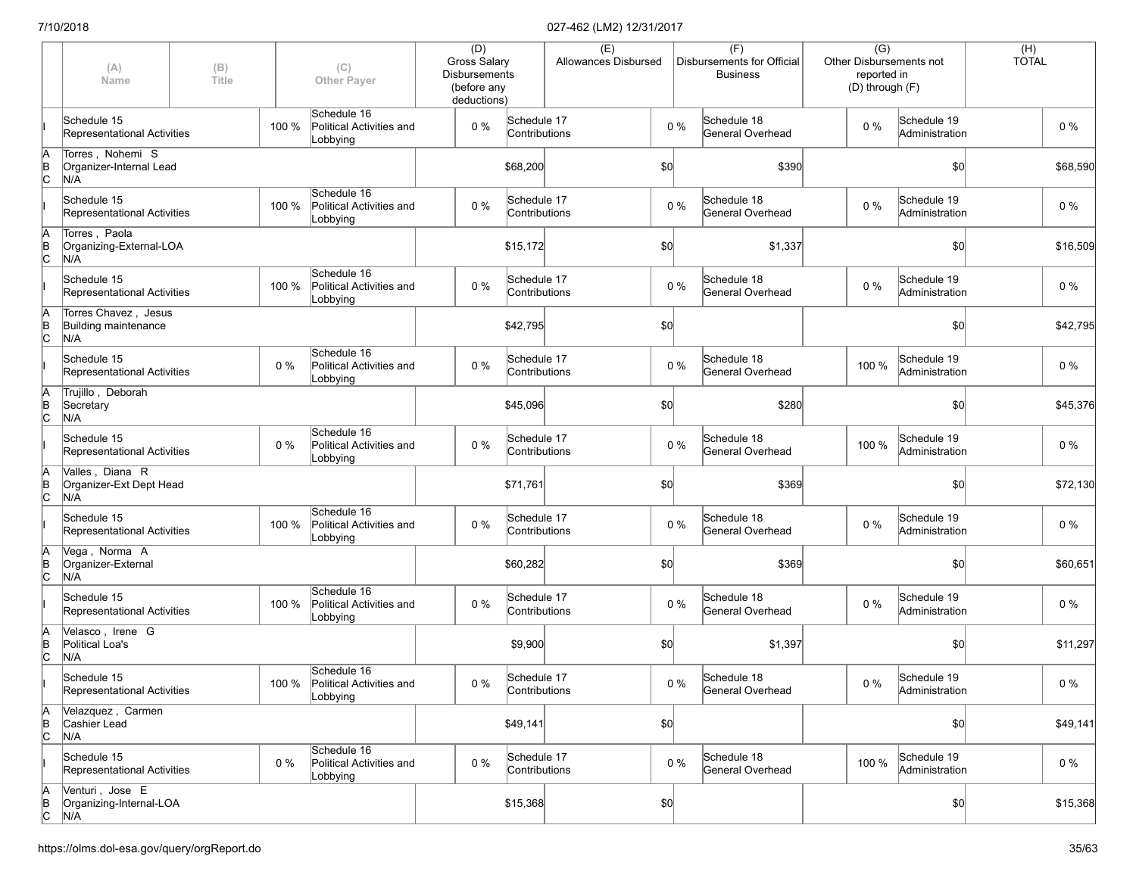|                      | (A)<br>Name                                         | (B)<br>Title |       | (C)<br><b>Other Payer</b>                                 | (D)<br><b>Gross Salary</b><br><b>Disbursements</b><br>(before any<br>deductions) |                              | (E)<br>Allowances Disbursed |     |       | (F)<br>Disbursements for Official<br><b>Business</b> | Other Disbursements not<br>(D) through (F) | $\overline{(G)}$<br>reported in |                               | $(H)$<br>TOTAL |          |
|----------------------|-----------------------------------------------------|--------------|-------|-----------------------------------------------------------|----------------------------------------------------------------------------------|------------------------------|-----------------------------|-----|-------|------------------------------------------------------|--------------------------------------------|---------------------------------|-------------------------------|----------------|----------|
|                      | Schedule 15<br>Representational Activities          |              | 100 % | Schedule 16<br>Political Activities and<br>Lobbying       | 0%                                                                               | Schedule 17<br>Contributions |                             |     | $0\%$ | Schedule 18<br>General Overhead                      | $0\%$                                      |                                 | Schedule 19<br>Administration |                | $0\%$    |
| ΙA<br>$\overline{B}$ | Torres, Nohemi S<br>Organizer-Internal Lead<br>N/A  |              |       |                                                           |                                                                                  | \$68,200                     |                             | \$0 |       | \$390                                                |                                            |                                 | \$0                           |                | \$68,590 |
|                      | Schedule 15<br>Representational Activities          |              | 100 % | Schedule 16<br>Political Activities and<br>Lobbying       | $0\%$                                                                            | Schedule 17<br>Contributions |                             |     | $0\%$ | Schedule 18<br>General Overhead                      | $0\%$                                      |                                 | Schedule 19<br>Administration |                | $0\%$    |
| ΙA<br>$\overline{C}$ | Torres, Paola<br>Organizing-External-LOA<br>N/A     |              |       |                                                           |                                                                                  | \$15,172                     |                             | \$0 |       | \$1,337                                              |                                            |                                 | \$0                           |                | \$16,509 |
|                      | Schedule 15<br>Representational Activities          |              | 100 % | Schedule 16<br>Political Activities and<br>Lobbying       | 0%                                                                               | Schedule 17<br>Contributions |                             |     | $0\%$ | Schedule 18<br>General Overhead                      | $0\%$                                      |                                 | Schedule 19<br>Administration |                | $0\%$    |
| ΙA<br>$\overline{C}$ | Torres Chavez, Jesus<br>Building maintenance<br>N/A |              |       |                                                           |                                                                                  | \$42,795                     |                             | \$0 |       |                                                      |                                            |                                 | \$0                           |                | \$42,795 |
|                      | Schedule 15<br>Representational Activities          |              | $0\%$ | Schedule 16<br>Political Activities and<br>Lobbying       | 0%                                                                               | Schedule 17<br>Contributions |                             |     | $0\%$ | Schedule 18<br>General Overhead                      | 100 %                                      |                                 | Schedule 19<br>Administration |                | $0\%$    |
| A<br>$\overline{C}$  | Trujillo, Deborah<br>Secretary<br>N/A               |              |       |                                                           |                                                                                  | \$45,096                     |                             | \$0 |       | \$280                                                |                                            |                                 | \$0                           |                | \$45,376 |
|                      | Schedule 15<br>Representational Activities          |              | $0\%$ | Schedule 16<br>Political Activities and<br>Lobbying       | $0\%$                                                                            | Schedule 17<br>Contributions |                             |     | $0\%$ | Schedule 18<br>General Overhead                      | 100 %                                      |                                 | Schedule 19<br>Administration |                | $0\%$    |
| ΙA<br>$\overline{C}$ | Valles, Diana R<br>Organizer-Ext Dept Head<br>N/A   |              |       |                                                           |                                                                                  | \$71,761                     |                             | \$0 |       | \$369                                                |                                            |                                 | \$0                           |                | \$72,130 |
|                      | Schedule 15<br>Representational Activities          |              | 100 % | Schedule 16<br>Political Activities and<br>Lobbying       | $0\%$                                                                            | Schedule 17<br>Contributions |                             |     | $0\%$ | Schedule 18<br>General Overhead                      | $0\%$                                      |                                 | Schedule 19<br>Administration |                | $0\%$    |
| ΙA<br>$\overline{C}$ | Vega, Norma A<br>Organizer-External<br>N/A          |              |       |                                                           |                                                                                  | \$60,282                     |                             | \$0 |       | \$369                                                |                                            |                                 | \$0                           |                | \$60,651 |
|                      | Schedule 15<br>Representational Activities          |              | 100 % | Schedule 16<br>Political Activities and<br>Lobbying       | $0\%$                                                                            | Schedule 17<br>Contributions |                             |     | $0\%$ | Schedule 18<br>General Overhead                      | $0\%$                                      |                                 | Schedule 19<br>Administration |                | $0\%$    |
| ΙA<br>$\overline{C}$ | Velasco, Irene G<br>Political Loa's<br>N/A          |              |       |                                                           |                                                                                  | \$9,900                      |                             | \$0 |       | \$1,397                                              |                                            |                                 | \$0                           |                | \$11,297 |
|                      | Schedule 15<br>Representational Activities          |              |       | Schedule 16<br>100 % Political Activities and<br>Lobbying | 0 %                                                                              | Schedule 17<br>Contributions |                             |     | $0\%$ | Schedule 18<br>General Overhead                      | $0\%$                                      |                                 | Schedule 19<br>Administration |                | $0\%$    |
| ΙA<br>$\overline{C}$ | Velazquez, Carmen<br>Cashier Lead<br>N/A            |              |       |                                                           |                                                                                  | \$49,141                     |                             | 50  |       |                                                      |                                            |                                 | \$0                           |                | \$49,141 |
|                      | Schedule 15<br>Representational Activities          |              | 0%    | Schedule 16<br>Political Activities and<br>Lobbying       | 0%                                                                               | Schedule 17<br>Contributions |                             |     | $0\%$ | Schedule 18<br>General Overhead                      | 100 %                                      |                                 | Schedule 19<br>Administration |                | $0\%$    |
| A<br>B<br>C          | Venturi, Jose E<br>Organizing-Internal-LOA<br>N/A   |              |       |                                                           |                                                                                  | \$15,368                     |                             | 50  |       |                                                      |                                            |                                 | \$0                           |                | \$15,368 |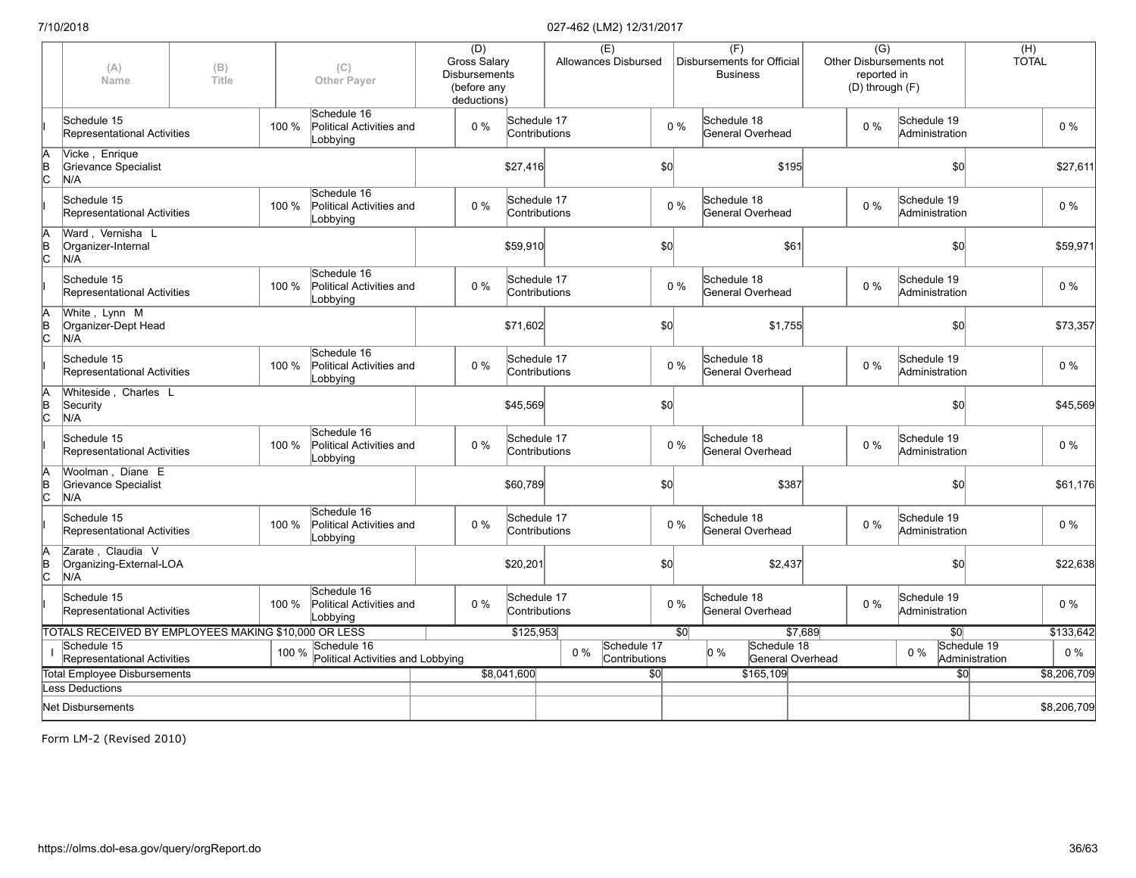|                                                    | (A)<br>Name                                          | (B)<br>Title |       | (C)<br><b>Other Payer</b>                           | (D)<br><b>Gross Salary</b><br><b>Disbursements</b><br>(before any<br>deductions) |             | (E)<br>Allowances Disbursed           |     |             | (F)<br>Disbursements for Official<br><b>Business</b> | $\overline{(G)}$<br>reported in | Other Disbursements not<br>(D) through (F) | (H)<br><b>TOTAL</b>           |             |
|----------------------------------------------------|------------------------------------------------------|--------------|-------|-----------------------------------------------------|----------------------------------------------------------------------------------|-------------|---------------------------------------|-----|-------------|------------------------------------------------------|---------------------------------|--------------------------------------------|-------------------------------|-------------|
|                                                    | Schedule 15<br>Representational Activities           |              | 100 % | Schedule 16<br>Political Activities and<br>Lobbying | $0\%$                                                                            | Schedule 17 | Contributions                         |     | $0\%$       | Schedule 18<br>General Overhead                      | $0\%$                           | Schedule 19<br>Administration              |                               | $0\%$       |
| A<br>B<br>C                                        | Vicke, Enrique<br>Grievance Specialist<br>N/A        |              |       |                                                     |                                                                                  | \$27,416    |                                       | \$0 |             | \$195                                                |                                 | \$0                                        |                               | \$27,611    |
|                                                    | Schedule 15<br><b>Representational Activities</b>    |              | 100 % | Schedule 16<br>Political Activities and<br>Lobbying | $0\%$                                                                            | Schedule 17 | Contributions                         |     | $0\%$       | Schedule 18<br>General Overhead                      | $0\%$                           | Schedule 19<br>Administration              |                               | 0%          |
| $A$ <sub>B</sub> $C$                               | Ward, Vernisha L<br>Organizer-Internal<br>N/A        |              |       |                                                     |                                                                                  | \$59,910    |                                       | \$0 |             | \$61                                                 |                                 | \$0                                        |                               | \$59,971    |
|                                                    | Schedule 15<br>Representational Activities           |              | 100 % | Schedule 16<br>Political Activities and<br>Lobbying | $0\%$                                                                            | Schedule 17 | Contributions                         |     | $0\%$       | Schedule 18<br>General Overhead                      | $0\%$                           | Schedule 19<br>Administration              |                               | $0\%$       |
| $A$ <sub>B</sub> $C$                               | White, Lynn M<br>Organizer-Dept Head<br>N/A          |              |       |                                                     |                                                                                  | \$71,602    |                                       | \$0 |             | \$1,755                                              |                                 | \$0                                        |                               | \$73,357    |
|                                                    | Schedule 15<br>Representational Activities           |              | 100 % | Schedule 16<br>Political Activities and<br>Lobbying | $0\%$                                                                            | Schedule 17 | Contributions                         |     | $0\%$       | Schedule 18<br>General Overhead                      | $0\%$                           | Schedule 19<br>Administration              |                               | $0\%$       |
| $A$ <sub>B</sub> $C$                               | Whiteside, Charles L<br>Security<br>N/A              |              |       |                                                     |                                                                                  | \$45,569    |                                       | \$0 |             |                                                      |                                 | \$0                                        |                               | \$45,569    |
|                                                    | Schedule 15<br>Representational Activities           |              | 100 % | Schedule 16<br>Political Activities and<br>Lobbying | $0\%$                                                                            | Schedule 17 | Contributions                         |     | $0\%$       | Schedule 18<br>General Overhead                      | $0\%$                           | Schedule 19<br>Administration              |                               | $0\%$       |
| $A$ <sub>B</sub> $C$                               | Woolman, Diane E<br>Grievance Specialist<br>N/A      |              |       |                                                     |                                                                                  | \$60,789    |                                       | \$0 |             | \$387                                                |                                 | \$0                                        |                               | \$61,176    |
|                                                    | Schedule 15<br>Representational Activities           |              | 100 % | Schedule 16<br>Political Activities and<br>Lobbying | $0\%$                                                                            | Schedule 17 | Contributions                         |     | $0\%$       | Schedule 18<br>General Overhead                      | $0\%$                           | Schedule 19<br>Administration              |                               | $0\%$       |
| $A$ <sub>B</sub> $C$                               | Zarate, Claudia V<br>Organizing-External-LOA<br>N/A  |              |       |                                                     |                                                                                  | \$20,201    |                                       | \$0 |             | \$2,437                                              |                                 | \$0                                        |                               | \$22,638    |
|                                                    | Schedule 15<br><b>Representational Activities</b>    |              | 100 % | Schedule 16<br>Political Activities and<br>Lobbying | $0\%$                                                                            | Schedule 17 | Contributions                         |     | $0\%$       | Schedule 18<br>General Overhead                      | $0\%$                           | Schedule 19<br>Administration              |                               | $0\%$       |
|                                                    | TOTALS RECEIVED BY EMPLOYEES MAKING \$10,000 OR LESS |              |       |                                                     |                                                                                  | \$125,953   |                                       |     | $\sqrt{50}$ | \$7,689                                              |                                 | \$0                                        |                               | \$133,642   |
|                                                    | Schedule 15<br>Representational Activities           |              | 100 % | Schedule 16<br>Political Activities and Lobbying    |                                                                                  |             | Schedule 17<br>$0\%$<br>Contributions |     |             | Schedule 18<br>0 %<br>General Overhead               |                                 | $0\%$                                      | Schedule 19<br>Administration | $0\%$       |
| <b>Total Employee Disbursements</b><br>\$8,041,600 |                                                      |              |       |                                                     |                                                                                  |             | \$0                                   |     | \$165,109   |                                                      | \$0                             |                                            | \$8,206,709                   |             |
|                                                    | <b>Less Deductions</b>                               |              |       |                                                     |                                                                                  |             |                                       |     |             |                                                      |                                 |                                            |                               |             |
|                                                    | <b>Net Disbursements</b>                             |              |       |                                                     |                                                                                  |             |                                       |     |             |                                                      |                                 |                                            |                               | \$8,206,709 |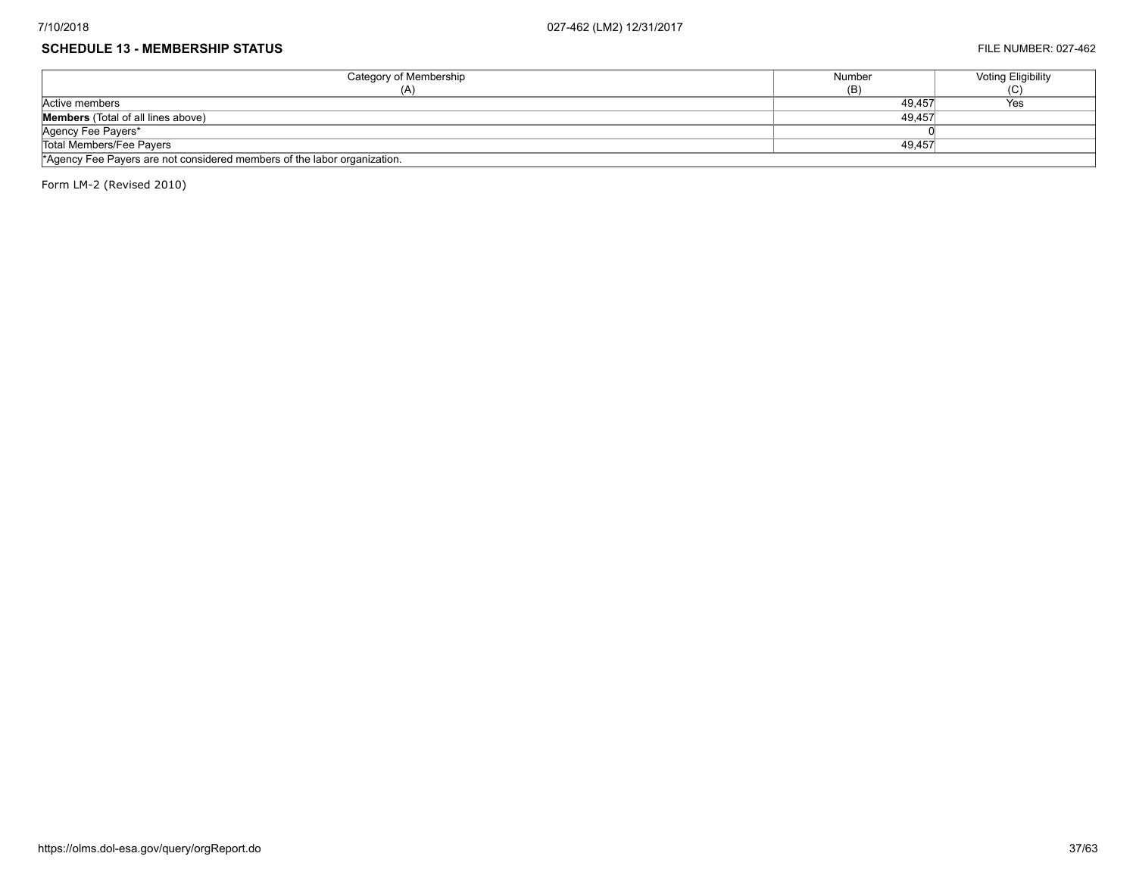#### **SCHEDULE 13 - MEMBERSHIP STATUS** FILE NUMBER: 027-462

| Category of Membership                                                   | Number | <b>Voting Eligibility</b> |  |  |  |  |
|--------------------------------------------------------------------------|--------|---------------------------|--|--|--|--|
| (A)                                                                      | (B)    | ا با                      |  |  |  |  |
| Active members                                                           | 49.457 | Yes                       |  |  |  |  |
| <b>Members</b> (Total of all lines above)                                | 49.457 |                           |  |  |  |  |
| Agency Fee Payers*                                                       |        |                           |  |  |  |  |
| Total Members/Fee Payers                                                 | 49.457 |                           |  |  |  |  |
| *Agency Fee Payers are not considered members of the labor organization. |        |                           |  |  |  |  |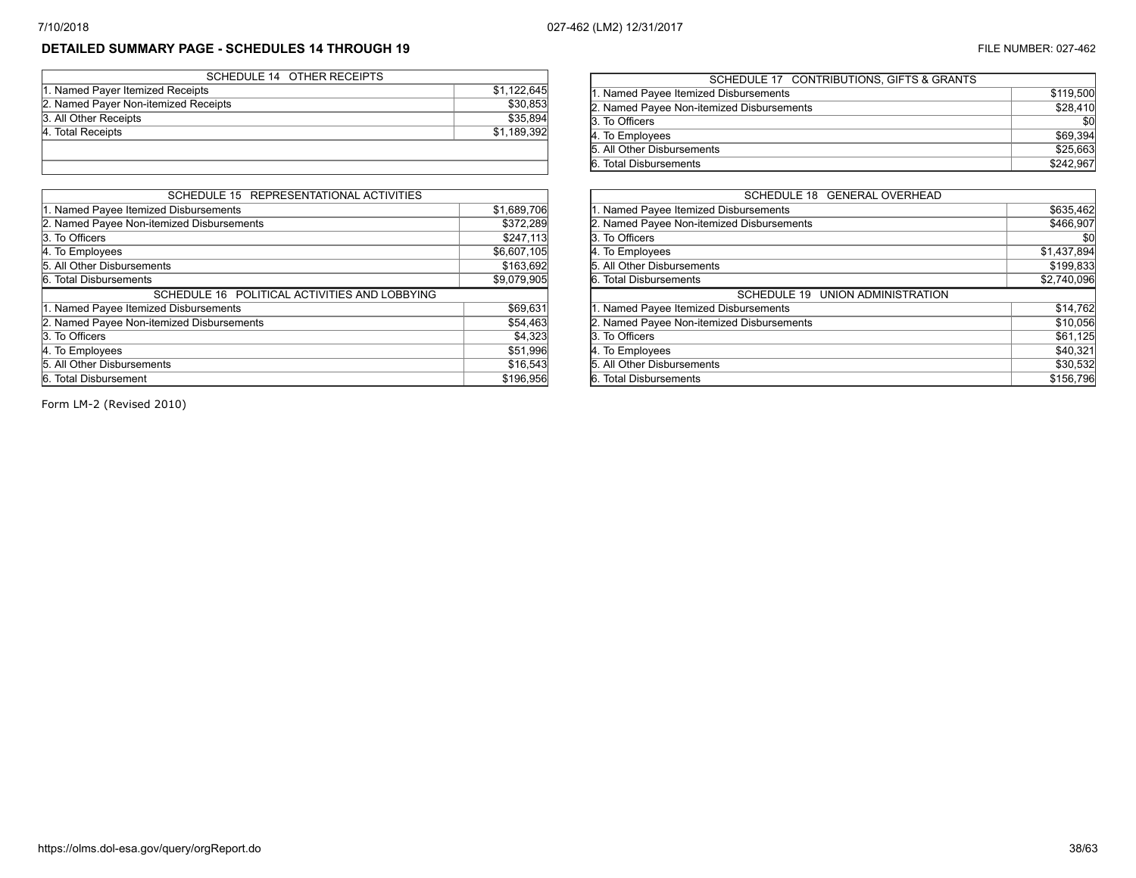# **DETAILED SUMMARY PAGE - SCHEDULES 14 THROUGH 19** FILE NUMBER: 027-462

| SCHEDULE 14 OTHER RECEIPTS           |             |
|--------------------------------------|-------------|
| 1. Named Payer Itemized Receipts     | \$1,122,645 |
| 2. Named Payer Non-itemized Receipts | \$30,853    |
| 3. All Other Receipts                | \$35,894    |
| 4. Total Receipts                    | \$1,189,392 |
|                                      |             |
|                                      |             |

| SCHEDULE 15 REPRESENTATIONAL ACTIVITIES       |             |  |  |  |  |  |  |
|-----------------------------------------------|-------------|--|--|--|--|--|--|
| 1. Named Payee Itemized Disbursements         | \$1,689,706 |  |  |  |  |  |  |
| 2. Named Payee Non-itemized Disbursements     | \$372,289   |  |  |  |  |  |  |
| 3. To Officers                                | \$247,113   |  |  |  |  |  |  |
| 4. To Employees                               | \$6,607,105 |  |  |  |  |  |  |
| 5. All Other Disbursements                    | \$163,692   |  |  |  |  |  |  |
| 6. Total Disbursements                        | \$9,079,905 |  |  |  |  |  |  |
| SCHEDULE 16 POLITICAL ACTIVITIES AND LOBBYING |             |  |  |  |  |  |  |
| 1. Named Payee Itemized Disbursements         | \$69,631    |  |  |  |  |  |  |
| 2. Named Payee Non-itemized Disbursements     | \$54,463    |  |  |  |  |  |  |
| 3. To Officers                                | \$4,323     |  |  |  |  |  |  |
| 4. To Employees                               | \$51,996    |  |  |  |  |  |  |
| 5. All Other Disbursements                    | \$16,543    |  |  |  |  |  |  |
| 6. Total Disbursement                         | \$196,956   |  |  |  |  |  |  |

| SCHEDULE 17 CONTRIBUTIONS, GIFTS & GRANTS |           |
|-------------------------------------------|-----------|
| 1. Named Payee Itemized Disbursements     | \$119,500 |
| 2. Named Payee Non-itemized Disbursements | \$28,410  |
| 3. To Officers                            | \$0       |
| 4. To Employees                           | \$69,394  |
| 5. All Other Disbursements                | \$25,663  |
| 6. Total Disbursements                    | \$242,967 |
|                                           |           |

| SCHEDULE 18 GENERAL OVERHEAD              |             |
|-------------------------------------------|-------------|
| 1. Named Payee Itemized Disbursements     | \$635,462   |
| 2. Named Payee Non-itemized Disbursements | \$466,907   |
| 3. To Officers                            | \$0         |
| 4. To Employees                           | \$1,437,894 |
| 5. All Other Disbursements                | \$199,833   |
| 6. Total Disbursements                    | \$2,740,096 |
| SCHEDULE 19 UNION ADMINISTRATION          |             |
| 1. Named Payee Itemized Disbursements     | \$14,762    |
| 2. Named Payee Non-itemized Disbursements | \$10,056    |
| 3. To Officers                            | \$61,125    |
| 4. To Employees                           | \$40,321    |
| 5. All Other Disbursements                | \$30,532    |
| 6. Total Disbursements                    | \$156,796   |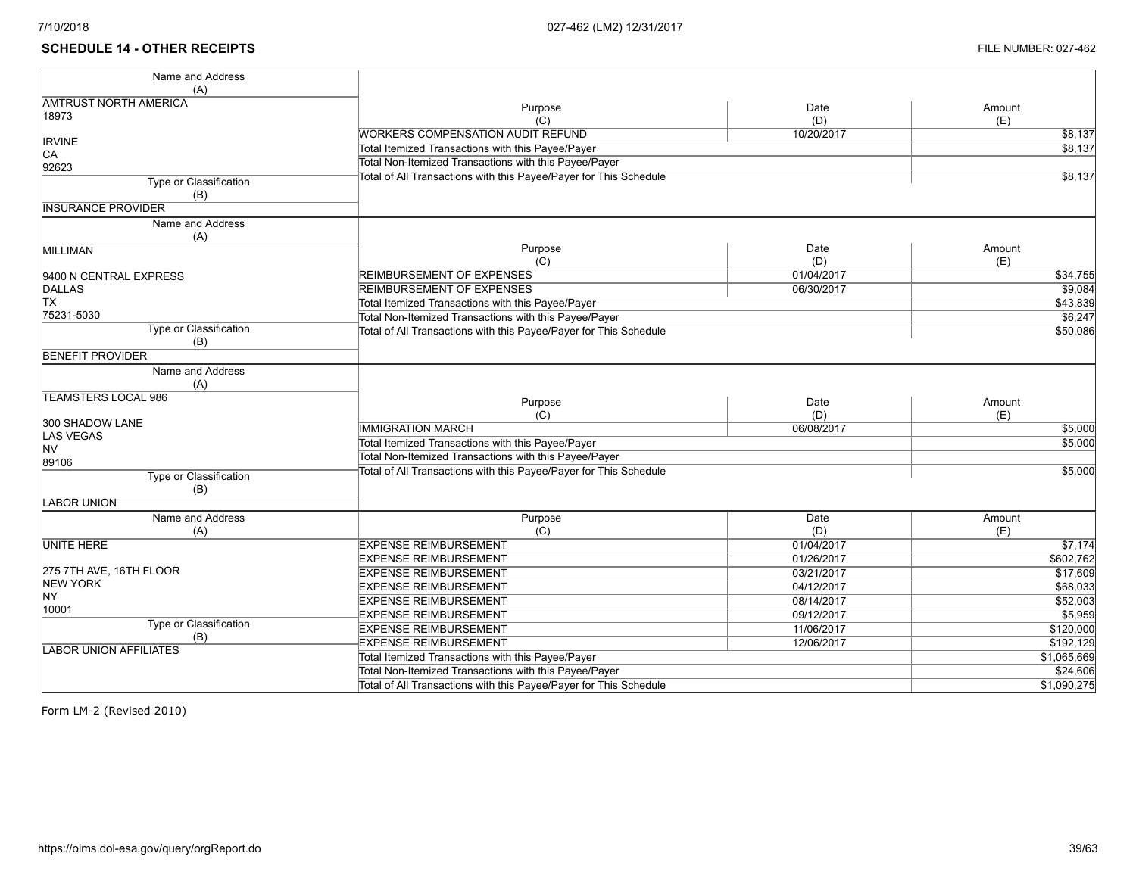### **SCHEDULE 14 - OTHER RECEIPTS** FILE NUMBER: 027-462

| Name and Address              |                                                                   |                                                   |             |  |  |  |  |  |
|-------------------------------|-------------------------------------------------------------------|---------------------------------------------------|-------------|--|--|--|--|--|
| (A)                           |                                                                   |                                                   |             |  |  |  |  |  |
| <b>AMTRUST NORTH AMERICA</b>  | Purpose                                                           | Date                                              | Amount      |  |  |  |  |  |
| 18973                         | (C)                                                               | (D)                                               | (E)         |  |  |  |  |  |
|                               | <b>WORKERS COMPENSATION AUDIT REFUND</b>                          | 10/20/2017                                        | \$8,137     |  |  |  |  |  |
| <b>IRVINE</b>                 |                                                                   |                                                   | \$8,137     |  |  |  |  |  |
| CA                            |                                                                   | Total Itemized Transactions with this Payee/Payer |             |  |  |  |  |  |
| 92623                         | Total Non-Itemized Transactions with this Payee/Payer             |                                                   |             |  |  |  |  |  |
| Type or Classification        | Total of All Transactions with this Payee/Payer for This Schedule |                                                   | \$8,137     |  |  |  |  |  |
| (B)                           |                                                                   |                                                   |             |  |  |  |  |  |
| <b>IINSURANCE PROVIDER</b>    |                                                                   |                                                   |             |  |  |  |  |  |
| Name and Address              |                                                                   |                                                   |             |  |  |  |  |  |
| (A)                           |                                                                   |                                                   |             |  |  |  |  |  |
| <b>MILLIMAN</b>               | Purpose                                                           | Date                                              | Amount      |  |  |  |  |  |
|                               | (C)                                                               | (D)                                               | (E)         |  |  |  |  |  |
| 9400 N CENTRAL EXPRESS        | REIMBURSEMENT OF EXPENSES                                         | 01/04/2017                                        | \$34,755    |  |  |  |  |  |
| DALLAS                        | REIMBURSEMENT OF EXPENSES                                         | 06/30/2017                                        | \$9,084     |  |  |  |  |  |
| <b>TX</b>                     | Total Itemized Transactions with this Payee/Payer                 |                                                   | \$43,839    |  |  |  |  |  |
| 75231-5030                    | Total Non-Itemized Transactions with this Payee/Payer             |                                                   | \$6,247     |  |  |  |  |  |
| Type or Classification        | Total of All Transactions with this Payee/Payer for This Schedule | \$50,086                                          |             |  |  |  |  |  |
| (B)                           |                                                                   |                                                   |             |  |  |  |  |  |
| <b>BENEFIT PROVIDER</b>       |                                                                   |                                                   |             |  |  |  |  |  |
| Name and Address              |                                                                   |                                                   |             |  |  |  |  |  |
| (A)                           |                                                                   |                                                   |             |  |  |  |  |  |
| <b>TEAMSTERS LOCAL 986</b>    |                                                                   |                                                   |             |  |  |  |  |  |
|                               | Purpose                                                           | Date                                              | Amount      |  |  |  |  |  |
| 300 SHADOW LANE               | (C)                                                               | (D)                                               | (E)         |  |  |  |  |  |
| LAS VEGAS                     | <b>IMMIGRATION MARCH</b>                                          | 06/08/2017                                        | \$5,000     |  |  |  |  |  |
| <b>NV</b>                     | Total Itemized Transactions with this Payee/Payer                 |                                                   | \$5,000     |  |  |  |  |  |
| 89106                         | Total Non-Itemized Transactions with this Payee/Payer             |                                                   |             |  |  |  |  |  |
| Type or Classification        | Total of All Transactions with this Payee/Payer for This Schedule |                                                   | \$5,000     |  |  |  |  |  |
| (B)                           |                                                                   |                                                   |             |  |  |  |  |  |
| <b>LABOR UNION</b>            |                                                                   |                                                   |             |  |  |  |  |  |
| Name and Address              | Purpose                                                           | <b>Date</b>                                       | Amount      |  |  |  |  |  |
| (A)                           | (C)                                                               | (D)                                               | (E)         |  |  |  |  |  |
| <b>UNITE HERE</b>             | <b>EXPENSE REIMBURSEMENT</b>                                      | 01/04/2017                                        | \$7,174     |  |  |  |  |  |
|                               | <b>EXPENSE REIMBURSEMENT</b>                                      | 01/26/2017                                        | \$602,762   |  |  |  |  |  |
| 275 7TH AVE, 16TH FLOOR       |                                                                   |                                                   |             |  |  |  |  |  |
| <b>NEW YORK</b>               | <b>EXPENSE REIMBURSEMENT</b>                                      | 03/21/2017                                        | \$17,609    |  |  |  |  |  |
| NY <sub></sub>                | <b>EXPENSE REIMBURSEMENT</b>                                      | 04/12/2017                                        | \$68,033    |  |  |  |  |  |
| 10001                         | <b>EXPENSE REIMBURSEMENT</b>                                      | 08/14/2017                                        | \$52,003    |  |  |  |  |  |
| Type or Classification        | <b>EXPENSE REIMBURSEMENT</b>                                      | 09/12/2017                                        | \$5,959     |  |  |  |  |  |
| (B)                           | <b>EXPENSE REIMBURSEMENT</b>                                      | 11/06/2017                                        | \$120,000   |  |  |  |  |  |
| <b>LABOR UNION AFFILIATES</b> | <b>EXPENSE REIMBURSEMENT</b>                                      | 12/06/2017                                        | \$192, 129  |  |  |  |  |  |
|                               | Total Itemized Transactions with this Payee/Payer                 |                                                   | \$1,065,669 |  |  |  |  |  |
|                               | Total Non-Itemized Transactions with this Payee/Payer             |                                                   | \$24,606    |  |  |  |  |  |
|                               | Total of All Transactions with this Payee/Payer for This Schedule |                                                   | \$1,090,275 |  |  |  |  |  |
|                               |                                                                   |                                                   |             |  |  |  |  |  |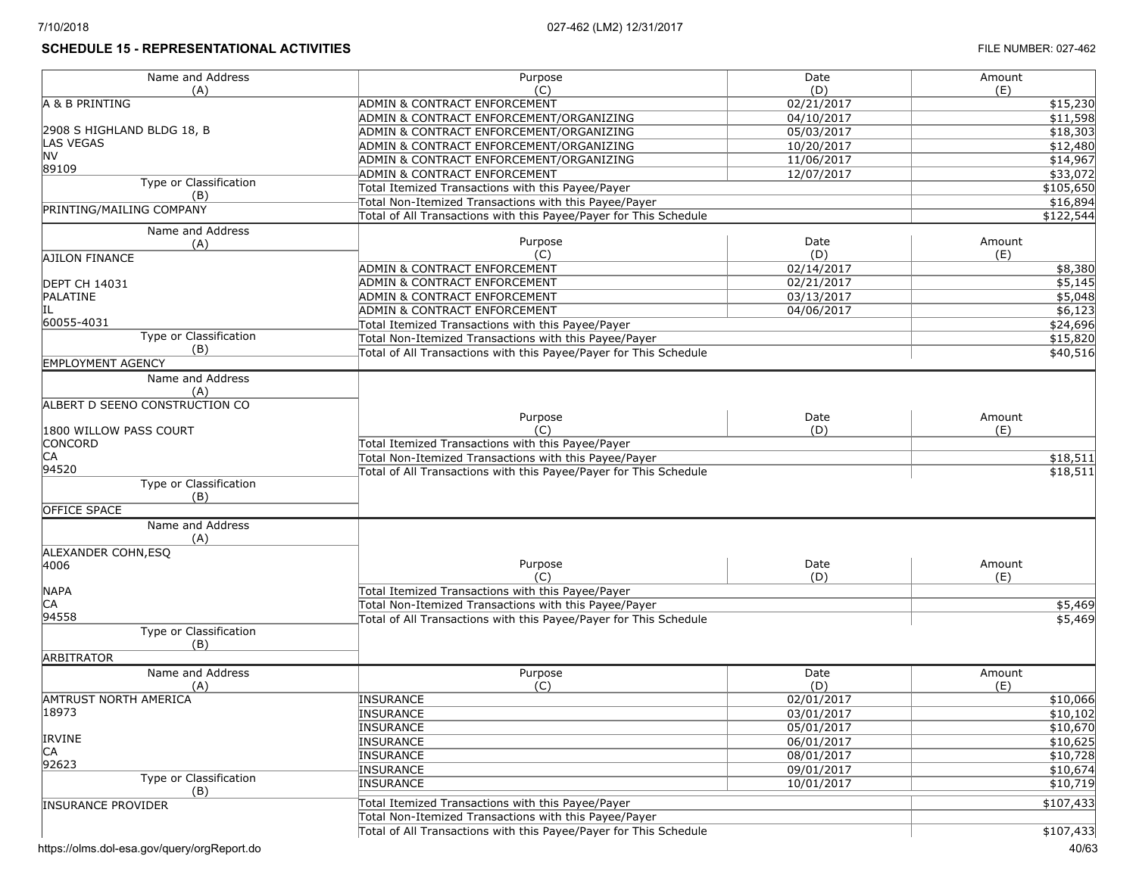# **SCHEDULE 15 - REPRESENTATIONAL ACTIVITIES FILE NUMBER: 027-462**

| Name and Address               | Purpose                                                           | Date                                              | Amount        |  |  |  |
|--------------------------------|-------------------------------------------------------------------|---------------------------------------------------|---------------|--|--|--|
| (A)                            | (C)                                                               | (D)                                               | (E)           |  |  |  |
| A & B PRINTING                 | ADMIN & CONTRACT ENFORCEMENT                                      | 02/21/2017                                        | \$15,230      |  |  |  |
|                                | ADMIN & CONTRACT ENFORCEMENT/ORGANIZING                           | 04/10/2017                                        | \$11,598      |  |  |  |
| 2908 S HIGHLAND BLDG 18, B     | ADMIN & CONTRACT ENFORCEMENT/ORGANIZING                           | 05/03/2017                                        | \$18,303      |  |  |  |
| LAS VEGAS<br>NV                | ADMIN & CONTRACT ENFORCEMENT/ORGANIZING                           | 10/20/2017                                        | \$12,480      |  |  |  |
| 89109                          | ADMIN & CONTRACT ENFORCEMENT/ORGANIZING                           | 11/06/2017                                        | \$14,967      |  |  |  |
| Type or Classification         | <b>ADMIN &amp; CONTRACT ENFORCEMENT</b>                           | 12/07/2017                                        | \$33,072      |  |  |  |
| (B)                            | Total Itemized Transactions with this Payee/Payer                 |                                                   | \$105,650     |  |  |  |
| PRINTING/MAILING COMPANY       | Total Non-Itemized Transactions with this Payee/Payer             |                                                   | \$16,894      |  |  |  |
|                                | Total of All Transactions with this Payee/Payer for This Schedule |                                                   | \$122,544     |  |  |  |
| Name and Address               |                                                                   |                                                   |               |  |  |  |
| (A)                            | Purpose<br>(C)                                                    | Date<br>(D)                                       | Amount<br>(E) |  |  |  |
| AJILON FINANCE                 | ADMIN & CONTRACT ENFORCEMENT                                      | 02/14/2017                                        | \$8,380       |  |  |  |
| <b>DEPT CH 14031</b>           | ADMIN & CONTRACT ENFORCEMENT                                      | 02/21/2017                                        | \$5,145       |  |  |  |
| PALATINE                       | ADMIN & CONTRACT ENFORCEMENT                                      | 03/13/2017                                        | \$5,048       |  |  |  |
|                                | ADMIN & CONTRACT ENFORCEMENT                                      | 04/06/2017                                        | \$6,123       |  |  |  |
| 60055-4031                     | Total Itemized Transactions with this Payee/Payer                 |                                                   | \$24,696      |  |  |  |
| Type or Classification         | Total Non-Itemized Transactions with this Payee/Payer             |                                                   | \$15,820      |  |  |  |
| (B)                            | Total of All Transactions with this Payee/Payer for This Schedule |                                                   | \$40,516      |  |  |  |
| <b>EMPLOYMENT AGENCY</b>       |                                                                   |                                                   |               |  |  |  |
| Name and Address               |                                                                   |                                                   |               |  |  |  |
| (A)                            |                                                                   |                                                   |               |  |  |  |
| ALBERT D SEENO CONSTRUCTION CO |                                                                   |                                                   |               |  |  |  |
|                                | Purpose                                                           | Date                                              | Amount        |  |  |  |
| 1800 WILLOW PASS COURT         | (C)                                                               | (D)                                               | (E)           |  |  |  |
| <b>CONCORD</b>                 | Total Itemized Transactions with this Payee/Payer                 |                                                   |               |  |  |  |
| CA                             | Total Non-Itemized Transactions with this Payee/Payer             |                                                   | \$18,511      |  |  |  |
| 94520                          | Total of All Transactions with this Payee/Payer for This Schedule |                                                   | \$18,511      |  |  |  |
| Type or Classification         |                                                                   |                                                   |               |  |  |  |
| (B)                            |                                                                   |                                                   |               |  |  |  |
| <b>OFFICE SPACE</b>            |                                                                   |                                                   |               |  |  |  |
| Name and Address               |                                                                   |                                                   |               |  |  |  |
| (A)                            |                                                                   |                                                   |               |  |  |  |
| ALEXANDER COHN, ESQ            |                                                                   |                                                   |               |  |  |  |
| 4006                           | Purpose<br>$(^\circ$                                              | Date<br>(D)                                       | Amount<br>(E) |  |  |  |
| <b>NAPA</b>                    | Total Itemized Transactions with this Payee/Payer                 |                                                   |               |  |  |  |
| CA                             | Total Non-Itemized Transactions with this Payee/Payer             |                                                   | \$5,469       |  |  |  |
| 94558                          | Total of All Transactions with this Payee/Payer for This Schedule |                                                   | \$5,469       |  |  |  |
| Type or Classification         |                                                                   |                                                   |               |  |  |  |
| (B)                            |                                                                   |                                                   |               |  |  |  |
| <b>ARBITRATOR</b>              |                                                                   |                                                   |               |  |  |  |
| Name and Address               | Purpose                                                           | Date                                              | Amount        |  |  |  |
| (A)                            | (C)                                                               | (D)                                               | (E)           |  |  |  |
| AMTRUST NORTH AMERICA          | INSURANCE                                                         | 02/01/2017                                        | \$10,066      |  |  |  |
| 18973                          | INSURANCE                                                         | 03/01/2017                                        | \$10,102      |  |  |  |
|                                | INSURANCE                                                         | 05/01/2017                                        | \$10,670      |  |  |  |
| <b>IRVINE</b>                  | INSURANCE                                                         | 06/01/2017                                        | \$10,625      |  |  |  |
| CA                             | <b>INSURANCE</b>                                                  | 08/01/2017                                        | \$10,728      |  |  |  |
| 92623                          | INSURANCE                                                         | 09/01/2017                                        | \$10,674      |  |  |  |
| Type or Classification         | INSURANCE                                                         | 10/01/2017                                        | \$10,719      |  |  |  |
| (B)                            |                                                                   |                                                   | \$107,433     |  |  |  |
| <b>INSURANCE PROVIDER</b>      |                                                                   | Total Itemized Transactions with this Payee/Payer |               |  |  |  |
|                                | Total Non-Itemized Transactions with this Payee/Payer             |                                                   |               |  |  |  |
|                                | Total of All Transactions with this Payee/Payer for This Schedule |                                                   | \$107,433     |  |  |  |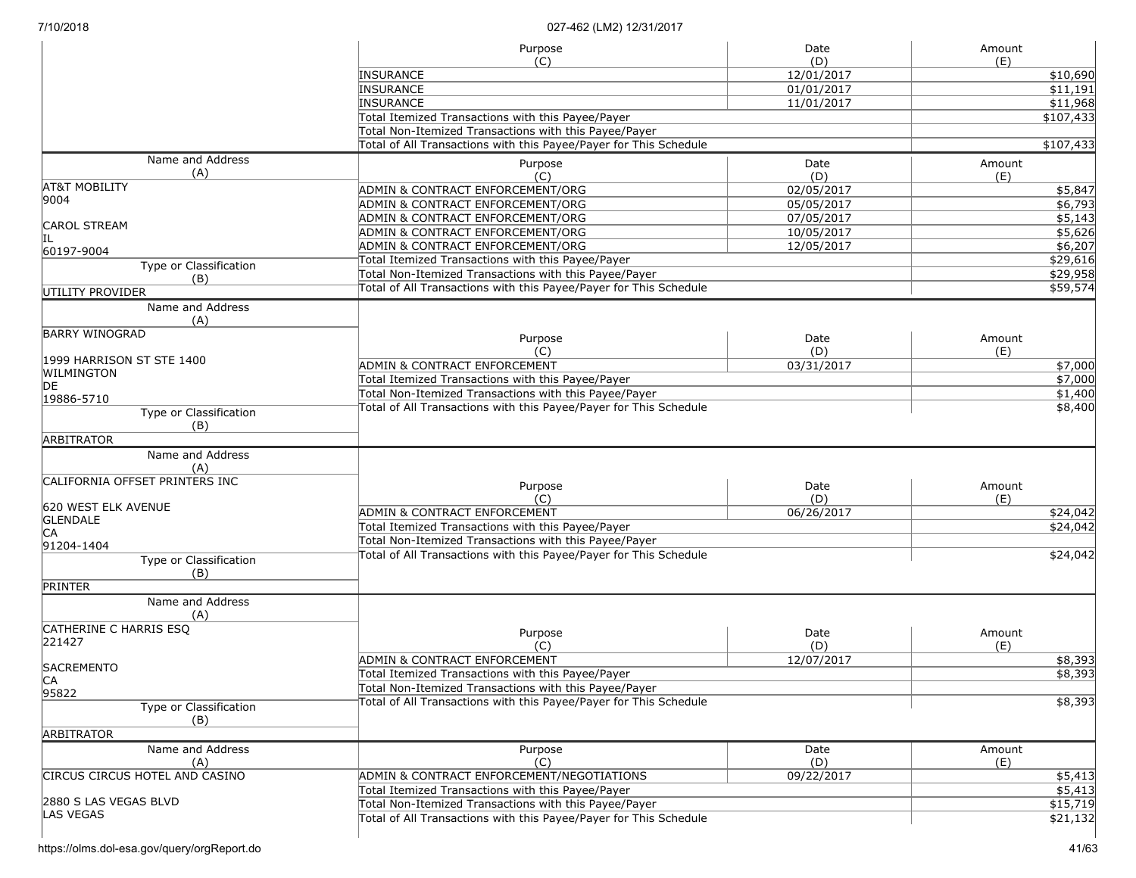|                                | Purpose                                                           | Date              | Amount    |  |  |
|--------------------------------|-------------------------------------------------------------------|-------------------|-----------|--|--|
|                                | (C)                                                               | (D)<br>12/01/2017 | (E)       |  |  |
|                                | <b>INSURANCE</b><br><b>INSURANCE</b>                              |                   | \$10,690  |  |  |
|                                |                                                                   | 01/01/2017        | \$11,191  |  |  |
|                                | <b>INSURANCE</b>                                                  | 11/01/2017        | \$11,968  |  |  |
|                                | Total Itemized Transactions with this Payee/Payer                 |                   | \$107,433 |  |  |
|                                | Total Non-Itemized Transactions with this Payee/Payer             |                   |           |  |  |
|                                | Total of All Transactions with this Payee/Payer for This Schedule |                   | \$107,433 |  |  |
| Name and Address               | Purpose                                                           | Date              | Amount    |  |  |
| (A)                            | (C)                                                               | (D)               | (E)       |  |  |
| <b>AT&amp;T MOBILITY</b>       | ADMIN & CONTRACT ENFORCEMENT/ORG                                  | 02/05/2017        | \$5,847   |  |  |
| 9004                           | ADMIN & CONTRACT ENFORCEMENT/ORG                                  | 05/05/2017        | \$6,793   |  |  |
|                                | ADMIN & CONTRACT ENFORCEMENT/ORG                                  | 07/05/2017        | \$5,143   |  |  |
| <b>CAROL STREAM</b>            | ADMIN & CONTRACT ENFORCEMENT/ORG                                  | 10/05/2017        | \$5,626   |  |  |
| IIL                            | ADMIN & CONTRACT ENFORCEMENT/ORG                                  | 12/05/2017        | \$6,207   |  |  |
| 60197-9004                     | Total Itemized Transactions with this Payee/Payer                 |                   | \$29,616  |  |  |
| Type or Classification         | Total Non-Itemized Transactions with this Payee/Payer             | \$29,958          |           |  |  |
| (B)                            | Total of All Transactions with this Payee/Payer for This Schedule |                   | \$59,574  |  |  |
| UTILITY PROVIDER               |                                                                   |                   |           |  |  |
| Name and Address               |                                                                   |                   |           |  |  |
| (A)                            |                                                                   |                   |           |  |  |
| <b>BARRY WINOGRAD</b>          | Purpose                                                           | Date              | Amount    |  |  |
|                                | (C)                                                               | (D)               | (E)       |  |  |
| 1999 HARRISON ST STE 1400      | ADMIN & CONTRACT ENFORCEMENT                                      | 03/31/2017        | \$7,000   |  |  |
| WILMINGTON                     | Total Itemized Transactions with this Payee/Payer                 |                   | \$7,000   |  |  |
| DE                             | Total Non-Itemized Transactions with this Payee/Payer             |                   | \$1,400   |  |  |
| 19886-5710                     | Total of All Transactions with this Payee/Payer for This Schedule |                   | \$8,400   |  |  |
| Type or Classification         |                                                                   |                   |           |  |  |
| (B)                            |                                                                   |                   |           |  |  |
| <b>ARBITRATOR</b>              |                                                                   |                   |           |  |  |
| Name and Address<br>(A)        |                                                                   |                   |           |  |  |
| CALIFORNIA OFFSET PRINTERS INC |                                                                   |                   |           |  |  |
|                                | Purpose                                                           | Date              | Amount    |  |  |
| 620 WEST ELK AVENUE            | (C)                                                               | (D)               | (E)       |  |  |
| <b>GLENDALE</b>                | <b>ADMIN &amp; CONTRACT ENFORCEMENT</b>                           | 06/26/2017        | \$24,042  |  |  |
| IСA                            | Total Itemized Transactions with this Payee/Payer                 |                   | \$24,042  |  |  |
| 91204-1404                     | Total Non-Itemized Transactions with this Payee/Payer             |                   |           |  |  |
| Type or Classification         | Total of All Transactions with this Payee/Payer for This Schedule |                   | \$24,042  |  |  |
| (B)                            |                                                                   |                   |           |  |  |
| <b>PRINTER</b>                 |                                                                   |                   |           |  |  |
| Name and Address               |                                                                   |                   |           |  |  |
| (A)                            |                                                                   |                   |           |  |  |
| CATHERINE C HARRIS ESQ         |                                                                   |                   |           |  |  |
| 221427                         | Purpose                                                           | Date              | Amount    |  |  |
|                                | (C)                                                               | (D)               | (E)       |  |  |
| <b>SACREMENTO</b>              | ADMIN & CONTRACT ENFORCEMENT                                      | 12/07/2017        | \$8,393   |  |  |
|                                | Total Itemized Transactions with this Payee/Payer                 |                   | \$8,393   |  |  |
| 95822                          | Total Non-Itemized Transactions with this Payee/Payer             |                   |           |  |  |
| Type or Classification         | Total of All Transactions with this Payee/Payer for This Schedule |                   | \$8,393   |  |  |
| (B)                            |                                                                   |                   |           |  |  |
| ARBITRATOR                     |                                                                   |                   |           |  |  |
| Name and Address               | Purpose                                                           | Date              | Amount    |  |  |
| (A)                            | (C)                                                               | (D)               | (E)       |  |  |
| CIRCUS CIRCUS HOTEL AND CASINO | ADMIN & CONTRACT ENFORCEMENT/NEGOTIATIONS                         | 09/22/2017        |           |  |  |
|                                | Total Itemized Transactions with this Payee/Payer                 |                   | \$5,413   |  |  |
| 2880 S LAS VEGAS BLVD          | Total Non-Itemized Transactions with this Payee/Payer             |                   | \$5,413   |  |  |
| <b>LAS VEGAS</b>               |                                                                   |                   | \$15,719  |  |  |
|                                | Total of All Transactions with this Payee/Payer for This Schedule |                   | \$21,132  |  |  |
|                                |                                                                   |                   |           |  |  |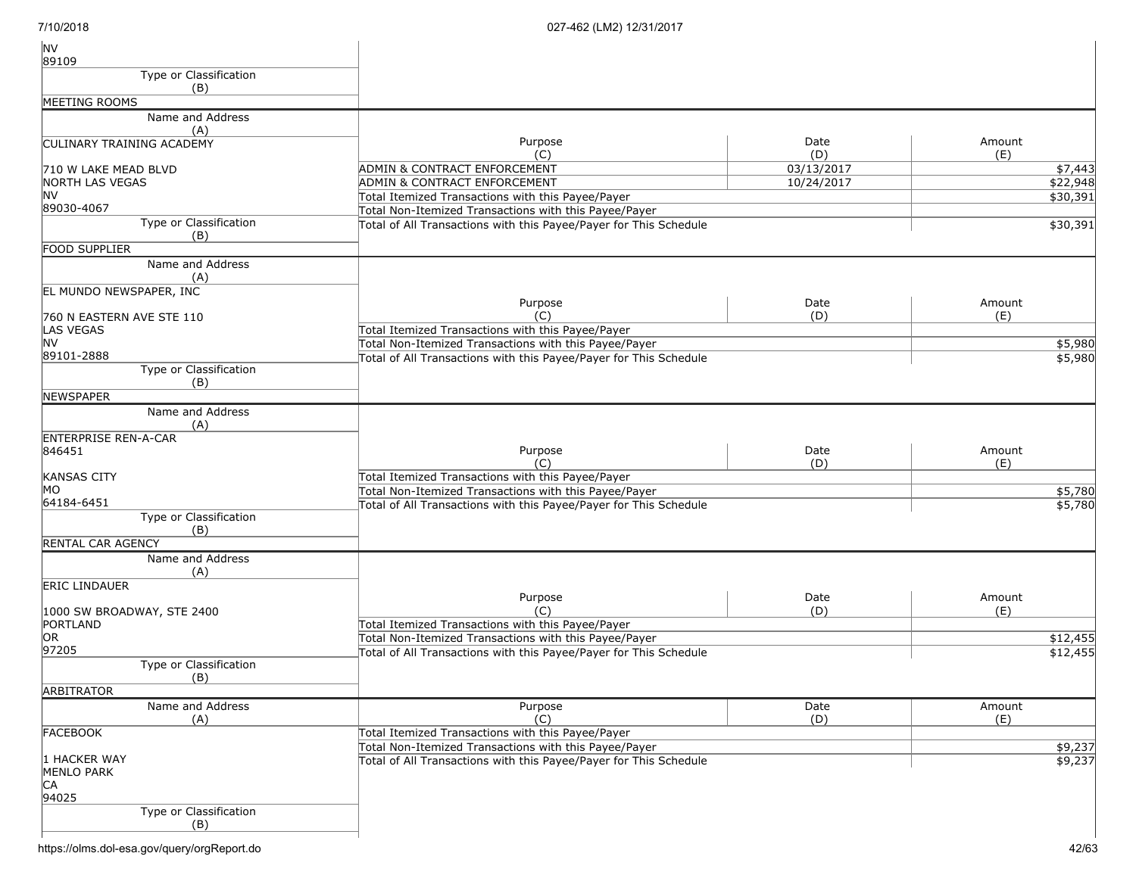| <b>NV</b>                              |                                                                   |             |               |
|----------------------------------------|-------------------------------------------------------------------|-------------|---------------|
| 89109                                  |                                                                   |             |               |
| Type or Classification                 |                                                                   |             |               |
| (B)                                    |                                                                   |             |               |
| MEETING ROOMS                          |                                                                   |             |               |
| Name and Address<br>(A)                |                                                                   |             |               |
| <b>CULINARY TRAINING ACADEMY</b>       | Purpose<br>(C)                                                    | Date<br>(D) | Amount<br>(E) |
| 710 W LAKE MEAD BLVD                   | <b>ADMIN &amp; CONTRACT ENFORCEMENT</b>                           | 03/13/2017  | \$7,443       |
| NORTH LAS VEGAS                        | <b>ADMIN &amp; CONTRACT ENFORCEMENT</b>                           | 10/24/2017  | \$22,948      |
| <b>NV</b>                              | Total Itemized Transactions with this Payee/Payer                 |             | \$30,391      |
| 89030-4067                             | Total Non-Itemized Transactions with this Payee/Payer             |             |               |
| Type or Classification<br>(B)          | Total of All Transactions with this Payee/Payer for This Schedule |             | \$30,391      |
| FOOD SUPPLIER                          |                                                                   |             |               |
| Name and Address                       |                                                                   |             |               |
| (A)                                    |                                                                   |             |               |
| EL MUNDO NEWSPAPER, INC                |                                                                   |             |               |
|                                        | Purpose                                                           | Date        | Amount        |
| 760 N EASTERN AVE STE 110              | (C)                                                               | (D)         | (E)           |
| LAS VEGAS<br><b>NV</b>                 | Total Itemized Transactions with this Payee/Payer                 |             |               |
| 89101-2888                             | Total Non-Itemized Transactions with this Payee/Payer             |             | \$5,980       |
| <b>Type or Classification</b>          | Total of All Transactions with this Payee/Payer for This Schedule |             | \$5,980       |
| (B)                                    |                                                                   |             |               |
| <b>NEWSPAPER</b>                       |                                                                   |             |               |
| Name and Address                       |                                                                   |             |               |
| (A)<br><b>ENTERPRISE REN-A-CAR</b>     |                                                                   |             |               |
| 846451                                 | Purpose                                                           | Date        | Amount        |
|                                        | (C)                                                               | (D)         | (E)           |
| <b>KANSAS CITY</b>                     | Total Itemized Transactions with this Payee/Payer                 |             |               |
| МO                                     | Total Non-Itemized Transactions with this Payee/Payer             |             | \$5,780       |
| 64184-6451                             | Total of All Transactions with this Payee/Payer for This Schedule |             | \$5,780       |
| Type or Classification<br>(B)          |                                                                   |             |               |
| RENTAL CAR AGENCY                      |                                                                   |             |               |
| Name and Address                       |                                                                   |             |               |
| (A)                                    |                                                                   |             |               |
| <b>ERIC LINDAUER</b>                   |                                                                   |             |               |
|                                        | Purpose                                                           | Date        | Amount        |
| 1000 SW BROADWAY, STE 2400<br>PORTLAND | (C)<br>Total Itemized Transactions with this Payee/Payer          | (D)         | (E)           |
| OR                                     | Total Non-Itemized Transactions with this Payee/Payer             |             | \$12,455      |
| 97205                                  | Total of All Transactions with this Payee/Payer for This Schedule |             | \$12,455      |
| Type or Classification                 |                                                                   |             |               |
| (B)<br><b>ARBITRATOR</b>               |                                                                   |             |               |
| Name and Address                       | Purpose                                                           | Date        | Amount        |
| (A)                                    | (C)                                                               | (D)         | (E)           |
| <b>FACEBOOK</b>                        | Total Itemized Transactions with this Payee/Payer                 |             |               |
|                                        | Total Non-Itemized Transactions with this Payee/Payer             |             | \$9,237       |
| 1 HACKER WAY                           | Total of All Transactions with this Payee/Payer for This Schedule |             | \$9,237       |
| <b>MENLO PARK</b>                      |                                                                   |             |               |
| CA                                     |                                                                   |             |               |
| 94025                                  |                                                                   |             |               |
| Type or Classification<br>(B)          |                                                                   |             |               |
|                                        |                                                                   |             |               |

https://olms.dol-esa.gov/query/orgReport.do 42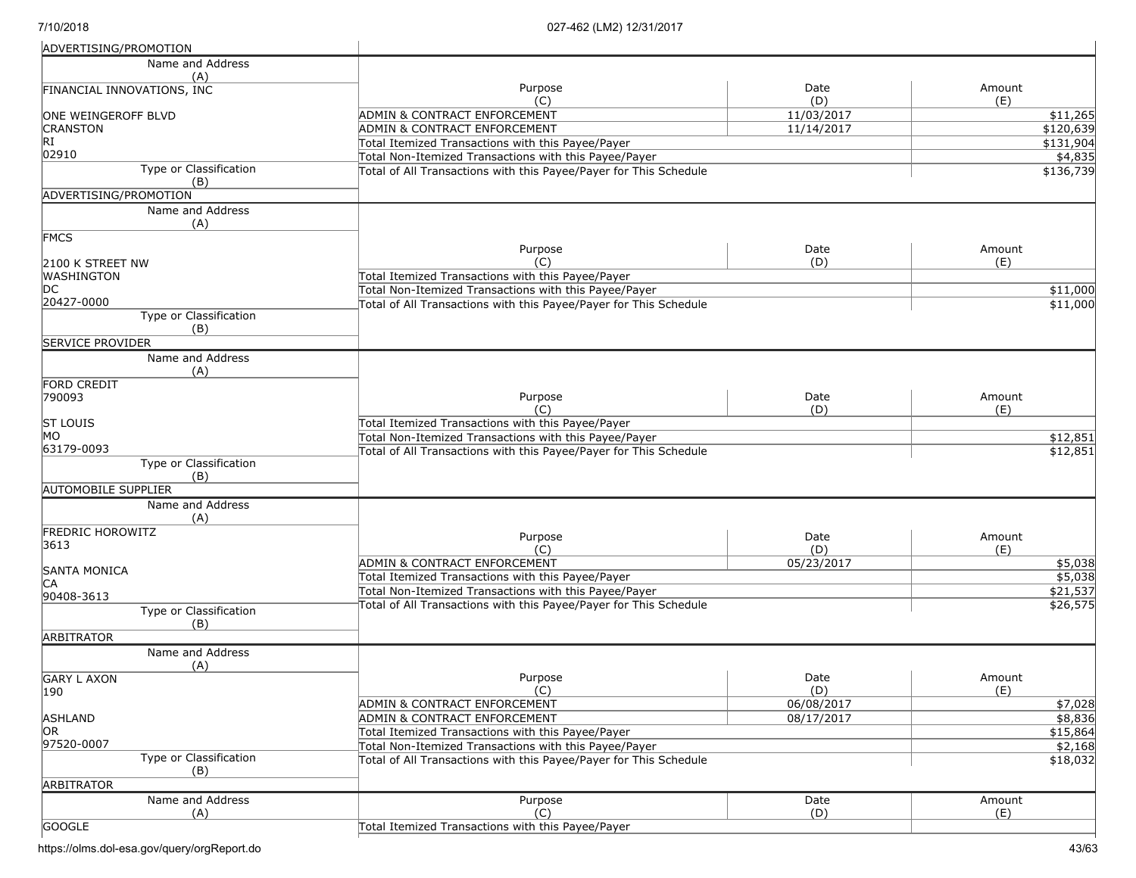| ADVERTISING/PROMOTION                  |                                                                   |                   |                      |
|----------------------------------------|-------------------------------------------------------------------|-------------------|----------------------|
| Name and Address                       |                                                                   |                   |                      |
| (A)                                    |                                                                   |                   |                      |
| FINANCIAL INNOVATIONS, INC             | Purpose                                                           | Date              | Amount               |
|                                        | (C)<br><b>ADMIN &amp; CONTRACT ENFORCEMENT</b>                    | (D)<br>11/03/2017 | (E)<br>\$11,265      |
| ONE WEINGEROFF BLVD<br><b>CRANSTON</b> | ADMIN & CONTRACT ENFORCEMENT                                      | 11/14/2017        | \$120,639            |
| RI                                     | Total Itemized Transactions with this Payee/Payer                 |                   | \$131,904            |
| 02910                                  | Total Non-Itemized Transactions with this Payee/Payer             |                   | \$4,835              |
| Type or Classification                 | Total of All Transactions with this Payee/Payer for This Schedule |                   | \$136,739            |
| (B)                                    |                                                                   |                   |                      |
| ADVERTISING/PROMOTION                  |                                                                   |                   |                      |
| Name and Address                       |                                                                   |                   |                      |
| (A)                                    |                                                                   |                   |                      |
| <b>FMCS</b>                            |                                                                   |                   |                      |
|                                        | Purpose                                                           | Date              | Amount               |
| 2100 K STREET NW                       | (C)                                                               | (D)               | (E)                  |
| WASHINGTON                             | Total Itemized Transactions with this Payee/Payer                 |                   |                      |
| DC                                     | Total Non-Itemized Transactions with this Payee/Payer             |                   | \$11,000             |
| 20427-0000                             | Total of All Transactions with this Payee/Payer for This Schedule |                   | \$11,000             |
| Type or Classification                 |                                                                   |                   |                      |
| (B)                                    |                                                                   |                   |                      |
| <b>SERVICE PROVIDER</b>                |                                                                   |                   |                      |
| Name and Address                       |                                                                   |                   |                      |
| (A)                                    |                                                                   |                   |                      |
| FORD CREDIT                            | Purpose                                                           | Date              | Amount               |
| 790093                                 | (C)                                                               | (D)               | (E)                  |
| <b>ST LOUIS</b>                        | Total Itemized Transactions with this Payee/Payer                 |                   |                      |
| МO                                     | Total Non-Itemized Transactions with this Payee/Payer             |                   | \$12,851             |
| 63179-0093                             | Total of All Transactions with this Payee/Payer for This Schedule |                   |                      |
| Type or Classification                 |                                                                   |                   | \$12,851             |
| (B)                                    |                                                                   |                   |                      |
| <b>AUTOMOBILE SUPPLIER</b>             |                                                                   |                   |                      |
| Name and Address                       |                                                                   |                   |                      |
| (A)                                    |                                                                   |                   |                      |
| <b>FREDRIC HOROWITZ</b>                |                                                                   | Date              | Amount               |
| 3613                                   | Purpose<br>(C)                                                    | (D)               | (E)                  |
|                                        | ADMIN & CONTRACT ENFORCEMENT                                      | 05/23/2017        | \$5,038              |
| <b>SANTA MONICA</b>                    | Total Itemized Transactions with this Payee/Payer                 |                   | \$5,038              |
| CA                                     | Total Non-Itemized Transactions with this Payee/Payer             |                   | $\overline{$21,537}$ |
| 90408-3613                             | Total of All Transactions with this Payee/Payer for This Schedule |                   | \$26,575             |
| <b>Type or Classification</b>          |                                                                   |                   |                      |
| (B)                                    |                                                                   |                   |                      |
| <b>ARBITRATOR</b>                      |                                                                   |                   |                      |
| Name and Address                       |                                                                   |                   |                      |
| (A)                                    |                                                                   |                   |                      |
| <b>GARY L AXON</b>                     | Purpose                                                           | Date              | Amount               |
| 190                                    | (C)                                                               | (D)               | (E)                  |
|                                        | ADMIN & CONTRACT ENFORCEMENT                                      | 06/08/2017        | \$7,028              |
| <b>ASHLAND</b>                         | ADMIN & CONTRACT ENFORCEMENT                                      | 08/17/2017        | \$8,836              |
| IOR.<br>97520-0007                     | Total Itemized Transactions with this Payee/Payer                 |                   | \$15,864             |
| Type or Classification                 | Total Non-Itemized Transactions with this Payee/Payer             |                   | \$2,168              |
| (B)                                    | Total of All Transactions with this Payee/Payer for This Schedule |                   | \$18,032             |
| <b>ARBITRATOR</b>                      |                                                                   |                   |                      |
|                                        |                                                                   |                   |                      |
| Name and Address                       | Purpose<br>(C)                                                    | Date<br>(D)       | Amount<br>(E)        |
| (A)                                    |                                                                   |                   |                      |
| <b>GOOGLE</b>                          | Total Itemized Transactions with this Payee/Payer                 |                   |                      |

https://olms.dol-esa.gov/query/orgReport.do 43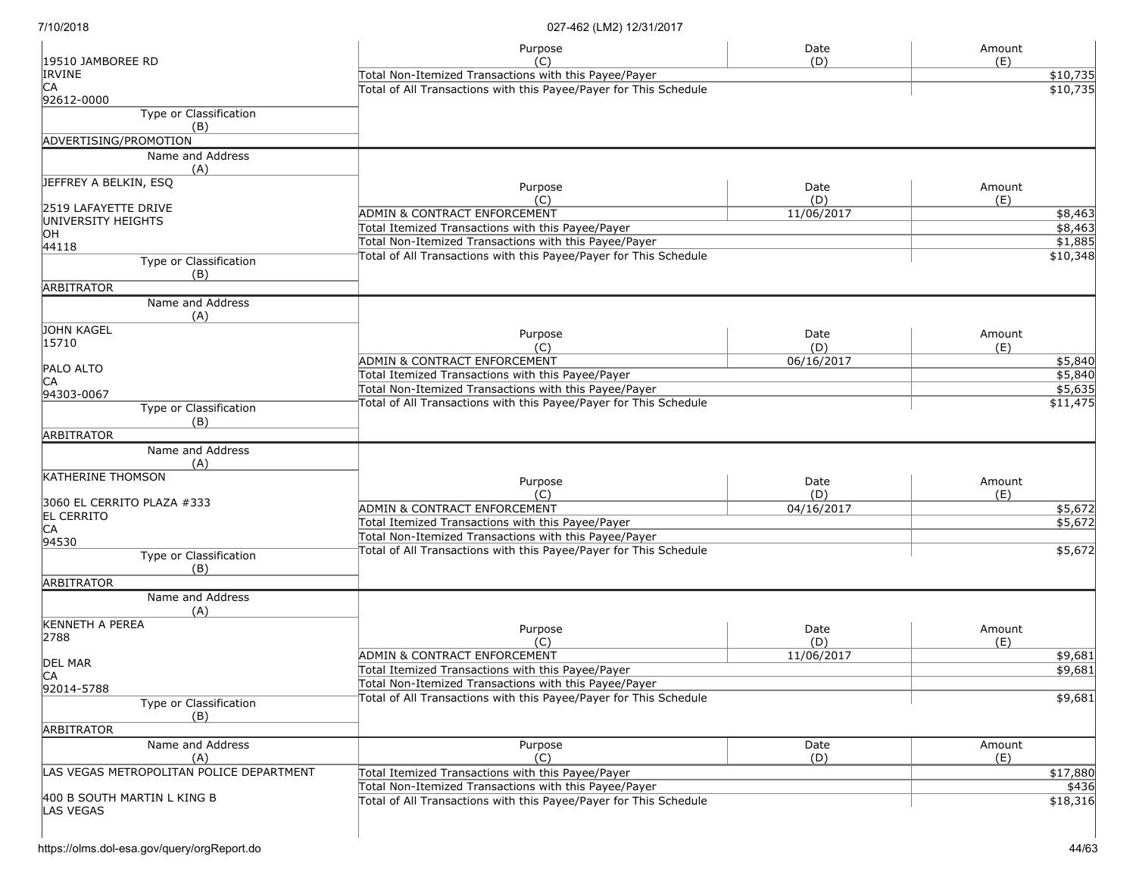|                                          | Purpose                                                                                                                    | Date        | Amount               |
|------------------------------------------|----------------------------------------------------------------------------------------------------------------------------|-------------|----------------------|
| 19510 JAMBOREE RD<br><b>IRVINE</b>       | (C)                                                                                                                        | (D)         | (E)                  |
| СA                                       | Total Non-Itemized Transactions with this Payee/Payer<br>Total of All Transactions with this Payee/Payer for This Schedule |             | \$10,735<br>\$10,735 |
| 92612-0000                               |                                                                                                                            |             |                      |
| Type or Classification                   |                                                                                                                            |             |                      |
| (B)                                      |                                                                                                                            |             |                      |
| ADVERTISING/PROMOTION                    |                                                                                                                            |             |                      |
| Name and Address<br>(A)                  |                                                                                                                            |             |                      |
| JEFFREY A BELKIN, ESQ                    | Purpose                                                                                                                    | Date        |                      |
|                                          | (C)                                                                                                                        | (D)         | Amount<br>(E)        |
| 2519 LAFAYETTE DRIVE                     | <b>ADMIN &amp; CONTRACT ENFORCEMENT</b>                                                                                    | 11/06/2017  | \$8,463              |
| UNIVERSITY HEIGHTS                       | Total Itemized Transactions with this Payee/Payer                                                                          |             | \$8,463              |
| OН                                       | Total Non-Itemized Transactions with this Payee/Payer                                                                      |             | \$1,885              |
| 44118                                    | Total of All Transactions with this Payee/Payer for This Schedule                                                          |             | \$10,348             |
| Type or Classification                   |                                                                                                                            |             |                      |
| (B)<br><b>ARBITRATOR</b>                 |                                                                                                                            |             |                      |
|                                          |                                                                                                                            |             |                      |
| Name and Address<br>(A)                  |                                                                                                                            |             |                      |
| JOHN KAGEL                               | Purpose                                                                                                                    | Date        | Amount               |
| 15710                                    | (C)                                                                                                                        | (D)         | (E)                  |
|                                          | ADMIN & CONTRACT ENFORCEMENT                                                                                               | 06/16/2017  | \$5,840              |
| PALO ALTO                                | Total Itemized Transactions with this Payee/Payer                                                                          |             | \$5,840              |
| СA                                       | Total Non-Itemized Transactions with this Payee/Payer                                                                      |             | \$5,635              |
| 94303-0067<br>Type or Classification     | Total of All Transactions with this Payee/Payer for This Schedule                                                          |             | \$11,475             |
| (B)                                      |                                                                                                                            |             |                      |
| ARBITRATOR                               |                                                                                                                            |             |                      |
| Name and Address                         |                                                                                                                            |             |                      |
| (A)                                      |                                                                                                                            |             |                      |
| <b>KATHERINE THOMSON</b>                 |                                                                                                                            |             |                      |
|                                          | Purpose<br>(C)                                                                                                             | Date<br>(D) | Amount<br>(E)        |
| 3060 EL CERRITO PLAZA #333               | <b>ADMIN &amp; CONTRACT ENFORCEMENT</b>                                                                                    | 04/16/2017  | \$5,672              |
| <b>EL CERRITO</b>                        | Total Itemized Transactions with this Payee/Payer                                                                          |             | \$5,672              |
| СA                                       | Total Non-Itemized Transactions with this Payee/Payer                                                                      |             |                      |
| 94530                                    | Total of All Transactions with this Payee/Payer for This Schedule                                                          |             | \$5,672              |
| <b>Type or Classification</b>            |                                                                                                                            |             |                      |
| (B)                                      |                                                                                                                            |             |                      |
| <b>ARBITRATOR</b>                        |                                                                                                                            |             |                      |
| Name and Address<br>(A)                  |                                                                                                                            |             |                      |
| <b>KENNETH A PEREA</b>                   |                                                                                                                            |             |                      |
| 2788                                     | Purpose                                                                                                                    | Date        | Amount               |
|                                          | (C)                                                                                                                        | (D)         | (E)                  |
| <b>DEL MAR</b>                           | <b>ADMIN &amp; CONTRACT ENFORCEMENT</b>                                                                                    | 11/06/2017  | \$9,681              |
| IСA                                      | Total Itemized Transactions with this Payee/Payer                                                                          |             | \$9,681              |
| 92014-5788                               | Total Non-Itemized Transactions with this Payee/Payer                                                                      |             |                      |
| Type or Classification                   | Total of All Transactions with this Payee/Payer for This Schedule                                                          |             | \$9,681              |
| (B)                                      |                                                                                                                            |             |                      |
| ARBITRATOR                               |                                                                                                                            |             |                      |
| Name and Address                         | Purpose                                                                                                                    | Date        | Amount               |
| (A)                                      | (C)                                                                                                                        | (D)         | (E)                  |
| LAS VEGAS METROPOLITAN POLICE DEPARTMENT | Total Itemized Transactions with this Payee/Payer                                                                          |             | \$17,880             |
|                                          | Total Non-Itemized Transactions with this Payee/Payer                                                                      |             | \$436                |
| 400 B SOUTH MARTIN L KING B              | Total of All Transactions with this Payee/Payer for This Schedule                                                          |             | \$18,316             |
| LAS VEGAS                                |                                                                                                                            |             |                      |
|                                          |                                                                                                                            |             |                      |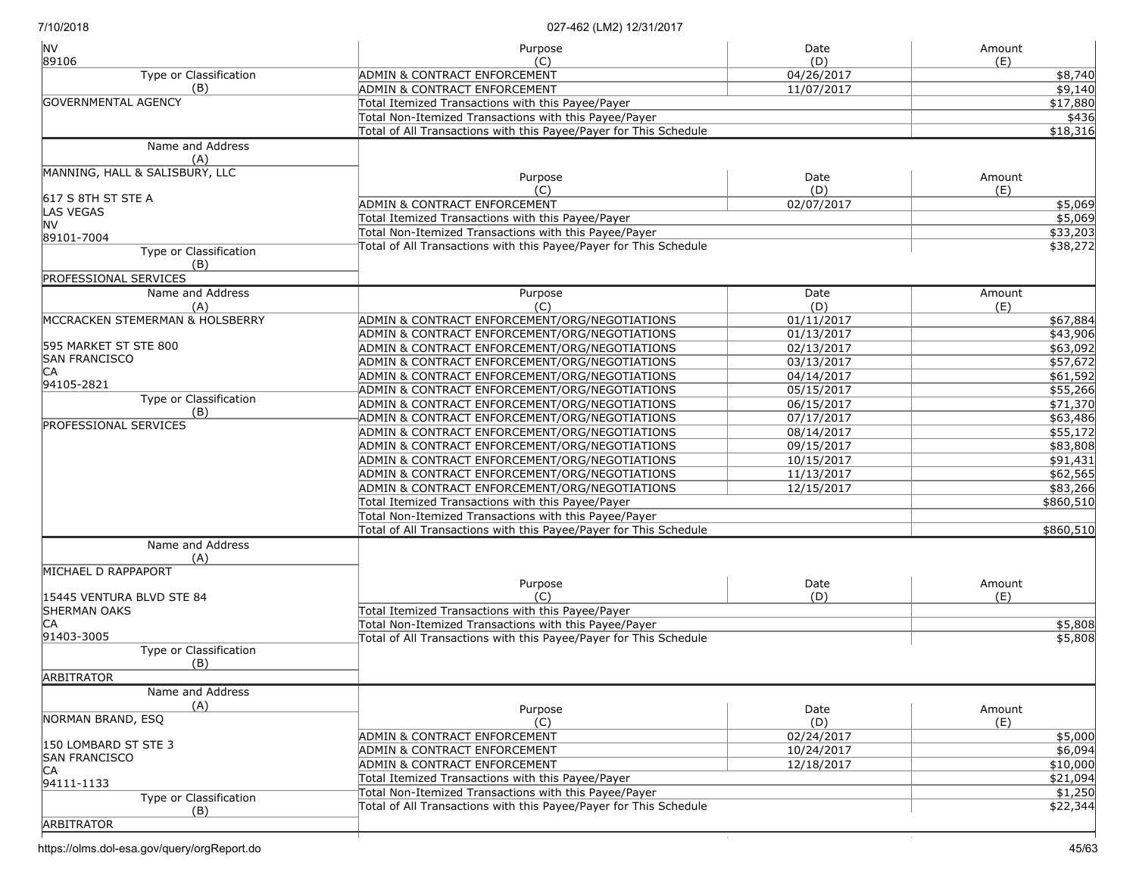| <b>NV</b><br>89106                   | Purpose<br>(C)                                                    | Date<br>(D) | Amount<br>(E) |
|--------------------------------------|-------------------------------------------------------------------|-------------|---------------|
| Type or Classification               | ADMIN & CONTRACT ENFORCEMENT                                      | 04/26/2017  | \$8,740       |
| (B)                                  | <b>ADMIN &amp; CONTRACT ENFORCEMENT</b>                           | 11/07/2017  | \$9,140       |
| <b>GOVERNMENTAL AGENCY</b>           | Total Itemized Transactions with this Payee/Payer                 |             | \$17,880      |
|                                      | Total Non-Itemized Transactions with this Payee/Payer             |             | \$436         |
|                                      | Total of All Transactions with this Payee/Payer for This Schedule |             | \$18,316      |
| Name and Address                     |                                                                   |             |               |
| (A)                                  |                                                                   |             |               |
| MANNING, HALL & SALISBURY, LLC       | Purpose                                                           | Date        | Amount        |
| 617 S 8TH ST STE A                   | (C)                                                               | (D)         | (E)           |
| LAS VEGAS                            | <b>ADMIN &amp; CONTRACT ENFORCEMENT</b>                           | 02/07/2017  | \$5,069       |
| INV.                                 | Total Itemized Transactions with this Payee/Payer                 |             | \$5,069       |
| 89101-7004                           | Total Non-Itemized Transactions with this Payee/Payer             |             | \$33,203      |
| <b>Type or Classification</b><br>(B) | Total of All Transactions with this Payee/Payer for This Schedule |             | \$38,272      |
| PROFESSIONAL SERVICES                |                                                                   |             |               |
| Name and Address                     | Purpose                                                           | Date        | Amount        |
| (A)                                  | (C)                                                               | (D)         | (E)           |
| MCCRACKEN STEMERMAN & HOLSBERRY      | ADMIN & CONTRACT ENFORCEMENT/ORG/NEGOTIATIONS                     | 01/11/2017  | \$67,884      |
|                                      | ADMIN & CONTRACT ENFORCEMENT/ORG/NEGOTIATIONS                     | 01/13/2017  | \$43,906      |
| 595 MARKET ST STE 800                | ADMIN & CONTRACT ENFORCEMENT/ORG/NEGOTIATIONS                     | 02/13/2017  | \$63,092      |
| <b>SAN FRANCISCO</b>                 | ADMIN & CONTRACT ENFORCEMENT/ORG/NEGOTIATIONS                     | 03/13/2017  | \$57,672      |
| IСA                                  | ADMIN & CONTRACT ENFORCEMENT/ORG/NEGOTIATIONS                     | 04/14/2017  | \$61,592      |
| 94105-2821                           | ADMIN & CONTRACT ENFORCEMENT/ORG/NEGOTIATIONS                     | 05/15/2017  | \$55,266      |
| Type or Classification               | ADMIN & CONTRACT ENFORCEMENT/ORG/NEGOTIATIONS                     | 06/15/2017  | \$71,370      |
| (B)                                  | ADMIN & CONTRACT ENFORCEMENT/ORG/NEGOTIATIONS                     | 07/17/2017  | \$63,486      |
| <b>PROFESSIONAL SERVICES</b>         | ADMIN & CONTRACT ENFORCEMENT/ORG/NEGOTIATIONS                     | 08/14/2017  | \$55,172      |
|                                      | ADMIN & CONTRACT ENFORCEMENT/ORG/NEGOTIATIONS                     | 09/15/2017  | \$83,808      |
|                                      | ADMIN & CONTRACT ENFORCEMENT/ORG/NEGOTIATIONS                     | 10/15/2017  | \$91,431      |
|                                      | ADMIN & CONTRACT ENFORCEMENT/ORG/NEGOTIATIONS                     | 11/13/2017  | \$62,565      |
|                                      | ADMIN & CONTRACT ENFORCEMENT/ORG/NEGOTIATIONS                     | 12/15/2017  | \$83,266      |
|                                      | Total Itemized Transactions with this Payee/Payer                 |             | \$860,510     |
|                                      | Total Non-Itemized Transactions with this Payee/Payer             |             |               |
|                                      | Total of All Transactions with this Payee/Payer for This Schedule |             | \$860,510     |
| Name and Address                     |                                                                   |             |               |
| (A)<br>MICHAEL D RAPPAPORT           |                                                                   |             |               |
|                                      | Purpose                                                           | Date        | Amount        |
| 15445 VENTURA BLVD STE 84            | (C)                                                               | (D)         | (E)           |
| <b>SHERMAN OAKS</b>                  | Total Itemized Transactions with this Payee/Payer                 |             |               |
| ICA                                  | Total Non-Itemized Transactions with this Payee/Payer             |             | \$5,808       |
| 91403-3005                           | Total of All Transactions with this Payee/Payer for This Schedule |             | \$5,808       |
| Type or Classification<br>(B)        |                                                                   |             |               |
| <b>ARBITRATOR</b>                    |                                                                   |             |               |
| Name and Address                     |                                                                   |             |               |
| (A)                                  |                                                                   |             |               |
| NORMAN BRAND, ESQ                    | Purpose                                                           | Date        | Amount        |
|                                      | (C)                                                               | (D)         | (E)           |
| 150 LOMBARD ST STE 3                 | <b>ADMIN &amp; CONTRACT ENFORCEMENT</b>                           | 02/24/2017  | \$5,000       |
| <b>SAN FRANCISCO</b>                 | <b>ADMIN &amp; CONTRACT ENFORCEMENT</b>                           | 10/24/2017  | \$6,094       |
| ICA                                  | <b>ADMIN &amp; CONTRACT ENFORCEMENT</b>                           | 12/18/2017  | \$10,000      |
| 94111-1133                           | Total Itemized Transactions with this Payee/Payer                 |             | \$21,094      |
| Type or Classification               | Total Non-Itemized Transactions with this Payee/Payer             |             | \$1,250       |
| (B)                                  | Total of All Transactions with this Payee/Payer for This Schedule |             | \$22,344      |
| <b>ARBITRATOR</b>                    |                                                                   |             |               |

https://olms.dol-esa.gov/query/orgReport.do 45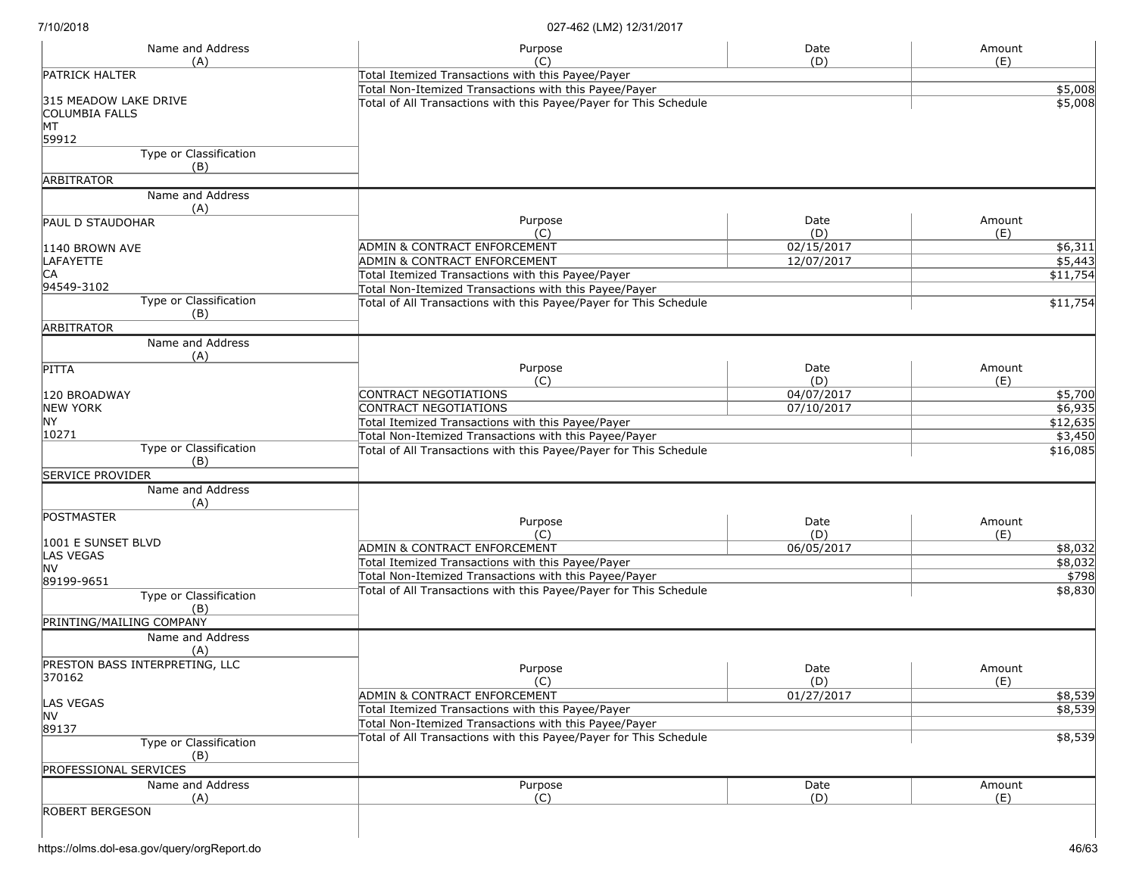| Name and Address                                              | Purpose                                                                                                                    | Date        | Amount             |
|---------------------------------------------------------------|----------------------------------------------------------------------------------------------------------------------------|-------------|--------------------|
| (A)<br><b>PATRICK HALTER</b>                                  | (C)                                                                                                                        | (D)         | (E)                |
|                                                               | Total Itemized Transactions with this Payee/Payer                                                                          |             |                    |
| 315 MEADOW LAKE DRIVE<br><b>COLUMBIA FALLS</b><br>MT<br>59912 | Total Non-Itemized Transactions with this Payee/Payer<br>Total of All Transactions with this Payee/Payer for This Schedule |             | \$5,008<br>\$5,008 |
| Type or Classification<br>(B)                                 |                                                                                                                            |             |                    |
| <b>ARBITRATOR</b>                                             |                                                                                                                            |             |                    |
| Name and Address<br>(A)                                       |                                                                                                                            |             |                    |
| <b>PAUL D STAUDOHAR</b>                                       | Purpose<br>(C)                                                                                                             | Date<br>(D) | Amount<br>(E)      |
| 1140 BROWN AVE                                                | ADMIN & CONTRACT ENFORCEMENT                                                                                               | 02/15/2017  | \$6,311            |
| LAFAYETTE                                                     | ADMIN & CONTRACT ENFORCEMENT                                                                                               | 12/07/2017  | \$5,443            |
| IСA                                                           | Total Itemized Transactions with this Payee/Payer                                                                          |             | \$11,754           |
| 94549-3102                                                    | Total Non-Itemized Transactions with this Payee/Payer                                                                      |             |                    |
| Type or Classification<br>(B)                                 | Total of All Transactions with this Payee/Payer for This Schedule                                                          |             | \$11,754           |
| <b>ARBITRATOR</b>                                             |                                                                                                                            |             |                    |
| Name and Address<br>(A)                                       |                                                                                                                            |             |                    |
| PITTA                                                         | Purpose<br>(C)                                                                                                             | Date<br>(D) | Amount<br>(E)      |
| 120 BROADWAY                                                  | CONTRACT NEGOTIATIONS                                                                                                      | 04/07/2017  | \$5,700            |
| <b>NEW YORK</b>                                               | CONTRACT NEGOTIATIONS                                                                                                      | 07/10/2017  | \$6,935            |
| <b>NY</b>                                                     | Total Itemized Transactions with this Payee/Payer                                                                          |             | \$12,635           |
| 10271                                                         | Total Non-Itemized Transactions with this Payee/Payer                                                                      |             | \$3,450            |
| <b>Type or Classification</b><br>(B)                          | Total of All Transactions with this Payee/Payer for This Schedule                                                          |             | \$16,085           |
| <b>SERVICE PROVIDER</b>                                       |                                                                                                                            |             |                    |
| Name and Address<br>(A)                                       |                                                                                                                            |             |                    |
| POSTMASTER                                                    | Purpose<br>(C)                                                                                                             | Date<br>(D) | Amount<br>(E)      |
| 1001 E SUNSET BLVD                                            | ADMIN & CONTRACT ENFORCEMENT                                                                                               | 06/05/2017  | \$8,032            |
| LAS VEGAS                                                     | Total Itemized Transactions with this Payee/Payer                                                                          |             | \$8,032            |
| <b>NV</b>                                                     | Total Non-Itemized Transactions with this Payee/Payer                                                                      |             | \$798              |
| 89199-9651<br>Type or Classification<br>(B)                   | Total of All Transactions with this Payee/Payer for This Schedule                                                          |             | \$8,830            |
| PRINTING/MAILING COMPANY                                      |                                                                                                                            |             |                    |
| Name and Address<br>(A)                                       |                                                                                                                            |             |                    |
| PRESTON BASS INTERPRETING, LLC<br>370162                      | Purpose<br>(C)                                                                                                             | Date<br>(D) | Amount<br>(E)      |
|                                                               | ADMIN & CONTRACT ENFORCEMENT                                                                                               | 01/27/2017  | \$8,539            |
| <b>LAS VEGAS</b>                                              | Total Itemized Transactions with this Payee/Payer                                                                          |             | \$8,539            |
| <b>NV</b>                                                     | Total Non-Itemized Transactions with this Payee/Payer                                                                      |             |                    |
| 89137<br><b>Type or Classification</b>                        | Total of All Transactions with this Payee/Payer for This Schedule                                                          |             | \$8,539            |
| (B)<br><b>PROFESSIONAL SERVICES</b>                           |                                                                                                                            |             |                    |
| Name and Address                                              | Purpose                                                                                                                    | Date        | Amount             |
| (A)                                                           | (C)                                                                                                                        | (D)         | (E)                |
| <b>ROBERT BERGESON</b>                                        |                                                                                                                            |             |                    |

 $\overline{\phantom{a}}$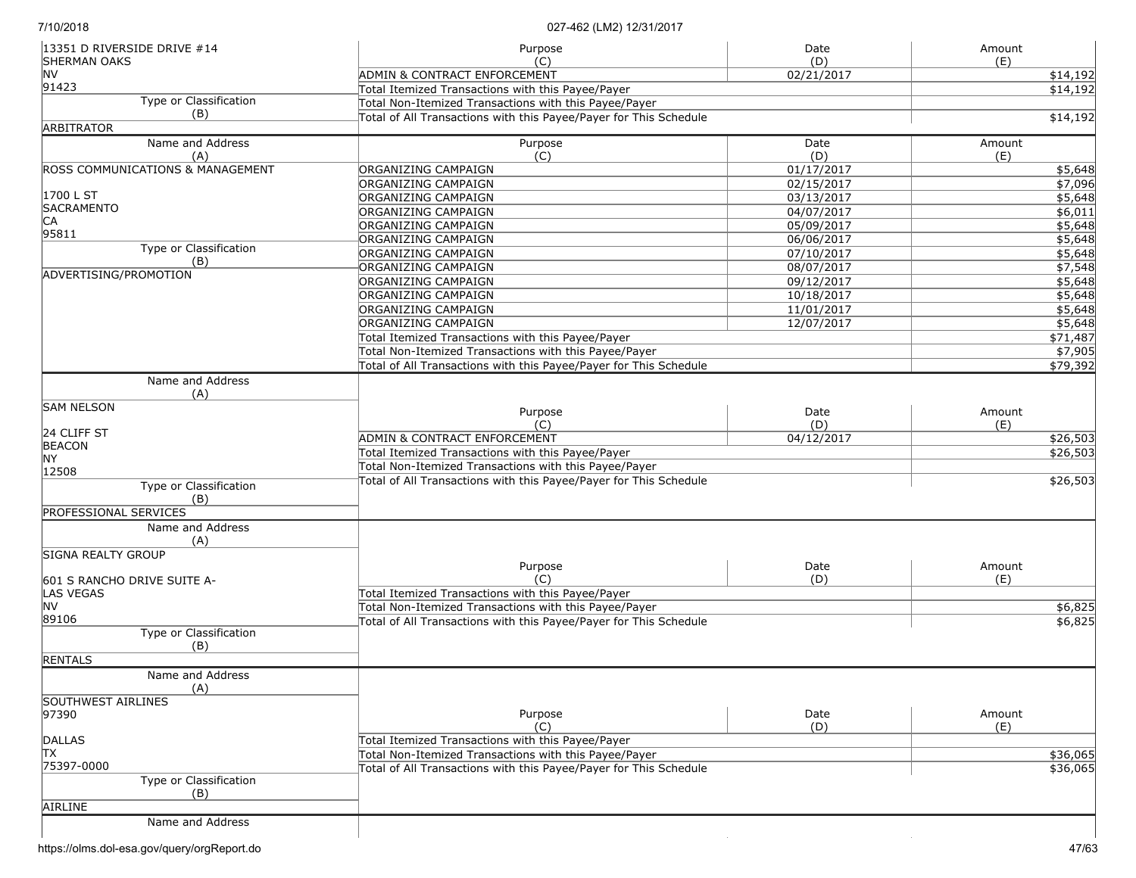| 13351 D RIVERSIDE DRIVE #14<br><b>SHERMAN OAKS</b> | Purpose                                                           | Date       | Amount               |
|----------------------------------------------------|-------------------------------------------------------------------|------------|----------------------|
| <b>NV</b>                                          | (C)<br>ADMIN & CONTRACT ENFORCEMENT                               | (D)        | (E)                  |
| 91423                                              | Total Itemized Transactions with this Payee/Payer                 | 02/21/2017 | \$14,192<br>\$14,192 |
| Type or Classification                             | Total Non-Itemized Transactions with this Payee/Payer             |            |                      |
| (B)                                                | Total of All Transactions with this Payee/Payer for This Schedule |            | \$14,192             |
| <b>ARBITRATOR</b>                                  |                                                                   |            |                      |
| Name and Address                                   | Purpose                                                           | Date       | Amount               |
| (A)                                                | (C)                                                               | (D)        | (E)                  |
| <b>ROSS COMMUNICATIONS &amp; MANAGEMENT</b>        | ORGANIZING CAMPAIGN                                               | 01/17/2017 | \$5,648              |
|                                                    | ORGANIZING CAMPAIGN                                               | 02/15/2017 | \$7,096              |
| 1700 L ST                                          | ORGANIZING CAMPAIGN                                               | 03/13/2017 | \$5,648              |
| <b>SACRAMENTO</b>                                  | ORGANIZING CAMPAIGN                                               | 04/07/2017 | \$6,011              |
| CA                                                 | ORGANIZING CAMPAIGN                                               | 05/09/2017 | \$5,648              |
| 95811                                              | ORGANIZING CAMPAIGN                                               | 06/06/2017 | \$5,648              |
| Type or Classification                             | ORGANIZING CAMPAIGN                                               | 07/10/2017 | \$5,648              |
| (B)<br>ADVERTISING/PROMOTION                       | ORGANIZING CAMPAIGN                                               | 08/07/2017 | \$7,548              |
|                                                    | ORGANIZING CAMPAIGN                                               | 09/12/2017 | \$5,648              |
|                                                    | ORGANIZING CAMPAIGN                                               | 10/18/2017 | \$5,648              |
|                                                    | ORGANIZING CAMPAIGN                                               | 11/01/2017 | \$5,648              |
|                                                    | ORGANIZING CAMPAIGN                                               | 12/07/2017 | \$5,648              |
|                                                    | Total Itemized Transactions with this Payee/Payer                 |            | \$71,487             |
|                                                    | Total Non-Itemized Transactions with this Payee/Payer             |            | \$7,905              |
|                                                    | Total of All Transactions with this Payee/Payer for This Schedule |            | \$79,392             |
| Name and Address<br>(A)                            |                                                                   |            |                      |
| <b>SAM NELSON</b>                                  | Purpose                                                           | Date       | Amount               |
|                                                    | (C)                                                               | (D)        | (E)                  |
| 24 CLIFF ST                                        | ADMIN & CONTRACT ENFORCEMENT                                      | 04/12/2017 | \$26,503             |
| <b>BEACON</b><br><b>NY</b>                         | Total Itemized Transactions with this Payee/Payer                 |            | \$26,503             |
| 12508                                              | Total Non-Itemized Transactions with this Payee/Payer             |            |                      |
| Type or Classification                             | Total of All Transactions with this Payee/Payer for This Schedule |            | \$26,503             |
| (B)                                                |                                                                   |            |                      |
| PROFESSIONAL SERVICES                              |                                                                   |            |                      |
| Name and Address                                   |                                                                   |            |                      |
| (A)                                                |                                                                   |            |                      |
| <b>SIGNA REALTY GROUP</b>                          |                                                                   |            |                      |
|                                                    | Purpose                                                           | Date       | Amount               |
| 601 S RANCHO DRIVE SUITE A-                        | (C)                                                               | (D)        | (E)                  |
| <b>LAS VEGAS</b>                                   | Total Itemized Transactions with this Payee/Payer                 |            |                      |
| <b>NV</b>                                          | Total Non-Itemized Transactions with this Payee/Payer             |            | \$6,825              |
| 89106                                              | Total of All Transactions with this Payee/Payer for This Schedule |            | \$6,825              |
| Type or Classification<br>(B)                      |                                                                   |            |                      |
| <b>RENTALS</b>                                     |                                                                   |            |                      |
| Name and Address<br>(A)                            |                                                                   |            |                      |
| <b>SOUTHWEST AIRLINES</b>                          |                                                                   |            |                      |
| 97390                                              | Purpose                                                           | Date       | Amount               |
|                                                    | (C)                                                               | (D)        | (E)                  |
| <b>DALLAS</b>                                      | Total Itemized Transactions with this Payee/Payer                 |            |                      |
| TХ                                                 | Total Non-Itemized Transactions with this Payee/Payer             |            | \$36,065             |
| 75397-0000                                         | Total of All Transactions with this Payee/Payer for This Schedule |            | \$36,065             |
| Type or Classification<br>(B)                      |                                                                   |            |                      |
| AIRLINE                                            |                                                                   |            |                      |
| Name and Address                                   |                                                                   |            |                      |
|                                                    |                                                                   |            |                      |
|                                                    |                                                                   |            |                      |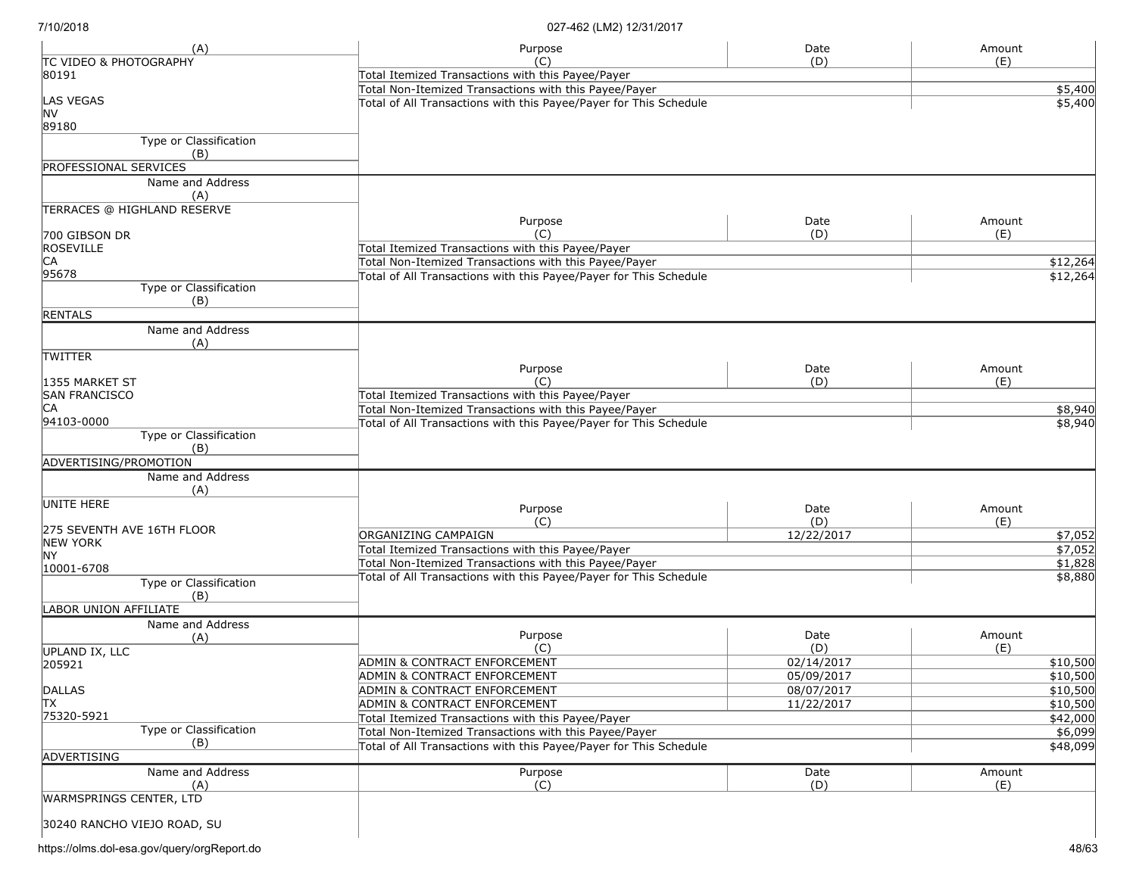| (A)                               | Purpose                                                           | Date       | Amount   |
|-----------------------------------|-------------------------------------------------------------------|------------|----------|
| <b>TC VIDEO &amp; PHOTOGRAPHY</b> | (C)                                                               | (D)        | (E)      |
| 80191                             | Total Itemized Transactions with this Payee/Payer                 |            |          |
|                                   | Total Non-Itemized Transactions with this Payee/Payer             | \$5,400    |          |
| <b>LAS VEGAS</b>                  | Total of All Transactions with this Payee/Payer for This Schedule |            | \$5,400  |
| <b>NV</b><br>89180                |                                                                   |            |          |
| Type or Classification            |                                                                   |            |          |
| (B)                               |                                                                   |            |          |
| <b>PROFESSIONAL SERVICES</b>      |                                                                   |            |          |
| Name and Address                  |                                                                   |            |          |
| (A)                               |                                                                   |            |          |
| TERRACES @ HIGHLAND RESERVE       |                                                                   |            |          |
|                                   | Purpose                                                           | Date       | Amount   |
| 700 GIBSON DR                     | (C)                                                               | (D)        | (E)      |
| ROSEVILLE                         | Total Itemized Transactions with this Payee/Payer                 |            |          |
| CA                                | Total Non-Itemized Transactions with this Payee/Payer             |            | \$12,264 |
| 95678                             | Total of All Transactions with this Payee/Payer for This Schedule |            | \$12,264 |
| Type or Classification            |                                                                   |            |          |
| (B)                               |                                                                   |            |          |
| <b>RENTALS</b>                    |                                                                   |            |          |
| Name and Address                  |                                                                   |            |          |
| (A)                               |                                                                   |            |          |
| <b>TWITTER</b>                    |                                                                   |            |          |
|                                   | Purpose                                                           | Date       | Amount   |
| 1355 MARKET ST                    | (C)                                                               | (D)        | (E)      |
| <b>SAN FRANCISCO</b>              | Total Itemized Transactions with this Payee/Payer                 |            |          |
| IСA                               | Total Non-Itemized Transactions with this Payee/Payer             |            | \$8,940  |
| 94103-0000                        | Total of All Transactions with this Payee/Payer for This Schedule |            | \$8,940  |
| Type or Classification            |                                                                   |            |          |
| (B)                               |                                                                   |            |          |
| ADVERTISING/PROMOTION             |                                                                   |            |          |
| Name and Address                  |                                                                   |            |          |
| (A)<br>UNITE HERE                 |                                                                   |            |          |
|                                   | Purpose                                                           | Date       | Amount   |
| 275 SEVENTH AVE 16TH FLOOR        | (C)                                                               | (D)        | (E)      |
| <b>NEW YORK</b>                   | ORGANIZING CAMPAIGN                                               | 12/22/2017 | \$7,052  |
| <b>NY</b>                         | Total Itemized Transactions with this Payee/Payer                 |            | \$7,052  |
| 10001-6708                        | Total Non-Itemized Transactions with this Payee/Payer             |            | \$1,828  |
| Type or Classification            | Total of All Transactions with this Payee/Payer for This Schedule |            | \$8,880  |
| (B)                               |                                                                   |            |          |
| <b>LABOR UNION AFFILIATE</b>      |                                                                   |            |          |
| Name and Address                  |                                                                   |            |          |
| (A)                               | Purpose                                                           | Date       | Amount   |
| <b>UPLAND IX, LLC</b>             | (C)                                                               | (D)        | (E)      |
| 205921                            | ADMIN & CONTRACT ENFORCEMENT                                      | 02/14/2017 | \$10,500 |
|                                   | ADMIN & CONTRACT ENFORCEMENT                                      | 05/09/2017 | \$10,500 |
| DALLAS                            | <b>ADMIN &amp; CONTRACT ENFORCEMENT</b>                           | 08/07/2017 | \$10,500 |
| ΙTΧ                               | ADMIN & CONTRACT ENFORCEMENT                                      | 11/22/2017 | \$10,500 |
| 75320-5921                        | Total Itemized Transactions with this Payee/Payer                 |            | \$42,000 |
| Type or Classification            | Total Non-Itemized Transactions with this Payee/Payer             |            | \$6,099  |
| (B)                               | Total of All Transactions with this Payee/Payer for This Schedule |            | \$48,099 |
| ADVERTISING                       |                                                                   |            |          |
| Name and Address                  | Purpose                                                           | Date       | Amount   |
| (A)                               | (C)                                                               | (D)        | (E)      |
| WARMSPRINGS CENTER, LTD           |                                                                   |            |          |
| 30240 RANCHO VIEJO ROAD, SU       |                                                                   |            |          |
|                                   |                                                                   |            |          |

https://olms.dol-esa.gov/query/orgReport.do 48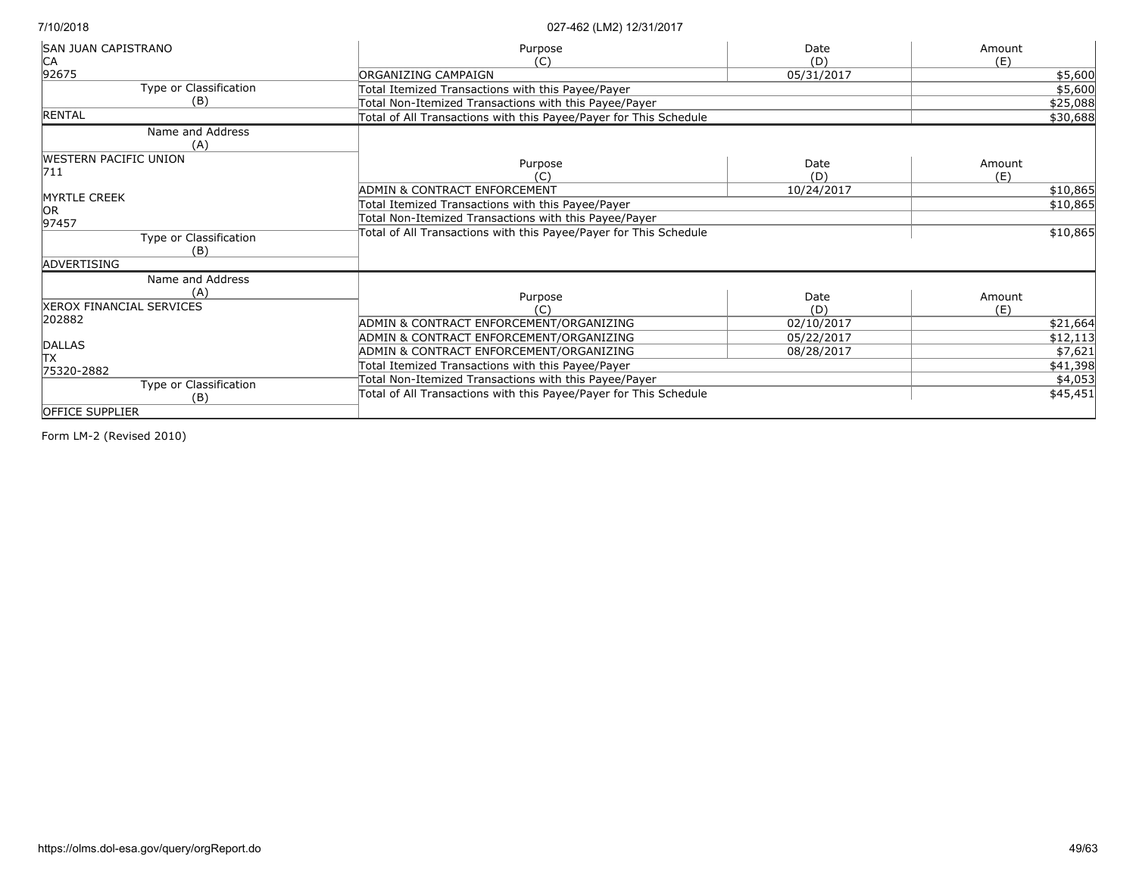| <b>SAN JUAN CAPISTRANO</b>   | Purpose                                                           | Date       | Amount   |
|------------------------------|-------------------------------------------------------------------|------------|----------|
| IСA                          | (C)                                                               | (D)        | (E)      |
| 92675                        | ORGANIZING CAMPAIGN                                               | 05/31/2017 | \$5,600  |
| Type or Classification       | Total Itemized Transactions with this Payee/Payer                 |            | \$5,600  |
| (B)                          | Total Non-Itemized Transactions with this Payee/Payer             |            | \$25,088 |
| <b>RENTAL</b>                | Total of All Transactions with this Payee/Payer for This Schedule |            | \$30,688 |
| Name and Address             |                                                                   |            |          |
| (A)                          |                                                                   |            |          |
| <b>WESTERN PACIFIC UNION</b> | Purpose                                                           | Date       | Amount   |
| 711                          | (C)                                                               | (D)        | (E)      |
|                              | ADMIN & CONTRACT ENFORCEMENT                                      | 10/24/2017 | \$10,865 |
| <b>MYRTLE CREEK</b>          | Total Itemized Transactions with this Payee/Payer                 |            | \$10,865 |
| lor                          | Total Non-Itemized Transactions with this Payee/Payer             |            |          |
| 97457                        | Total of All Transactions with this Payee/Payer for This Schedule |            | \$10,865 |
| Type or Classification       |                                                                   |            |          |
| (B)<br>ADVERTISING           |                                                                   |            |          |
|                              |                                                                   |            |          |
| Name and Address             |                                                                   |            |          |
| (A)                          | Purpose                                                           | Date       | Amount   |
| XEROX FINANCIAL SERVICES     | (C)                                                               | (D)        | (E)      |
| 202882                       | ADMIN & CONTRACT ENFORCEMENT/ORGANIZING                           | 02/10/2017 | \$21,664 |
| <b>DALLAS</b>                | ADMIN & CONTRACT ENFORCEMENT/ORGANIZING                           | 05/22/2017 | \$12,113 |
| lTX.                         | ADMIN & CONTRACT ENFORCEMENT/ORGANIZING                           | 08/28/2017 | \$7,621  |
| 75320-2882                   | Total Itemized Transactions with this Payee/Payer                 |            | \$41,398 |
| Type or Classification       | Total Non-Itemized Transactions with this Payee/Payer             |            | \$4,053  |
| (B)                          | Total of All Transactions with this Payee/Payer for This Schedule |            | \$45,451 |
| <b>OFFICE SUPPLIER</b>       |                                                                   |            |          |
|                              |                                                                   |            |          |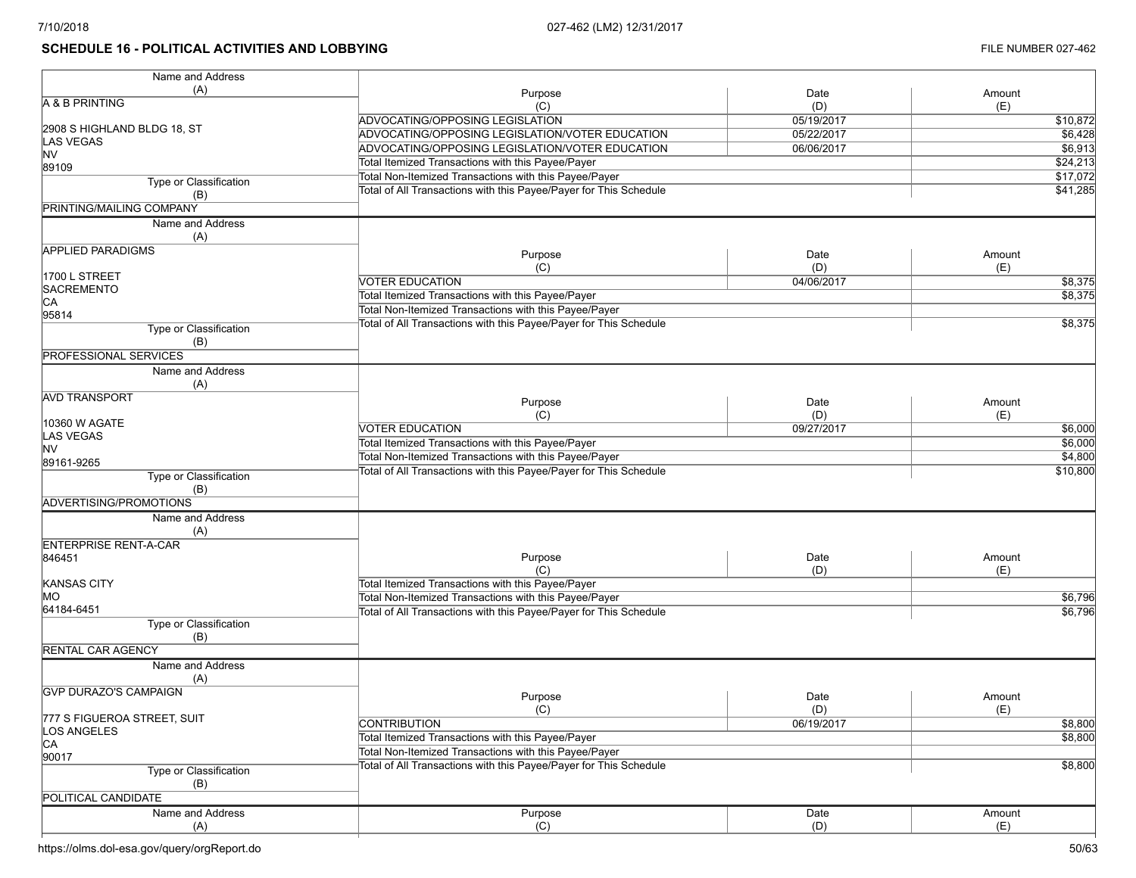# **SCHEDULE 16 - POLITICAL ACTIVITIES AND LOBBYING FILE NUMBER 027-462**

| Name and Address                           |                                                                   |            |          |
|--------------------------------------------|-------------------------------------------------------------------|------------|----------|
| (A)                                        | Purpose                                                           | Date       | Amount   |
| A & B PRINTING                             | (C)                                                               | (D)        | (E)      |
|                                            | ADVOCATING/OPPOSING LEGISLATION                                   | 05/19/2017 | \$10,872 |
| 2908 S HIGHLAND BLDG 18, ST                | ADVOCATING/OPPOSING LEGISLATION/VOTER EDUCATION                   | 05/22/2017 | \$6,428  |
| <b>LAS VEGAS</b><br><b>NV</b>              | ADVOCATING/OPPOSING LEGISLATION/VOTER EDUCATION                   | 06/06/2017 | \$6,913  |
| 89109                                      | Total Itemized Transactions with this Payee/Payer                 |            | \$24,213 |
|                                            | Total Non-Itemized Transactions with this Payee/Payer             |            | \$17,072 |
| Type or Classification                     | Total of All Transactions with this Payee/Payer for This Schedule |            | \$41,285 |
| (B)<br>PRINTING/MAILING COMPANY            |                                                                   |            |          |
|                                            |                                                                   |            |          |
| Name and Address                           |                                                                   |            |          |
| (A)                                        |                                                                   |            |          |
| <b>APPLIED PARADIGMS</b>                   | Purpose                                                           | Date       | Amount   |
|                                            | (C)                                                               | (D)        | (E)      |
| 1700 L STREET                              | VOTER EDUCATION                                                   | 04/06/2017 | \$8,375  |
| SACREMENTO                                 | Total Itemized Transactions with this Payee/Payer                 |            | \$8,375  |
| CA                                         | Total Non-Itemized Transactions with this Payee/Payer             |            |          |
| 95814                                      | Total of All Transactions with this Payee/Payer for This Schedule |            | \$8,375  |
| Type or Classification                     |                                                                   |            |          |
| (B)                                        |                                                                   |            |          |
| <b>PROFESSIONAL SERVICES</b>               |                                                                   |            |          |
| Name and Address                           |                                                                   |            |          |
| (A)                                        |                                                                   |            |          |
| <b>AVD TRANSPORT</b>                       | Purpose                                                           | Date       | Amount   |
|                                            | (C)                                                               | (D)        | (E)      |
| 10360 W AGATE                              | <b>VOTER EDUCATION</b>                                            | 09/27/2017 | \$6,000  |
| LAS VEGAS                                  | Total Itemized Transactions with this Payee/Payer                 |            | \$6,000  |
| <b>NV</b>                                  | Total Non-Itemized Transactions with this Payee/Payer             |            | \$4,800  |
| 89161-9265                                 |                                                                   |            |          |
| Type or Classification                     | Total of All Transactions with this Payee/Payer for This Schedule |            | \$10,800 |
| (B)                                        |                                                                   |            |          |
| ADVERTISING/PROMOTIONS                     |                                                                   |            |          |
| Name and Address                           |                                                                   |            |          |
| (A)                                        |                                                                   |            |          |
| <b>ENTERPRISE RENT-A-CAR</b>               |                                                                   |            |          |
| 846451                                     | Purpose                                                           | Date       | Amount   |
|                                            | (C)                                                               | (D)        | (E)      |
| KANSAS CITY                                | Total Itemized Transactions with this Payee/Payer                 |            |          |
| MO                                         | Total Non-Itemized Transactions with this Payee/Payer             |            | \$6,796  |
| 64184-6451                                 | Total of All Transactions with this Payee/Payer for This Schedule |            | \$6,796  |
| Type or Classification                     |                                                                   |            |          |
| (B)                                        |                                                                   |            |          |
| <b>RENTAL CAR AGENCY</b>                   |                                                                   |            |          |
| Name and Address                           |                                                                   |            |          |
| (A)                                        |                                                                   |            |          |
| <b>IGVP DURAZO'S CAMPAIGN</b>              |                                                                   |            |          |
|                                            | Purpose                                                           | Date       | Amount   |
|                                            | (C)                                                               | (D)        | (E)      |
| 777 S FIGUEROA STREET, SUIT<br>LOS ANGELES | <b>CONTRIBUTION</b>                                               | 06/19/2017 | \$8,800  |
| CA                                         | Total Itemized Transactions with this Payee/Payer                 |            | \$8,800  |
| 90017                                      | Total Non-Itemized Transactions with this Payee/Payer             |            |          |
| Type or Classification                     | Total of All Transactions with this Payee/Payer for This Schedule |            | \$8,800  |
|                                            |                                                                   |            |          |
| (B)                                        |                                                                   |            |          |
| POLITICAL CANDIDATE                        |                                                                   |            |          |
| Name and Address                           | Purpose                                                           | Date       | Amount   |
| (A)                                        | (C)                                                               | (D)        | (E)      |

https://olms.dol-esa.gov/query/orgReport.do 50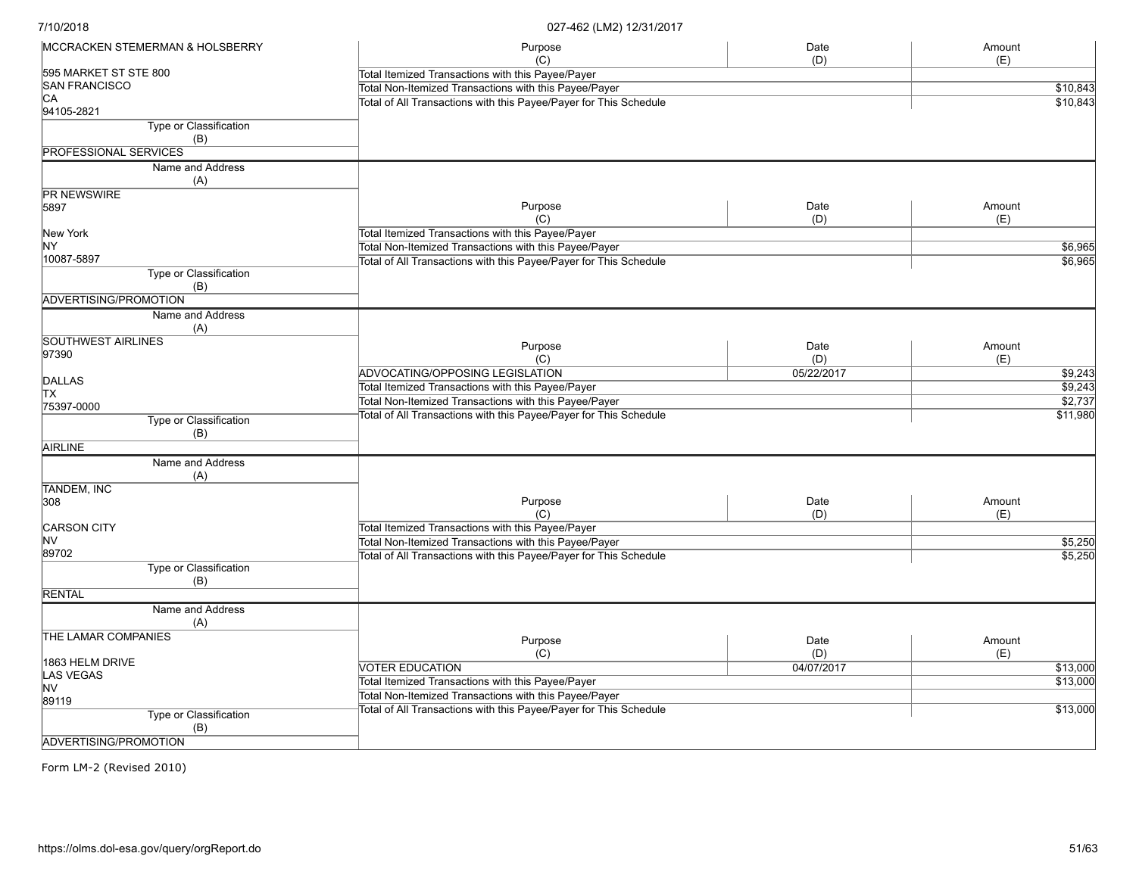| <b>MCCRACKEN STEMERMAN &amp; HOLSBERRY</b>    | Purpose                                                           | Date       | Amount              |
|-----------------------------------------------|-------------------------------------------------------------------|------------|---------------------|
|                                               | (C)                                                               | (D)        | (E)                 |
| 595 MARKET ST STE 800<br><b>SAN FRANCISCO</b> | Total Itemized Transactions with this Payee/Payer                 |            |                     |
| CA                                            | Total Non-Itemized Transactions with this Payee/Payer             |            | \$10,843            |
| 94105-2821                                    | Total of All Transactions with this Payee/Payer for This Schedule |            | \$10,843            |
| Type or Classification<br>(B)                 |                                                                   |            |                     |
| <b>PROFESSIONAL SERVICES</b>                  |                                                                   |            |                     |
| Name and Address<br>(A)                       |                                                                   |            |                     |
| <b>PR NEWSWIRE</b>                            |                                                                   |            |                     |
| 5897                                          | Purpose                                                           | Date       | Amount              |
|                                               | (C)                                                               | (D)        | (E)                 |
| New York                                      | Total Itemized Transactions with this Payee/Payer                 |            |                     |
| NY.                                           | Total Non-Itemized Transactions with this Payee/Payer             |            | \$6,965             |
| 10087-5897                                    | Total of All Transactions with this Payee/Payer for This Schedule |            | \$6,965             |
| Type or Classification<br>(B)                 |                                                                   |            |                     |
| ADVERTISING/PROMOTION                         |                                                                   |            |                     |
| Name and Address                              |                                                                   |            |                     |
| (A)                                           |                                                                   |            |                     |
| <b>SOUTHWEST AIRLINES</b>                     | Purpose                                                           | Date       | Amount              |
| 97390                                         | (C)                                                               | (D)        | (E)                 |
|                                               | ADVOCATING/OPPOSING LEGISLATION                                   | 05/22/2017 | \$9,243             |
| <b>DALLAS</b>                                 | Total Itemized Transactions with this Payee/Payer                 |            | $\frac{1}{159,243}$ |
| <b>TX</b>                                     | Total Non-Itemized Transactions with this Payee/Payer             |            | \$2,737             |
| 75397-0000                                    | Total of All Transactions with this Payee/Payer for This Schedule |            | \$11,980            |
| Type or Classification<br>(B)                 |                                                                   |            |                     |
| <b>AIRLINE</b>                                |                                                                   |            |                     |
| Name and Address<br>(A)                       |                                                                   |            |                     |
| <b>TANDEM, INC</b>                            |                                                                   |            |                     |
| 308                                           | Purpose                                                           | Date       | Amount              |
|                                               | (C)                                                               | (D)        | (E)                 |
| CARSON CITY                                   | Total Itemized Transactions with this Payee/Payer                 |            |                     |
| lnv                                           | Total Non-Itemized Transactions with this Payee/Payer             |            | \$5,250             |
| 89702                                         | Total of All Transactions with this Payee/Payer for This Schedule |            | 55,250              |
| Type or Classification                        |                                                                   |            |                     |
| (B)                                           |                                                                   |            |                     |
| <b>RENTAL</b>                                 |                                                                   |            |                     |
| Name and Address<br>(A)                       |                                                                   |            |                     |
| THE LAMAR COMPANIES                           | Purpose                                                           | Date       | Amount              |
|                                               | (C)                                                               | (D)        | (E)                 |
| 1863 HELM DRIVE                               | <b>VOTER EDUCATION</b>                                            | 04/07/2017 | \$13,000            |
| LAS VEGAS                                     | Total Itemized Transactions with this Payee/Payer                 |            | \$13,000            |
| <b>NV</b>                                     | Total Non-Itemized Transactions with this Payee/Payer             |            |                     |
| 89119                                         | Total of All Transactions with this Payee/Payer for This Schedule |            | \$13,000            |
| Type or Classification<br>(B)                 |                                                                   |            |                     |
| ADVERTISING/PROMOTION                         |                                                                   |            |                     |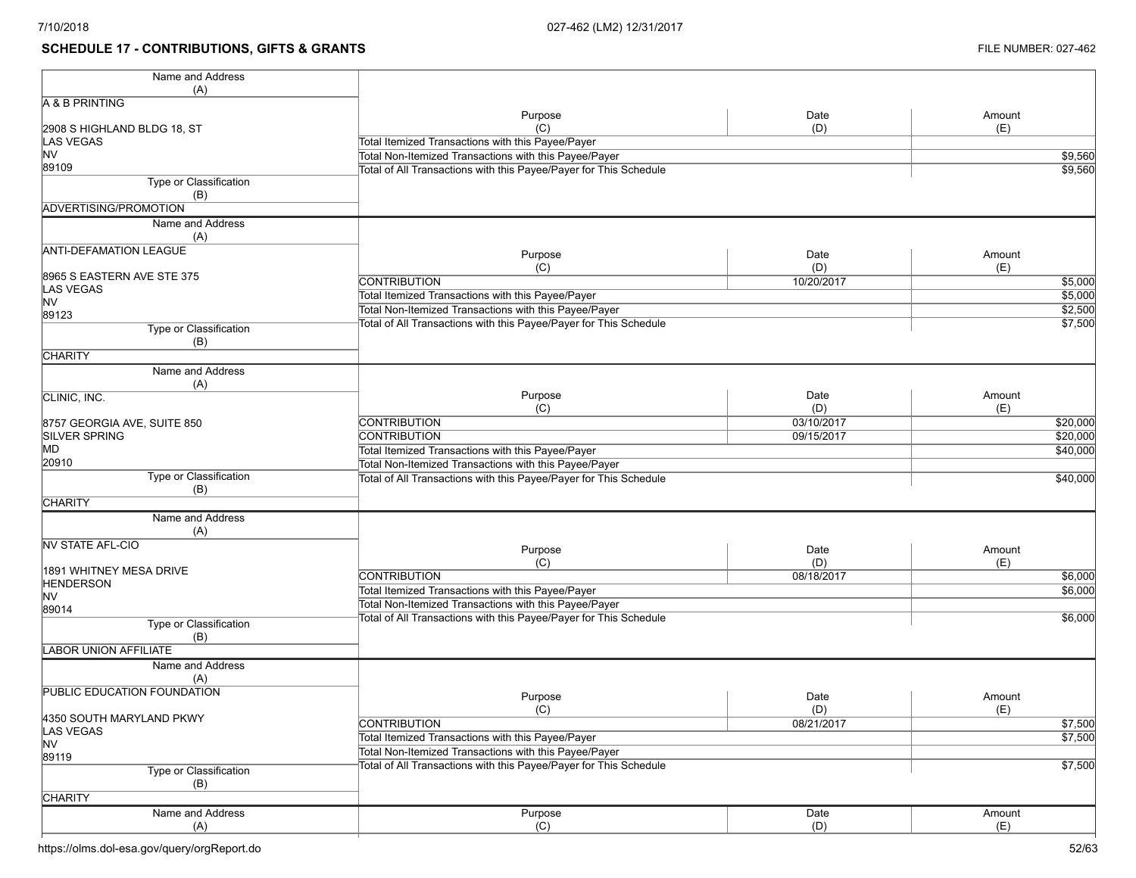## **SCHEDULE 17 - CONTRIBUTIONS, GIFTS & GRANTS FILE NUMBER: 027-462**

| Name and Address                   |                                                                   |            |          |
|------------------------------------|-------------------------------------------------------------------|------------|----------|
| (A)                                |                                                                   |            |          |
| A & B PRINTING                     |                                                                   |            |          |
|                                    | Purpose                                                           | Date       | Amount   |
| 2908 S HIGHLAND BLDG 18, ST        | (C)                                                               | (D)        | (E)      |
| LAS VEGAS                          | Total Itemized Transactions with this Payee/Payer                 |            |          |
| <b>NV</b><br>89109                 | Total Non-Itemized Transactions with this Payee/Payer             |            | \$9,560  |
| Type or Classification             | Total of All Transactions with this Payee/Payer for This Schedule |            | \$9,560  |
| (B)                                |                                                                   |            |          |
| ADVERTISING/PROMOTION              |                                                                   |            |          |
| Name and Address                   |                                                                   |            |          |
| (A)                                |                                                                   |            |          |
| <b>ANTI-DEFAMATION LEAGUE</b>      |                                                                   |            |          |
|                                    | Purpose                                                           | Date       | Amount   |
| 8965 S EASTERN AVE STE 375         | (C)                                                               | (D)        | (E)      |
| <b>LAS VEGAS</b>                   | <b>CONTRIBUTION</b>                                               | 10/20/2017 | \$5,000  |
| <b>NV</b>                          | Total Itemized Transactions with this Payee/Payer                 |            | \$5,000  |
| 89123                              | Total Non-Itemized Transactions with this Payee/Payer             |            | \$2,500  |
| Type or Classification             | Total of All Transactions with this Payee/Payer for This Schedule |            | \$7,500  |
| (B)                                |                                                                   |            |          |
| <b>CHARITY</b>                     |                                                                   |            |          |
| Name and Address                   |                                                                   |            |          |
| (A)                                |                                                                   |            |          |
| CLINIC, INC.                       | Purpose                                                           | Date       | Amount   |
|                                    | (C)                                                               | (D)        | (E)      |
| 8757 GEORGIA AVE, SUITE 850        | <b>CONTRIBUTION</b>                                               | 03/10/2017 | \$20,000 |
| <b>SILVER SPRING</b>               | <b>CONTRIBUTION</b>                                               | 09/15/2017 | \$20,000 |
| <b>MD</b>                          | Total Itemized Transactions with this Payee/Payer                 |            | \$40,000 |
| 20910                              | Total Non-Itemized Transactions with this Payee/Payer             |            |          |
| Type or Classification             | Total of All Transactions with this Payee/Payer for This Schedule |            | \$40,000 |
| (B)                                |                                                                   |            |          |
| <b>CHARITY</b>                     |                                                                   |            |          |
| Name and Address                   |                                                                   |            |          |
| (A)                                |                                                                   |            |          |
| <b>NV STATE AFL-CIO</b>            | Purpose                                                           | Date       | Amount   |
|                                    | (C)                                                               | (D)        | (E)      |
| 1891 WHITNEY MESA DRIVE            | <b>CONTRIBUTION</b>                                               | 08/18/2017 | \$6,000  |
| <b>HENDERSON</b>                   | Total Itemized Transactions with this Payee/Payer                 |            | \$6,000  |
| <b>NV</b><br>89014                 | Total Non-Itemized Transactions with this Payee/Payer             |            |          |
| Type or Classification             | Total of All Transactions with this Payee/Payer for This Schedule |            | \$6,000  |
| (B)                                |                                                                   |            |          |
| <b>LABOR UNION AFFILIATE</b>       |                                                                   |            |          |
|                                    |                                                                   |            |          |
| Name and Address                   |                                                                   |            |          |
| (A)<br>PUBLIC EDUCATION FOUNDATION |                                                                   |            |          |
|                                    | Purpose                                                           | Date       | Amount   |
| 4350 SOUTH MARYLAND PKWY           | (C)                                                               | (D)        | (E)      |
| <b>LAS VEGAS</b>                   | <b>CONTRIBUTION</b>                                               | 08/21/2017 | \$7,500  |
| <b>NV</b>                          | Total Itemized Transactions with this Payee/Payer                 |            | \$7,500  |
| 89119                              | Total Non-Itemized Transactions with this Payee/Payer             |            |          |
| Type or Classification             | Total of All Transactions with this Payee/Payer for This Schedule |            | \$7,500  |
| (B)                                |                                                                   |            |          |
| <b>CHARITY</b>                     |                                                                   |            |          |
| Name and Address                   | Purpose                                                           | Date       | Amount   |
| (A)                                | (C)                                                               | (D)        | (E)      |
|                                    |                                                                   |            |          |

https://olms.dol-esa.gov/query/orgReport.do 52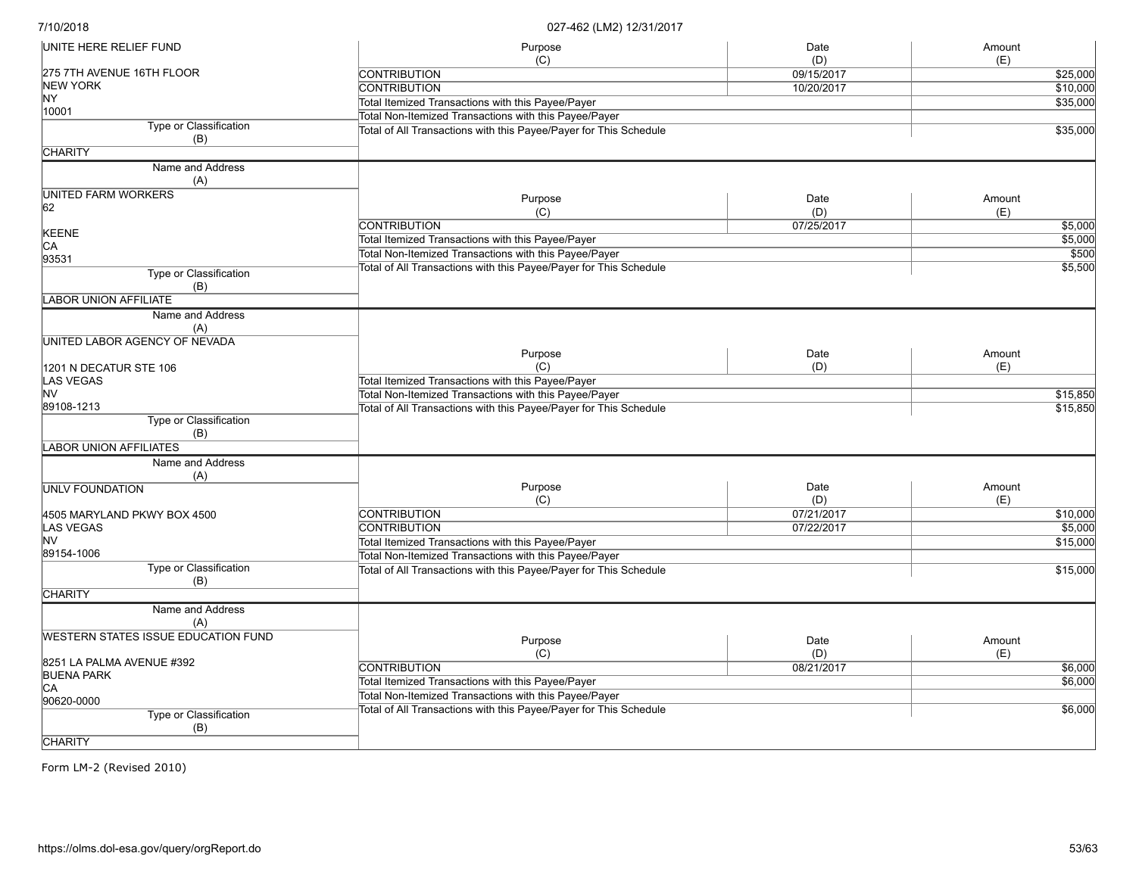| UNITE HERE RELIEF FUND              | Purpose                                                           | Date        | Amount        |
|-------------------------------------|-------------------------------------------------------------------|-------------|---------------|
|                                     | (C)                                                               | (D)         | (E)           |
| 275 7TH AVENUE 16TH FLOOR           | <b>CONTRIBUTION</b>                                               | 09/15/2017  | \$25,000      |
| <b>NEW YORK</b>                     | <b>CONTRIBUTION</b>                                               | 10/20/2017  | \$10,000      |
| NY.                                 | Total Itemized Transactions with this Payee/Payer                 |             | \$35,000      |
| 10001                               | Total Non-Itemized Transactions with this Payee/Payer             |             |               |
| Type or Classification<br>(B)       | Total of All Transactions with this Payee/Payer for This Schedule |             | \$35,000      |
| <b>CHARITY</b>                      |                                                                   |             |               |
| Name and Address                    |                                                                   |             |               |
| (A)                                 |                                                                   |             |               |
| UNITED FARM WORKERS                 | Purpose                                                           | Date        | Amount        |
| 62                                  | (C)                                                               | (D)         | (E)           |
|                                     | <b>CONTRIBUTION</b>                                               | 07/25/2017  | \$5,000       |
| KEENE                               | Total Itemized Transactions with this Payee/Payer                 |             | \$5,000       |
| CA<br>93531                         | Total Non-Itemized Transactions with this Payee/Payer             |             | \$500         |
|                                     | Total of All Transactions with this Payee/Payer for This Schedule |             | 55,500        |
| Type or Classification              |                                                                   |             |               |
| (B)                                 |                                                                   |             |               |
| <b>LABOR UNION AFFILIATE</b>        |                                                                   |             |               |
| Name and Address                    |                                                                   |             |               |
| (A)                                 |                                                                   |             |               |
| UNITED LABOR AGENCY OF NEVADA       | Purpose                                                           | Date        |               |
|                                     | (C)                                                               |             | Amount        |
| 1201 N DECATUR STE 106              |                                                                   | (D)         | (E)           |
| LAS VEGAS<br>lnv                    | Total Itemized Transactions with this Payee/Payer                 |             |               |
|                                     | Total Non-Itemized Transactions with this Payee/Payer             |             | \$15,850      |
| 89108-1213                          | Total of All Transactions with this Payee/Payer for This Schedule |             | \$15,850      |
| Type or Classification              |                                                                   |             |               |
| (B)                                 |                                                                   |             |               |
| LABOR UNION AFFILIATES              |                                                                   |             |               |
| Name and Address<br>(A)             |                                                                   |             |               |
| UNLV FOUNDATION                     | Purpose                                                           | Date        | Amount        |
|                                     | (C)                                                               | (D)         | (E)           |
| 4505 MARYLAND PKWY BOX 4500         | CONTRIBUTION                                                      | 07/21/2017  | \$10,000      |
| LAS VEGAS                           | <b>CONTRIBUTION</b>                                               | 07/22/2017  | \$5,000       |
| lnv                                 | Total Itemized Transactions with this Payee/Payer                 |             | \$15,000      |
| 89154-1006                          | Total Non-Itemized Transactions with this Payee/Payer             |             |               |
| Type or Classification<br>(B)       | Total of All Transactions with this Payee/Payer for This Schedule |             | \$15,000      |
| <b>CHARITY</b>                      |                                                                   |             |               |
| Name and Address<br>(A)             |                                                                   |             |               |
| WESTERN STATES ISSUE EDUCATION FUND |                                                                   |             |               |
|                                     | Purpose<br>(C)                                                    | Date<br>(D) | Amount<br>(E) |
| 8251 LA PALMA AVENUE #392           | <b>CONTRIBUTION</b>                                               | 08/21/2017  | \$6,000       |
| <b>BUENA PARK</b>                   |                                                                   |             |               |
| IСA                                 | Total Itemized Transactions with this Payee/Payer                 |             | \$6,000       |
| 90620-0000                          | Total Non-Itemized Transactions with this Payee/Payer             |             |               |
| Type or Classification<br>(B)       | Total of All Transactions with this Payee/Payer for This Schedule |             | \$6,000       |
| <b>CHARITY</b>                      |                                                                   |             |               |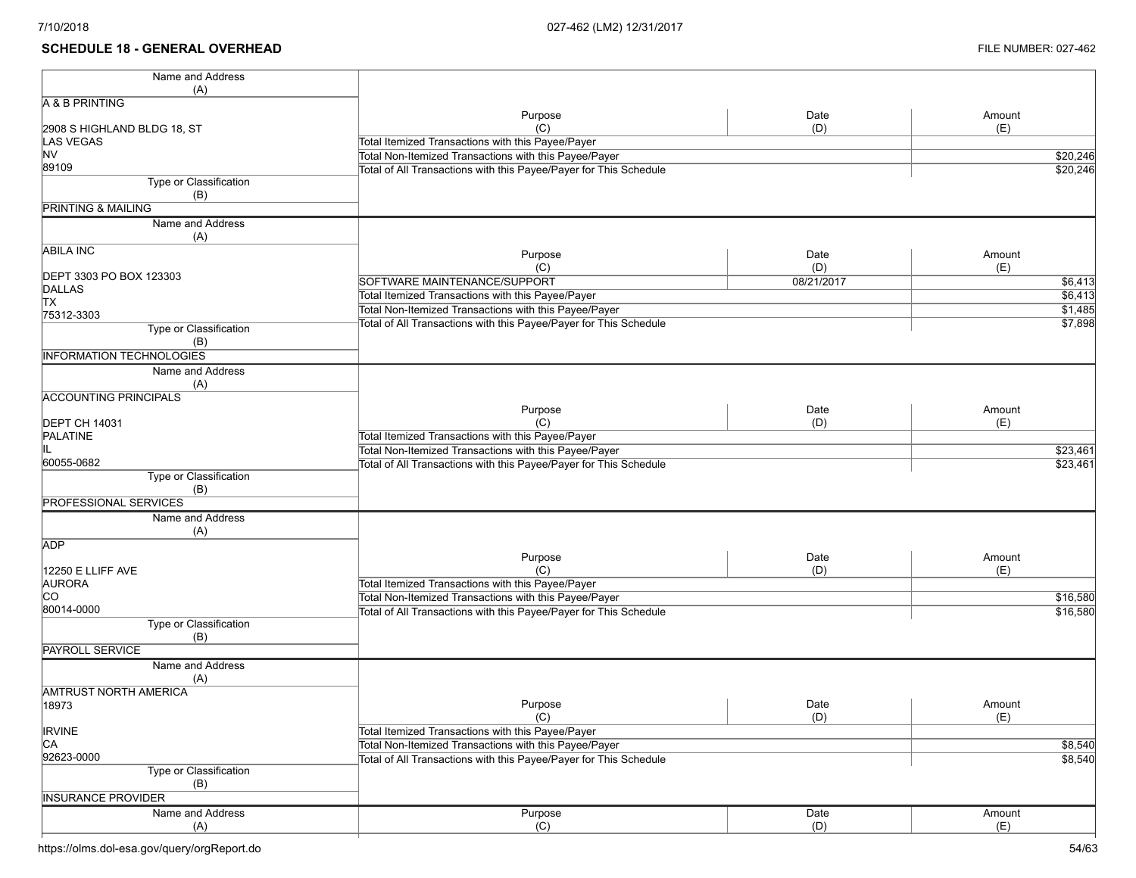## **SCHEDULE 18 - GENERAL OVERHEAD** FILE NUMBER: 027-462

| Name and Address                    |                                                                   |            |          |
|-------------------------------------|-------------------------------------------------------------------|------------|----------|
| (A)                                 |                                                                   |            |          |
| A & B PRINTING                      |                                                                   |            |          |
|                                     | Purpose<br>(C)                                                    | Date       | Amount   |
| 2908 S HIGHLAND BLDG 18, ST         |                                                                   | (D)        | (E)      |
| LAS VEGAS<br><b>NV</b>              | Total Itemized Transactions with this Payee/Payer                 |            |          |
| 89109                               | Total Non-Itemized Transactions with this Payee/Payer             |            | \$20,246 |
| Type or Classification              | Total of All Transactions with this Payee/Payer for This Schedule |            | \$20,246 |
| (B)                                 |                                                                   |            |          |
| <b>PRINTING &amp; MAILING</b>       |                                                                   |            |          |
| Name and Address                    |                                                                   |            |          |
|                                     |                                                                   |            |          |
| (A)                                 |                                                                   |            |          |
| <b>ABILA INC</b>                    | Purpose                                                           | Date       | Amount   |
| DEPT 3303 PO BOX 123303             | (C)                                                               | (D)        | (E)      |
| DALLAS                              | SOFTWARE MAINTENANCE/SUPPORT                                      | 08/21/2017 | \$6,413  |
| <b>TX</b>                           | Total Itemized Transactions with this Payee/Payer                 |            | \$6,413  |
| 75312-3303                          | Total Non-Itemized Transactions with this Payee/Payer             |            | \$1,485  |
| Type or Classification              | Total of All Transactions with this Payee/Payer for This Schedule |            | \$7,898  |
| (B)                                 |                                                                   |            |          |
| <b>INFORMATION TECHNOLOGIES</b>     |                                                                   |            |          |
| Name and Address                    |                                                                   |            |          |
|                                     |                                                                   |            |          |
| (A)<br><b>ACCOUNTING PRINCIPALS</b> |                                                                   |            |          |
|                                     | Purpose                                                           | Date       | Amount   |
| <b>DEPT CH 14031</b>                | (C)                                                               | (D)        | (E)      |
| <b>PALATINE</b>                     | Total Itemized Transactions with this Payee/Payer                 |            |          |
| IIL                                 | Total Non-Itemized Transactions with this Payee/Payer             |            |          |
| 60055-0682                          |                                                                   |            | \$23,461 |
| Type or Classification              | Total of All Transactions with this Payee/Payer for This Schedule |            | \$23,461 |
|                                     |                                                                   |            |          |
| (B)<br><b>PROFESSIONAL SERVICES</b> |                                                                   |            |          |
|                                     |                                                                   |            |          |
| Name and Address                    |                                                                   |            |          |
| (A)                                 |                                                                   |            |          |
| <b>ADP</b>                          | Purpose                                                           | Date       | Amount   |
| 12250 E LLIFF AVE                   | (C)                                                               | (D)        | (E)      |
| AURORA                              | Total Itemized Transactions with this Payee/Payer                 |            |          |
| <b>CO</b>                           | Total Non-Itemized Transactions with this Payee/Payer             |            | \$16,580 |
| 80014-0000                          | Total of All Transactions with this Payee/Payer for This Schedule |            | \$16,580 |
| Type or Classification              |                                                                   |            |          |
| (B)                                 |                                                                   |            |          |
| <b>PAYROLL SERVICE</b>              |                                                                   |            |          |
| Name and Address                    |                                                                   |            |          |
| (A)                                 |                                                                   |            |          |
| <b>AMTRUST NORTH AMERICA</b>        |                                                                   |            |          |
| 18973                               | Purpose                                                           | Date       | Amount   |
|                                     | (C)                                                               | (D)        | (E)      |
| <b>IRVINE</b>                       | Total Itemized Transactions with this Payee/Payer                 |            |          |
| CA                                  | Total Non-Itemized Transactions with this Payee/Payer             |            | \$8,540  |
| 92623-0000                          | Total of All Transactions with this Payee/Payer for This Schedule |            | \$8,540  |
| <b>Type or Classification</b>       |                                                                   |            |          |
| (B)                                 |                                                                   |            |          |
| <b>INSURANCE PROVIDER</b>           |                                                                   |            |          |
|                                     |                                                                   |            |          |
| Name and Address                    | Purpose                                                           | Date       | Amount   |
| (A)                                 | (C)                                                               | (D)        | (E)      |

https://olms.dol-esa.gov/query/orgReport.do 54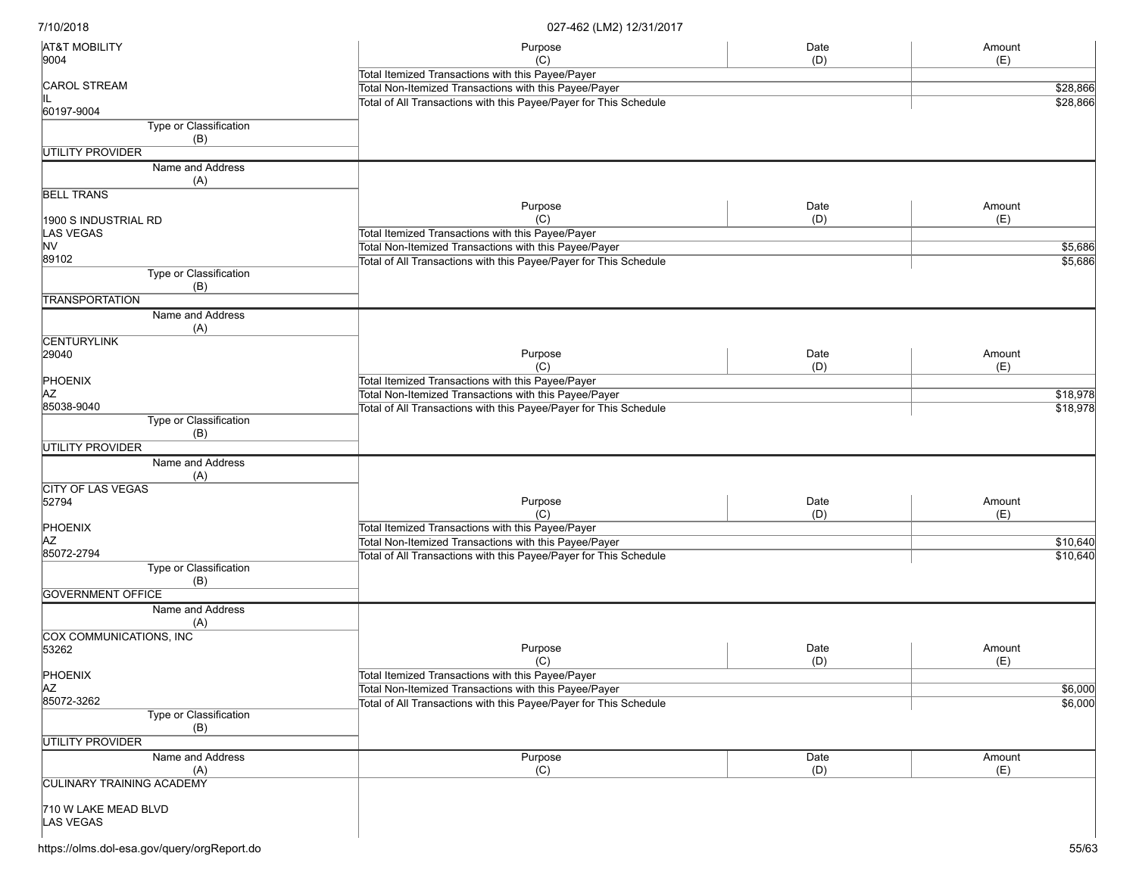| <b>AT&amp;T MOBILITY</b>                | Purpose                                                           | Date | Amount   |
|-----------------------------------------|-------------------------------------------------------------------|------|----------|
| 9004                                    | (C)                                                               | (D)  | (E)      |
|                                         | Total Itemized Transactions with this Payee/Payer                 |      |          |
| CAROL STREAM                            | Total Non-Itemized Transactions with this Payee/Payer             |      | \$28,866 |
| 60197-9004                              | Total of All Transactions with this Payee/Payer for This Schedule |      | \$28,866 |
| Type or Classification                  |                                                                   |      |          |
| (B)                                     |                                                                   |      |          |
| <b>UTILITY PROVIDER</b>                 |                                                                   |      |          |
|                                         |                                                                   |      |          |
| Name and Address<br>(A)                 |                                                                   |      |          |
| <b>BELL TRANS</b>                       |                                                                   |      |          |
|                                         | Purpose                                                           | Date | Amount   |
| 1900 S INDUSTRIAL RD                    | (C)                                                               | (D)  | (E)      |
| LAS VEGAS                               | Total Itemized Transactions with this Payee/Payer                 |      |          |
| <b>NV</b>                               | Total Non-Itemized Transactions with this Payee/Payer             |      | \$5,686  |
| 89102                                   | Total of All Transactions with this Payee/Payer for This Schedule |      | \$5,686  |
| Type or Classification<br>(B)           |                                                                   |      |          |
| <b>TRANSPORTATION</b>                   |                                                                   |      |          |
| Name and Address<br>(A)                 |                                                                   |      |          |
| <b>CENTURYLINK</b>                      |                                                                   |      |          |
| 29040                                   | Purpose                                                           | Date | Amount   |
|                                         | (C)                                                               | (D)  | (E)      |
| PHOENIX                                 | Total Itemized Transactions with this Payee/Payer                 |      |          |
| <b>AZ</b>                               | Total Non-Itemized Transactions with this Payee/Payer             |      | \$18,978 |
| 85038-9040                              |                                                                   |      |          |
| Type or Classification                  | Total of All Transactions with this Payee/Payer for This Schedule |      | \$18,978 |
| (B)                                     |                                                                   |      |          |
| <b>UTILITY PROVIDER</b>                 |                                                                   |      |          |
| Name and Address                        |                                                                   |      |          |
| (A)                                     |                                                                   |      |          |
| <b>CITY OF LAS VEGAS</b>                |                                                                   |      |          |
| 52794                                   | Purpose                                                           | Date | Amount   |
|                                         | (C)                                                               | (D)  | (E)      |
| PHOENIX                                 | Total Itemized Transactions with this Payee/Payer                 |      |          |
| ΙAΖ                                     | Total Non-Itemized Transactions with this Payee/Payer             |      | \$10,640 |
| 85072-2794                              | Total of All Transactions with this Payee/Payer for This Schedule |      | \$10,640 |
| Type or Classification<br>(B)           |                                                                   |      |          |
| <b>GOVERNMENT OFFICE</b>                |                                                                   |      |          |
| Name and Address                        |                                                                   |      |          |
| (A)                                     |                                                                   |      |          |
| <b>COX COMMUNICATIONS, INC</b><br>53262 | Purpose                                                           | Date | Amount   |
|                                         | (C)                                                               | (D)  |          |
| PHOENIX                                 | Total Itemized Transactions with this Payee/Payer                 |      | (E)      |
|                                         |                                                                   |      |          |
| <b>AZ</b><br>85072-3262                 | Total Non-Itemized Transactions with this Payee/Payer             |      | \$6,000  |
|                                         | Total of All Transactions with this Payee/Payer for This Schedule |      | \$6,000  |
| Type or Classification                  |                                                                   |      |          |
| (B)                                     |                                                                   |      |          |
| UTILITY PROVIDER                        |                                                                   |      |          |
| Name and Address                        | Purpose                                                           | Date | Amount   |
| (A)                                     | (C)                                                               | (D)  | (E)      |
| <b>CULINARY TRAINING ACADEMY</b>        |                                                                   |      |          |
|                                         |                                                                   |      |          |
| 710 W LAKE MEAD BLVD<br>LAS VEGAS       |                                                                   |      |          |
|                                         |                                                                   |      |          |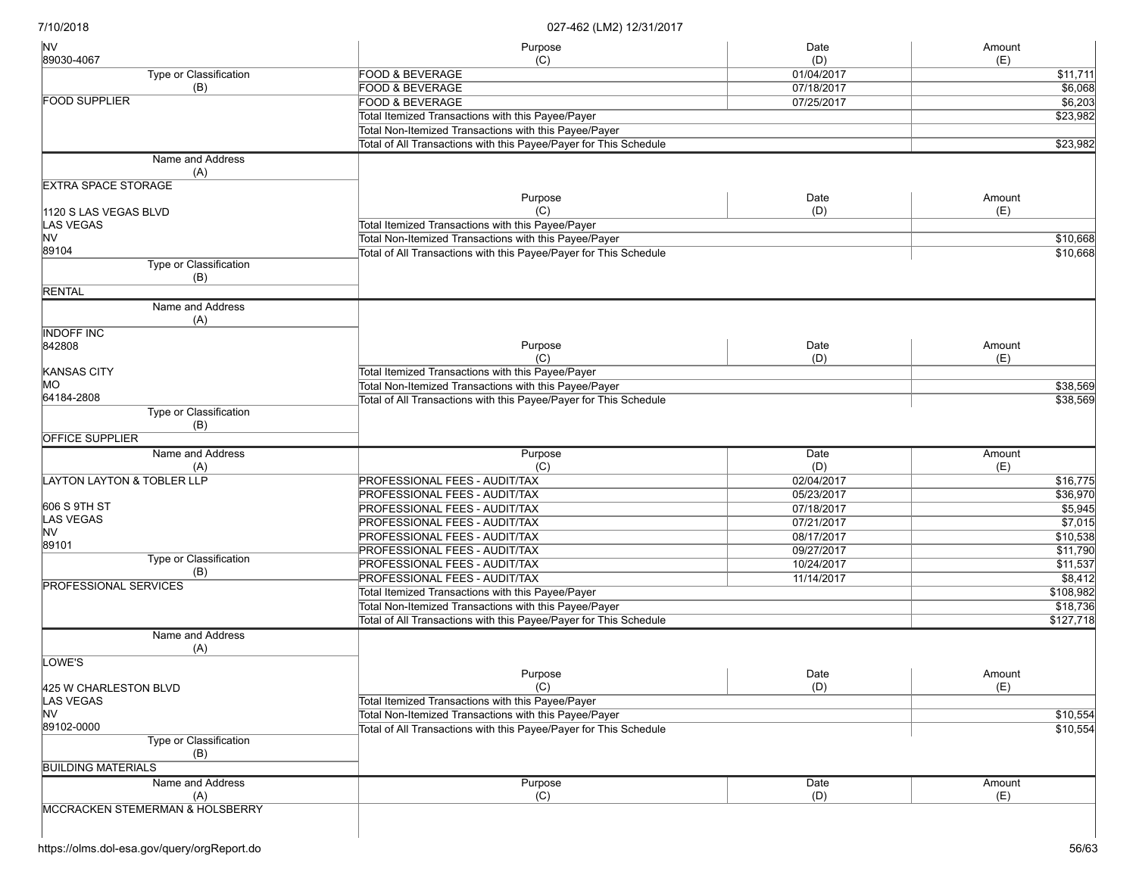| <b>NV</b>                                  | Purpose                                                           | Date       | Amount    |
|--------------------------------------------|-------------------------------------------------------------------|------------|-----------|
| 89030-4067                                 | (C)                                                               | (D)        | (E)       |
| Type or Classification                     | <b>FOOD &amp; BEVERAGE</b>                                        | 01/04/2017 | \$11,711  |
| (B)<br><b>FOOD SUPPLIER</b>                | <b>FOOD &amp; BEVERAGE</b>                                        | 07/18/2017 | \$6,068   |
|                                            | <b>FOOD &amp; BEVERAGE</b>                                        | 07/25/2017 | \$6,203   |
|                                            | Total Itemized Transactions with this Payee/Payer                 |            | \$23,982  |
|                                            | Total Non-Itemized Transactions with this Payee/Payer             |            |           |
|                                            | Total of All Transactions with this Payee/Payer for This Schedule |            | \$23,982  |
| Name and Address                           |                                                                   |            |           |
| (A)                                        |                                                                   |            |           |
| <b>EXTRA SPACE STORAGE</b>                 | Purpose                                                           | Date       | Amount    |
| 1120 S LAS VEGAS BLVD                      | (C)                                                               | (D)        | (E)       |
| LAS VEGAS                                  | Total Itemized Transactions with this Payee/Payer                 |            |           |
| NV                                         | Total Non-Itemized Transactions with this Payee/Payer             |            | \$10,668  |
| 89104                                      | Total of All Transactions with this Payee/Payer for This Schedule |            | \$10,668  |
| Type or Classification                     |                                                                   |            |           |
| (B)                                        |                                                                   |            |           |
| <b>RENTAL</b>                              |                                                                   |            |           |
| Name and Address                           |                                                                   |            |           |
| (A)                                        |                                                                   |            |           |
| <b>INDOFF INC</b>                          |                                                                   |            |           |
| 842808                                     | Purpose                                                           | Date       | Amount    |
|                                            | (C)                                                               | (D)        | (E)       |
| KANSAS CITY                                | Total Itemized Transactions with this Payee/Payer                 |            |           |
| MO                                         | Total Non-Itemized Transactions with this Payee/Payer             |            | \$38,569  |
| 64184-2808                                 | Total of All Transactions with this Payee/Payer for This Schedule |            | \$38,569  |
| <b>Type or Classification</b>              |                                                                   |            |           |
| (B)                                        |                                                                   |            |           |
| <b>OFFICE SUPPLIER</b>                     |                                                                   |            |           |
| Name and Address                           | Purpose                                                           | Date       | Amount    |
| (A)                                        | (C)                                                               | (D)        | (E)       |
| <b>LAYTON LAYTON &amp; TOBLER LLP</b>      | PROFESSIONAL FEES - AUDIT/TAX                                     | 02/04/2017 | \$16,775  |
|                                            | PROFESSIONAL FEES - AUDIT/TAX                                     | 05/23/2017 | \$36,970  |
| 606 S 9TH ST                               | PROFESSIONAL FEES - AUDIT/TAX                                     | 07/18/2017 | \$5,945   |
| LAS VEGAS                                  | PROFESSIONAL FEES - AUDIT/TAX                                     | 07/21/2017 | \$7,015   |
| NV                                         | PROFESSIONAL FEES - AUDIT/TAX                                     | 08/17/2017 | \$10,538  |
| 89101                                      | PROFESSIONAL FEES - AUDIT/TAX                                     | 09/27/2017 | \$11,790  |
| Type or Classification                     | PROFESSIONAL FEES - AUDIT/TAX                                     | 10/24/2017 | \$11,537  |
| (B)                                        | PROFESSIONAL FEES - AUDIT/TAX                                     | 11/14/2017 | \$8,412   |
| <b>PROFESSIONAL SERVICES</b>               | Total Itemized Transactions with this Payee/Payer                 |            | \$108,982 |
|                                            | Total Non-Itemized Transactions with this Payee/Payer             |            | \$18,736  |
|                                            | Total of All Transactions with this Payee/Payer for This Schedule |            | \$127,718 |
| Name and Address                           |                                                                   |            |           |
| (A)                                        |                                                                   |            |           |
| OWE'S                                      |                                                                   |            |           |
|                                            | Purpose                                                           | Date       | Amount    |
| 425 W CHARLESTON BLVD                      | (C)                                                               | (D)        | (E)       |
| LAS VEGAS                                  | Total Itemized Transactions with this Payee/Payer                 |            |           |
| NV                                         | Total Non-Itemized Transactions with this Payee/Payer             |            | \$10,554  |
| 89102-0000                                 | Total of All Transactions with this Payee/Payer for This Schedule |            | \$10,554  |
| Type or Classification                     |                                                                   |            |           |
| (B)                                        |                                                                   |            |           |
| <b>BUILDING MATERIALS</b>                  |                                                                   |            |           |
| Name and Address                           | Purpose                                                           | Date       | Amount    |
| (A)                                        | (C)                                                               | (D)        | (E)       |
| <b>MCCRACKEN STEMERMAN &amp; HOLSBERRY</b> |                                                                   |            |           |
|                                            |                                                                   |            |           |
|                                            |                                                                   |            |           |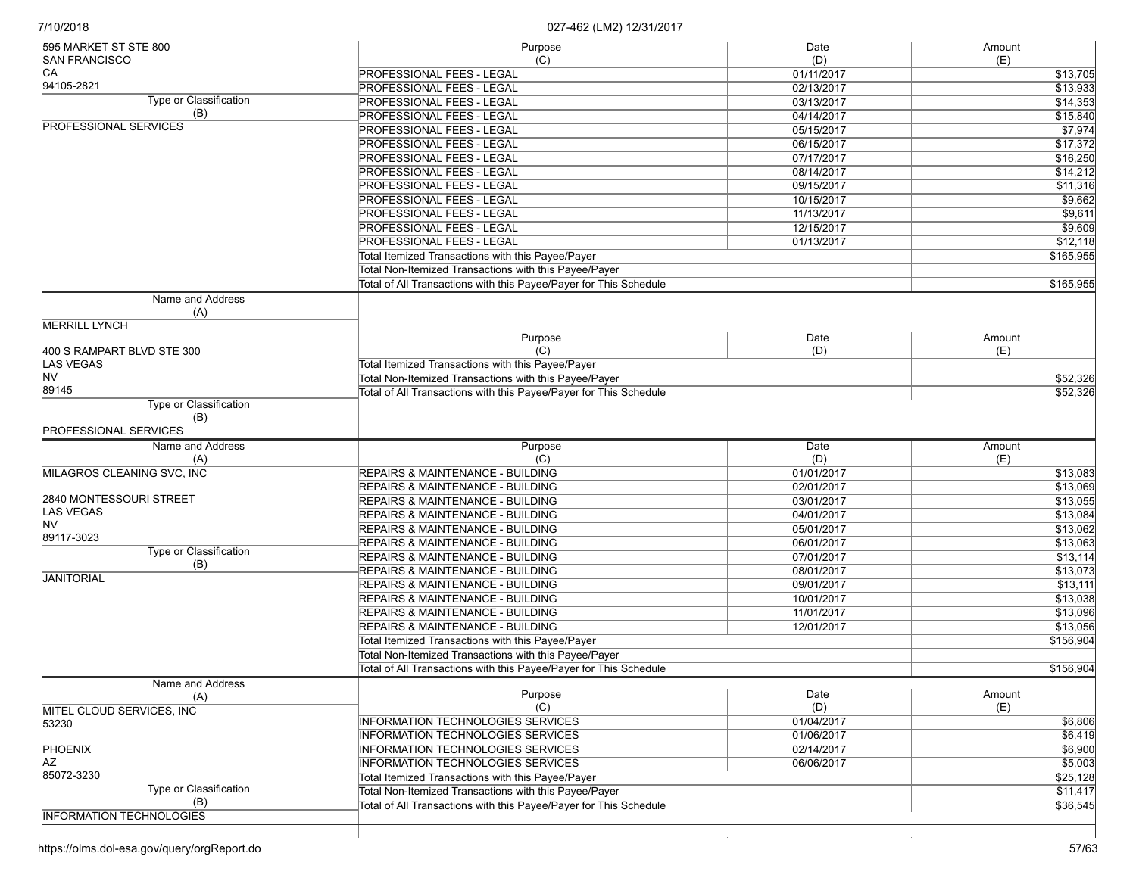| 595 MARKET ST STE 800           | Purpose                                                           | Date       | Amount              |
|---------------------------------|-------------------------------------------------------------------|------------|---------------------|
| <b>SAN FRANCISCO</b>            | (C)                                                               | (D)        | (E)                 |
| CА                              | <b>PROFESSIONAL FEES - LEGAL</b>                                  | 01/11/2017 | \$13,705            |
| 94105-2821                      | <b>PROFESSIONAL FEES - LEGAL</b>                                  | 02/13/2017 | \$13,933            |
| Type or Classification          | <b>PROFESSIONAL FEES - LEGAL</b>                                  | 03/13/2017 | \$14,353            |
| (B)                             | PROFESSIONAL FEES - LEGAL                                         | 04/14/2017 | \$15,840            |
| <b>PROFESSIONAL SERVICES</b>    | <b>PROFESSIONAL FEES - LEGAL</b>                                  | 05/15/2017 | \$7,974             |
|                                 | <b>PROFESSIONAL FEES - LEGAL</b>                                  | 06/15/2017 | \$17,372            |
|                                 | <b>PROFESSIONAL FEES - LEGAL</b>                                  | 07/17/2017 | \$16,250            |
|                                 | <b>PROFESSIONAL FEES - LEGAL</b>                                  | 08/14/2017 | \$14,212            |
|                                 | <b>PROFESSIONAL FEES - LEGAL</b>                                  | 09/15/2017 | \$11,316            |
|                                 | PROFESSIONAL FEES - LEGAL                                         | 10/15/2017 | \$9,662             |
|                                 | <b>PROFESSIONAL FEES - LEGAL</b>                                  | 11/13/2017 | \$9,611             |
|                                 | <b>PROFESSIONAL FEES - LEGAL</b>                                  |            | \$9,609             |
|                                 |                                                                   | 12/15/2017 |                     |
|                                 | <b>PROFESSIONAL FEES - LEGAL</b>                                  | 01/13/2017 | \$12,118            |
|                                 | Total Itemized Transactions with this Payee/Payer                 |            | \$165,955           |
|                                 | Total Non-Itemized Transactions with this Payee/Payer             |            |                     |
|                                 | Total of All Transactions with this Payee/Payer for This Schedule |            | \$165,955           |
| Name and Address                |                                                                   |            |                     |
| (A)                             |                                                                   |            |                     |
| <b>MERRILL LYNCH</b>            |                                                                   |            |                     |
|                                 | Purpose                                                           | Date       | Amount              |
| 400 S RAMPART BLVD STE 300      | (C)                                                               | (D)        | (E)                 |
| LAS VEGAS                       | Total Itemized Transactions with this Payee/Payer                 |            |                     |
| NV                              | Total Non-Itemized Transactions with this Payee/Payer             |            | \$52,326            |
| 89145                           | Total of All Transactions with this Payee/Payer for This Schedule |            | \$52,326            |
| Type or Classification          |                                                                   |            |                     |
| (B)                             |                                                                   |            |                     |
| <b>PROFESSIONAL SERVICES</b>    |                                                                   |            |                     |
|                                 |                                                                   |            |                     |
| Name and Address                | Purpose                                                           | Date       | Amount              |
| (A)                             | (C)                                                               | (D)        | (E)                 |
| MILAGROS CLEANING SVC, INC      | REPAIRS & MAINTENANCE - BUILDING                                  | 01/01/2017 | \$13,083            |
|                                 | <b>REPAIRS &amp; MAINTENANCE - BUILDING</b>                       | 02/01/2017 | \$13,069            |
| 2840 MONTESSOURI STREET         | REPAIRS & MAINTENANCE - BUILDING                                  | 03/01/2017 |                     |
| LAS VEGAS                       | <b>REPAIRS &amp; MAINTENANCE - BUILDING</b>                       | 04/01/2017 | \$13,055            |
| NV                              |                                                                   |            | \$13,084            |
| 89117-3023                      | REPAIRS & MAINTENANCE - BUILDING                                  | 05/01/2017 | \$13,062            |
| Type or Classification          | <b>REPAIRS &amp; MAINTENANCE - BUILDING</b>                       | 06/01/2017 | \$13,063            |
| (B)                             | REPAIRS & MAINTENANCE - BUILDING                                  | 07/01/2017 | \$13,114            |
| <b>JANITORIAL</b>               | <b>REPAIRS &amp; MAINTENANCE - BUILDING</b>                       | 08/01/2017 | \$13,073            |
|                                 | REPAIRS & MAINTENANCE - BUILDING                                  | 09/01/2017 | \$13,111            |
|                                 | <b>REPAIRS &amp; MAINTENANCE - BUILDING</b>                       | 10/01/2017 | \$13,038            |
|                                 | <b>REPAIRS &amp; MAINTENANCE - BUILDING</b>                       | 11/01/2017 | \$13,096            |
|                                 | <b>REPAIRS &amp; MAINTENANCE - BUILDING</b>                       | 12/01/2017 | \$13,056            |
|                                 | Total Itemized Transactions with this Payee/Payer                 |            | \$156,904           |
|                                 | Total Non-Itemized Transactions with this Payee/Payer             |            |                     |
|                                 | Total of All Transactions with this Payee/Payer for This Schedule |            | \$156,904           |
| Name and Address                |                                                                   |            |                     |
| (A)                             | Purpose                                                           | Date       | Amount              |
| MITEL CLOUD SERVICES, INC       | (C)                                                               | (D)        | (E)                 |
| 53230                           | <b>INFORMATION TECHNOLOGIES SERVICES</b>                          | 01/04/2017 |                     |
|                                 | <b>INFORMATION TECHNOLOGIES SERVICES</b>                          | 01/06/2017 | \$6,419             |
| PHOENIX                         | <b>INFORMATION TECHNOLOGIES SERVICES</b>                          | 02/14/2017 | \$6,900             |
| <b>AZ</b>                       | <b>INFORMATION TECHNOLOGIES SERVICES</b>                          | 06/06/2017 | \$5,003             |
| 85072-3230                      | Total Itemized Transactions with this Payee/Payer                 |            | \$25,128            |
| Type or Classification          | Total Non-Itemized Transactions with this Payee/Payer             |            | \$6,806<br>\$11,417 |
| (B)                             | Total of All Transactions with this Payee/Payer for This Schedule |            | \$36,545            |
| <b>INFORMATION TECHNOLOGIES</b> |                                                                   |            |                     |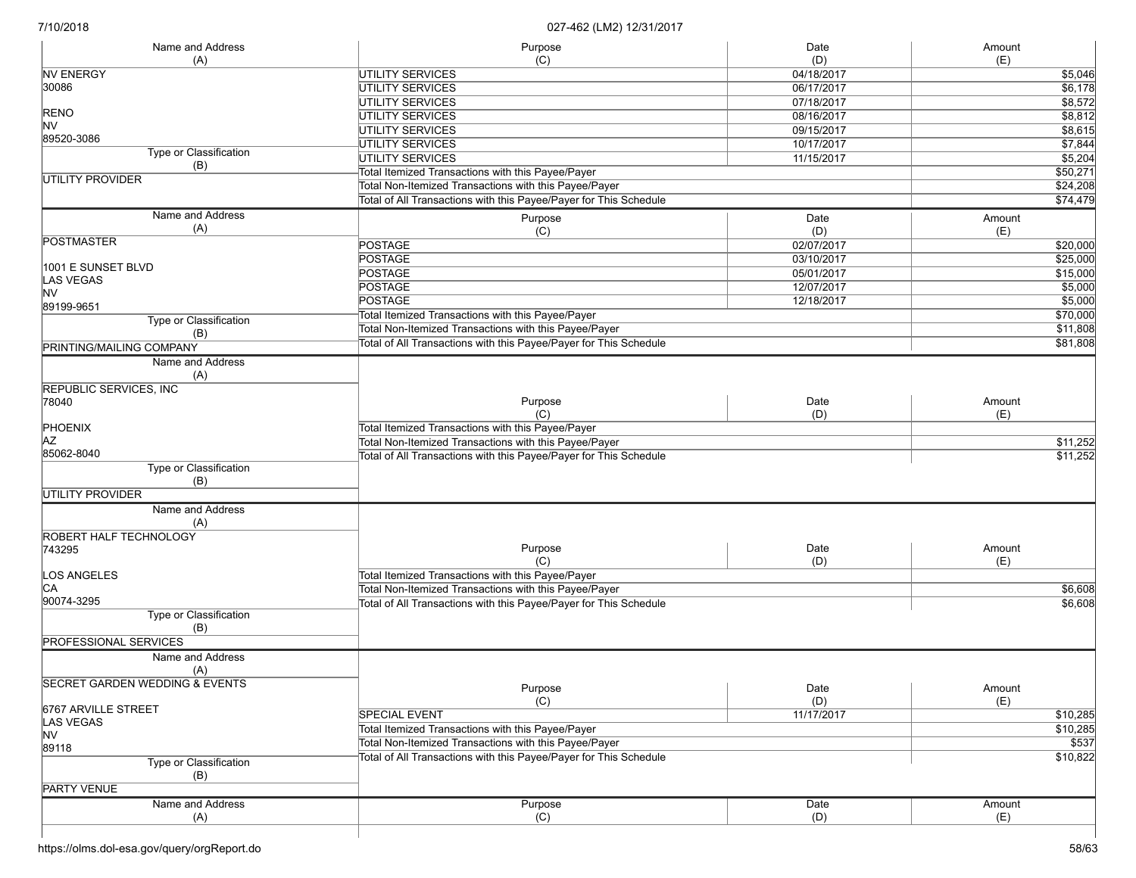| Name and Address                | Purpose                                                           | Date       | Amount   |
|---------------------------------|-------------------------------------------------------------------|------------|----------|
| (A)                             | (C)                                                               | (D)        | (E)      |
| <b>NV ENERGY</b>                | <b>UTILITY SERVICES</b>                                           | 04/18/2017 | \$5,046  |
| 30086                           | <b>UTILITY SERVICES</b>                                           | 06/17/2017 | \$6,178  |
|                                 | UTILITY SERVICES                                                  | 07/18/2017 | \$8,572  |
| RENO                            | <b>UTILITY SERVICES</b>                                           | 08/16/2017 | \$8,812  |
| <b>NV</b>                       | <b>UTILITY SERVICES</b>                                           | 09/15/2017 | \$8,615  |
| 89520-3086                      | UTILITY SERVICES                                                  | 10/17/2017 | \$7,844  |
| Type or Classification          | <b>UTILITY SERVICES</b>                                           | 11/15/2017 | 55,204   |
| (B)                             |                                                                   |            |          |
| UTILITY PROVIDER                | Total Itemized Transactions with this Payee/Payer                 |            | \$50,271 |
|                                 | Total Non-Itemized Transactions with this Payee/Payer             |            | \$24,208 |
|                                 | Total of All Transactions with this Payee/Payer for This Schedule |            | \$74,479 |
| Name and Address                | Purpose                                                           | Date       | Amount   |
| (A)                             | (C)                                                               | (D)        | (E)      |
| <b>POSTMASTER</b>               | <b>POSTAGE</b>                                                    | 02/07/2017 | \$20,000 |
|                                 | <b>POSTAGE</b>                                                    | 03/10/2017 | \$25,000 |
| 1001 E SUNSET BLVD              | <b>POSTAGE</b>                                                    | 05/01/2017 | \$15,000 |
| <b>LAS VEGAS</b>                | <b>POSTAGE</b>                                                    | 12/07/2017 | \$5,000  |
| <b>NV</b>                       |                                                                   |            |          |
| 89199-9651                      | <b>POSTAGE</b>                                                    | 12/18/2017 | \$5,000  |
| Type or Classification          | Total Itemized Transactions with this Payee/Payer                 |            | \$70,000 |
| (B)                             | Total Non-Itemized Transactions with this Payee/Payer             |            | \$11,808 |
| <b>PRINTING/MAILING COMPANY</b> | Total of All Transactions with this Payee/Payer for This Schedule |            | \$81,808 |
| Name and Address                |                                                                   |            |          |
| (A)                             |                                                                   |            |          |
| <b>REPUBLIC SERVICES, INC.</b>  |                                                                   |            |          |
| 78040                           | Purpose                                                           | Date       | Amount   |
|                                 | (C)                                                               | (D)        | (E)      |
|                                 | Total Itemized Transactions with this Payee/Payer                 |            |          |
| PHOENIX<br> AZ                  |                                                                   |            |          |
| 85062-8040                      | Total Non-Itemized Transactions with this Payee/Payer             |            | \$11,252 |
|                                 | Total of All Transactions with this Payee/Payer for This Schedule |            | \$11,252 |
| Type or Classification          |                                                                   |            |          |
| (B)                             |                                                                   |            |          |
| <b>UTILITY PROVIDER</b>         |                                                                   |            |          |
| Name and Address                |                                                                   |            |          |
| (A)                             |                                                                   |            |          |
| ROBERT HALF TECHNOLOGY          |                                                                   |            |          |
| 743295                          | Purpose                                                           | Date       | Amount   |
|                                 | (C)                                                               | (D)        | (E)      |
| LOS ANGELES                     | Total Itemized Transactions with this Payee/Payer                 |            |          |
| СA                              | Total Non-Itemized Transactions with this Payee/Payer             |            | \$6,608  |
| 90074-3295                      | Total of All Transactions with this Payee/Payer for This Schedule |            | \$6,608  |
| Type or Classification          |                                                                   |            |          |
| (B)                             |                                                                   |            |          |
| <b>PROFESSIONAL SERVICES</b>    |                                                                   |            |          |
| Name and Address                |                                                                   |            |          |
| (A)                             |                                                                   |            |          |
| SECRET GARDEN WEDDING & EVENTS  |                                                                   |            |          |
|                                 | Purpose                                                           | Date       | Amount   |
| 6767 ARVILLE STREET             | (C)                                                               | (D)        | (E)      |
| LAS VEGAS                       | <b>SPECIAL EVENT</b>                                              | 11/17/2017 | \$10,285 |
| NV.                             | Total Itemized Transactions with this Payee/Payer                 |            | \$10,285 |
| 89118                           | Total Non-Itemized Transactions with this Payee/Payer             |            | \$537    |
| Type or Classification          | Total of All Transactions with this Payee/Payer for This Schedule |            | \$10,822 |
| (B)                             |                                                                   |            |          |
|                                 |                                                                   |            |          |
| <b>PARTY VENUE</b>              |                                                                   |            |          |
| Name and Address                | Purpose                                                           | Date       | Amount   |
| (A)                             | (C)                                                               | (D)        | (E)      |
|                                 |                                                                   |            |          |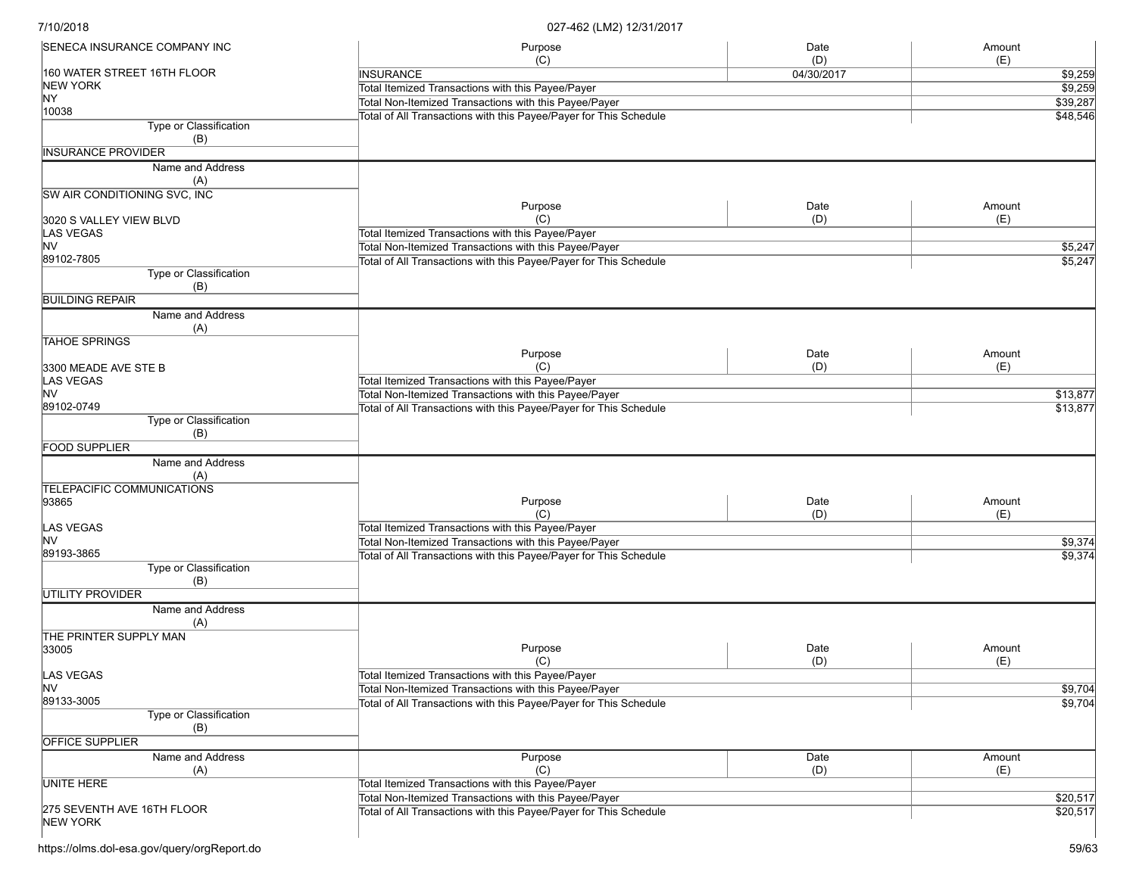| SENECA INSURANCE COMPANY INC                  | Purpose                                                           | Date       | Amount             |
|-----------------------------------------------|-------------------------------------------------------------------|------------|--------------------|
| 160 WATER STREET 16TH FLOOR                   | (C)<br><b>INSURANCE</b>                                           | (D)        | (E)                |
| <b>NEW YORK</b>                               | Total Itemized Transactions with this Payee/Payer                 | 04/30/2017 | \$9,259<br>\$9,259 |
| NY.                                           | Total Non-Itemized Transactions with this Payee/Payer             |            | \$39,287           |
| 10038                                         |                                                                   |            |                    |
| Type or Classification                        | Total of All Transactions with this Payee/Payer for This Schedule |            | \$48,546           |
| (B)                                           |                                                                   |            |                    |
| <b>INSURANCE PROVIDER</b>                     |                                                                   |            |                    |
| Name and Address                              |                                                                   |            |                    |
| (A)                                           |                                                                   |            |                    |
| SW AIR CONDITIONING SVC, INC                  |                                                                   |            |                    |
|                                               | Purpose                                                           | Date       | Amount             |
| 3020 S VALLEY VIEW BLVD                       | (C)                                                               | (D)        | (E)                |
| <b>LAS VEGAS</b>                              | Total Itemized Transactions with this Payee/Payer                 |            |                    |
| <b>NV</b>                                     | Total Non-Itemized Transactions with this Payee/Payer             |            | \$5,247            |
| 89102-7805                                    | Total of All Transactions with this Payee/Payer for This Schedule |            | \$5,247            |
| Type or Classification                        |                                                                   |            |                    |
| (B)                                           |                                                                   |            |                    |
| <b>BUILDING REPAIR</b>                        |                                                                   |            |                    |
| Name and Address                              |                                                                   |            |                    |
| (A)                                           |                                                                   |            |                    |
| <b>TAHOE SPRINGS</b>                          |                                                                   |            |                    |
|                                               | Purpose                                                           | Date       | Amount             |
| 3300 MEADE AVE STE B                          | (C)                                                               | (D)        | (E)                |
| LAS VEGAS                                     | Total Itemized Transactions with this Payee/Payer                 |            |                    |
| <b>NV</b>                                     | Total Non-Itemized Transactions with this Payee/Payer             |            | \$13,877           |
| 89102-0749                                    | Total of All Transactions with this Payee/Payer for This Schedule |            | \$13,877           |
| Type or Classification                        |                                                                   |            |                    |
| (B)                                           |                                                                   |            |                    |
| <b>FOOD SUPPLIER</b>                          |                                                                   |            |                    |
| Name and Address                              |                                                                   |            |                    |
| (A)                                           |                                                                   |            |                    |
| <b>TELEPACIFIC COMMUNICATIONS</b>             |                                                                   |            |                    |
| 93865                                         | Purpose                                                           | Date       | Amount             |
|                                               | (C)                                                               | (D)        | (E)                |
| LAS VEGAS                                     | Total Itemized Transactions with this Payee/Payer                 |            |                    |
| lnv                                           | Total Non-Itemized Transactions with this Payee/Payer             |            | \$9,374            |
| 89193-3865                                    | Total of All Transactions with this Payee/Payer for This Schedule |            | \$9,374            |
| Type or Classification                        |                                                                   |            |                    |
| (B)                                           |                                                                   |            |                    |
| <b>UTILITY PROVIDER</b>                       |                                                                   |            |                    |
| Name and Address                              |                                                                   |            |                    |
| (A)                                           |                                                                   |            |                    |
| THE PRINTER SUPPLY MAN                        |                                                                   |            |                    |
| 33005                                         | Purpose                                                           | Date       | Amount             |
|                                               | (C)                                                               | (D)        | (E)                |
| <b>LAS VEGAS</b>                              | Total Itemized Transactions with this Payee/Payer                 |            |                    |
| <b>NV</b>                                     | Total Non-Itemized Transactions with this Payee/Payer             |            | \$9,704            |
| 89133-3005                                    | Total of All Transactions with this Payee/Payer for This Schedule |            | \$9,704            |
| Type or Classification                        |                                                                   |            |                    |
| (B)                                           |                                                                   |            |                    |
| OFFICE SUPPLIER                               |                                                                   |            |                    |
| Name and Address                              | Purpose                                                           | Date       | Amount             |
| (A)                                           | (C)                                                               | (D)        | (E)                |
| <b>UNITE HERE</b>                             | Total Itemized Transactions with this Payee/Payer                 |            |                    |
|                                               | Total Non-Itemized Transactions with this Payee/Payer             |            | \$20,517           |
| 275 SEVENTH AVE 16TH FLOOR<br><b>NEW YORK</b> | Total of All Transactions with this Payee/Payer for This Schedule |            | \$20,517           |
|                                               |                                                                   |            |                    |
|                                               |                                                                   |            |                    |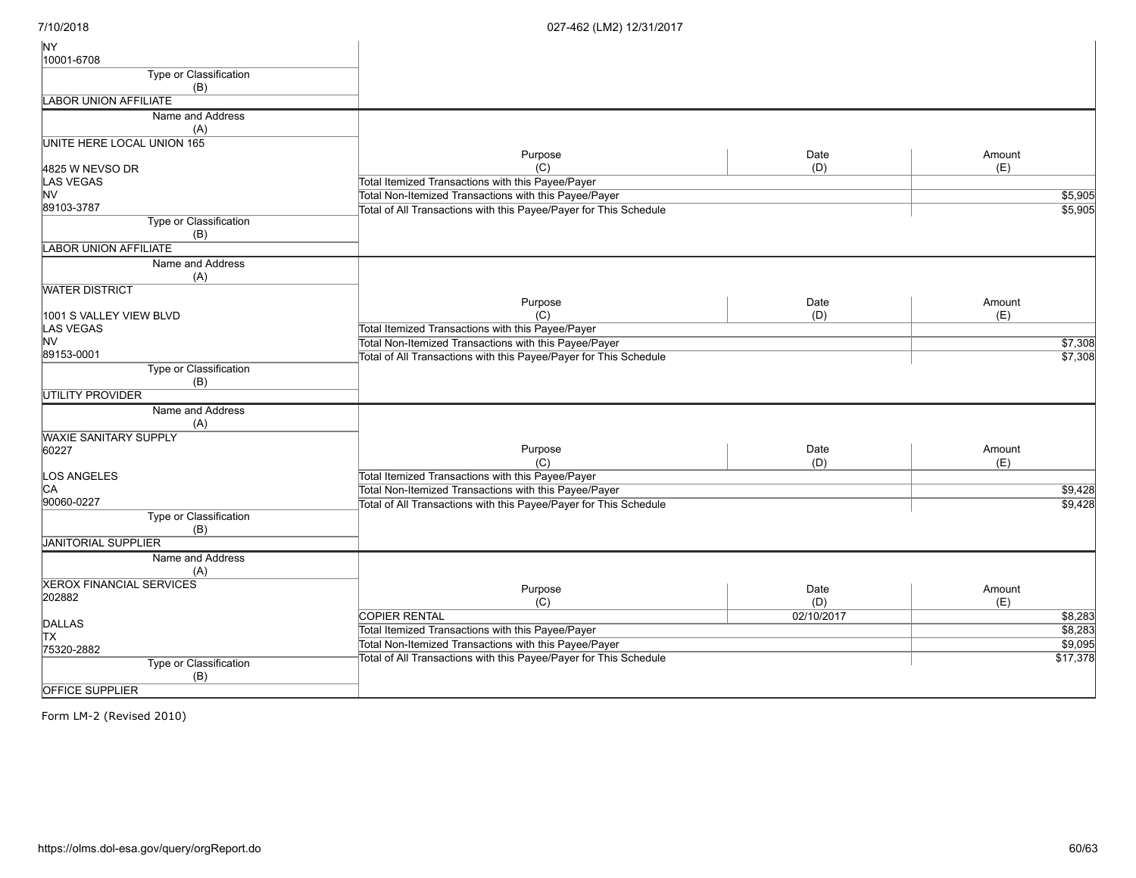| <b>NY</b>                         |                                                                   |            |          |
|-----------------------------------|-------------------------------------------------------------------|------------|----------|
| 10001-6708                        |                                                                   |            |          |
| <b>Type or Classification</b>     |                                                                   |            |          |
| (B)                               |                                                                   |            |          |
| <b>LABOR UNION AFFILIATE</b>      |                                                                   |            |          |
| Name and Address                  |                                                                   |            |          |
| (A)                               |                                                                   |            |          |
| <b>UNITE HERE LOCAL UNION 165</b> |                                                                   |            |          |
|                                   | Purpose                                                           | Date       | Amount   |
| 4825 W NEVSO DR                   | (C)                                                               | (D)        | (E)      |
| LAS VEGAS                         | Total Itemized Transactions with this Payee/Payer                 |            |          |
| <b>NV</b>                         | Total Non-Itemized Transactions with this Payee/Payer             |            | \$5,905  |
| 89103-3787                        | Total of All Transactions with this Payee/Payer for This Schedule |            | \$5,905  |
| Type or Classification            |                                                                   |            |          |
| (B)                               |                                                                   |            |          |
| <b>LABOR UNION AFFILIATE</b>      |                                                                   |            |          |
| Name and Address                  |                                                                   |            |          |
| (A)                               |                                                                   |            |          |
| <b>WATER DISTRICT</b>             |                                                                   |            |          |
|                                   | Purpose                                                           | Date       | Amount   |
| 1001 S VALLEY VIEW BLVD           | (C)                                                               | (D)        | (E)      |
| <b>LAS VEGAS</b>                  | Total Itemized Transactions with this Payee/Payer                 |            |          |
| <b>NV</b>                         | Total Non-Itemized Transactions with this Payee/Payer             |            | \$7,308  |
| 89153-0001                        | Total of All Transactions with this Payee/Payer for This Schedule |            | \$7,308  |
| Type or Classification            |                                                                   |            |          |
| (B)                               |                                                                   |            |          |
| <b>UTILITY PROVIDER</b>           |                                                                   |            |          |
| Name and Address                  |                                                                   |            |          |
| (A)                               |                                                                   |            |          |
| <b>WAXIE SANITARY SUPPLY</b>      |                                                                   |            |          |
| 60227                             | Purpose                                                           | Date       | Amount   |
|                                   | (C)                                                               | (D)        | (E)      |
| LOS ANGELES                       | Total Itemized Transactions with this Payee/Payer                 |            |          |
| IСA                               | Total Non-Itemized Transactions with this Payee/Payer             |            | \$9,428  |
| 90060-0227                        | Total of All Transactions with this Payee/Payer for This Schedule |            | \$9,428  |
| Type or Classification            |                                                                   |            |          |
| (B)                               |                                                                   |            |          |
| JANITORIAL SUPPLIER               |                                                                   |            |          |
| Name and Address                  |                                                                   |            |          |
| (A)                               |                                                                   |            |          |
| <b>XEROX FINANCIAL SERVICES</b>   | Purpose                                                           | Date       | Amount   |
| 202882                            | (C)                                                               | (D)        | (E)      |
|                                   | <b>COPIER RENTAL</b>                                              | 02/10/2017 | \$8,283  |
| <b>DALLAS</b>                     | Total Itemized Transactions with this Payee/Payer                 |            | 38,283   |
| <b>TX</b>                         | Total Non-Itemized Transactions with this Payee/Payer             |            | \$9,095  |
| 75320-2882                        | Total of All Transactions with this Payee/Payer for This Schedule |            | \$17,378 |
| Type or Classification            |                                                                   |            |          |
| (B)                               |                                                                   |            |          |
| <b>OFFICE SUPPLIER</b>            |                                                                   |            |          |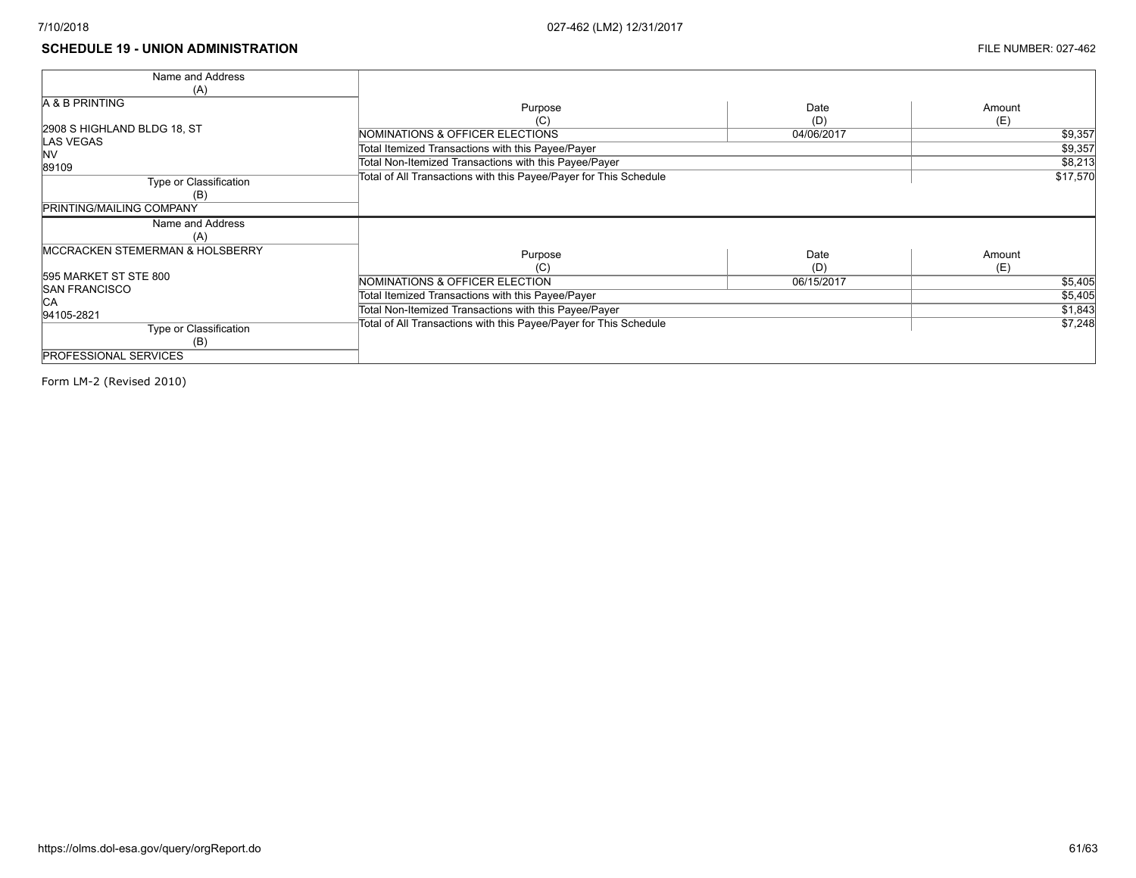#### **SCHEDULE 19 - UNION ADMINISTRATION** FILE NUMBER: 027-462

| Name and Address                           |                                                                   |            |          |
|--------------------------------------------|-------------------------------------------------------------------|------------|----------|
| (A)                                        |                                                                   |            |          |
| <b>A &amp; B PRINTING</b>                  | Purpose                                                           | Date       | Amount   |
|                                            | (C)                                                               | (D)        | (E)      |
| 2908 S HIGHLAND BLDG 18, ST                | NOMINATIONS & OFFICER ELECTIONS                                   | 04/06/2017 | \$9,357  |
| <b>LAS VEGAS</b><br><b>NV</b>              | Total Itemized Transactions with this Payee/Payer                 |            | \$9,357  |
| 89109                                      | Total Non-Itemized Transactions with this Payee/Payer             |            | \$8,213  |
| Type or Classification                     | Total of All Transactions with this Payee/Payer for This Schedule |            | \$17,570 |
| (B)                                        |                                                                   |            |          |
| <b>PRINTING/MAILING COMPANY</b>            |                                                                   |            |          |
| Name and Address                           |                                                                   |            |          |
| (A)                                        |                                                                   |            |          |
| <b>MCCRACKEN STEMERMAN &amp; HOLSBERRY</b> | Purpose                                                           | Date       | Amount   |
|                                            | (C)                                                               | (D)        | (E)      |
| 595 MARKET ST STE 800                      | NOMINATIONS & OFFICER ELECTION                                    | 06/15/2017 | \$5,405  |
| <b>SAN FRANCISCO</b><br>IСA                | Total Itemized Transactions with this Payee/Payer                 |            | \$5,405  |
| 94105-2821                                 | Total Non-Itemized Transactions with this Payee/Payer             |            | \$1,843  |
| Type or Classification                     | Total of All Transactions with this Payee/Payer for This Schedule |            | \$7,248  |
| (B)                                        |                                                                   |            |          |
| <b>PROFESSIONAL SERVICES</b>               |                                                                   |            |          |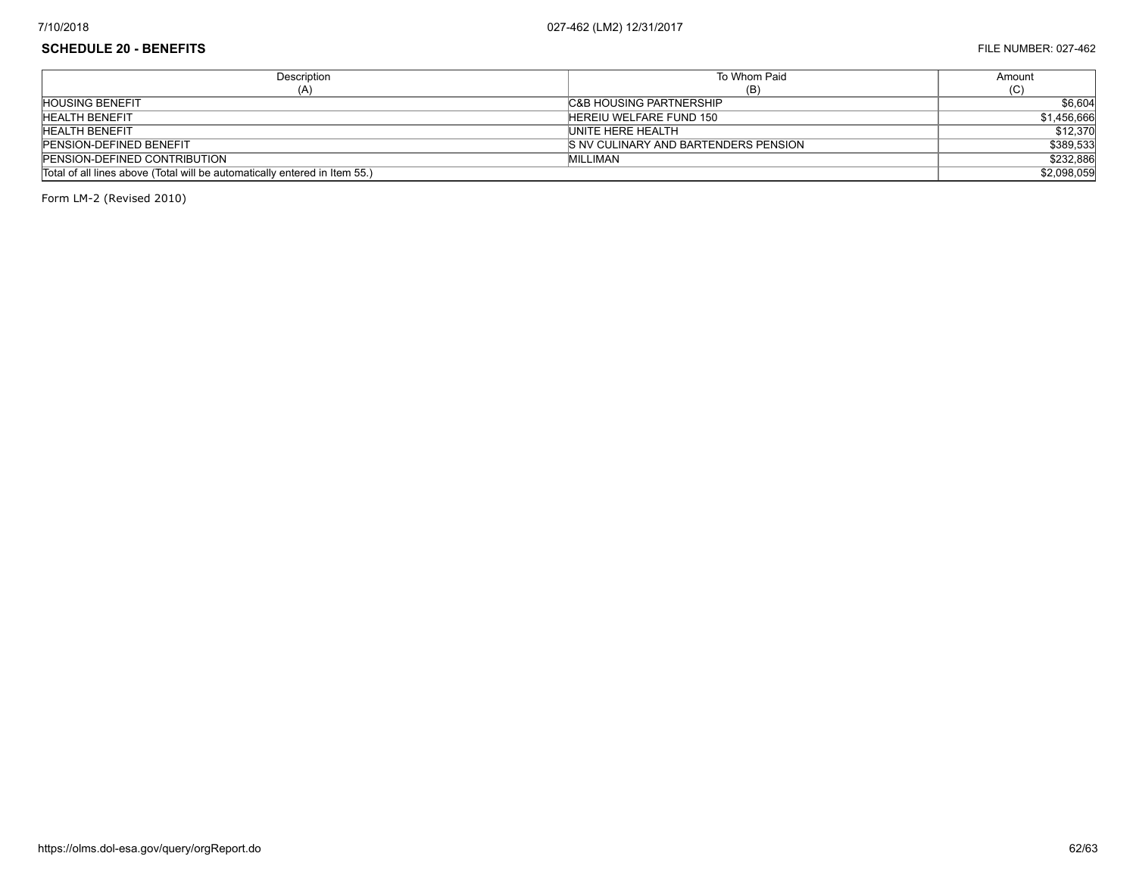## **SCHEDULE 20 - BENEFITS** FILE NUMBER: 027-462

| Description                                                                | To Whom Paid                          | Amount      |
|----------------------------------------------------------------------------|---------------------------------------|-------------|
| (A)                                                                        | (B)                                   | (ت)،        |
| <b>HOUSING BENEFIT</b>                                                     | <b>C&amp;B HOUSING PARTNERSHIP</b>    | \$6,604     |
| <b>HEALTH BENEFIT</b>                                                      | HEREIU WELFARE FUND 150               | \$1,456,666 |
| <b>HEALTH BENEFIT</b>                                                      | UNITE HERE HEALTH                     | \$12,370    |
| <b>PENSION-DEFINED BENEFIT</b>                                             | IS NV CULINARY AND BARTENDERS PENSION | \$389,533   |
| <b>PENSION-DEFINED CONTRIBUTION</b>                                        | MILLIMAN                              | \$232,886   |
| Total of all lines above (Total will be automatically entered in Item 55.) |                                       | \$2,098,059 |